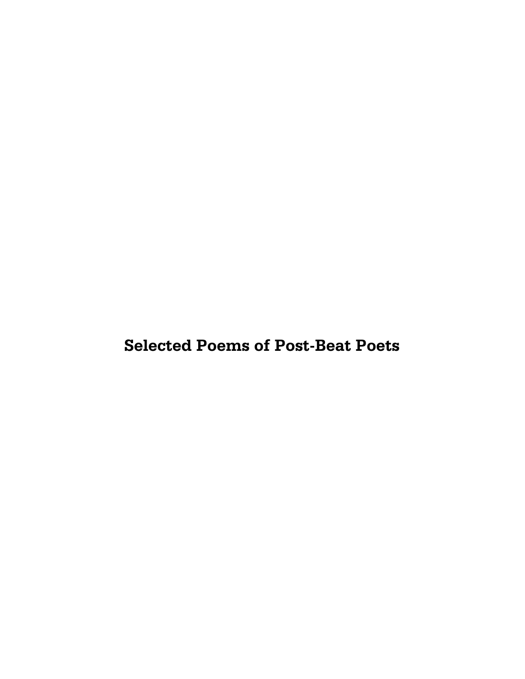**Selected Poems of Post-Beat Poets**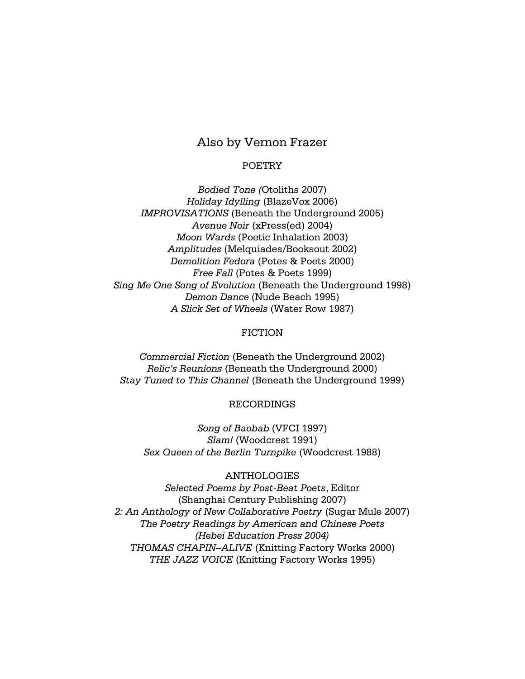# Also by Vernon Frazer

#### POETRY

*Bodied Tone (*Otoliths 2007) *Holiday Idylling* (BlazeVox 2006) *IMPROVISATIONS* (Beneath the Underground 2005) *Avenue Noir* (xPress(ed) 2004) *Moon Wards* (Poetic Inhalation 2003) *Amplitudes* (Melquiades/Booksout 2002) *Demolition Fedora* (Potes & Poets 2000) *Free Fall* (Potes & Poets 1999) *Sing Me One Song of Evolution* (Beneath the Underground 1998) *Demon Dance* (Nude Beach 1995) *A Slick Set of Wheels* (Water Row 1987)

#### FICTION

*Commercial Fiction* (Beneath the Underground 2002) *Relic's Reunions* (Beneath the Underground 2000) *Stay Tuned to This Channel* (Beneath the Underground 1999)

#### RECORDINGS

*Song of Baobab* (VFCI 1997) *Slam!* (Woodcrest 1991) *Sex Queen of the Berlin Turnpike* (Woodcrest 1988)

### ANTHOLOGIES

*Selected Poems by Post-Beat Poets*, Editor (Shanghai Century Publishing 2007) *2: An Anthology of New Collaborative Poetry* (Sugar Mule 2007) *The Poetry Readings by American and Chinese Poets (Hebei Education Press 2004) THOMAS CHAPIN–ALIVE* (Knitting Factory Works 2000) *THE JAZZ VOICE* (Knitting Factory Works 1995)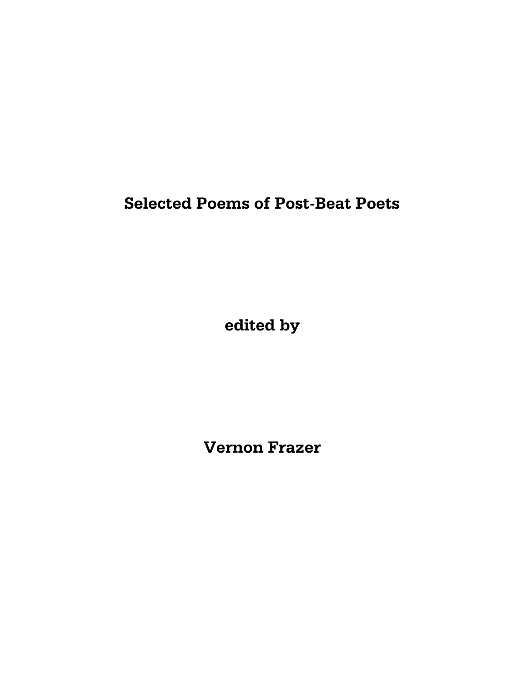**Selected Poems of Post-Beat Poets**

**edited by**

**Vernon Frazer**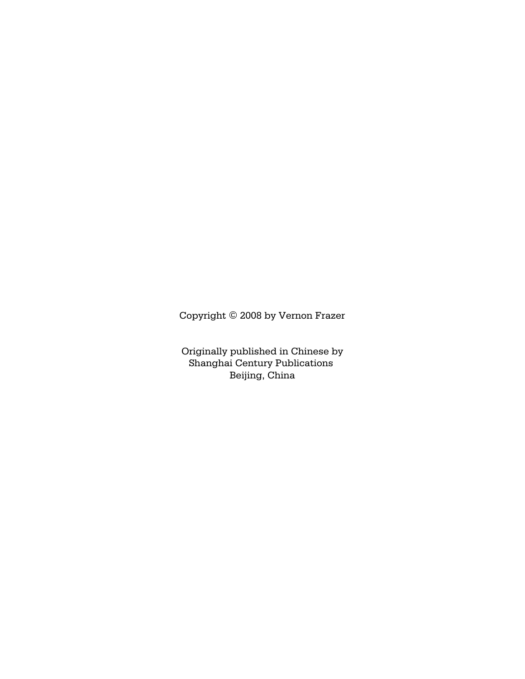Copyright © 2008 by Vernon Frazer

Originally published in Chinese by Shanghai Century Publications Beijing, China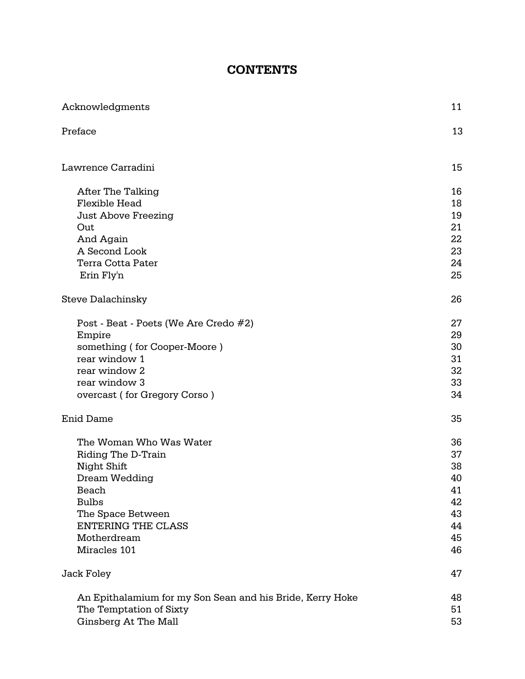# **CONTENTS**

| Acknowledgments                                           | 11 |
|-----------------------------------------------------------|----|
| Preface                                                   | 13 |
| Lawrence Carradini                                        | 15 |
| After The Talking                                         | 16 |
| Flexible Head                                             | 18 |
| <b>Just Above Freezing</b>                                | 19 |
| Out                                                       | 21 |
| And Again                                                 | 22 |
| A Second Look                                             | 23 |
| Terra Cotta Pater                                         | 24 |
| Erin Fly'n                                                | 25 |
| <b>Steve Dalachinsky</b>                                  | 26 |
| Post - Beat - Poets (We Are Credo #2)                     | 27 |
| Empire                                                    | 29 |
| something (for Cooper-Moore)                              | 30 |
| rear window 1                                             | 31 |
| rear window 2                                             | 32 |
| rear window 3                                             | 33 |
| overcast (for Gregory Corso)                              | 34 |
| <b>Enid Dame</b>                                          | 35 |
| The Woman Who Was Water                                   | 36 |
| Riding The D-Train                                        | 37 |
| Night Shift                                               | 38 |
| Dream Wedding                                             | 40 |
| Beach                                                     | 41 |
| <b>Bulbs</b>                                              | 42 |
| The Space Between                                         | 43 |
| <b>ENTERING THE CLASS</b>                                 | 44 |
| Motherdream                                               | 45 |
| Miracles 101                                              | 46 |
| Jack Foley                                                | 47 |
| An Epithalamium for my Son Sean and his Bride, Kerry Hoke | 48 |
| The Temptation of Sixty                                   | 51 |
| Ginsberg At The Mall                                      | 53 |
|                                                           |    |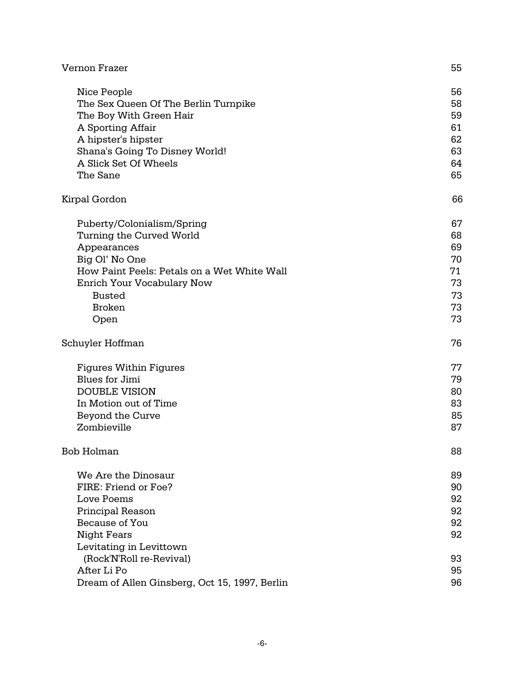|                                                                                                                                                                                                                | 55                                                 |
|----------------------------------------------------------------------------------------------------------------------------------------------------------------------------------------------------------------|----------------------------------------------------|
| Nice People<br>The Sex Queen Of The Berlin Turnpike<br>The Boy With Green Hair<br>A Sporting Affair<br>A hipster's hipster<br>Shana's Going To Disney World!<br>A Slick Set Of Wheels<br>The Sane              | 56<br>58<br>59<br>61<br>62<br>63<br>64<br>65       |
| Kirpal Gordon                                                                                                                                                                                                  | 66                                                 |
| Puberty/Colonialism/Spring<br>Turning the Curved World<br>Appearances<br>Big Ol' No One<br>How Paint Peels: Petals on a Wet White Wall<br>Enrich Your Vocabulary Now<br><b>Busted</b><br><b>Broken</b><br>Open | 67<br>68<br>69<br>70<br>71<br>73<br>73<br>73<br>73 |
| Schuyler Hoffman                                                                                                                                                                                               | 76                                                 |
| <b>Figures Within Figures</b>                                                                                                                                                                                  | 77                                                 |
| <b>Blues</b> for Jimi<br><b>DOUBLE VISION</b><br>In Motion out of Time<br>Beyond the Curve<br>Zombieville                                                                                                      | 79<br>80<br>83<br>85<br>87                         |
| <b>Bob Holman</b>                                                                                                                                                                                              | 88                                                 |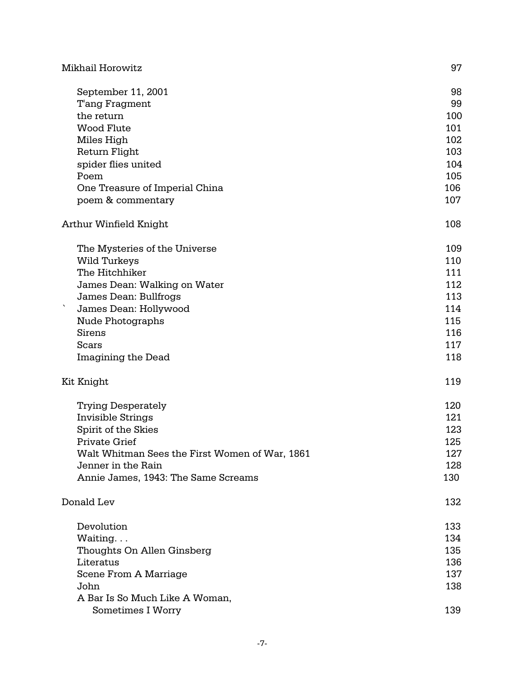| Mikhail Horowitz                               | 97  |
|------------------------------------------------|-----|
| September 11, 2001                             | 98  |
| T'ang Fragment                                 | 99  |
| the return                                     | 100 |
| Wood Flute                                     | 101 |
| Miles High                                     | 102 |
| Return Flight                                  | 103 |
| spider flies united                            | 104 |
| Poem                                           | 105 |
| One Treasure of Imperial China                 | 106 |
| poem & commentary                              | 107 |
| Arthur Winfield Knight                         | 108 |
| The Mysteries of the Universe                  | 109 |
| <b>Wild Turkeys</b>                            | 110 |
| The Hitchhiker                                 | 111 |
| James Dean: Walking on Water                   | 112 |
| James Dean: Bullfrogs                          | 113 |
| James Dean: Hollywood                          | 114 |
| Nude Photographs                               | 115 |
| Sirens                                         | 116 |
| <b>Scars</b>                                   | 117 |
| Imagining the Dead                             | 118 |
| Kit Knight                                     | 119 |
| <b>Trying Desperately</b>                      | 120 |
| Invisible Strings                              | 121 |
| Spirit of the Skies                            | 123 |
| Private Grief                                  | 125 |
| Walt Whitman Sees the First Women of War, 1861 | 127 |
| Jenner in the Rain                             | 128 |
| Annie James, 1943: The Same Screams            | 130 |
| Donald Lev                                     | 132 |
| Devolution                                     | 133 |
| Waiting                                        | 134 |
| Thoughts On Allen Ginsberg                     | 135 |
| Literatus                                      | 136 |
| <b>Scene From A Marriage</b>                   | 137 |
| John                                           | 138 |
| A Bar Is So Much Like A Woman,                 |     |
| Sometimes I Worry                              | 139 |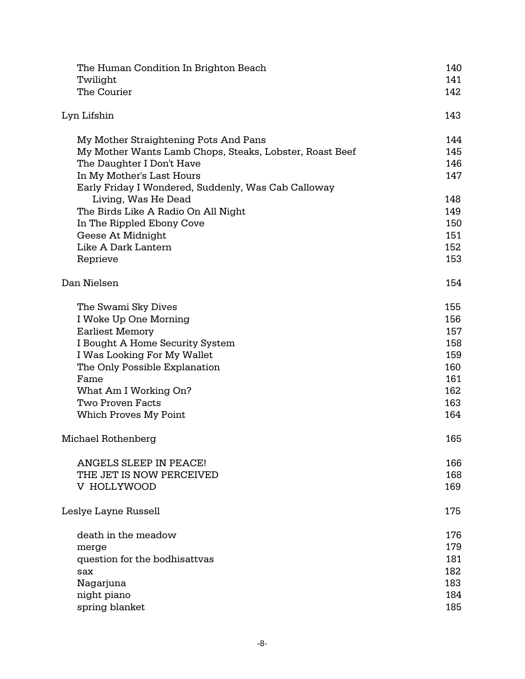| The Human Condition In Brighton Beach                   | 140 |
|---------------------------------------------------------|-----|
| Twilight                                                | 141 |
| The Courier                                             | 142 |
| Lyn Lifshin                                             | 143 |
| My Mother Straightening Pots And Pans                   | 144 |
| My Mother Wants Lamb Chops, Steaks, Lobster, Roast Beef | 145 |
| The Daughter I Don't Have                               | 146 |
| In My Mother's Last Hours                               | 147 |
| Early Friday I Wondered, Suddenly, Was Cab Calloway     |     |
| Living, Was He Dead                                     | 148 |
| The Birds Like A Radio On All Night                     | 149 |
| In The Rippled Ebony Cove                               | 150 |
| Geese At Midnight                                       | 151 |
| Like A Dark Lantern                                     | 152 |
| Reprieve                                                | 153 |
| Dan Nielsen                                             | 154 |
| The Swami Sky Dives                                     | 155 |
| I Woke Up One Morning                                   | 156 |
| <b>Earliest Memory</b>                                  | 157 |
| I Bought A Home Security System                         | 158 |
| I Was Looking For My Wallet                             | 159 |
| The Only Possible Explanation                           | 160 |
| Fame                                                    | 161 |
| What Am I Working On?                                   | 162 |
| <b>Two Proven Facts</b>                                 | 163 |
| Which Proves My Point                                   | 164 |
| Michael Rothenberg                                      | 165 |
| ANGELS SLEEP IN PEACE!                                  | 166 |
| THE JET IS NOW PERCEIVED                                | 168 |
| V HOLLYWOOD                                             | 169 |
| Leslye Layne Russell                                    | 175 |
| death in the meadow                                     | 176 |
| merge                                                   | 179 |
| question for the bodhisattvas                           | 181 |
| sax                                                     | 182 |
| Nagarjuna                                               | 183 |
| night piano                                             | 184 |
| spring blanket                                          | 185 |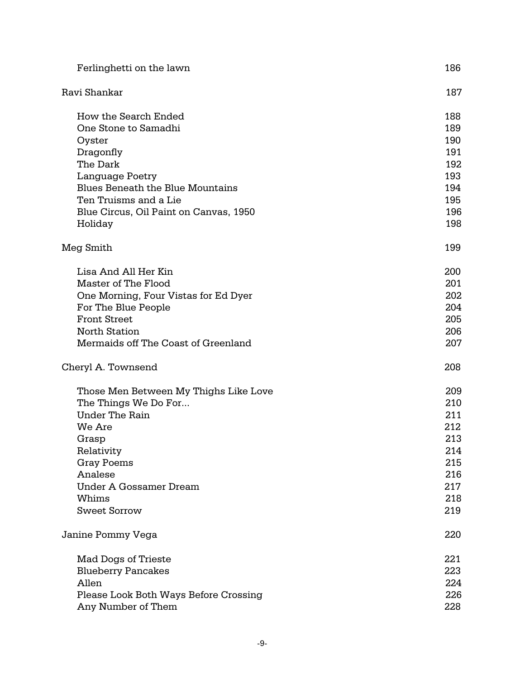| Ferlinghetti on the lawn                | 186 |
|-----------------------------------------|-----|
| Ravi Shankar                            | 187 |
| How the Search Ended                    | 188 |
| One Stone to Samadhi                    | 189 |
| Oyster                                  | 190 |
| Dragonfly                               | 191 |
| The Dark                                | 192 |
| Language Poetry                         | 193 |
| <b>Blues Beneath the Blue Mountains</b> | 194 |
| Ten Truisms and a Lie                   | 195 |
| Blue Circus, Oil Paint on Canvas, 1950  | 196 |
| Holiday                                 | 198 |
| Meg Smith                               | 199 |
| Lisa And All Her Kin                    | 200 |
| Master of The Flood                     | 201 |
| One Morning, Four Vistas for Ed Dyer    | 202 |
| For The Blue People                     | 204 |
| <b>Front Street</b>                     | 205 |
| <b>North Station</b>                    | 206 |
| Mermaids off The Coast of Greenland     | 207 |
| Cheryl A. Townsend                      | 208 |
| Those Men Between My Thighs Like Love   | 209 |
| The Things We Do For                    | 210 |
| <b>Under The Rain</b>                   | 211 |
| We Are                                  | 212 |
| Grasp                                   | 213 |
| Relativity                              | 214 |
| <b>Gray Poems</b>                       | 215 |
| Analese                                 | 216 |
| <b>Under A Gossamer Dream</b>           | 217 |
| Whims                                   | 218 |
| <b>Sweet Sorrow</b>                     | 219 |
| Janine Pommy Vega                       | 220 |
| Mad Dogs of Trieste                     | 221 |
| <b>Blueberry Pancakes</b>               | 223 |
| Allen                                   | 224 |
| Please Look Both Ways Before Crossing   | 226 |
| Any Number of Them                      | 228 |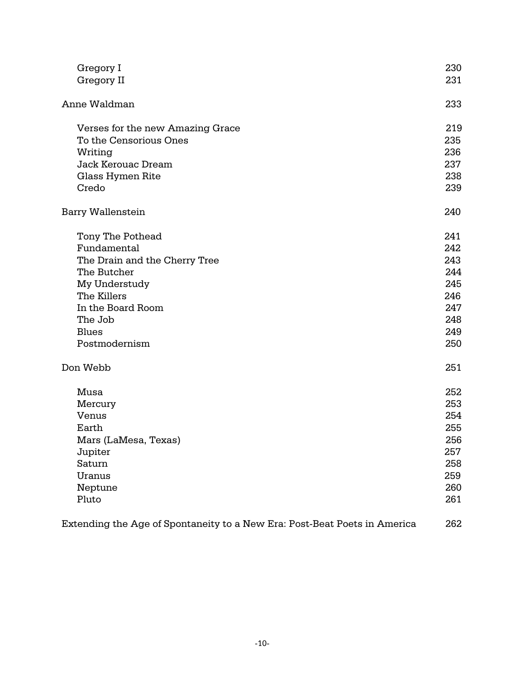| Gregory I                        | 230 |
|----------------------------------|-----|
| Gregory II                       | 231 |
|                                  |     |
| Anne Waldman                     | 233 |
| Verses for the new Amazing Grace | 219 |
| To the Censorious Ones           | 235 |
| Writing                          | 236 |
| <b>Jack Kerouac Dream</b>        | 237 |
| Glass Hymen Rite                 | 238 |
| Credo                            | 239 |
| <b>Barry Wallenstein</b>         | 240 |
| Tony The Pothead                 | 241 |
| Fundamental                      | 242 |
| The Drain and the Cherry Tree    | 243 |
| The Butcher                      | 244 |
| My Understudy                    | 245 |
| The Killers                      | 246 |
| In the Board Room                | 247 |
| The Job                          | 248 |
| <b>Blues</b>                     | 249 |
| Postmodernism                    | 250 |
| Don Webb                         | 251 |
| Musa                             | 252 |
| Mercury                          | 253 |
| Venus                            | 254 |
| Earth                            | 255 |
| Mars (LaMesa, Texas)             | 256 |
| Jupiter                          | 257 |
| Saturn                           | 258 |
| Uranus                           | 259 |
| Neptune                          | 260 |
| Pluto                            | 261 |
|                                  |     |

Extending the Age of Spontaneity to a New Era: Post-Beat Poets in America 262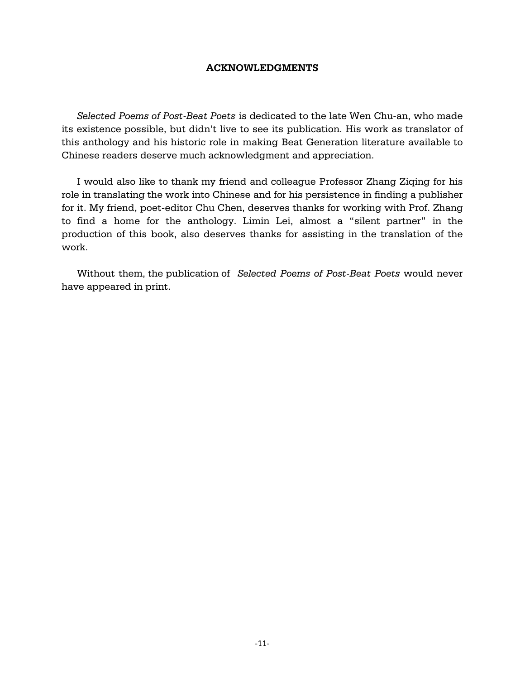### **ACKNOWLEDGMENTS**

*Selected Poems of Post-Beat Poets* is dedicated to the late Wen Chu-an, who made its existence possible, but didn't live to see its publication. His work as translator of this anthology and his historic role in making Beat Generation literature available to Chinese readers deserve much acknowledgment and appreciation.

I would also like to thank my friend and colleague Professor Zhang Ziqing for his role in translating the work into Chinese and for his persistence in finding a publisher for it. My friend, poet-editor Chu Chen, deserves thanks for working with Prof. Zhang to find a home for the anthology. Limin Lei, almost a "silent partner" in the production of this book, also deserves thanks for assisting in the translation of the work.

Without them, the publication of *Selected Poems of Post-Beat Poets* would never have appeared in print.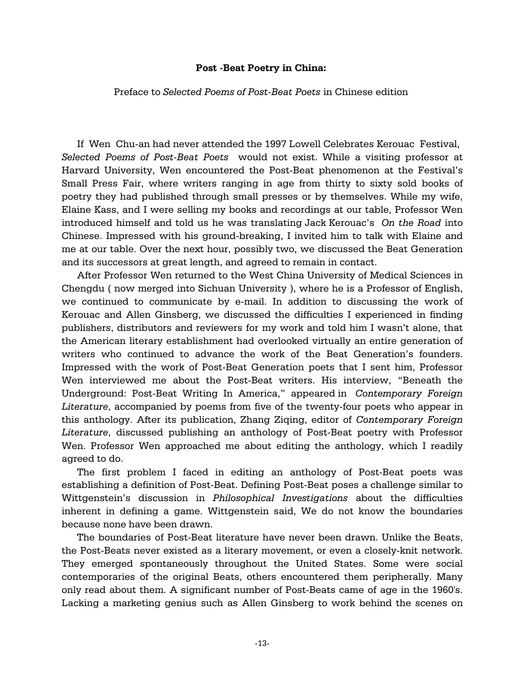### **Post -Beat Poetry in China:**

Preface to *Selected Poems of Post-Beat Poets* in Chinese edition

If Wen Chu-an had never attended the 1997 Lowell Celebrates Kerouac Festival, *Selected Poems of Post-Beat Poets* would not exist. While a visiting professor at Harvard University, Wen encountered the Post-Beat phenomenon at the Festival's Small Press Fair, where writers ranging in age from thirty to sixty sold books of poetry they had published through small presses or by themselves. While my wife, Elaine Kass, and I were selling my books and recordings at our table, Professor Wen introduced himself and told us he was translating Jack Kerouac's *On the Road* into Chinese. Impressed with his ground-breaking, I invited him to talk with Elaine and me at our table. Over the next hour, possibly two, we discussed the Beat Generation and its successors at great length, and agreed to remain in contact.

After Professor Wen returned to the West China University of Medical Sciences in Chengdu ( now merged into Sichuan University ), where he is a Professor of English, we continued to communicate by e-mail. In addition to discussing the work of Kerouac and Allen Ginsberg, we discussed the difficulties I experienced in finding publishers, distributors and reviewers for my work and told him I wasn't alone, that the American literary establishment had overlooked virtually an entire generation of writers who continued to advance the work of the Beat Generation's founders. Impressed with the work of Post-Beat Generation poets that I sent him, Professor Wen interviewed me about the Post-Beat writers. His interview, "Beneath the Underground: Post-Beat Writing In America," appeared in *Contemporary Foreign Literature*, accompanied by poems from five of the twenty-four poets who appear in this anthology. After its publication, Zhang Ziqing, editor of *Contemporary Foreign Literature*, discussed publishing an anthology of Post-Beat poetry with Professor Wen. Professor Wen approached me about editing the anthology, which I readily agreed to do.

The first problem I faced in editing an anthology of Post-Beat poets was establishing a definition of Post-Beat. Defining Post-Beat poses a challenge similar to Wittgenstein's discussion in *Philosophical Investigations* about the difficulties inherent in defining a game. Wittgenstein said, We do not know the boundaries because none have been drawn.

The boundaries of Post-Beat literature have never been drawn. Unlike the Beats, the Post-Beats never existed as a literary movement, or even a closely-knit network. They emerged spontaneously throughout the United States. Some were social contemporaries of the original Beats, others encountered them peripherally. Many only read about them. A significant number of Post-Beats came of age in the 1960's. Lacking a marketing genius such as Allen Ginsberg to work behind the scenes on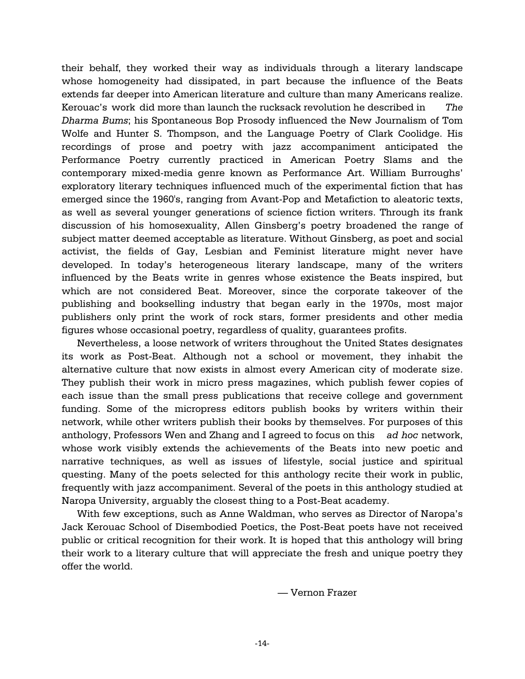their behalf, they worked their way as individuals through a literary landscape whose homogeneity had dissipated, in part because the influence of the Beats extends far deeper into American literature and culture than many Americans realize. Kerouac's work did more than launch the rucksack revolution he described in *The Dharma Bums*; his Spontaneous Bop Prosody influenced the New Journalism of Tom Wolfe and Hunter S. Thompson, and the Language Poetry of Clark Coolidge. His recordings of prose and poetry with jazz accompaniment anticipated the Performance Poetry currently practiced in American Poetry Slams and the contemporary mixed-media genre known as Performance Art. William Burroughs' exploratory literary techniques influenced much of the experimental fiction that has emerged since the 1960's, ranging from Avant-Pop and Metafiction to aleatoric texts, as well as several younger generations of science fiction writers. Through its frank discussion of his homosexuality, Allen Ginsberg's poetry broadened the range of subject matter deemed acceptable as literature. Without Ginsberg, as poet and social activist, the fields of Gay, Lesbian and Feminist literature might never have developed. In today's heterogeneous literary landscape, many of the writers influenced by the Beats write in genres whose existence the Beats inspired, but which are not considered Beat. Moreover, since the corporate takeover of the publishing and bookselling industry that began early in the 1970s, most major publishers only print the work of rock stars, former presidents and other media figures whose occasional poetry, regardless of quality, guarantees profits.

Nevertheless, a loose network of writers throughout the United States designates its work as Post-Beat. Although not a school or movement, they inhabit the alternative culture that now exists in almost every American city of moderate size. They publish their work in micro press magazines, which publish fewer copies of each issue than the small press publications that receive college and government funding. Some of the micropress editors publish books by writers within their network, while other writers publish their books by themselves. For purposes of this anthology, Professors Wen and Zhang and I agreed to focus on this *ad hoc* network, whose work visibly extends the achievements of the Beats into new poetic and narrative techniques, as well as issues of lifestyle, social justice and spiritual questing. Many of the poets selected for this anthology recite their work in public, frequently with jazz accompaniment. Several of the poets in this anthology studied at Naropa University, arguably the closest thing to a Post-Beat academy.

With few exceptions, such as Anne Waldman, who serves as Director of Naropa's Jack Kerouac School of Disembodied Poetics, the Post-Beat poets have not received public or critical recognition for their work. It is hoped that this anthology will bring their work to a literary culture that will appreciate the fresh and unique poetry they offer the world.

— Vernon Frazer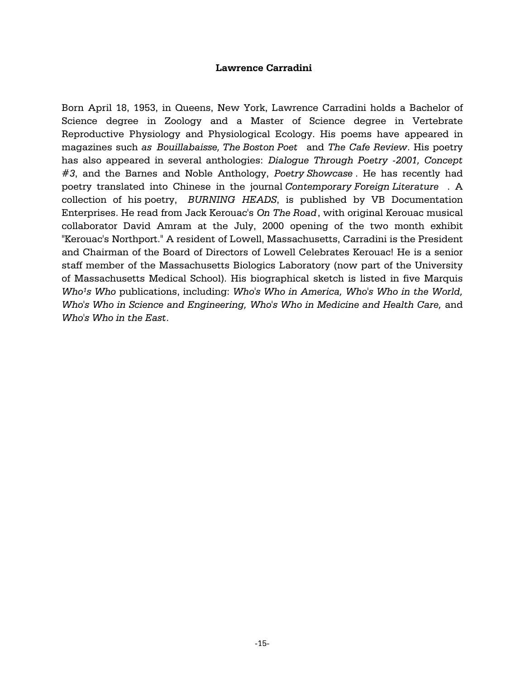### **Lawrence Carradini**

Born April 18, 1953, in Queens, New York, Lawrence Carradini holds a Bachelor of Science degree in Zoology and a Master of Science degree in Vertebrate Reproductive Physiology and Physiological Ecology. His poems have appeared in magazines such *as Bouillabaisse, The Boston Poet* and *The Cafe Review*. His poetry has also appeared in several anthologies: *Dialogue Through Poetry -2001, Concept #3*, and the Barnes and Noble Anthology, *Poetry Showcase* . He has recently had poetry translated into Chinese in the journal *Contemporary Foreign Literature* . A collection of his poetry, *BURNING HEADS*, is published by VB Documentation Enterprises. He read from Jack Kerouac's *On The Road*, with original Kerouac musical collaborator David Amram at the July, 2000 opening of the two month exhibit "Kerouac's Northport." A resident of Lowell, Massachusetts, Carradini is the President and Chairman of the Board of Directors of Lowell Celebrates Kerouac! He is a senior staff member of the Massachusetts Biologics Laboratory (now part of the University of Massachusetts Medical School). His biographical sketch is listed in five Marquis *Who<sup>1</sup>s Who* publications, including: *Who's Who in America, Who's Who in the World, Who's Who in Science and Engineering, Who's Who in Medicine and Health Care, and Who's Who in the East*.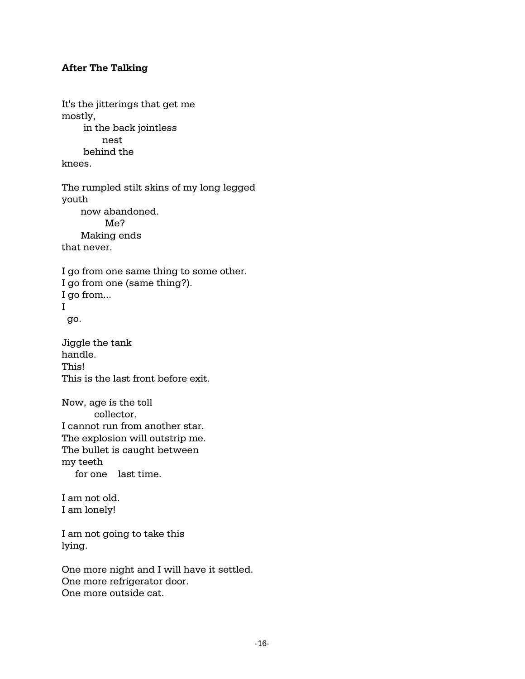## **After The Talking**

It's the jitterings that get me mostly, in the back jointless nest behind the knees. The rumpled stilt skins of my long legged youth now abandoned. Me? Making ends that never. I go from one same thing to some other. I go from one (same thing?). I go from... I go. Jiggle the tank handle. This! This is the last front before exit. Now, age is the toll collector. I cannot run from another star. The explosion will outstrip me. The bullet is caught between my teeth for one last time. I am not old. I am lonely! I am not going to take this lying. One more night and I will have it settled. One more refrigerator door. One more outside cat.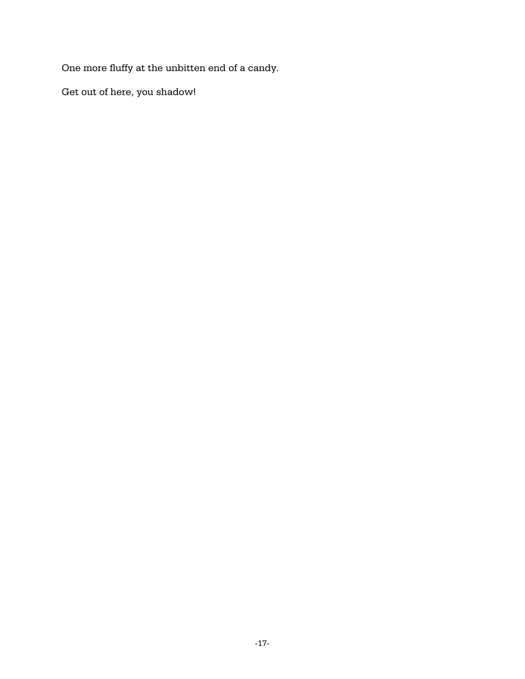One more fluffy at the unbitten end of a candy.

Get out of here, you shadow!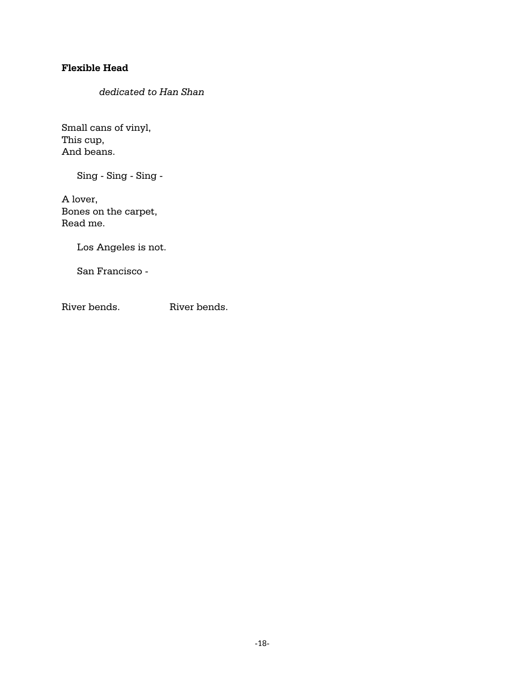# **Flexible Head**

*dedicated to Han Shan*

Small cans of vinyl, This cup, And beans.

Sing - Sing - Sing -

A lover, Bones on the carpet, Read me.

Los Angeles is not.

San Francisco -

River bends. River bends.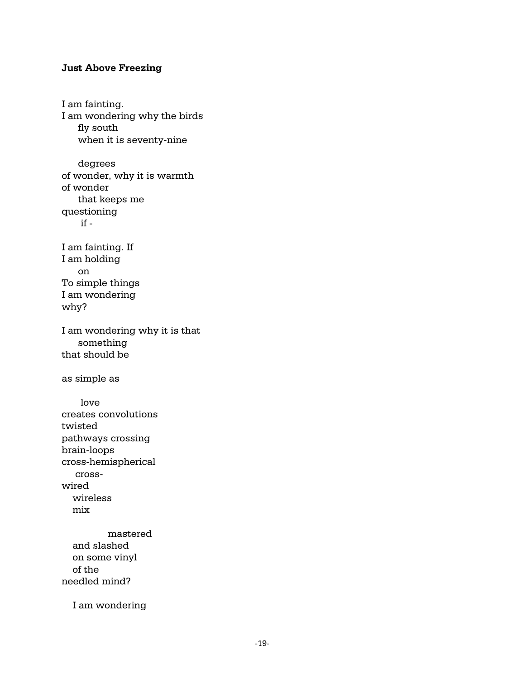### **Just Above Freezing**

I am fainting. I am wondering why the birds fly south when it is seventy-nine degrees of wonder, why it is warmth of wonder that keeps me questioning if - I am fainting. If I am holding on To simple things I am wondering why? I am wondering why it is that something that should be as simple as love creates convolutions twisted pathways crossing brain-loops cross-hemispherical crosswired wireless mix mastered and slashed on some vinyl of the needled mind? I am wondering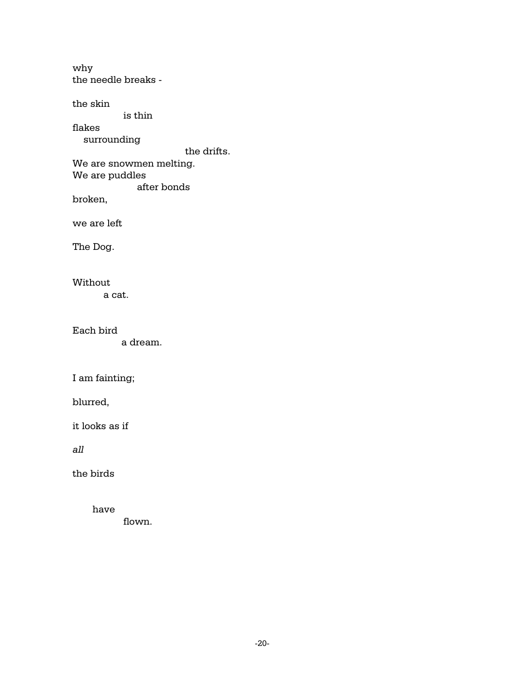why the needle breaks the skin is thin flakes surrounding the drifts. We are snowmen melting. We are puddles after bonds broken, we are left The Dog. Without

a cat.

Each bird a dream.

I am fainting;

blurred,

it looks as if

*all*

the birds

have

flown.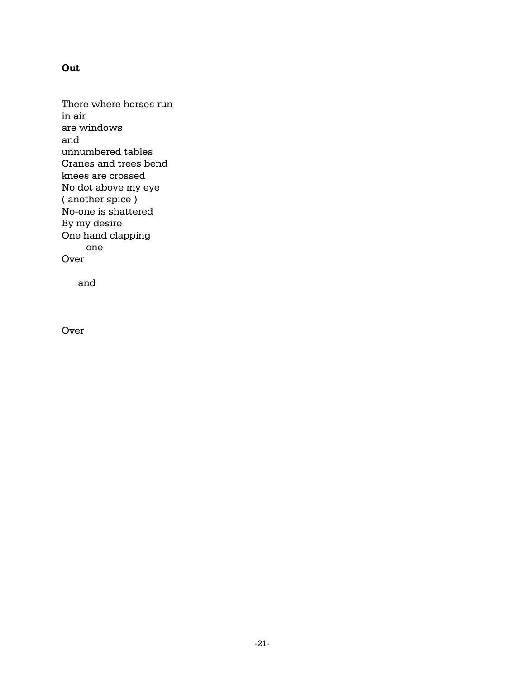## **Out**

There where horses run in air are windows and unnumbered tables Cranes and trees bend knees are crossed No dot above my eye ( another spice ) No-one is shattered By my desire One hand clapping one Over

and

Over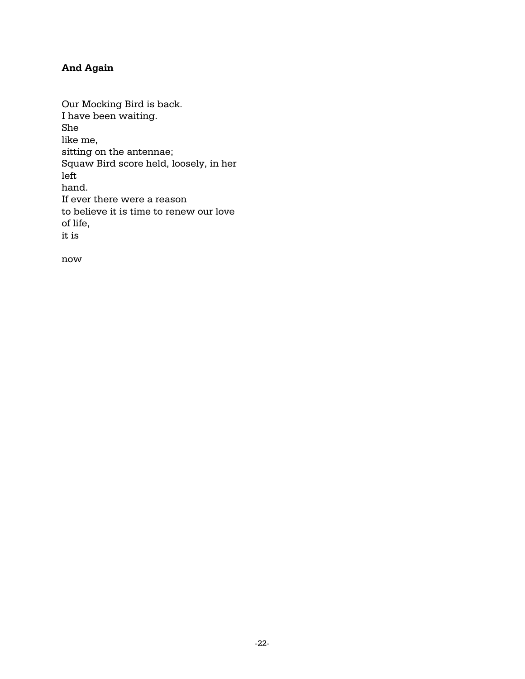# **And Again**

Our Mocking Bird is back. I have been waiting. She like me, sitting on the antennae; Squaw Bird score held, loosely, in her left hand. If ever there were a reason to believe it is time to renew our love of life, it is

now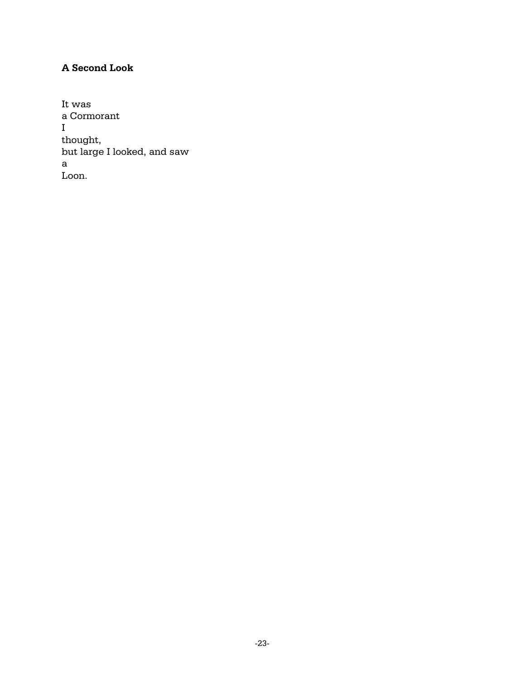# **A Second Look**

It was a Cormorant I thought, but large I looked, and saw a Loon.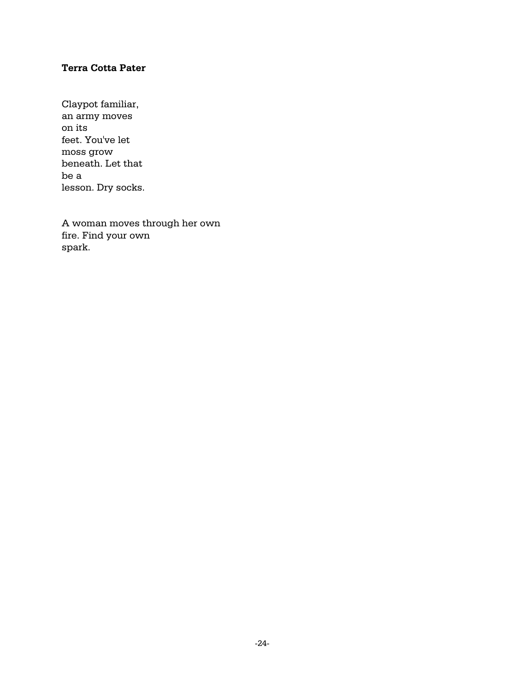## **Terra Cotta Pater**

Claypot familiar, an army moves on its feet. You've let moss grow beneath. Let that be a lesson. Dry socks.

A woman moves through her own fire. Find your own spark.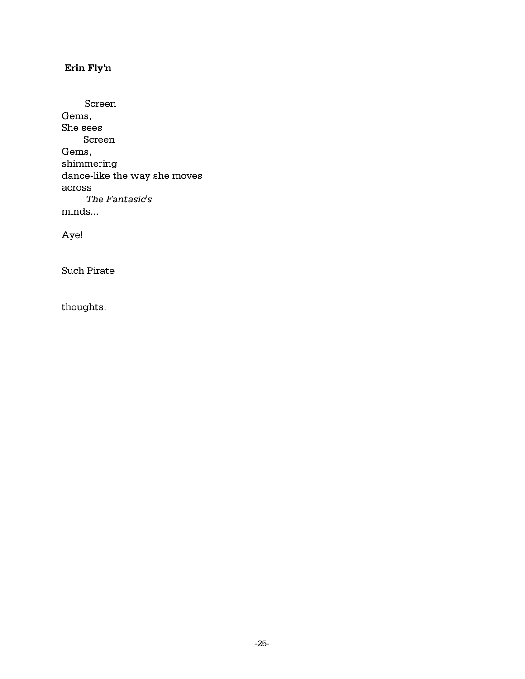# **Erin Fly'n**

 Screen Gems, She sees Screen Gems, shimmering dance-like the way she moves across *The Fantasic's*  minds...

Aye!

Such Pirate

thoughts.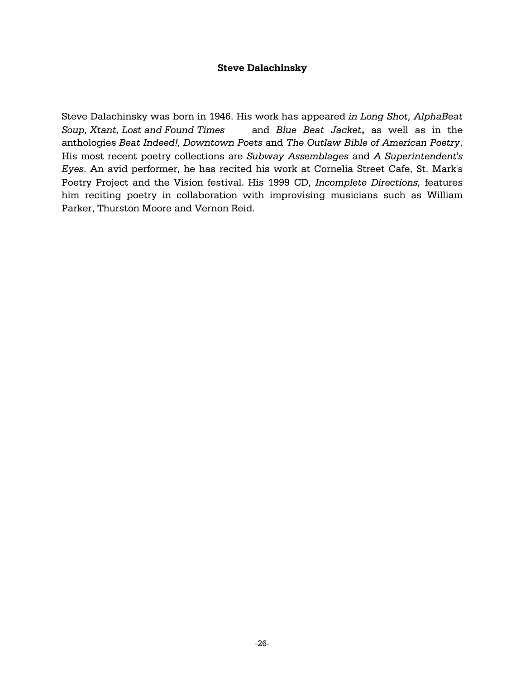## **Steve Dalachinsky**

Steve Dalachinsky was born in 1946. His work has appeared *in Long Shot, AlphaBeat Soup, Xtant, Lost and Found Times* and *Blue Beat Jacket***,** as well as in the anthologies *Beat Indeed!, Downtown Poets* and *The Outlaw Bible of American Poetry*. His most recent poetry collections are *Subway Assemblages* and *A Superintendent's Eyes*. An avid performer, he has recited his work at Cornelia Street Cafe, St. Mark's Poetry Project and the Vision festival. His 1999 CD, *Incomplete Directions,* features him reciting poetry in collaboration with improvising musicians such as William Parker, Thurston Moore and Vernon Reid.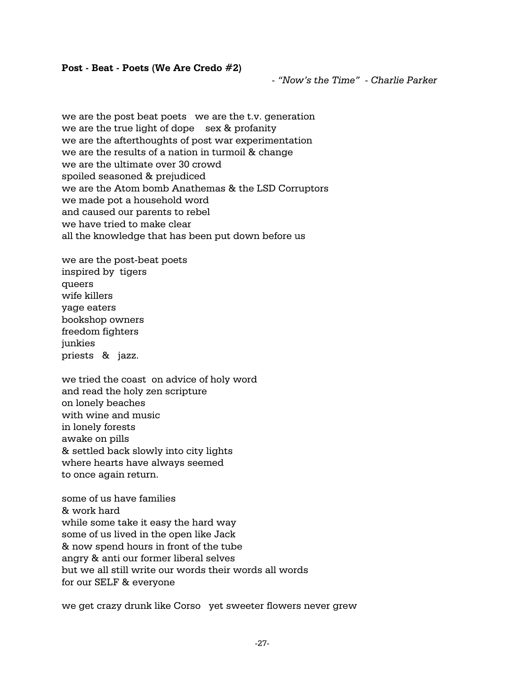### **Post - Beat - Poets (We Are Credo #2)**

 *- "Now's the Time" - Charlie Parker*

we are the post beat poets we are the t.v. generation we are the true light of dope sex & profanity we are the afterthoughts of post war experimentation we are the results of a nation in turmoil & change we are the ultimate over 30 crowd spoiled seasoned & prejudiced we are the Atom bomb Anathemas & the LSD Corruptors we made pot a household word and caused our parents to rebel we have tried to make clear all the knowledge that has been put down before us

we are the post-beat poets inspired by tigers queers wife killers yage eaters bookshop owners freedom fighters junkies priests & jazz.

we tried the coast on advice of holy word and read the holy zen scripture on lonely beaches with wine and music in lonely forests awake on pills & settled back slowly into city lights where hearts have always seemed to once again return.

some of us have families & work hard while some take it easy the hard way some of us lived in the open like Jack & now spend hours in front of the tube angry & anti our former liberal selves but we all still write our words their words all words for our SELF & everyone

we get crazy drunk like Corso yet sweeter flowers never grew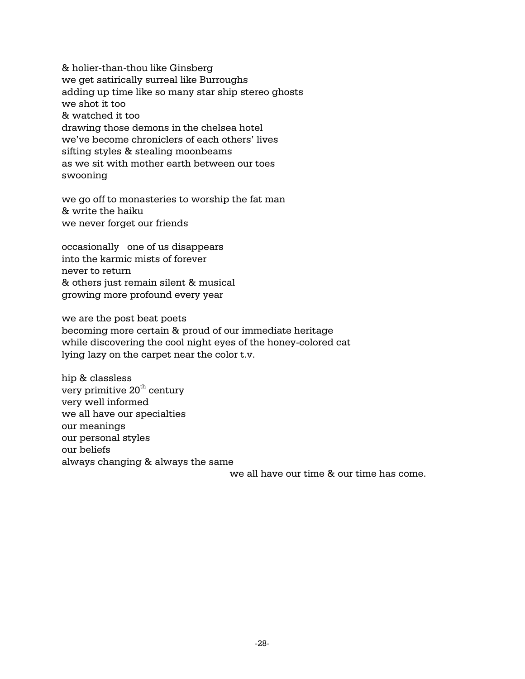& holier-than-thou like Ginsberg we get satirically surreal like Burroughs adding up time like so many star ship stereo ghosts we shot it too & watched it too drawing those demons in the chelsea hotel we've become chroniclers of each others' lives sifting styles & stealing moonbeams as we sit with mother earth between our toes swooning

we go off to monasteries to worship the fat man & write the haiku we never forget our friends

occasionally one of us disappears into the karmic mists of forever never to return & others just remain silent & musical growing more profound every year

we are the post beat poets becoming more certain & proud of our immediate heritage while discovering the cool night eyes of the honey-colored cat lying lazy on the carpet near the color t.v.

hip & classless very primitive  $20<sup>th</sup>$  century very well informed we all have our specialties our meanings our personal styles our beliefs always changing & always the same

we all have our time & our time has come.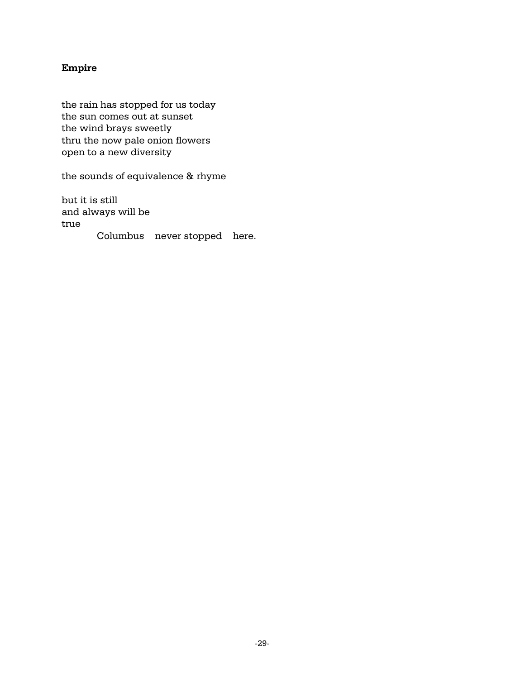# **Empire**

the rain has stopped for us today the sun comes out at sunset the wind brays sweetly thru the now pale onion flowers open to a new diversity

the sounds of equivalence & rhyme

but it is still and always will be true Columbus never stopped here.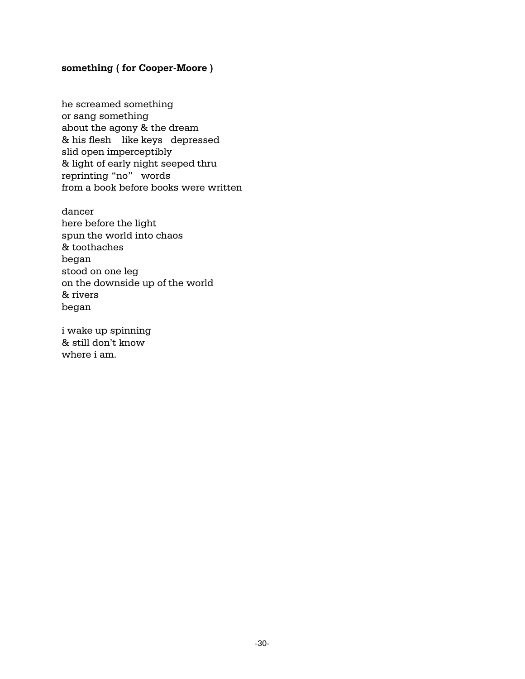## **something ( for Cooper-Moore )**

he screamed something or sang something about the agony & the dream & his flesh like keys depressed slid open imperceptibly & light of early night seeped thru reprinting "no" words from a book before books were written

dancer here before the light spun the world into chaos & toothaches began stood on one leg on the downside up of the world & rivers began

i wake up spinning & still don't know where i am.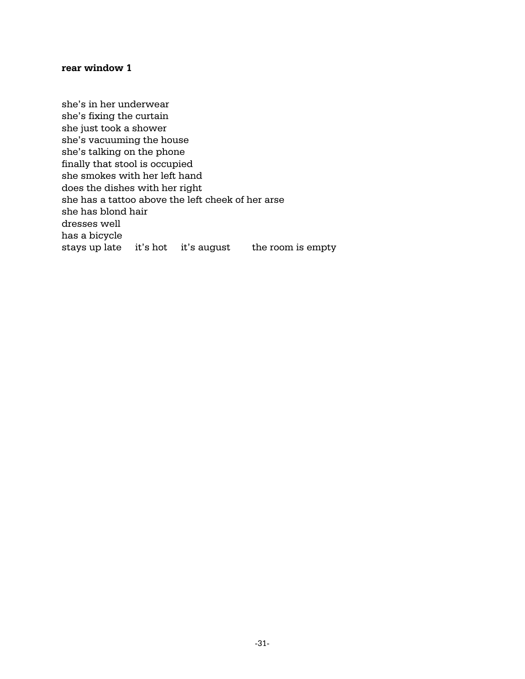## **rear window 1**

she's in her underwear she's fixing the curtain she just took a shower she's vacuuming the house she's talking on the phone finally that stool is occupied she smokes with her left hand does the dishes with her right she has a tattoo above the left cheek of her arse she has blond hair dresses well has a bicycle stays up late it's hot it's august the room is empty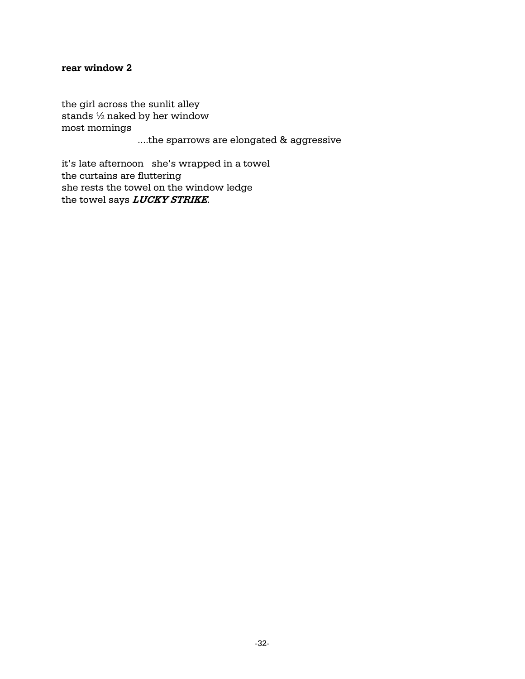## **rear window 2**

the girl across the sunlit alley stands ½ naked by her window most mornings

....the sparrows are elongated & aggressive

it's late afternoon she's wrapped in a towel the curtains are fluttering she rests the towel on the window ledge the towel says **LUCKY STRIKE**.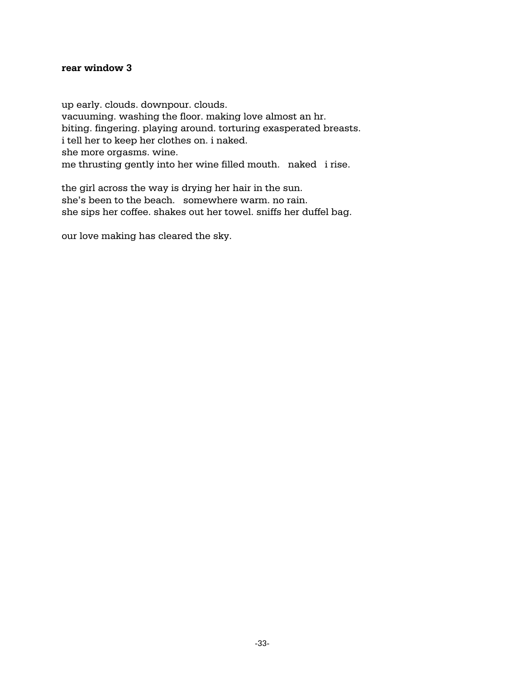## **rear window 3**

up early. clouds. downpour. clouds. vacuuming. washing the floor. making love almost an hr. biting. fingering. playing around. torturing exasperated breasts. i tell her to keep her clothes on. i naked. she more orgasms. wine. me thrusting gently into her wine filled mouth. naked i rise.

the girl across the way is drying her hair in the sun. she's been to the beach. somewhere warm. no rain. she sips her coffee. shakes out her towel. sniffs her duffel bag.

our love making has cleared the sky.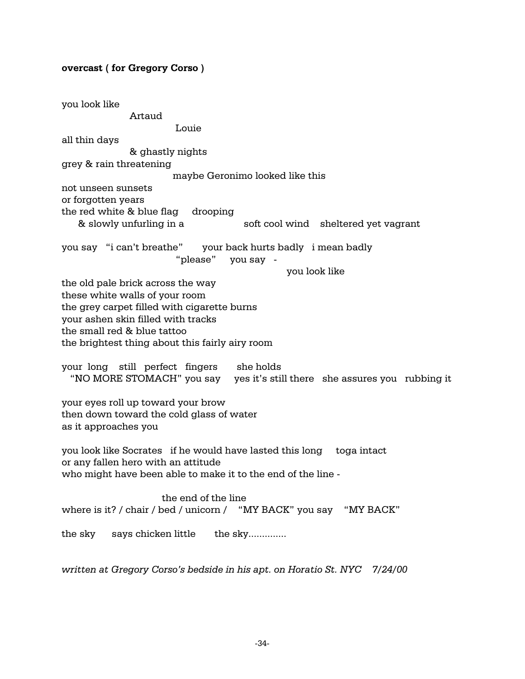## **overcast ( for Gregory Corso )**

you look like Artaud Louie all thin days & ghastly nights grey & rain threatening maybe Geronimo looked like this not unseen sunsets or forgotten years the red white & blue flag drooping & slowly unfurling in a soft cool wind sheltered yet vagrant you say "i can't breathe" your back hurts badly i mean badly "please" you say you look like the old pale brick across the way these white walls of your room the grey carpet filled with cigarette burns your ashen skin filled with tracks the small red & blue tattoo the brightest thing about this fairly airy room your long still perfect fingers she holds "NO MORE STOMACH" you say yes it's still there she assures you rubbing it your eyes roll up toward your brow then down toward the cold glass of water as it approaches you you look like Socrates if he would have lasted this long toga intact or any fallen hero with an attitude who might have been able to make it to the end of the line the end of the line where is it? / chair / bed / unicorn / "MY BACK" you say "MY BACK" the sky says chicken little the sky..............

*written at Gregory Corso's bedside in his apt. on Horatio St. NYC 7/24/00*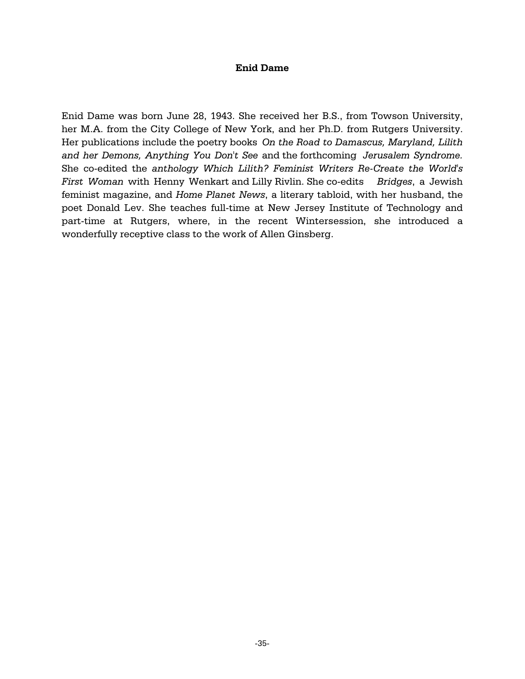### **Enid Dame**

Enid Dame was born June 28, 1943. She received her B.S., from Towson University, her M.A. from the City College of New York, and her Ph.D. from Rutgers University. Her publications include the poetry books *On the Road to Damascus, Maryland, Lilith and her Demons, Anything You Don't See* and the forthcoming *Jerusalem Syndrome.* She co-edited the *anthology Which Lilith? Feminist Writers Re-Create the World's First Woman* with Henny Wenkart and Lilly Rivlin. She co-edits *Bridges*, a Jewish feminist magazine, and *Home Planet News*, a literary tabloid, with her husband, the poet Donald Lev. She teaches full-time at New Jersey Institute of Technology and part-time at Rutgers, where, in the recent Wintersession, she introduced a wonderfully receptive class to the work of Allen Ginsberg.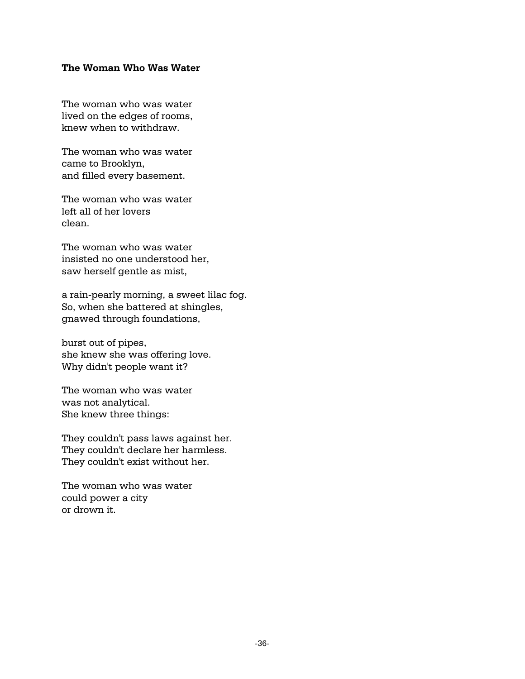## **The Woman Who Was Water**

The woman who was water lived on the edges of rooms, knew when to withdraw.

The woman who was water came to Brooklyn, and filled every basement.

The woman who was water left all of her lovers clean.

The woman who was water insisted no one understood her, saw herself gentle as mist,

a rain-pearly morning, a sweet lilac fog. So, when she battered at shingles, gnawed through foundations,

burst out of pipes, she knew she was offering love. Why didn't people want it?

The woman who was water was not analytical. She knew three things:

They couldn't pass laws against her. They couldn't declare her harmless. They couldn't exist without her.

The woman who was water could power a city or drown it.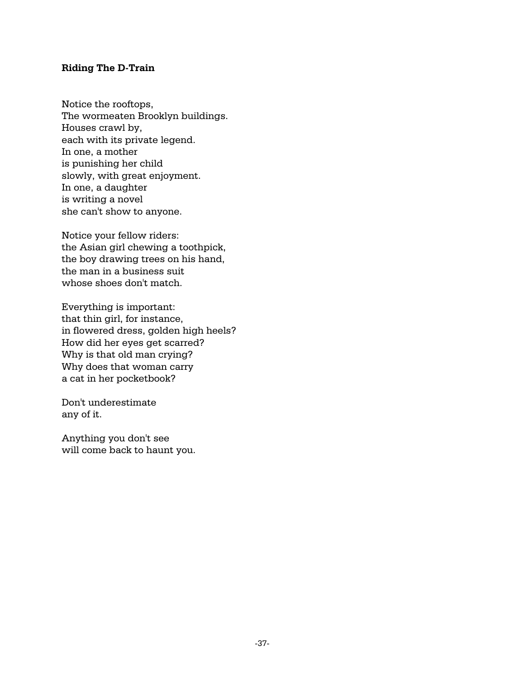### **Riding The D-Train**

Notice the rooftops, The wormeaten Brooklyn buildings. Houses crawl by, each with its private legend. In one, a mother is punishing her child slowly, with great enjoyment. In one, a daughter is writing a novel she can't show to anyone.

Notice your fellow riders: the Asian girl chewing a toothpick, the boy drawing trees on his hand, the man in a business suit whose shoes don't match.

Everything is important: that thin girl, for instance, in flowered dress, golden high heels? How did her eyes get scarred? Why is that old man crying? Why does that woman carry a cat in her pocketbook?

Don't underestimate any of it.

Anything you don't see will come back to haunt you.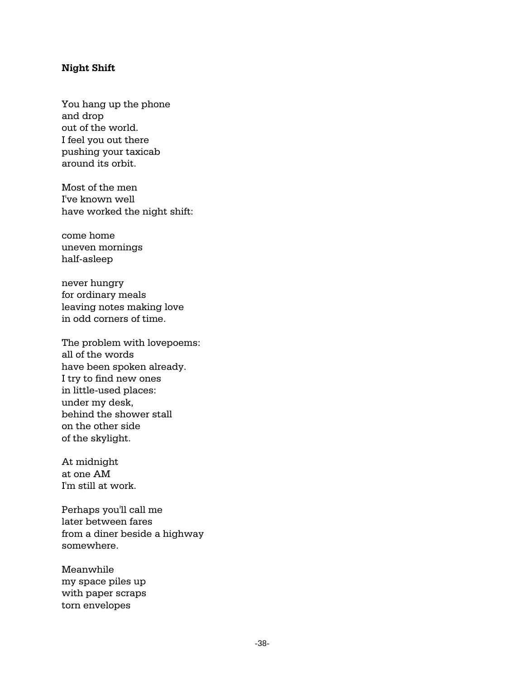### **Night Shift**

You hang up the phone and drop out of the world. I feel you out there pushing your taxicab around its orbit.

Most of the men I've known well have worked the night shift:

come home uneven mornings half-asleep

never hungry for ordinary meals leaving notes making love in odd corners of time.

The problem with lovepoems: all of the words have been spoken already. I try to find new ones in little-used places: under my desk, behind the shower stall on the other side of the skylight.

At midnight at one AM I'm still at work.

Perhaps you'll call me later between fares from a diner beside a highway somewhere.

Meanwhile my space piles up with paper scraps torn envelopes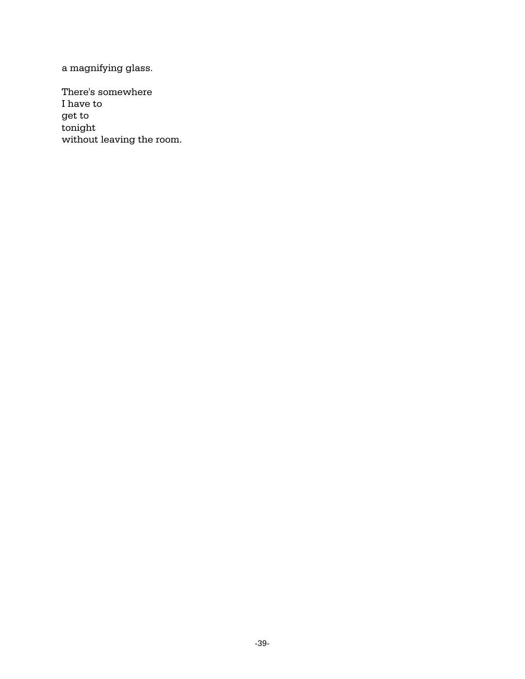a magnifying glass.

There's somewhere I have to get to tonight without leaving the room.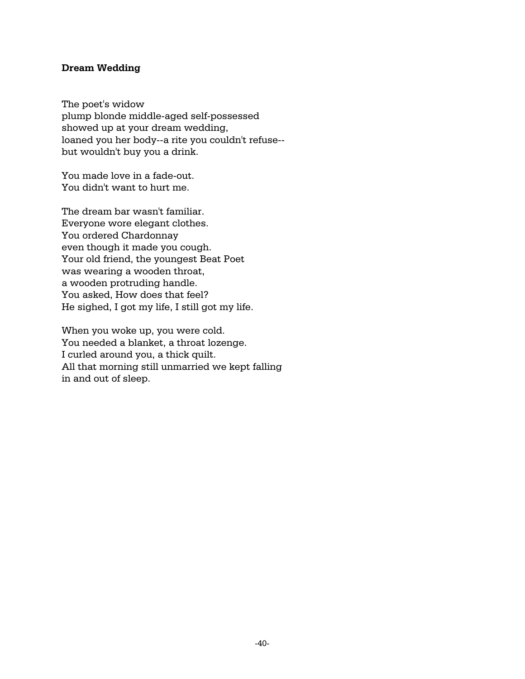#### **Dream Wedding**

The poet's widow plump blonde middle-aged self-possessed showed up at your dream wedding, loaned you her body--a rite you couldn't refuse- but wouldn't buy you a drink.

You made love in a fade-out. You didn't want to hurt me.

The dream bar wasn't familiar. Everyone wore elegant clothes. You ordered Chardonnay even though it made you cough. Your old friend, the youngest Beat Poet was wearing a wooden throat, a wooden protruding handle. You asked, How does that feel? He sighed, I got my life, I still got my life.

When you woke up, you were cold. You needed a blanket, a throat lozenge. I curled around you, a thick quilt. All that morning still unmarried we kept falling in and out of sleep.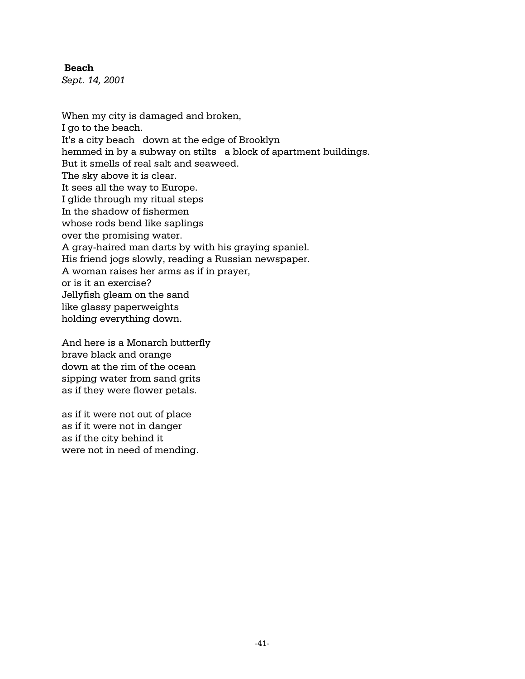### **Beach**

*Sept. 14, 2001*

When my city is damaged and broken, I go to the beach. It's a city beach down at the edge of Brooklyn hemmed in by a subway on stilts a block of apartment buildings. But it smells of real salt and seaweed. The sky above it is clear. It sees all the way to Europe. I glide through my ritual steps In the shadow of fishermen whose rods bend like saplings over the promising water. A gray-haired man darts by with his graying spaniel. His friend jogs slowly, reading a Russian newspaper. A woman raises her arms as if in prayer, or is it an exercise? Jellyfish gleam on the sand like glassy paperweights holding everything down.

And here is a Monarch butterfly brave black and orange down at the rim of the ocean sipping water from sand grits as if they were flower petals.

as if it were not out of place as if it were not in danger as if the city behind it were not in need of mending.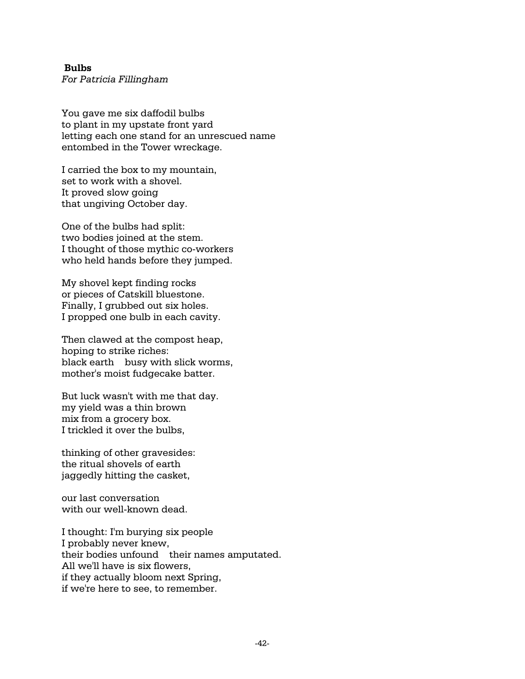### **Bulbs** *For Patricia Fillingham*

You gave me six daffodil bulbs to plant in my upstate front yard letting each one stand for an unrescued name entombed in the Tower wreckage.

I carried the box to my mountain, set to work with a shovel. It proved slow going that ungiving October day.

One of the bulbs had split: two bodies joined at the stem. I thought of those mythic co-workers who held hands before they jumped.

My shovel kept finding rocks or pieces of Catskill bluestone. Finally, I grubbed out six holes. I propped one bulb in each cavity.

Then clawed at the compost heap, hoping to strike riches: black earth busy with slick worms, mother's moist fudgecake batter.

But luck wasn't with me that day. my yield was a thin brown mix from a grocery box. I trickled it over the bulbs,

thinking of other gravesides: the ritual shovels of earth jaggedly hitting the casket,

our last conversation with our well-known dead.

I thought: I'm burying six people I probably never knew, their bodies unfound their names amputated. All we'll have is six flowers, if they actually bloom next Spring, if we're here to see, to remember.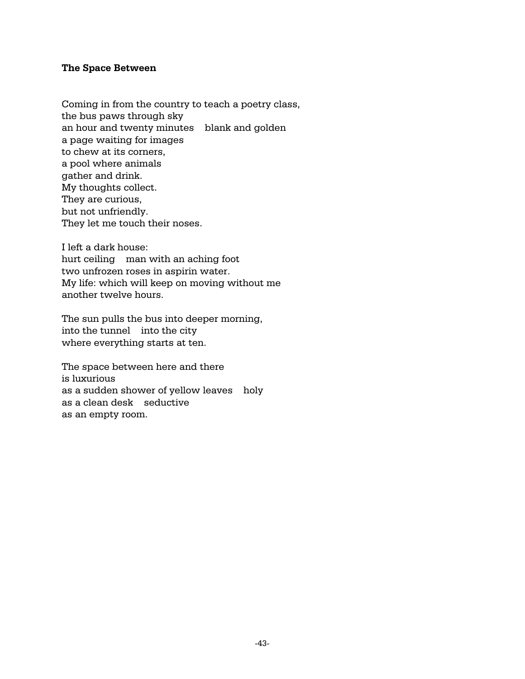#### **The Space Between**

Coming in from the country to teach a poetry class, the bus paws through sky an hour and twenty minutes blank and golden a page waiting for images to chew at its corners, a pool where animals gather and drink. My thoughts collect. They are curious, but not unfriendly. They let me touch their noses.

I left a dark house: hurt ceiling man with an aching foot two unfrozen roses in aspirin water. My life: which will keep on moving without me another twelve hours.

The sun pulls the bus into deeper morning, into the tunnel into the city where everything starts at ten.

The space between here and there is luxurious as a sudden shower of yellow leaves holy as a clean desk seductive as an empty room.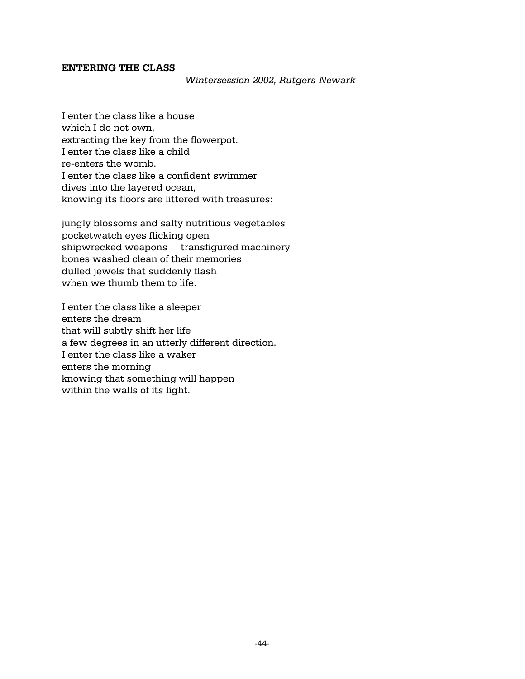## **ENTERING THE CLASS**

I enter the class like a house which I do not own, extracting the key from the flowerpot. I enter the class like a child re-enters the womb. I enter the class like a confident swimmer dives into the layered ocean, knowing its floors are littered with treasures:

jungly blossoms and salty nutritious vegetables pocketwatch eyes flicking open shipwrecked weapons transfigured machinery bones washed clean of their memories dulled jewels that suddenly flash when we thumb them to life.

I enter the class like a sleeper enters the dream that will subtly shift her life a few degrees in an utterly different direction. I enter the class like a waker enters the morning knowing that something will happen within the walls of its light.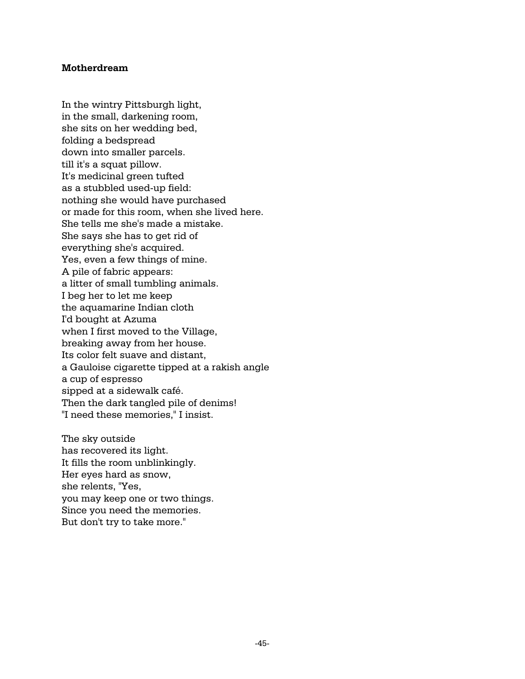### **Motherdream**

In the wintry Pittsburgh light, in the small, darkening room, she sits on her wedding bed, folding a bedspread down into smaller parcels. till it's a squat pillow. It's medicinal green tufted as a stubbled used-up field: nothing she would have purchased or made for this room, when she lived here. She tells me she's made a mistake. She says she has to get rid of everything she's acquired. Yes, even a few things of mine. A pile of fabric appears: a litter of small tumbling animals. I beg her to let me keep the aquamarine Indian cloth I'd bought at Azuma when I first moved to the Village, breaking away from her house. Its color felt suave and distant, a Gauloise cigarette tipped at a rakish angle a cup of espresso sipped at a sidewalk café. Then the dark tangled pile of denims! "I need these memories," I insist.

The sky outside has recovered its light. It fills the room unblinkingly. Her eyes hard as snow, she relents, "Yes, you may keep one or two things. Since you need the memories. But don't try to take more."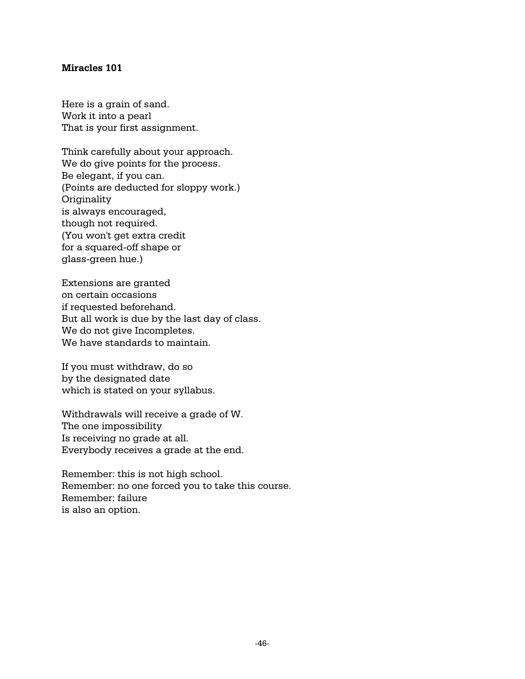#### **Miracles 101**

Here is a grain of sand. Work it into a pearl That is your first assignment.

Think carefully about your approach. We do give points for the process. Be elegant, if you can. (Points are deducted for sloppy work.) **Originality** is always encouraged, though not required. (You won't get extra credit for a squared-off shape or glass-green hue.)

Extensions are granted on certain occasions if requested beforehand. But all work is due by the last day of class. We do not give Incompletes. We have standards to maintain.

If you must withdraw, do so by the designated date which is stated on your syllabus.

Withdrawals will receive a grade of W. The one impossibility Is receiving no grade at all. Everybody receives a grade at the end.

Remember: this is not high school. Remember: no one forced you to take this course. Remember: failure is also an option.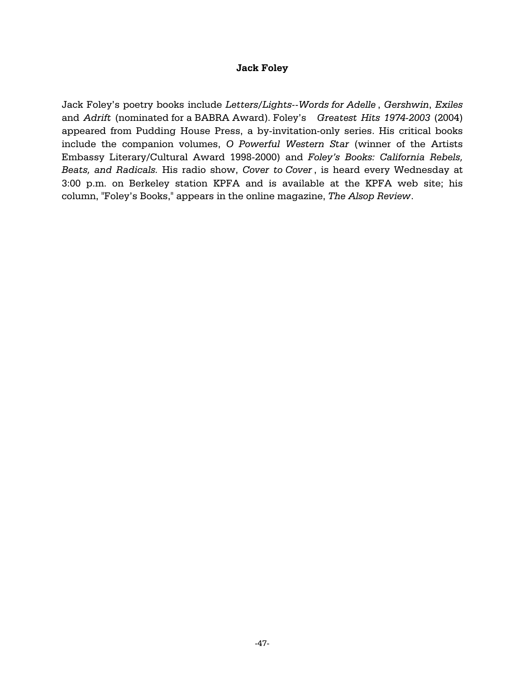#### **Jack Foley**

Jack Foley's poetry books include *Letters/Lights--Words for Adelle* , *Gershwin*, *Exiles* and *Adrift* (nominated for a BABRA Award). Foley's *Greatest Hits 1974-2003* (2004) appeared from Pudding House Press, a by-invitation-only series. His critical books include the companion volumes, *O Powerful Western Star* (winner of the Artists Embassy Literary/Cultural Award 1998-2000) and *Foley's Books: California Rebels, Beats, and Radicals.* His radio show, *Cover to Cover* , is heard every Wednesday at 3:00 p.m. on Berkeley station KPFA and is available at the KPFA web site; his column, "Foley's Books," appears in the online magazine, *The Alsop Review*.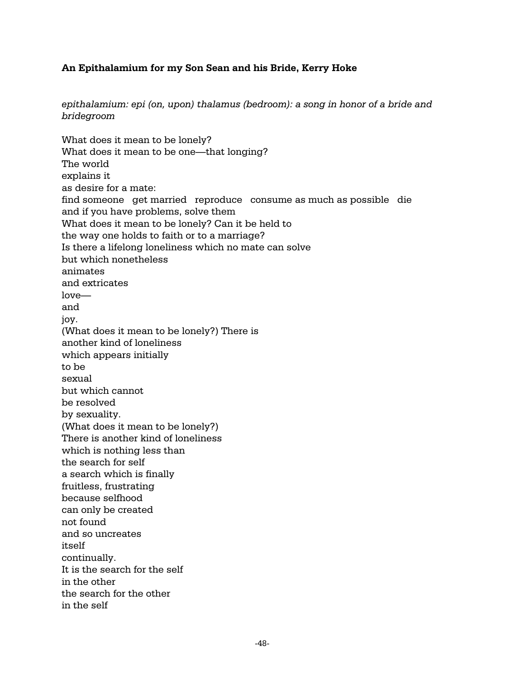## **An Epithalamium for my Son Sean and his Bride, Kerry Hoke**

*epithalamium: epi (on, upon) thalamus (bedroom): a song in honor of a bride and bridegroom*

What does it mean to be lonely? What does it mean to be one—that longing? The world explains it as desire for a mate: find someone get married reproduce consume as much as possible die and if you have problems, solve them What does it mean to be lonely? Can it be held to the way one holds to faith or to a marriage? Is there a lifelong loneliness which no mate can solve but which nonetheless animates and extricates  $lowe$  and joy. (What does it mean to be lonely?) There is another kind of loneliness which appears initially to be sexual but which cannot be resolved by sexuality. (What does it mean to be lonely?) There is another kind of loneliness which is nothing less than the search for self a search which is finally fruitless, frustrating because selfhood can only be created not found and so uncreates itself continually. It is the search for the self in the other the search for the other in the self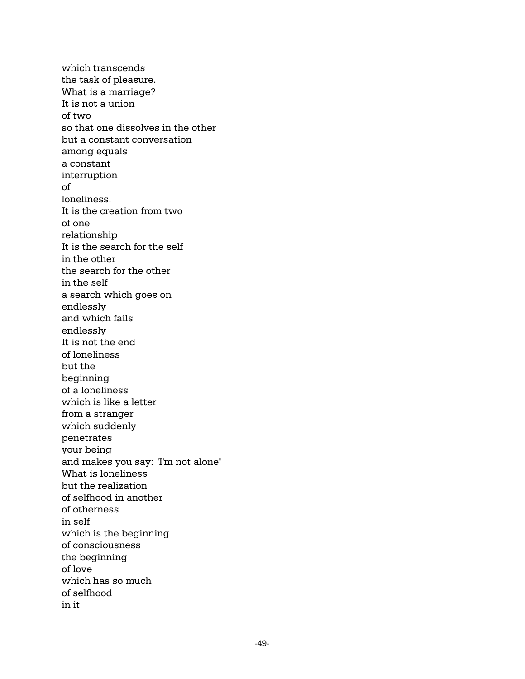which transcends the task of pleasure. What is a marriage? It is not a union of two so that one dissolves in the other but a constant conversation among equals a constant interruption of loneliness. It is the creation from two of one relationship It is the search for the self in the other the search for the other in the self a search which goes on endlessly and which fails endlessly It is not the end of loneliness but the beginning of a loneliness which is like a letter from a stranger which suddenly penetrates your being and makes you say: "I'm not alone" What is loneliness but the realization of selfhood in another of otherness in self which is the beginning of consciousness the beginning of love which has so much of selfhood in it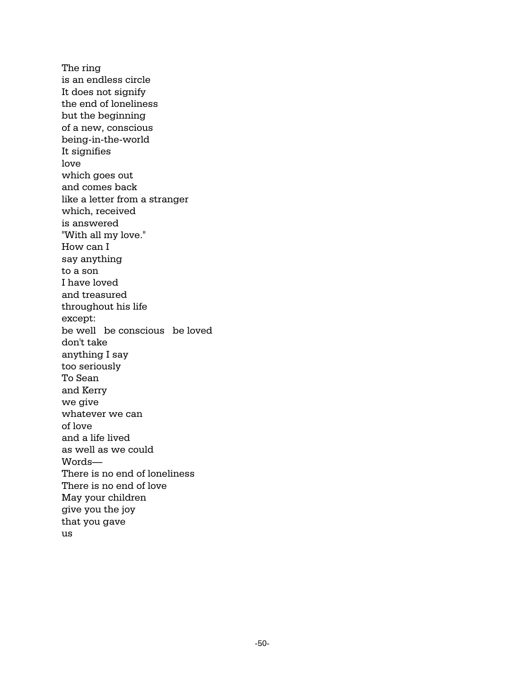The ring is an endless circle It does not signify the end of loneliness but the beginning of a new, conscious being-in-the-world It signifies love which goes out and comes back like a letter from a stranger which, received is answered "With all my love." How can I say anything to a son I have loved and treasured throughout his life except: be well be conscious be loved don't take anything I say too seriously To Sean and Kerry we give whatever we can of love and a life lived as well as we could Words— There is no end of loneliness There is no end of love May your children give you the joy that you gave us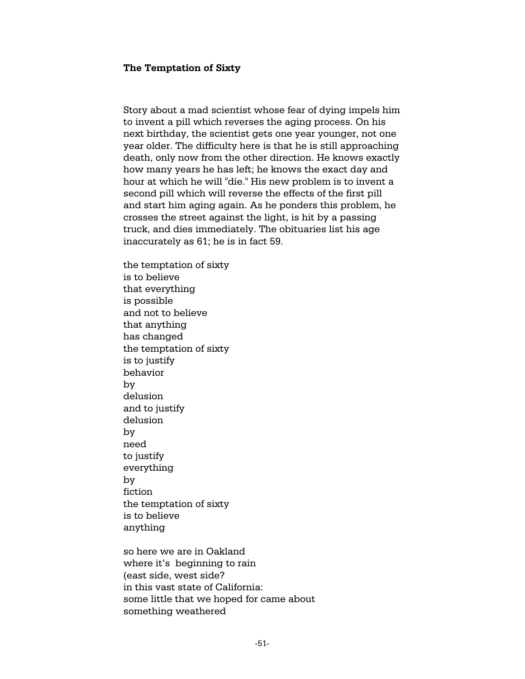#### **The Temptation of Sixty**

Story about a mad scientist whose fear of dying impels him to invent a pill which reverses the aging process. On his next birthday, the scientist gets one year younger, not one year older. The difficulty here is that he is still approaching death, only now from the other direction. He knows exactly how many years he has left; he knows the exact day and hour at which he will "die." His new problem is to invent a second pill which will reverse the effects of the first pill and start him aging again. As he ponders this problem, he crosses the street against the light, is hit by a passing truck, and dies immediately. The obituaries list his age inaccurately as 61; he is in fact 59.

the temptation of sixty is to believe that everything is possible and not to believe that anything has changed the temptation of sixty is to justify behavior by delusion and to justify delusion by need to justify everything by fiction the temptation of sixty is to believe anything

so here we are in Oakland where it's beginning to rain (east side, west side? in this vast state of California: some little that we hoped for came about something weathered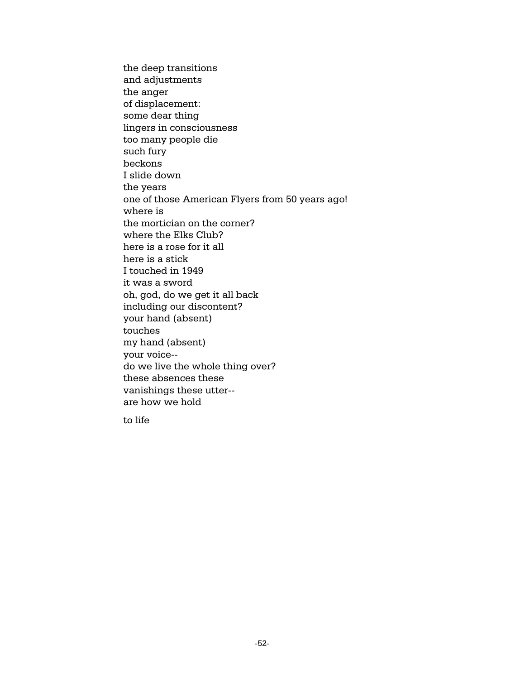the deep transitions and adjustments the anger of displacement: some dear thing lingers in consciousness too many people die such fury beckons I slide down the years one of those American Flyers from 50 years ago! where is the mortician on the corner? where the Elks Club? here is a rose for it all here is a stick I touched in 1949 it was a sword oh, god, do we get it all back including our discontent? your hand (absent) touches my hand (absent) your voice- do we live the whole thing over? these absences these vanishings these utter- are how we hold

to life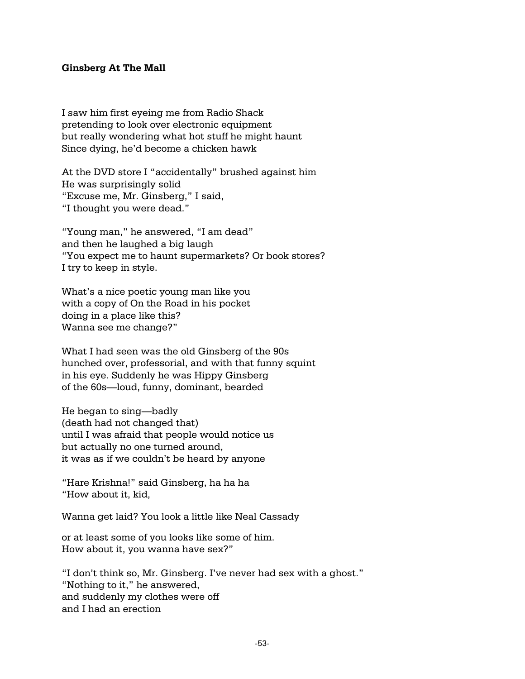### **Ginsberg At The Mall**

I saw him first eyeing me from Radio Shack pretending to look over electronic equipment but really wondering what hot stuff he might haunt Since dying, he'd become a chicken hawk

At the DVD store I "accidentally" brushed against him He was surprisingly solid "Excuse me, Mr. Ginsberg," I said, "I thought you were dead."

"Young man," he answered, "I am dead" and then he laughed a big laugh "You expect me to haunt supermarkets? Or book stores? I try to keep in style.

What's a nice poetic young man like you with a copy of On the Road in his pocket doing in a place like this? Wanna see me change?"

What I had seen was the old Ginsberg of the 90s hunched over, professorial, and with that funny squint in his eye. Suddenly he was Hippy Ginsberg of the 60s—loud, funny, dominant, bearded

He began to sing—badly (death had not changed that) until I was afraid that people would notice us but actually no one turned around, it was as if we couldn't be heard by anyone

"Hare Krishna!" said Ginsberg, ha ha ha "How about it, kid,

Wanna get laid? You look a little like Neal Cassady

or at least some of you looks like some of him. How about it, you wanna have sex?"

"I don't think so, Mr. Ginsberg. I've never had sex with a ghost." "Nothing to it," he answered, and suddenly my clothes were off and I had an erection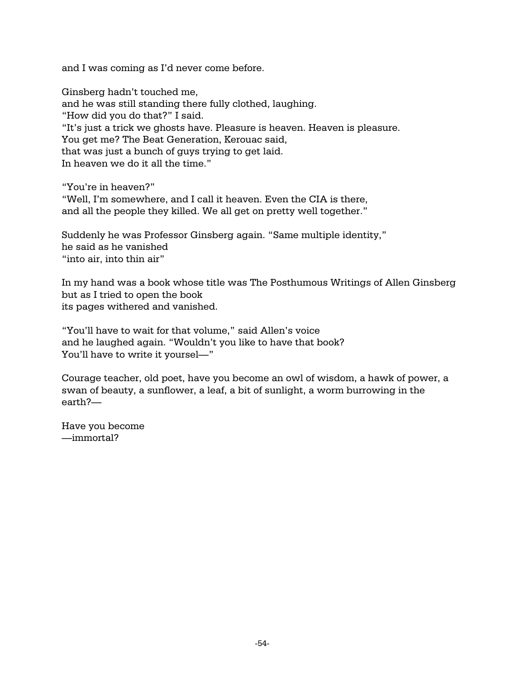and I was coming as I'd never come before.

Ginsberg hadn't touched me, and he was still standing there fully clothed, laughing. "How did you do that?" I said. "It's just a trick we ghosts have. Pleasure is heaven. Heaven is pleasure. You get me? The Beat Generation, Kerouac said, that was just a bunch of guys trying to get laid. In heaven we do it all the time."

"You're in heaven?" "Well, I'm somewhere, and I call it heaven. Even the CIA is there, and all the people they killed. We all get on pretty well together."

Suddenly he was Professor Ginsberg again. "Same multiple identity," he said as he vanished "into air, into thin air"

In my hand was a book whose title was The Posthumous Writings of Allen Ginsberg but as I tried to open the book its pages withered and vanished.

"You'll have to wait for that volume," said Allen's voice and he laughed again. "Wouldn't you like to have that book? You'll have to write it yoursel—"

Courage teacher, old poet, have you become an owl of wisdom, a hawk of power, a swan of beauty, a sunflower, a leaf, a bit of sunlight, a worm burrowing in the earth?—

Have you become —immortal?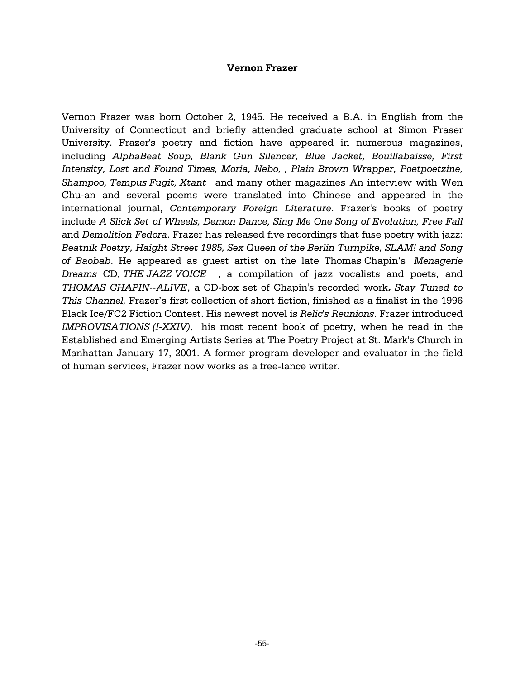### **Vernon Frazer**

Vernon Frazer was born October 2, 1945. He received a B.A. in English from the University of Connecticut and briefly attended graduate school at Simon Fraser University. Frazer's poetry and fiction have appeared in numerous magazines, including *AlphaBeat Soup, Blank Gun Silencer, Blue Jacket, Bouillabaisse, First Intensity, Lost and Found Times, Moria, Nebo, , Plain Brown Wrapper, Poetpoetzine, Shampoo, Tempus Fugit, Xtant* and many other magazines An interview with Wen Chu-an and several poems were translated into Chinese and appeared in the international journal, *Contemporary Foreign Literature*. Frazer's books of poetry include *A Slick Set of Wheels, Demon Dance, Sing Me One Song of Evolution, Free Fall* and *Demolition Fedora*. Frazer has released five recordings that fuse poetry with jazz: *Beatnik Poetry, Haight Street 1985, Sex Queen of the Berlin Turnpike, SLAM! and Song of Baobab*. He appeared as guest artist on the late Thomas Chapin's *Menagerie Dreams* CD, *THE JAZZ VOICE* , a compilation of jazz vocalists and poets, and *THOMAS CHAPIN--ALIVE*, a CD-box set of Chapin's recorded work**.** *Stay Tuned to This Channel,* Frazer's first collection of short fiction, finished as a finalist in the 1996 Black Ice/FC2 Fiction Contest. His newest novel is *Relic's Reunions*. Frazer introduced *IMPROVISATIONS (I-XXIV),* his most recent book of poetry, when he read in the Established and Emerging Artists Series at The Poetry Project at St. Mark's Church in Manhattan January 17, 2001. A former program developer and evaluator in the field of human services, Frazer now works as a free-lance writer.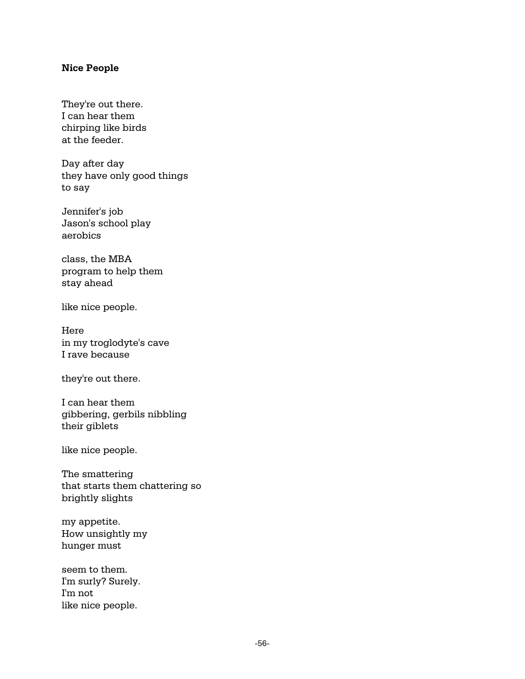#### **Nice People**

They're out there. I can hear them chirping like birds at the feeder.

Day after day they have only good things to say

Jennifer's job Jason's school play aerobics

class, the MBA program to help them stay ahead

like nice people.

Here in my troglodyte's cave I rave because

they're out there.

I can hear them gibbering, gerbils nibbling their giblets

like nice people.

The smattering that starts them chattering so brightly slights

my appetite. How unsightly my hunger must

seem to them. I'm surly? Surely. I'm not like nice people.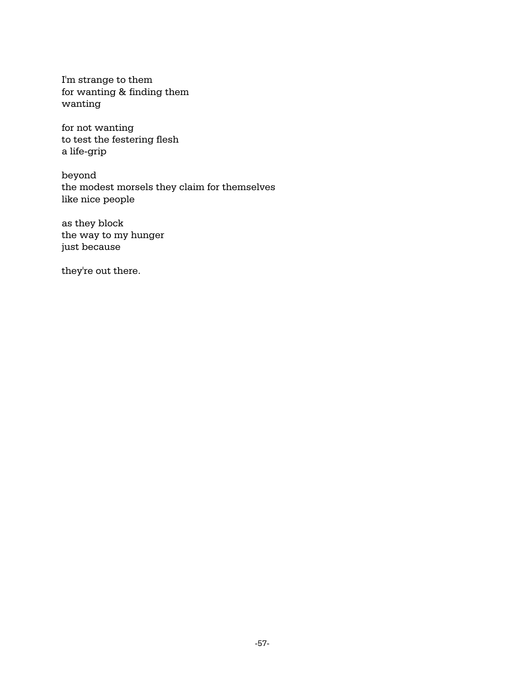I'm strange to them for wanting & finding them wanting

for not wanting to test the festering flesh a life-grip

beyond the modest morsels they claim for themselves like nice people

as they block the way to my hunger just because

they're out there.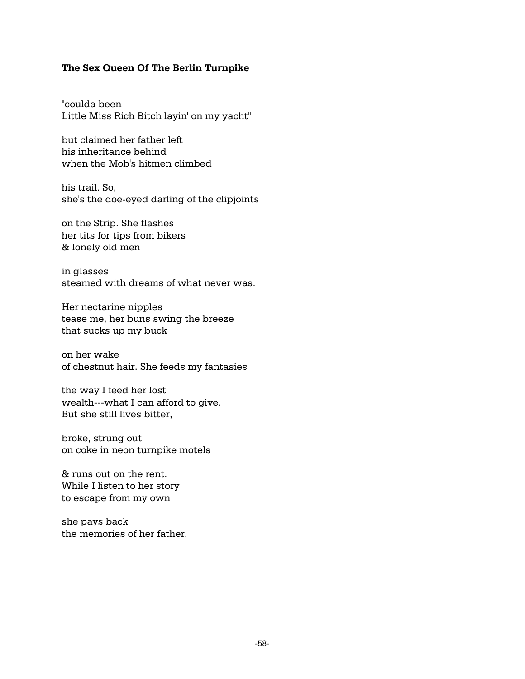#### **The Sex Queen Of The Berlin Turnpike**

"coulda been Little Miss Rich Bitch layin' on my yacht"

but claimed her father left his inheritance behind when the Mob's hitmen climbed

his trail. So, she's the doe-eyed darling of the clipjoints

on the Strip. She flashes her tits for tips from bikers & lonely old men

in glasses steamed with dreams of what never was.

Her nectarine nipples tease me, her buns swing the breeze that sucks up my buck

on her wake of chestnut hair. She feeds my fantasies

the way I feed her lost wealth---what I can afford to give. But she still lives bitter,

broke, strung out on coke in neon turnpike motels

& runs out on the rent. While I listen to her story to escape from my own

she pays back the memories of her father.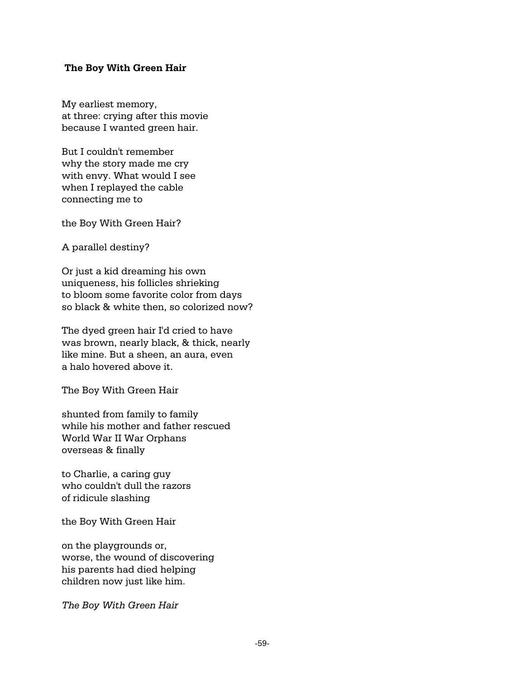#### **The Boy With Green Hair**

My earliest memory, at three: crying after this movie because I wanted green hair.

But I couldn't remember why the story made me cry with envy. What would I see when I replayed the cable connecting me to

the Boy With Green Hair?

A parallel destiny?

Or just a kid dreaming his own uniqueness, his follicles shrieking to bloom some favorite color from days so black & white then, so colorized now?

The dyed green hair I'd cried to have was brown, nearly black, & thick, nearly like mine. But a sheen, an aura, even a halo hovered above it.

The Boy With Green Hair

shunted from family to family while his mother and father rescued World War II War Orphans overseas & finally

to Charlie, a caring guy who couldn't dull the razors of ridicule slashing

the Boy With Green Hair

on the playgrounds or, worse, the wound of discovering his parents had died helping children now just like him.

*The Boy With Green Hair*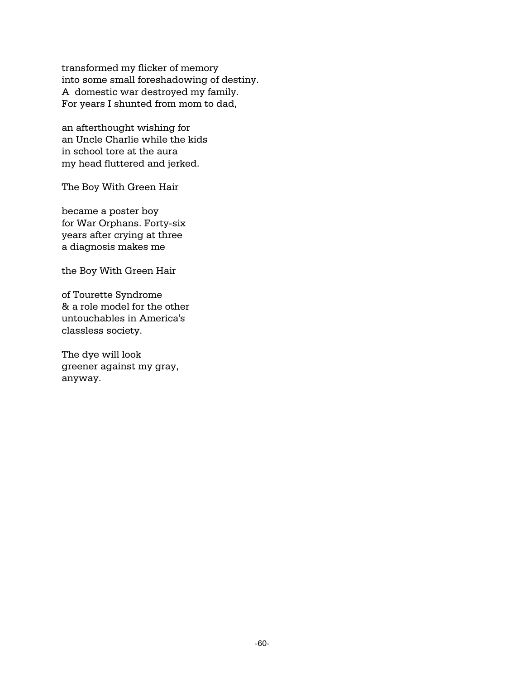transformed my flicker of memory into some small foreshadowing of destiny. A domestic war destroyed my family. For years I shunted from mom to dad,

an afterthought wishing for an Uncle Charlie while the kids in school tore at the aura my head fluttered and jerked.

The Boy With Green Hair

became a poster boy for War Orphans. Forty-six years after crying at three a diagnosis makes me

the Boy With Green Hair

of Tourette Syndrome & a role model for the other untouchables in America's classless society.

The dye will look greener against my gray, anyway.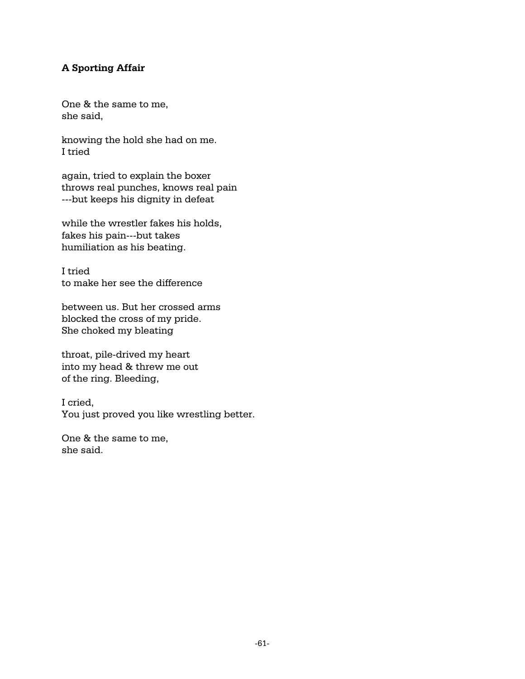## **A Sporting Affair**

One & the same to me, she said,

knowing the hold she had on me. I tried

again, tried to explain the boxer throws real punches, knows real pain ---but keeps his dignity in defeat

while the wrestler fakes his holds, fakes his pain---but takes humiliation as his beating.

I tried to make her see the difference

between us. But her crossed arms blocked the cross of my pride. She choked my bleating

throat, pile-drived my heart into my head & threw me out of the ring. Bleeding,

I cried, You just proved you like wrestling better.

One & the same to me, she said.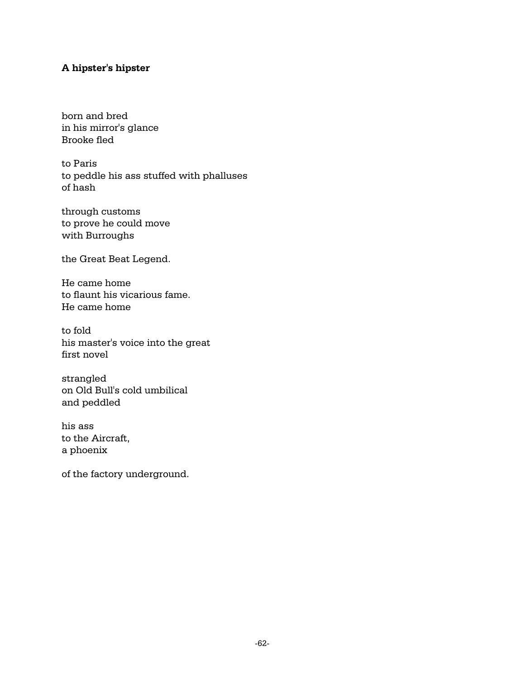# **A hipster's hipster**

born and bred in his mirror's glance Brooke fled

to Paris to peddle his ass stuffed with phalluses of hash

through customs to prove he could move with Burroughs

the Great Beat Legend.

He came home to flaunt his vicarious fame. He came home

to fold his master's voice into the great first novel

strangled on Old Bull's cold umbilical and peddled

his ass to the Aircraft, a phoenix

of the factory underground.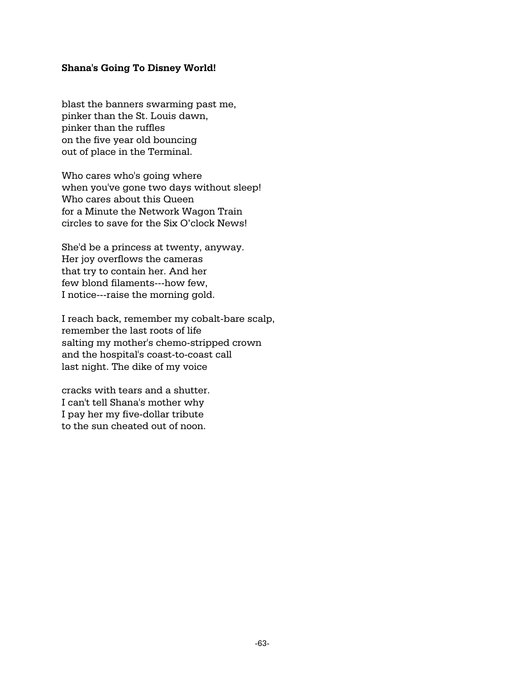#### **Shana's Going To Disney World!**

blast the banners swarming past me, pinker than the St. Louis dawn, pinker than the ruffles on the five year old bouncing out of place in the Terminal.

Who cares who's going where when you've gone two days without sleep! Who cares about this Queen for a Minute the Network Wagon Train circles to save for the Six O'clock News!

She'd be a princess at twenty, anyway. Her joy overflows the cameras that try to contain her. And her few blond filaments---how few, I notice---raise the morning gold.

I reach back, remember my cobalt-bare scalp, remember the last roots of life salting my mother's chemo-stripped crown and the hospital's coast-to-coast call last night. The dike of my voice

cracks with tears and a shutter. I can't tell Shana's mother why I pay her my five-dollar tribute to the sun cheated out of noon.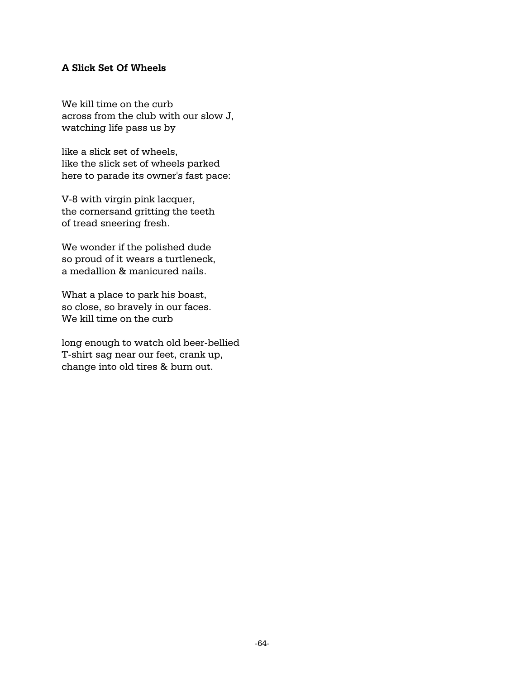# **A Slick Set Of Wheels**

We kill time on the curb across from the club with our slow J, watching life pass us by

like a slick set of wheels, like the slick set of wheels parked here to parade its owner's fast pace:

V-8 with virgin pink lacquer, the cornersand gritting the teeth of tread sneering fresh.

We wonder if the polished dude so proud of it wears a turtleneck, a medallion & manicured nails.

What a place to park his boast, so close, so bravely in our faces. We kill time on the curb

long enough to watch old beer-bellied T-shirt sag near our feet, crank up, change into old tires & burn out.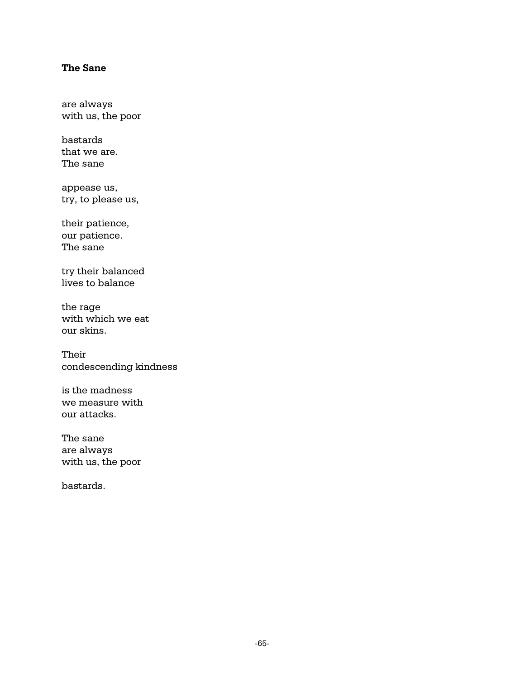# **The Sane**

are always with us, the poor

bastards that we are. The sane

appease us, try, to please us,

their patience, our patience. The sane

try their balanced lives to balance

the rage with which we eat our skins.

Their condescending kindness

is the madness we measure with our attacks.

The sane are always with us, the poor

bastards.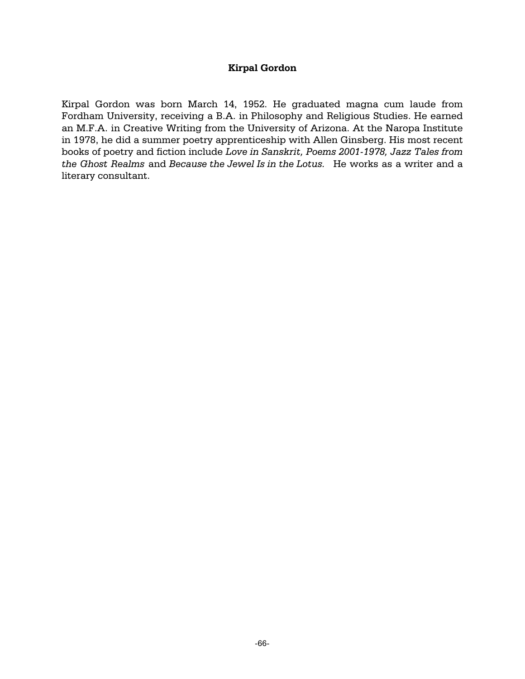### **Kirpal Gordon**

Kirpal Gordon was born March 14, 1952. He graduated magna cum laude from Fordham University, receiving a B.A. in Philosophy and Religious Studies. He earned an M.F.A. in Creative Writing from the University of Arizona. At the Naropa Institute in 1978, he did a summer poetry apprenticeship with Allen Ginsberg. His most recent books of poetry and fiction include *Love in Sanskrit, Poems 2001-1978, Jazz Tales from the Ghost Realms* and *Because the Jewel Is in the Lotus.* He works as a writer and a literary consultant.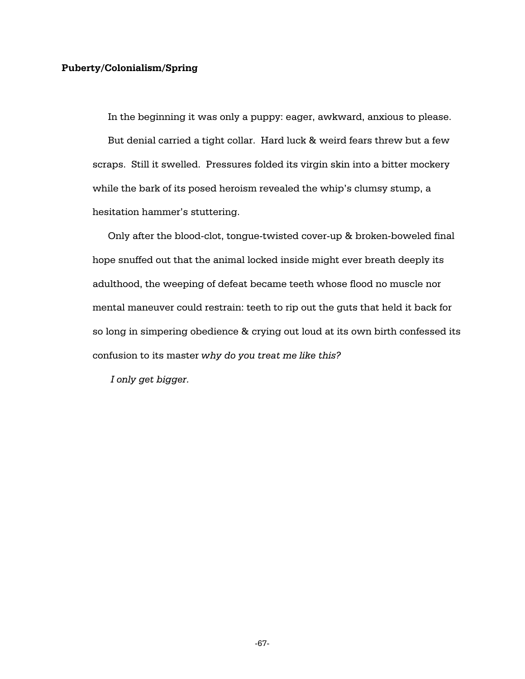#### **Puberty/Colonialism/Spring**

In the beginning it was only a puppy: eager, awkward, anxious to please.

But denial carried a tight collar. Hard luck & weird fears threw but a few scraps. Still it swelled. Pressures folded its virgin skin into a bitter mockery while the bark of its posed heroism revealed the whip's clumsy stump, a hesitation hammer's stuttering.

Only after the blood-clot, tongue-twisted cover-up & broken-boweled final hope snuffed out that the animal locked inside might ever breath deeply its adulthood, the weeping of defeat became teeth whose flood no muscle nor mental maneuver could restrain: teeth to rip out the guts that held it back for so long in simpering obedience & crying out loud at its own birth confessed its confusion to its master *why do you treat me like this?* 

 *I only get bigger.*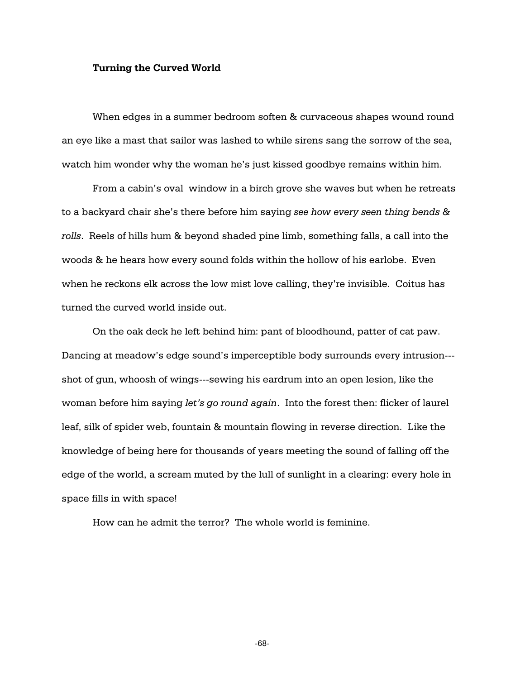#### **Turning the Curved World**

When edges in a summer bedroom soften & curvaceous shapes wound round an eye like a mast that sailor was lashed to while sirens sang the sorrow of the sea, watch him wonder why the woman he's just kissed goodbye remains within him.

From a cabin's oval window in a birch grove she waves but when he retreats to a backyard chair she's there before him saying *see how every seen thing bends & rolls*. Reels of hills hum & beyond shaded pine limb, something falls, a call into the woods & he hears how every sound folds within the hollow of his earlobe. Even when he reckons elk across the low mist love calling, they're invisible. Coitus has turned the curved world inside out.

On the oak deck he left behind him: pant of bloodhound, patter of cat paw. Dancing at meadow's edge sound's imperceptible body surrounds every intrusion-- shot of gun, whoosh of wings---sewing his eardrum into an open lesion, like the woman before him saying *let's go round again*. Into the forest then: flicker of laurel leaf, silk of spider web, fountain & mountain flowing in reverse direction. Like the knowledge of being here for thousands of years meeting the sound of falling off the edge of the world, a scream muted by the lull of sunlight in a clearing: every hole in space fills in with space!

How can he admit the terror? The whole world is feminine.

-68-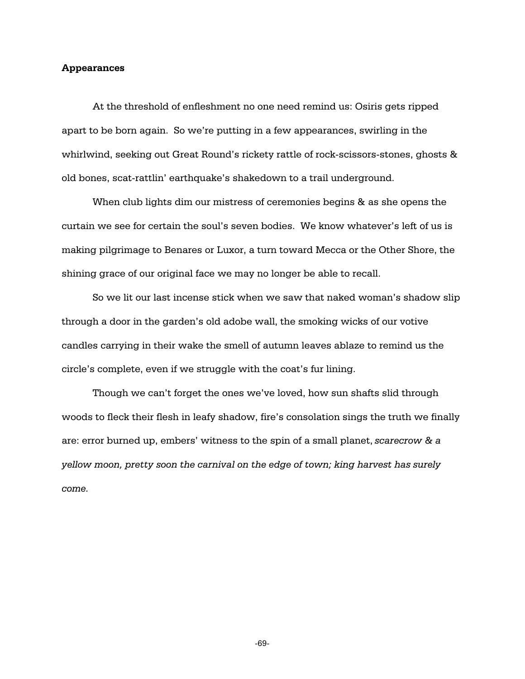#### **Appearances**

At the threshold of enfleshment no one need remind us: Osiris gets ripped apart to be born again. So we're putting in a few appearances, swirling in the whirlwind, seeking out Great Round's rickety rattle of rock-scissors-stones, ghosts & old bones, scat-rattlin' earthquake's shakedown to a trail underground.

When club lights dim our mistress of ceremonies begins & as she opens the curtain we see for certain the soul's seven bodies. We know whatever's left of us is making pilgrimage to Benares or Luxor, a turn toward Mecca or the Other Shore, the shining grace of our original face we may no longer be able to recall.

So we lit our last incense stick when we saw that naked woman's shadow slip through a door in the garden's old adobe wall, the smoking wicks of our votive candles carrying in their wake the smell of autumn leaves ablaze to remind us the circle's complete, even if we struggle with the coat's fur lining.

Though we can't forget the ones we've loved, how sun shafts slid through woods to fleck their flesh in leafy shadow, fire's consolation sings the truth we finally are: error burned up, embers' witness to the spin of a small planet, *scarecrow & a yellow moon, pretty soon the carnival on the edge of town; king harvest has surely come.*

-69-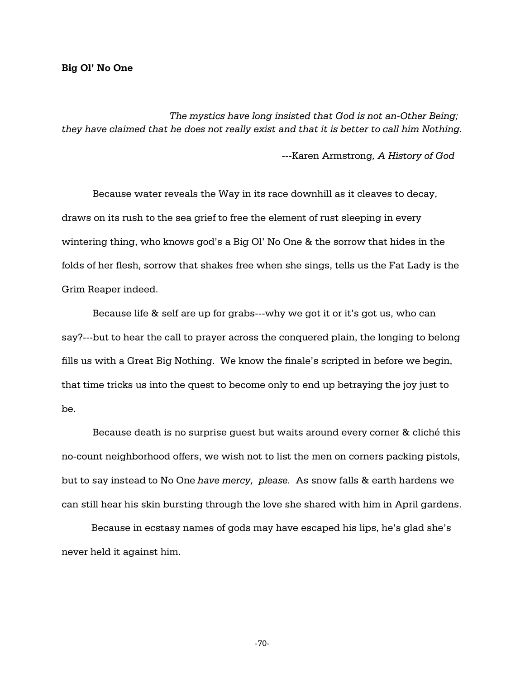*The mystics have long insisted that God is not an-Other Being; they have claimed that he does not really exist and that it is better to call him Nothing.* 

---Karen Armstrong*, A History of God*

Because water reveals the Way in its race downhill as it cleaves to decay, draws on its rush to the sea grief to free the element of rust sleeping in every wintering thing, who knows god's a Big Ol' No One & the sorrow that hides in the folds of her flesh, sorrow that shakes free when she sings, tells us the Fat Lady is the Grim Reaper indeed.

Because life & self are up for grabs---why we got it or it's got us, who can say?---but to hear the call to prayer across the conquered plain, the longing to belong fills us with a Great Big Nothing. We know the finale's scripted in before we begin, that time tricks us into the quest to become only to end up betraying the joy just to be.

Because death is no surprise guest but waits around every corner & cliché this no-count neighborhood offers, we wish not to list the men on corners packing pistols, but to say instead to No One *have mercy, please.* As snow falls & earth hardens we can still hear his skin bursting through the love she shared with him in April gardens.

 Because in ecstasy names of gods may have escaped his lips, he's glad she's never held it against him.

-70-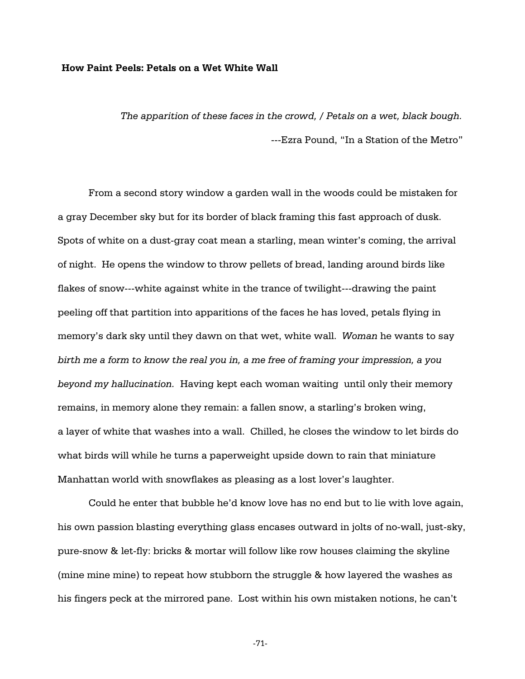#### **How Paint Peels: Petals on a Wet White Wall**

*The apparition of these faces in the crowd, / Petals on a wet, black bough.* ---Ezra Pound, "In a Station of the Metro"

From a second story window a garden wall in the woods could be mistaken for a gray December sky but for its border of black framing this fast approach of dusk. Spots of white on a dust-gray coat mean a starling, mean winter's coming, the arrival of night. He opens the window to throw pellets of bread, landing around birds like flakes of snow---white against white in the trance of twilight---drawing the paint peeling off that partition into apparitions of the faces he has loved, petals flying in memory's dark sky until they dawn on that wet, white wall. *Woman* he wants to say *birth me a form to know the real you in, a me free of framing your impression, a you beyond my hallucination.* Having kept each woman waiting until only their memory remains, in memory alone they remain: a fallen snow, a starling's broken wing, a layer of white that washes into a wall. Chilled, he closes the window to let birds do what birds will while he turns a paperweight upside down to rain that miniature Manhattan world with snowflakes as pleasing as a lost lover's laughter.

Could he enter that bubble he'd know love has no end but to lie with love again, his own passion blasting everything glass encases outward in jolts of no-wall, just-sky, pure-snow & let-fly: bricks & mortar will follow like row houses claiming the skyline (mine mine mine) to repeat how stubborn the struggle & how layered the washes as his fingers peck at the mirrored pane. Lost within his own mistaken notions, he can't

-71-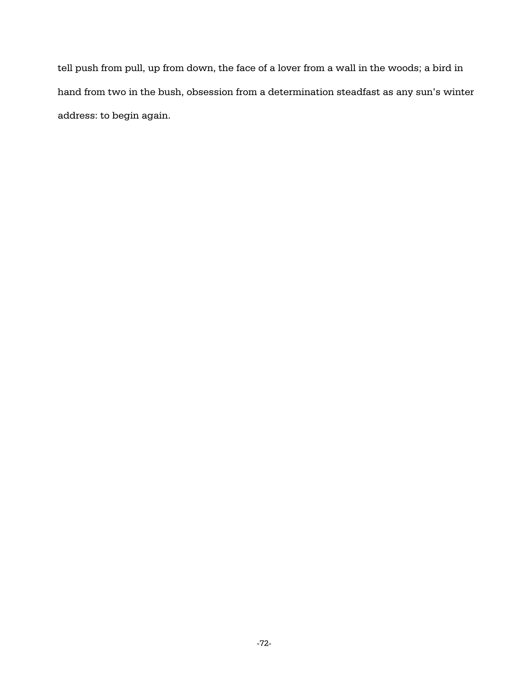tell push from pull, up from down, the face of a lover from a wall in the woods; a bird in hand from two in the bush, obsession from a determination steadfast as any sun's winter address: to begin again.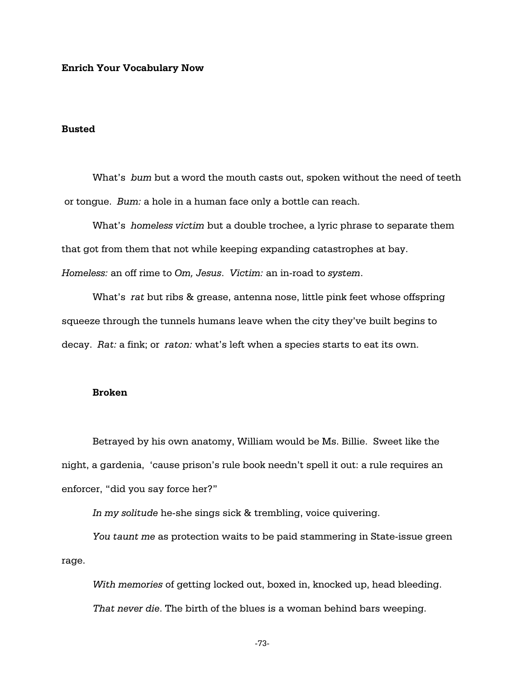#### **Enrich Your Vocabulary Now**

### **Busted**

What's *bum* but a word the mouth casts out, spoken without the need of teeth or tongue. *Bum:* a hole in a human face only a bottle can reach.

What's *homeless victim* but a double trochee, a lyric phrase to separate them that got from them that not while keeping expanding catastrophes at bay. *Homeless:* an off rime to *Om, Jesus*. *Victim:* an in-road to *system*.

What's *rat* but ribs & grease, antenna nose, little pink feet whose offspring squeeze through the tunnels humans leave when the city they've built begins to decay. *Rat:* a fink; or *raton:* what's left when a species starts to eat its own.

### **Broken**

Betrayed by his own anatomy, William would be Ms. Billie. Sweet like the night, a gardenia, 'cause prison's rule book needn't spell it out: a rule requires an enforcer, "did you say force her?"

*In my solitude* he-she sings sick & trembling, voice quivering.

*You taunt me* as protection waits to be paid stammering in State-issue green rage.

*With memories* of getting locked out, boxed in, knocked up, head bleeding. *That never die*. The birth of the blues is a woman behind bars weeping.

-73-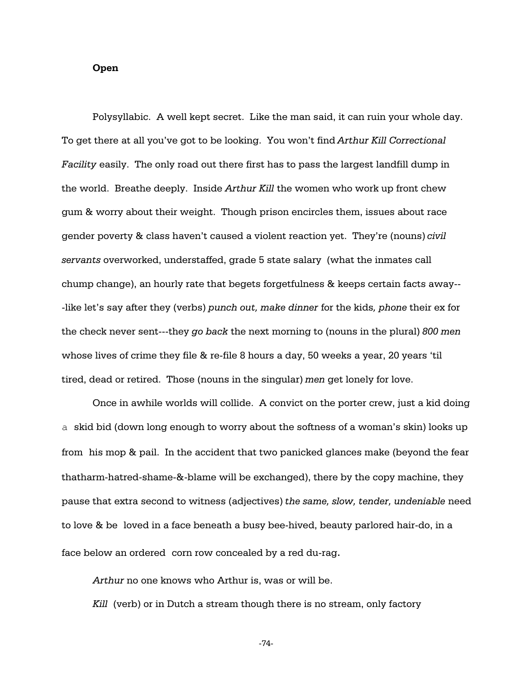#### **Open**

Polysyllabic. A well kept secret. Like the man said, it can ruin your whole day. To get there at all you've got to be looking. You won't find *Arthur Kill Correctional Facility* easily. The only road out there first has to pass the largest landfill dump in the world. Breathe deeply. Inside *Arthur Kill* the women who work up front chew gum & worry about their weight. Though prison encircles them, issues about race gender poverty & class haven't caused a violent reaction yet. They're (nouns) *civil servants* overworked, understaffed, grade 5 state salary (what the inmates call chump change), an hourly rate that begets forgetfulness & keeps certain facts away-- -like let's say after they (verbs) *punch out, make dinner* for the kids*, phone* their ex for the check never sent---they *go back* the next morning to (nouns in the plural) *800 men* whose lives of crime they file & re-file 8 hours a day, 50 weeks a year, 20 years 'til tired, dead or retired. Those (nouns in the singular) *men* get lonely for love.

Once in awhile worlds will collide. A convict on the porter crew, just a kid doing a skid bid (down long enough to worry about the softness of a woman's skin) looks up from his mop & pail. In the accident that two panicked glances make (beyond the fear thatharm-hatred-shame-&-blame will be exchanged), there by the copy machine, they pause that extra second to witness (adjectives) *the same, slow, tender, undeniable* need to love & be loved in a face beneath a busy bee-hived, beauty parlored hair-do, in a face below an ordered corn row concealed by a red du-rag.

*Arthur* no one knows who Arthur is, was or will be. *Kill* (verb) or in Dutch a stream though there is no stream, only factory

-74-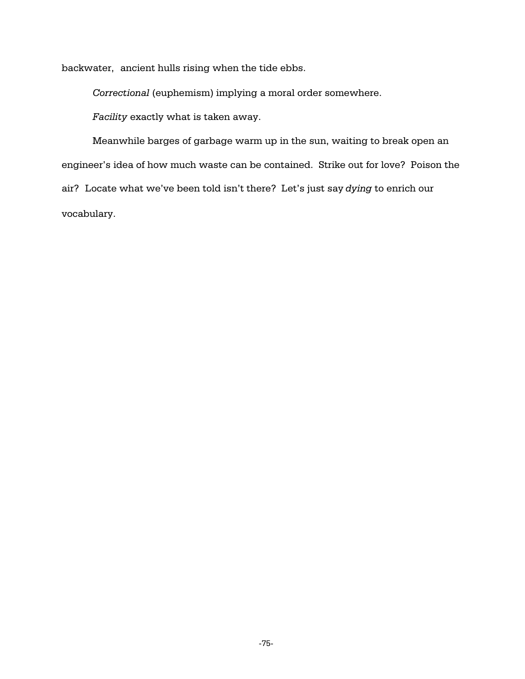backwater, ancient hulls rising when the tide ebbs.

*Correctional* (euphemism) implying a moral order somewhere.

*Facility* exactly what is taken away.

Meanwhile barges of garbage warm up in the sun, waiting to break open an engineer's idea of how much waste can be contained. Strike out for love? Poison the air? Locate what we've been told isn't there? Let's just say *dying* to enrich our vocabulary.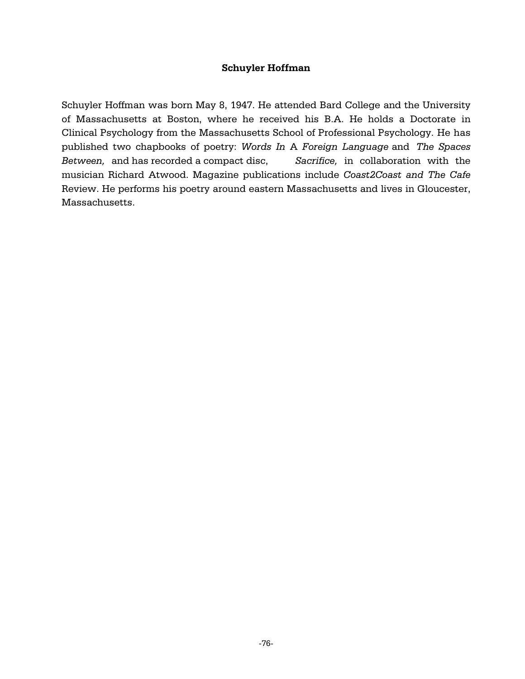## **Schuyler Hoffman**

Schuyler Hoffman was born May 8, 1947. He attended Bard College and the University of Massachusetts at Boston, where he received his B.A. He holds a Doctorate in Clinical Psychology from the Massachusetts School of Professional Psychology. He has published two chapbooks of poetry: *Words In* A *Foreign Language* and *The Spaces Between,* and has recorded a compact disc, *Sacrifice,* in collaboration with the musician Richard Atwood. Magazine publications include *Coast2Coast and The Cafe* Review. He performs his poetry around eastern Massachusetts and lives in Gloucester, Massachusetts.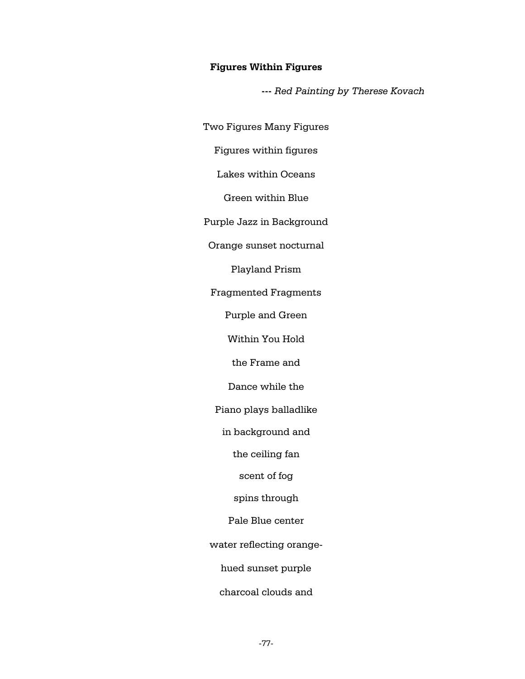## **Figures Within Figures**

**---** *Red Painting by Therese Kovach*

Two Figures Many Figures

Figures within figures

Lakes within Oceans

Green within Blue

Purple Jazz in Background

Orange sunset nocturnal

Playland Prism

Fragmented Fragments

Purple and Green

Within You Hold

the Frame and

Dance while the

Piano plays balladlike

in background and

the ceiling fan

scent of fog

spins through

Pale Blue center

water reflecting orange-

hued sunset purple

charcoal clouds and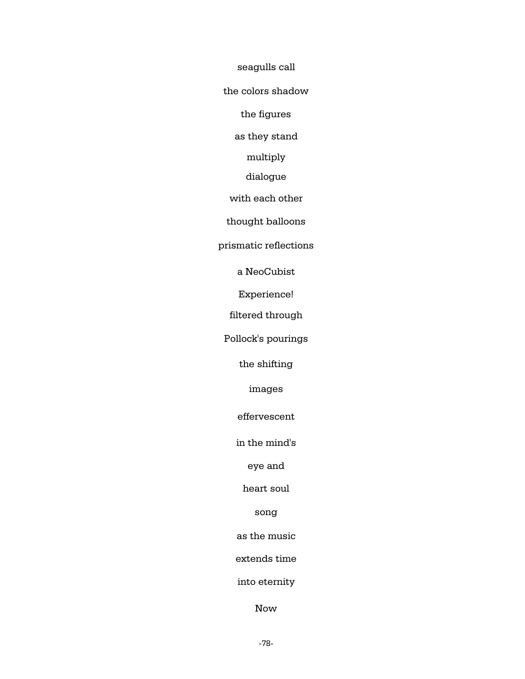seagulls call

the colors shadow

the figures

as they stand

multiply

dialogue

with each other

thought balloons

prismatic reflections

a NeoCubist

Experience!

filtered through

Pollock's pourings

the shifting

images

effervescent

in the mind's

eye and

heart soul

song

as the music

extends time

into eternity

Now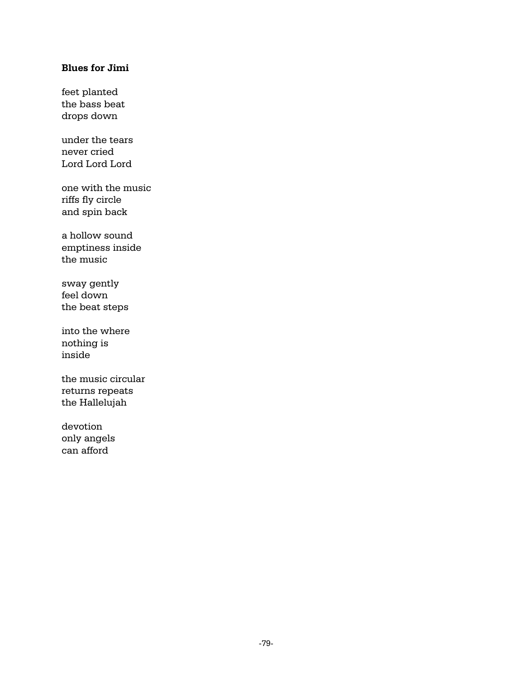# **Blues for Jimi**

feet planted the bass beat drops down

under the tears never cried Lord Lord Lord

one with the music riffs fly circle and spin back

a hollow sound emptiness inside the music

sway gently feel down the beat steps

into the where nothing is inside

the music circular returns repeats the Hallelujah

devotion only angels can afford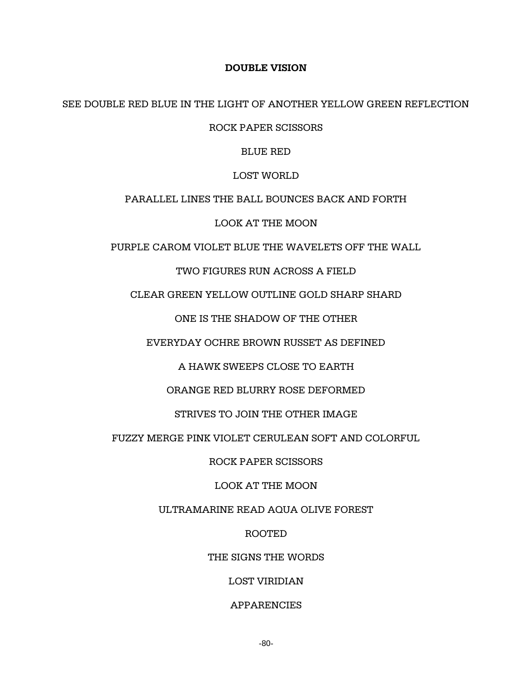### **DOUBLE VISION**

## SEE DOUBLE RED BLUE IN THE LIGHT OF ANOTHER YELLOW GREEN REFLECTION

## ROCK PAPER SCISSORS

### BLUE RED

### LOST WORLD

## PARALLEL LINES THE BALL BOUNCES BACK AND FORTH

### LOOK AT THE MOON

## PURPLE CAROM VIOLET BLUE THE WAVELETS OFF THE WALL

## TWO FIGURES RUN ACROSS A FIELD

### CLEAR GREEN YELLOW OUTLINE GOLD SHARP SHARD

### ONE IS THE SHADOW OF THE OTHER

### EVERYDAY OCHRE BROWN RUSSET AS DEFINED

## A HAWK SWEEPS CLOSE TO EARTH

### ORANGE RED BLURRY ROSE DEFORMED

#### STRIVES TO JOIN THE OTHER IMAGE

## FUZZY MERGE PINK VIOLET CERULEAN SOFT AND COLORFUL

### ROCK PAPER SCISSORS

## LOOK AT THE MOON

## ULTRAMARINE READ AQUA OLIVE FOREST

### ROOTED

## THE SIGNS THE WORDS

## LOST VIRIDIAN

#### APPARENCIES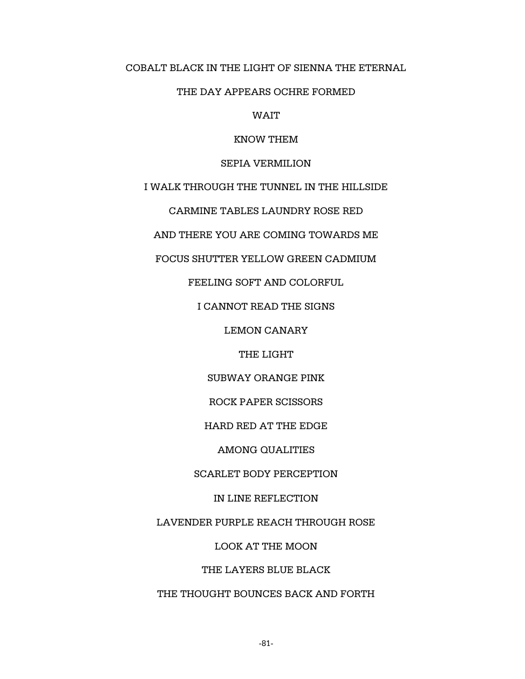## COBALT BLACK IN THE LIGHT OF SIENNA THE ETERNAL

## THE DAY APPEARS OCHRE FORMED

WAIT

KNOW THEM

#### SEPIA VERMILION

## I WALK THROUGH THE TUNNEL IN THE HILLSIDE

CARMINE TABLES LAUNDRY ROSE RED

AND THERE YOU ARE COMING TOWARDS ME

FOCUS SHUTTER YELLOW GREEN CADMIUM

FEELING SOFT AND COLORFUL

I CANNOT READ THE SIGNS

LEMON CANARY

THE LIGHT

SUBWAY ORANGE PINK

ROCK PAPER SCISSORS

HARD RED AT THE EDGE

AMONG QUALITIES

SCARLET BODY PERCEPTION

IN LINE REFLECTION

LAVENDER PURPLE REACH THROUGH ROSE

LOOK AT THE MOON

THE LAYERS BLUE BLACK

THE THOUGHT BOUNCES BACK AND FORTH

-81-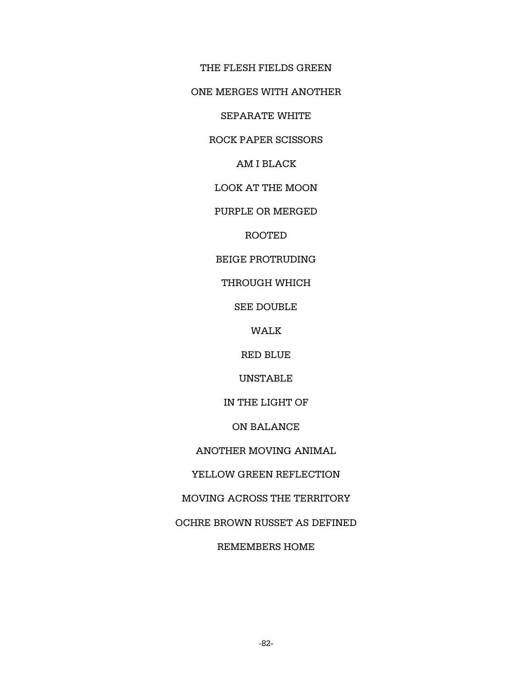### THE FLESH FIELDS GREEN

## ONE MERGES WITH ANOTHER

SEPARATE WHITE

ROCK PAPER SCISSORS

AM I BLACK

LOOK AT THE MOON

PURPLE OR MERGED

ROOTED

BEIGE PROTRUDING

THROUGH WHICH

SEE DOUBLE

WALK

RED BLUE

UNSTABLE

IN THE LIGHT OF

ON BALANCE

ANOTHER MOVING ANIMAL

YELLOW GREEN REFLECTION

MOVING ACROSS THE TERRITORY

OCHRE BROWN RUSSET AS DEFINED

REMEMBERS HOME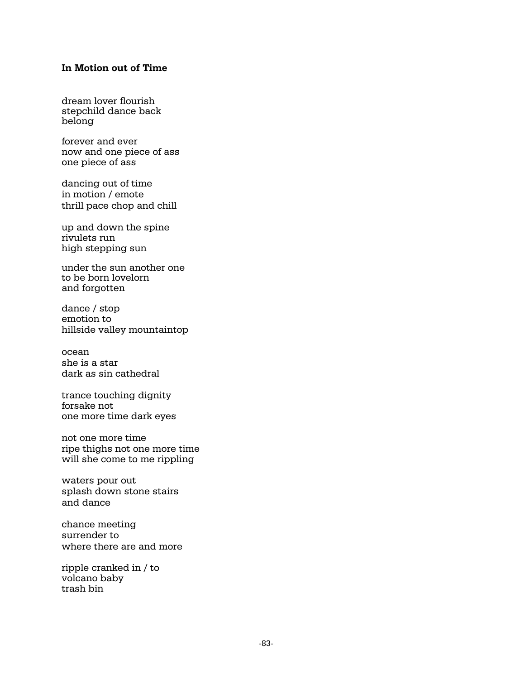## **In Motion out of Time**

dream lover flourish stepchild dance back belong

forever and ever now and one piece of ass one piece of ass

dancing out of time in motion / emote thrill pace chop and chill

up and down the spine rivulets run high stepping sun

under the sun another one to be born lovelorn and forgotten

dance / stop emotion to hillside valley mountaintop

ocean she is a star dark as sin cathedral

trance touching dignity forsake not one more time dark eyes

not one more time ripe thighs not one more time will she come to me rippling

waters pour out splash down stone stairs and dance

chance meeting surrender to where there are and more

ripple cranked in / to volcano baby trash bin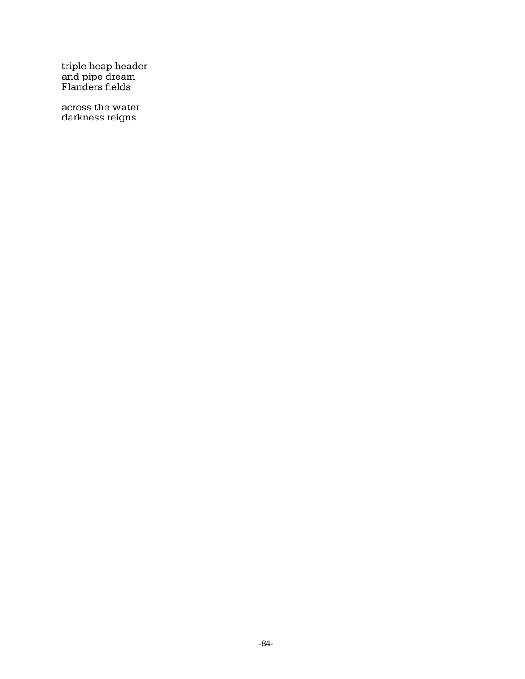triple heap header and pipe dream Flanders fields

across the water darkness reigns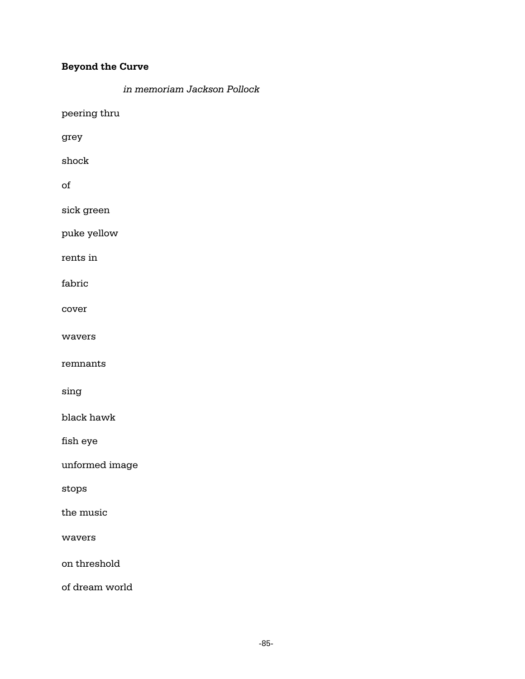# **Beyond the Curve**

*in memoriam Jackson Pollock*  peering thru grey shock of sick green puke yellow rents in fabric cover wavers remnants sing black hawk fish eye unformed image stops the music wavers on threshold

of dream world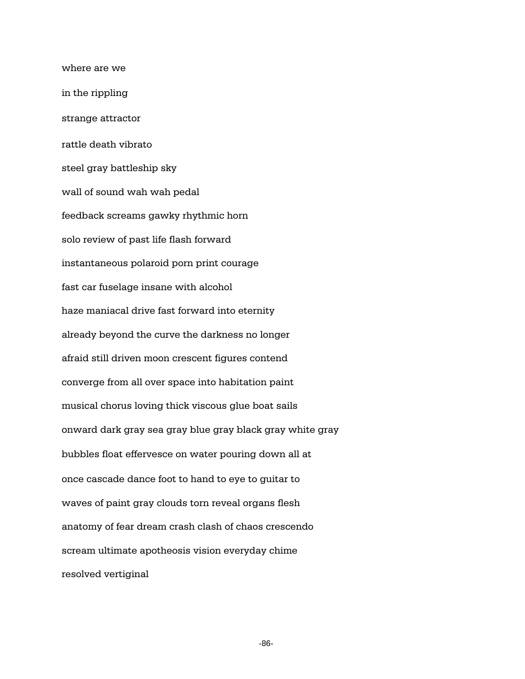where are we in the rippling strange attractor rattle death vibrato steel gray battleship sky wall of sound wah wah pedal feedback screams gawky rhythmic horn solo review of past life flash forward instantaneous polaroid porn print courage fast car fuselage insane with alcohol haze maniacal drive fast forward into eternity already beyond the curve the darkness no longer afraid still driven moon crescent figures contend converge from all over space into habitation paint musical chorus loving thick viscous glue boat sails onward dark gray sea gray blue gray black gray white gray bubbles float effervesce on water pouring down all at once cascade dance foot to hand to eye to guitar to waves of paint gray clouds torn reveal organs flesh anatomy of fear dream crash clash of chaos crescendo scream ultimate apotheosis vision everyday chime resolved vertiginal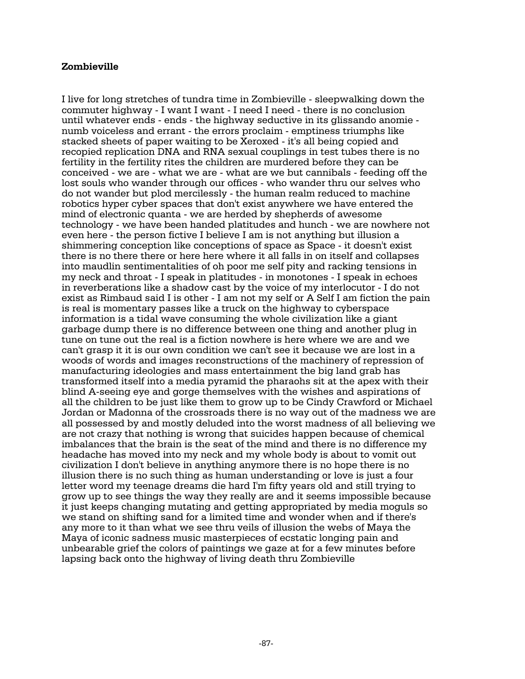### **Zombieville**

I live for long stretches of tundra time in Zombieville - sleepwalking down the commuter highway - I want I want - I need I need - there is no conclusion until whatever ends - ends - the highway seductive in its glissando anomie numb voiceless and errant - the errors proclaim - emptiness triumphs like stacked sheets of paper waiting to be Xeroxed - it's all being copied and recopied replication DNA and RNA sexual couplings in test tubes there is no fertility in the fertility rites the children are murdered before they can be conceived - we are - what we are - what are we but cannibals - feeding off the lost souls who wander through our offices - who wander thru our selves who do not wander but plod mercilessly - the human realm reduced to machine robotics hyper cyber spaces that don't exist anywhere we have entered the mind of electronic quanta - we are herded by shepherds of awesome technology - we have been handed platitudes and hunch - we are nowhere not even here - the person fictive I believe I am is not anything but illusion a shimmering conception like conceptions of space as Space - it doesn't exist there is no there there or here here where it all falls in on itself and collapses into maudlin sentimentalities of oh poor me self pity and racking tensions in my neck and throat - I speak in platitudes - in monotones - I speak in echoes in reverberations like a shadow cast by the voice of my interlocutor - I do not exist as Rimbaud said I is other - I am not my self or A Self I am fiction the pain is real is momentary passes like a truck on the highway to cyberspace information is a tidal wave consuming the whole civilization like a giant garbage dump there is no difference between one thing and another plug in tune on tune out the real is a fiction nowhere is here where we are and we can't grasp it it is our own condition we can't see it because we are lost in a woods of words and images reconstructions of the machinery of repression of manufacturing ideologies and mass entertainment the big land grab has transformed itself into a media pyramid the pharaohs sit at the apex with their blind A-seeing eye and gorge themselves with the wishes and aspirations of all the children to be just like them to grow up to be Cindy Crawford or Michael Jordan or Madonna of the crossroads there is no way out of the madness we are all possessed by and mostly deluded into the worst madness of all believing we are not crazy that nothing is wrong that suicides happen because of chemical imbalances that the brain is the seat of the mind and there is no difference my headache has moved into my neck and my whole body is about to vomit out civilization I don't believe in anything anymore there is no hope there is no illusion there is no such thing as human understanding or love is just a four letter word my teenage dreams die hard I'm fifty years old and still trying to grow up to see things the way they really are and it seems impossible because it just keeps changing mutating and getting appropriated by media moguls so we stand on shifting sand for a limited time and wonder when and if there's any more to it than what we see thru veils of illusion the webs of Maya the Maya of iconic sadness music masterpieces of ecstatic longing pain and unbearable grief the colors of paintings we gaze at for a few minutes before lapsing back onto the highway of living death thru Zombieville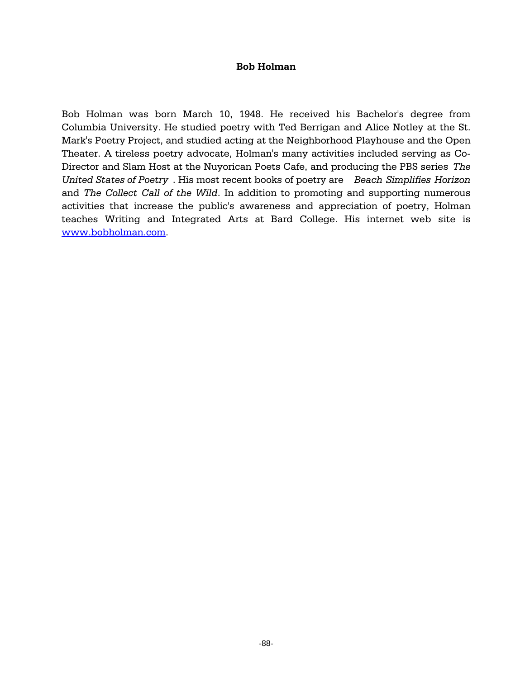## **Bob Holman**

Bob Holman was born March 10, 1948. He received his Bachelor's degree from Columbia University. He studied poetry with Ted Berrigan and Alice Notley at the St. Mark's Poetry Project, and studied acting at the Neighborhood Playhouse and the Open Theater. A tireless poetry advocate, Holman's many activities included serving as Co-Director and Slam Host at the Nuyorican Poets Cafe, and producing the PBS series *The United States of Poetry* . His most recent books of poetry are *Beach Simplifies Horizon* and *The Collect Call of the Wild*. In addition to promoting and supporting numerous activities that increase the public's awareness and appreciation of poetry, Holman teaches Writing and Integrated Arts at Bard College. His internet web site is www.bobholman.com.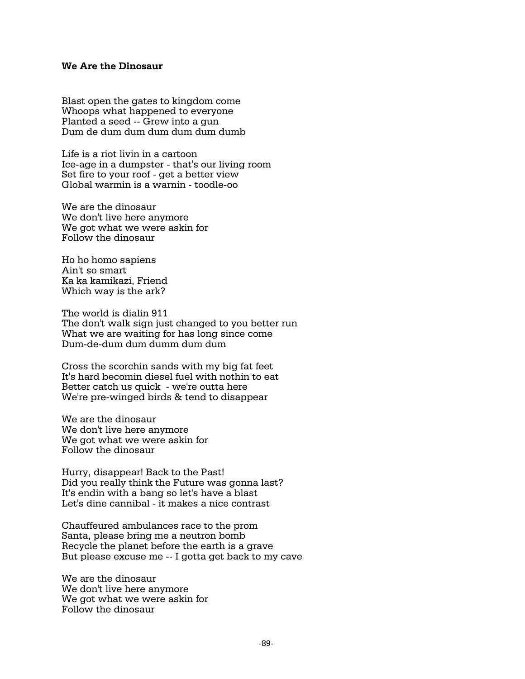## **We Are the Dinosaur**

Blast open the gates to kingdom come Whoops what happened to everyone Planted a seed -- Grew into a gun Dum de dum dum dum dum dum dumb

Life is a riot livin in a cartoon Ice-age in a dumpster - that's our living room Set fire to your roof - get a better view Global warmin is a warnin - toodle-oo

We are the dinosaur We don't live here anymore We got what we were askin for Follow the dinosaur

Ho ho homo sapiens Ain't so smart Ka ka kamikazi, Friend Which way is the ark?

The world is dialin 911 The don't walk sign just changed to you better run What we are waiting for has long since come Dum-de-dum dum dumm dum dum

Cross the scorchin sands with my big fat feet It's hard becomin diesel fuel with nothin to eat Better catch us quick - we're outta here We're pre-winged birds & tend to disappear

We are the dinosaur We don't live here anymore We got what we were askin for Follow the dinosaur

Hurry, disappear! Back to the Past! Did you really think the Future was gonna last? It's endin with a bang so let's have a blast Let's dine cannibal - it makes a nice contrast

Chauffeured ambulances race to the prom Santa, please bring me a neutron bomb Recycle the planet before the earth is a grave But please excuse me -- I gotta get back to my cave

We are the dinosaur We don't live here anymore We got what we were askin for Follow the dinosaur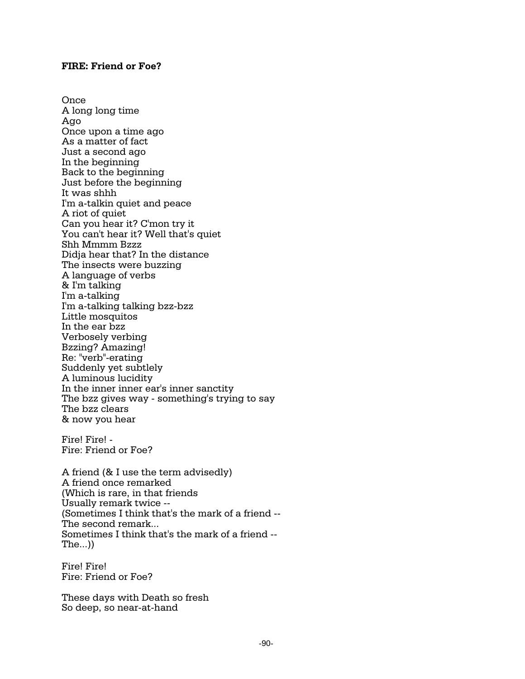### **FIRE: Friend or Foe?**

**Once** A long long time Ago Once upon a time ago As a matter of fact Just a second ago In the beginning Back to the beginning Just before the beginning It was shhh I'm a-talkin quiet and peace A riot of quiet Can you hear it? C'mon try it You can't hear it? Well that's quiet Shh Mmmm Bzzz Didja hear that? In the distance The insects were buzzing A language of verbs & I'm talking I'm a-talking I'm a-talking talking bzz-bzz Little mosquitos In the ear bzz Verbosely verbing Bzzing? Amazing! Re: "verb"-erating Suddenly yet subtlely A luminous lucidity In the inner inner ear's inner sanctity The bzz gives way - something's trying to say The bzz clears & now you hear

Fire! Fire! - Fire: Friend or Foe?

A friend (& I use the term advisedly) A friend once remarked (Which is rare, in that friends Usually remark twice -- (Sometimes I think that's the mark of a friend -- The second remark... Sometimes I think that's the mark of a friend -- The...))

Fire! Fire! Fire: Friend or Foe?

These days with Death so fresh So deep, so near-at-hand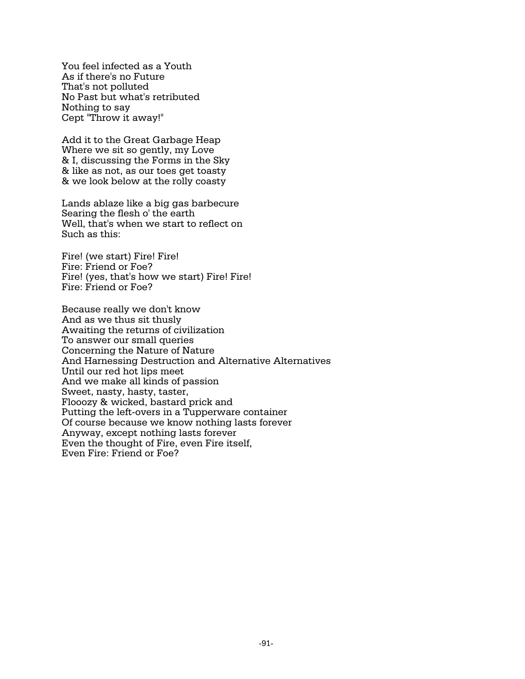You feel infected as a Youth As if there's no Future That's not polluted No Past but what's retributed Nothing to say Cept "Throw it away!"

Add it to the Great Garbage Heap Where we sit so gently, my Love & I, discussing the Forms in the Sky & like as not, as our toes get toasty & we look below at the rolly coasty

Lands ablaze like a big gas barbecure Searing the flesh o' the earth Well, that's when we start to reflect on Such as this:

Fire! (we start) Fire! Fire! Fire: Friend or Foe? Fire! (yes, that's how we start) Fire! Fire! Fire: Friend or Foe?

Because really we don't know And as we thus sit thusly Awaiting the returns of civilization To answer our small queries Concerning the Nature of Nature And Harnessing Destruction and Alternative Alternatives Until our red hot lips meet And we make all kinds of passion Sweet, nasty, hasty, taster, Flooozy & wicked, bastard prick and Putting the left-overs in a Tupperware container Of course because we know nothing lasts forever Anyway, except nothing lasts forever Even the thought of Fire, even Fire itself, Even Fire: Friend or Foe?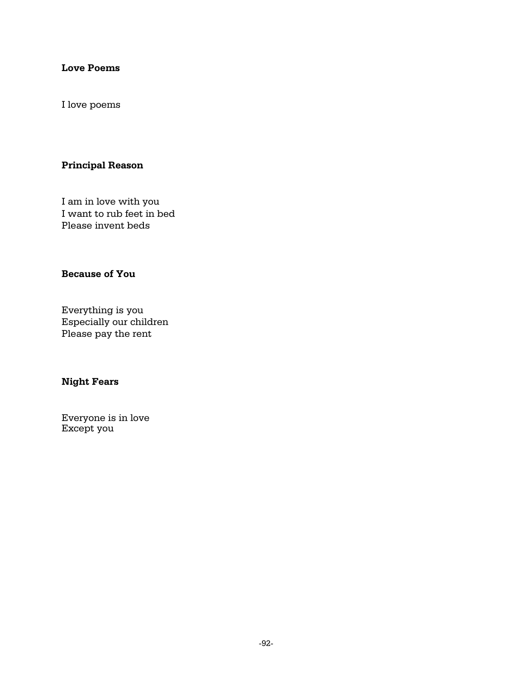# **Love Poems**

I love poems

## **Principal Reason**

I am in love with you I want to rub feet in bed Please invent beds

## **Because of You**

Everything is you Especially our children Please pay the rent

## **Night Fears**

Everyone is in love Except you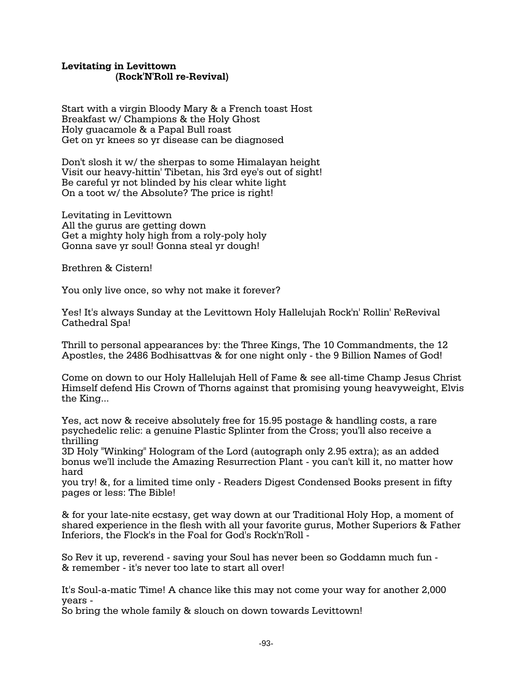### **Levitating in Levittown (Rock'N'Roll re-Revival)**

Start with a virgin Bloody Mary & a French toast Host Breakfast w/ Champions & the Holy Ghost Holy guacamole & a Papal Bull roast Get on yr knees so yr disease can be diagnosed

Don't slosh it w/ the sherpas to some Himalayan height Visit our heavy-hittin' Tibetan, his 3rd eye's out of sight! Be careful yr not blinded by his clear white light On a toot w/ the Absolute? The price is right!

Levitating in Levittown All the gurus are getting down Get a mighty holy high from a roly-poly holy Gonna save yr soul! Gonna steal yr dough!

Brethren & Cistern!

You only live once, so why not make it forever?

Yes! It's always Sunday at the Levittown Holy Hallelujah Rock'n' Rollin' ReRevival Cathedral Spa!

Thrill to personal appearances by: the Three Kings, The 10 Commandments, the 12 Apostles, the 2486 Bodhisattvas & for one night only - the 9 Billion Names of God!

Come on down to our Holy Hallelujah Hell of Fame & see all-time Champ Jesus Christ Himself defend His Crown of Thorns against that promising young heavyweight, Elvis the King...

Yes, act now & receive absolutely free for 15.95 postage & handling costs, a rare psychedelic relic: a genuine Plastic Splinter from the Cross; you'll also receive a thrilling

3D Holy "Winking" Hologram of the Lord (autograph only 2.95 extra); as an added bonus we'll include the Amazing Resurrection Plant - you can't kill it, no matter how hard

you try! &, for a limited time only - Readers Digest Condensed Books present in fifty pages or less: The Bible!

& for your late-nite ecstasy, get way down at our Traditional Holy Hop, a moment of shared experience in the flesh with all your favorite gurus, Mother Superiors & Father Inferiors, the Flock's in the Foal for God's Rock'n'Roll -

So Rev it up, reverend - saving your Soul has never been so Goddamn much fun - & remember - it's never too late to start all over!

It's Soul-a-matic Time! A chance like this may not come your way for another 2,000 years -

So bring the whole family & slouch on down towards Levittown!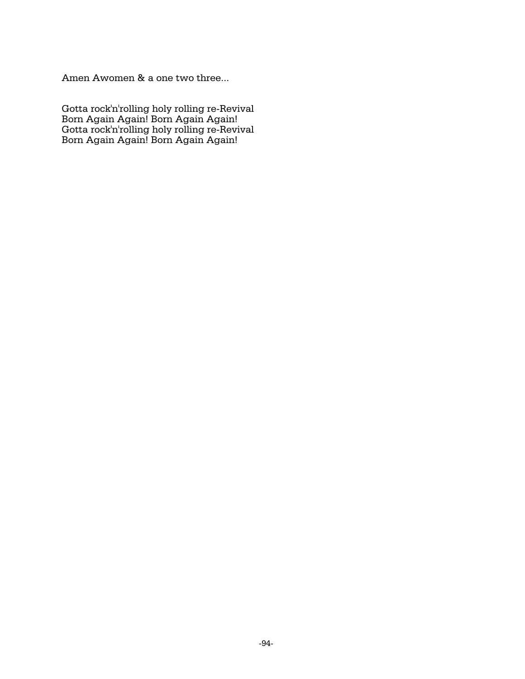Amen Awomen & a one two three...

Gotta rock'n'rolling holy rolling re-Revival Born Again Again! Born Again Again! Gotta rock'n'rolling holy rolling re-Revival Born Again Again! Born Again Again!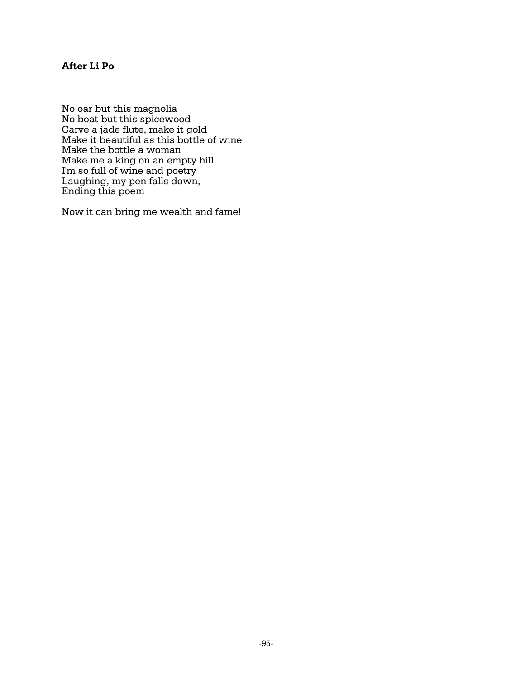# **After Li Po**

No oar but this magnolia No boat but this spicewood Carve a jade flute, make it gold Make it beautiful as this bottle of wine Make the bottle a woman Make me a king on an empty hill I'm so full of wine and poetry Laughing, my pen falls down, Ending this poem

Now it can bring me wealth and fame!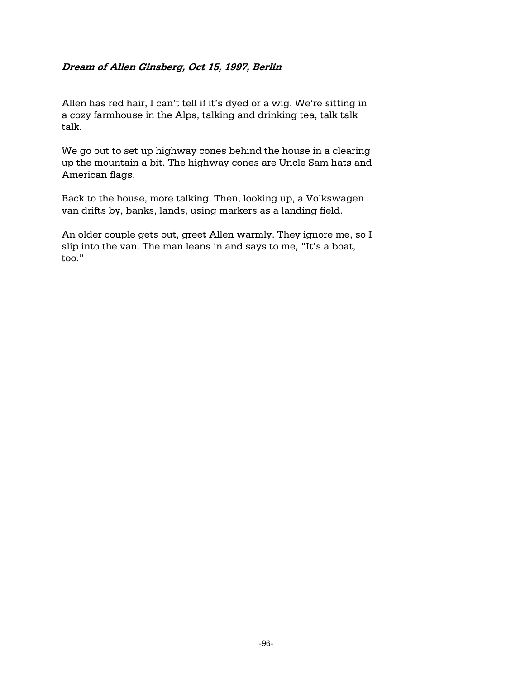## **Dream of Allen Ginsberg, Oct 15, 1997, Berlin**

Allen has red hair, I can't tell if it's dyed or a wig. We're sitting in a cozy farmhouse in the Alps, talking and drinking tea, talk talk talk.

We go out to set up highway cones behind the house in a clearing up the mountain a bit. The highway cones are Uncle Sam hats and American flags.

Back to the house, more talking. Then, looking up, a Volkswagen van drifts by, banks, lands, using markers as a landing field.

An older couple gets out, greet Allen warmly. They ignore me, so I slip into the van. The man leans in and says to me, "It's a boat, too."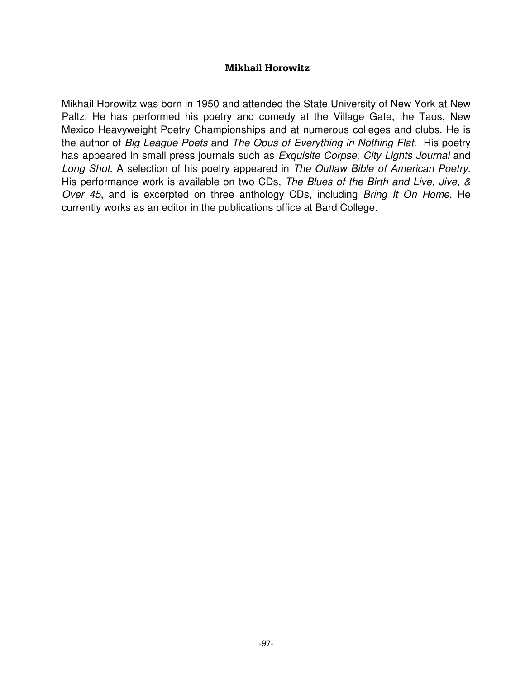## **Mikhail Horowitz**

Mikhail Horowitz was born in 1950 and attended the State University of New York at New Paltz. He has performed his poetry and comedy at the Village Gate, the Taos, New Mexico Heavyweight Poetry Championships and at numerous colleges and clubs. He is the author of Big League Poets and The Opus of Everything in Nothing Flat. His poetry has appeared in small press journals such as Exquisite Corpse, City Lights Journal and Long Shot. A selection of his poetry appeared in The Outlaw Bible of American Poetry. His performance work is available on two CDs, The Blues of the Birth and Live, Jive, & Over 45, and is excerpted on three anthology CDs, including Bring It On Home. He currently works as an editor in the publications office at Bard College.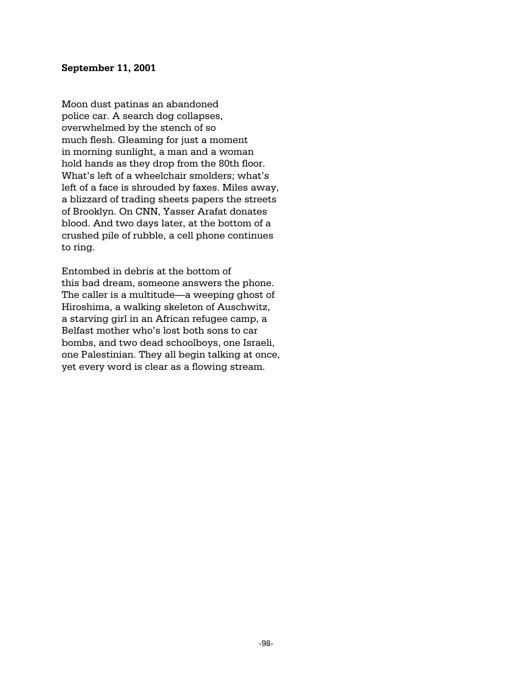### **September 11, 2001**

Moon dust patinas an abandoned police car. A search dog collapses, overwhelmed by the stench of so much flesh. Gleaming for just a moment in morning sunlight, a man and a woman hold hands as they drop from the 80th floor. What's left of a wheelchair smolders; what's left of a face is shrouded by faxes. Miles away, a blizzard of trading sheets papers the streets of Brooklyn. On CNN, Yasser Arafat donates blood. And two days later, at the bottom of a crushed pile of rubble, a cell phone continues to ring.

Entombed in debris at the bottom of this bad dream, someone answers the phone. The caller is a multitude—a weeping ghost of Hiroshima, a walking skeleton of Auschwitz, a starving girl in an African refugee camp, a Belfast mother who's lost both sons to car bombs, and two dead schoolboys, one Israeli, one Palestinian. They all begin talking at once, yet every word is clear as a flowing stream.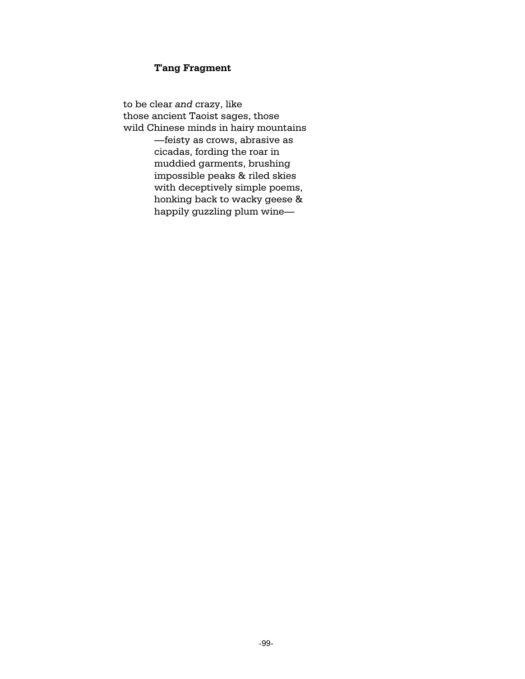# **T'ang Fragment**

to be clear *and* crazy, like those ancient Taoist sages, those wild Chinese minds in hairy mountains —feisty as crows, abrasive as cicadas, fording the roar in muddied garments, brushing impossible peaks & riled skies with deceptively simple poems, honking back to wacky geese & happily guzzling plum wine—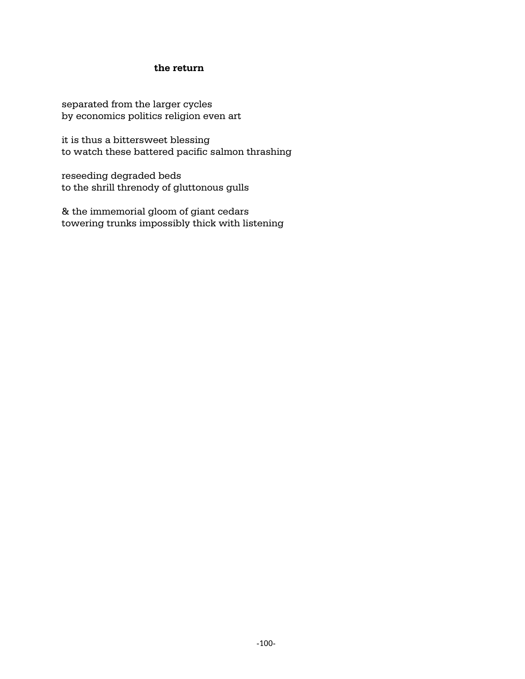## **the return**

separated from the larger cycles by economics politics religion even art

it is thus a bittersweet blessing to watch these battered pacific salmon thrashing

reseeding degraded beds to the shrill threnody of gluttonous gulls

& the immemorial gloom of giant cedars towering trunks impossibly thick with listening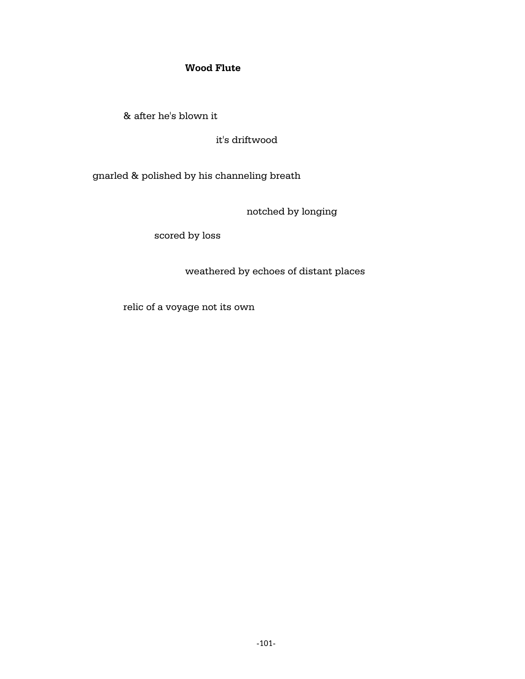# **Wood Flute**

& after he's blown it

it's driftwood

gnarled & polished by his channeling breath

notched by longing

scored by loss

weathered by echoes of distant places

relic of a voyage not its own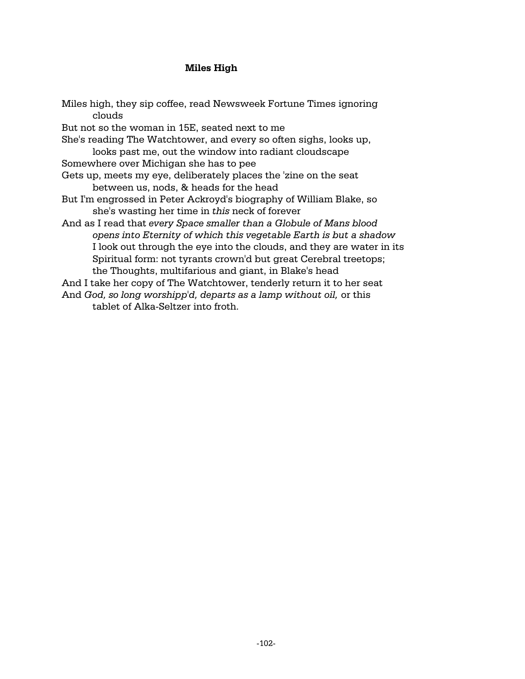## **Miles High**

Miles high, they sip coffee, read Newsweek Fortune Times ignoring clouds But not so the woman in 15E, seated next to me She's reading The Watchtower, and every so often sighs, looks up, looks past me, out the window into radiant cloudscape Somewhere over Michigan she has to pee Gets up, meets my eye, deliberately places the 'zine on the seat between us, nods, & heads for the head But I'm engrossed in Peter Ackroyd's biography of William Blake, so she's wasting her time in *this* neck of forever And as I read that *every Space smaller than a Globule of Mans blood opens into Eternity of which this vegetable Earth is but a shadow* I look out through the eye into the clouds, and they are water in its Spiritual form: not tyrants crown'd but great Cerebral treetops; the Thoughts, multifarious and giant, in Blake's head And I take her copy of The Watchtower, tenderly return it to her seat And *God, so long worshipp'd, departs as a lamp without oil,* or this tablet of Alka-Seltzer into froth.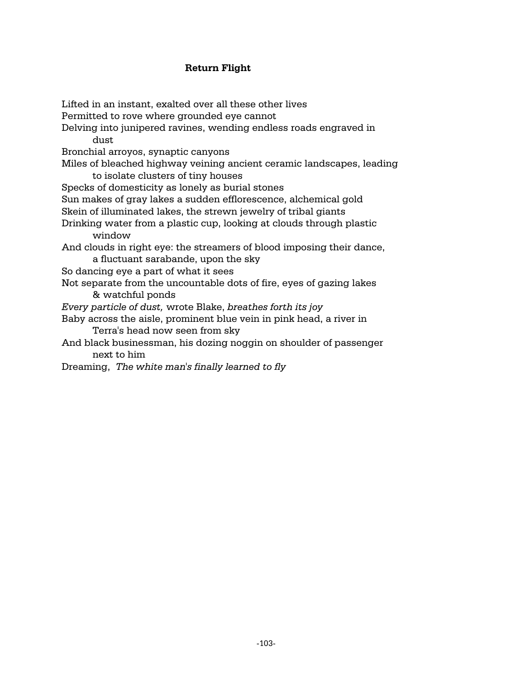## **Return Flight**

Lifted in an instant, exalted over all these other lives Permitted to rove where grounded eye cannot Delving into junipered ravines, wending endless roads engraved in dust Bronchial arroyos, synaptic canyons Miles of bleached highway veining ancient ceramic landscapes, leading to isolate clusters of tiny houses Specks of domesticity as lonely as burial stones Sun makes of gray lakes a sudden efflorescence, alchemical gold Skein of illuminated lakes, the strewn jewelry of tribal giants Drinking water from a plastic cup, looking at clouds through plastic window And clouds in right eye: the streamers of blood imposing their dance, a fluctuant sarabande, upon the sky So dancing eye a part of what it sees Not separate from the uncountable dots of fire, eyes of gazing lakes & watchful ponds *Every particle of dust,* wrote Blake, *breathes forth its joy* Baby across the aisle, prominent blue vein in pink head, a river in Terra's head now seen from sky And black businessman, his dozing noggin on shoulder of passenger next to him Dreaming, *The white man's finally learned to fly*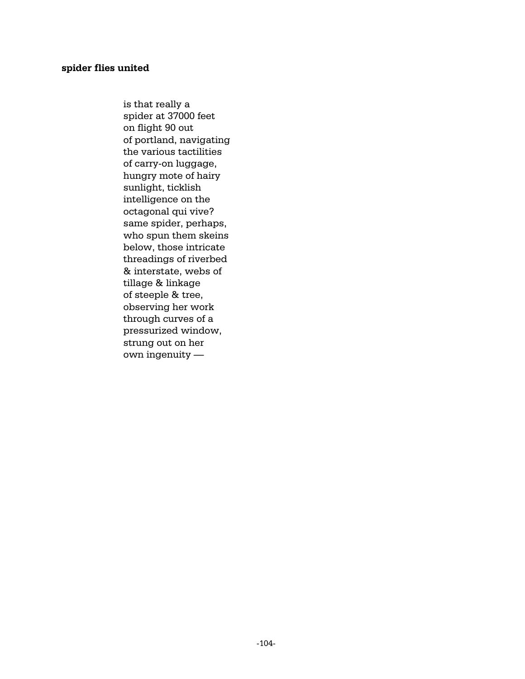### **spider flies united**

is that really a spider at 37000 feet on flight 90 out of portland, navigating the various tactilities of carry-on luggage, hungry mote of hairy sunlight, ticklish intelligence on the octagonal qui vive? same spider, perhaps, who spun them skeins below, those intricate threadings of riverbed & interstate, webs of tillage & linkage of steeple & tree, observing her work through curves of a pressurized window, strung out on her own ingenuity —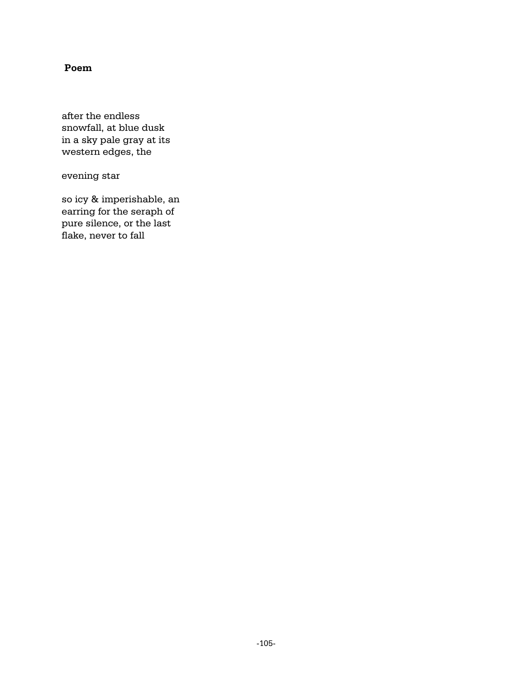## **Poem**

after the endless snowfall, at blue dusk in a sky pale gray at its western edges, the

evening star

so icy & imperishable, an earring for the seraph of pure silence, or the last flake, never to fall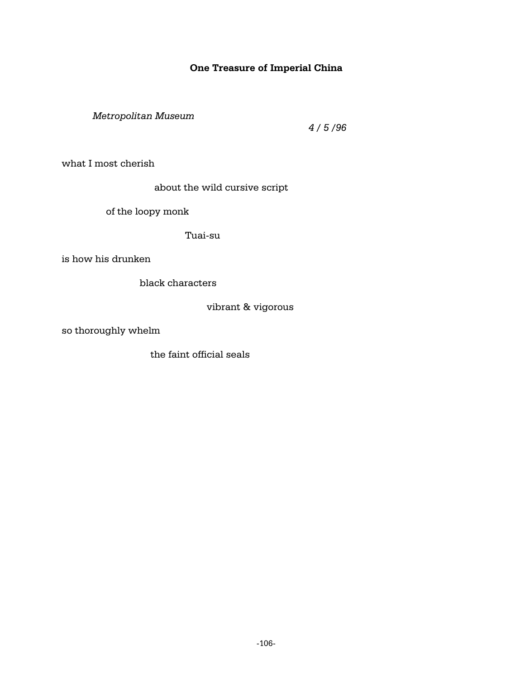# **One Treasure of Imperial China**

*Metropolitan Museum*

 *4 / 5 /96*

what I most cherish

about the wild cursive script

of the loopy monk

Tuai-su

is how his drunken

black characters

vibrant & vigorous

so thoroughly whelm

the faint official seals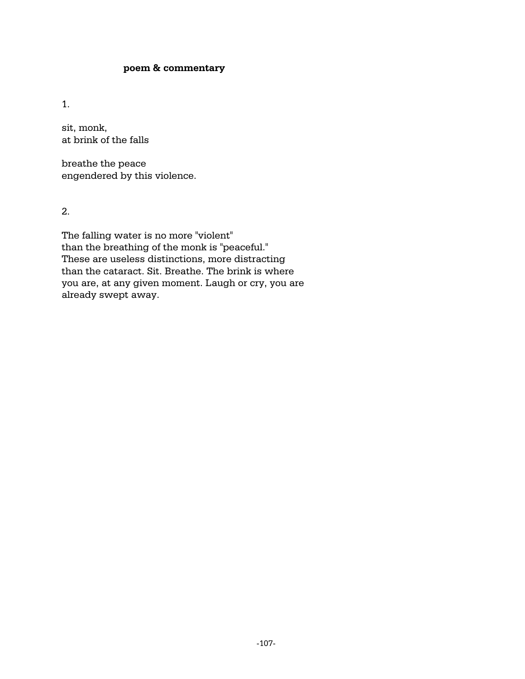1.

sit, monk, at brink of the falls

breathe the peace engendered by this violence.

2.

The falling water is no more "violent" than the breathing of the monk is "peaceful." These are useless distinctions, more distracting than the cataract. Sit. Breathe. The brink is where you are, at any given moment. Laugh or cry, you are already swept away.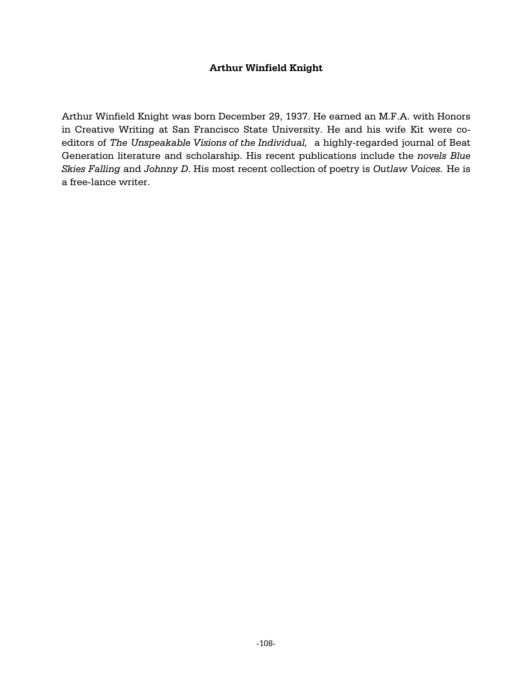## **Arthur Winfield Knight**

Arthur Winfield Knight was born December 29, 1937. He earned an M.F.A. with Honors in Creative Writing at San Francisco State University. He and his wife Kit were coeditors of *The Unspeakable Visions of the Individual,* a highly-regarded journal of Beat Generation literature and scholarship. His recent publications include the *novels Blue Skies Falling* and *Johnny D*. His most recent collection of poetry is *Outlaw Voices.* He is a free-lance writer.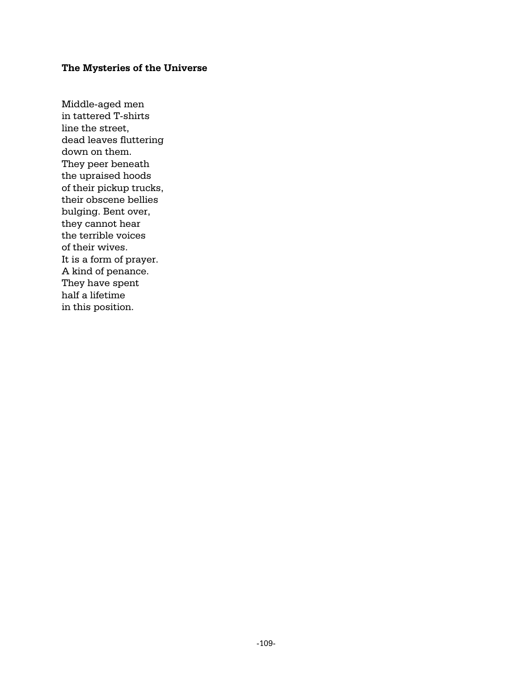## **The Mysteries of the Universe**

Middle-aged men in tattered T-shirts line the street, dead leaves fluttering down on them. They peer beneath the upraised hoods of their pickup trucks, their obscene bellies bulging. Bent over, they cannot hear the terrible voices of their wives. It is a form of prayer. A kind of penance. They have spent half a lifetime in this position.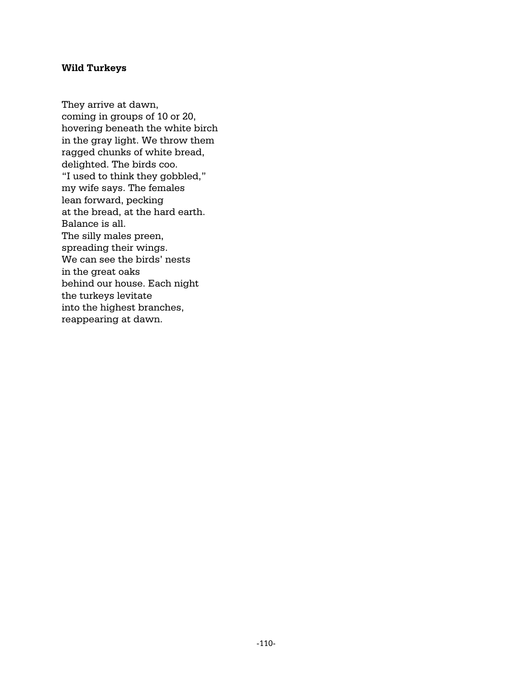#### **Wild Turkeys**

They arrive at dawn, coming in groups of 10 or 20, hovering beneath the white birch in the gray light. We throw them ragged chunks of white bread, delighted. The birds coo. "I used to think they gobbled," my wife says. The females lean forward, pecking at the bread, at the hard earth. Balance is all. The silly males preen, spreading their wings. We can see the birds' nests in the great oaks behind our house. Each night the turkeys levitate into the highest branches, reappearing at dawn.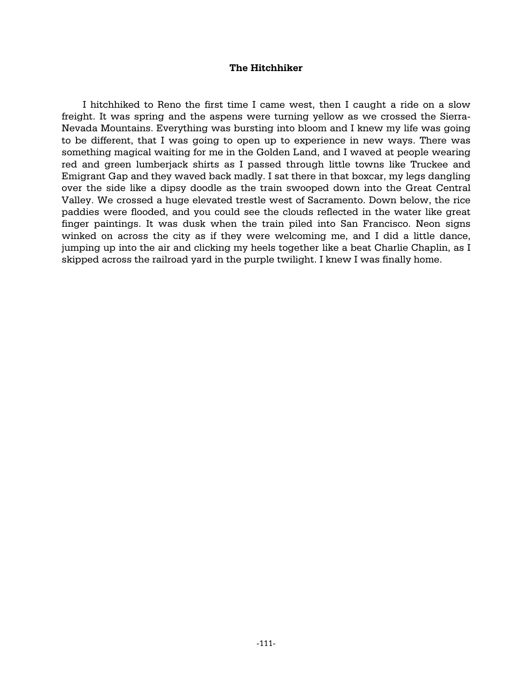#### **The Hitchhiker**

 I hitchhiked to Reno the first time I came west, then I caught a ride on a slow freight. It was spring and the aspens were turning yellow as we crossed the Sierra-Nevada Mountains. Everything was bursting into bloom and I knew my life was going to be different, that I was going to open up to experience in new ways. There was something magical waiting for me in the Golden Land, and I waved at people wearing red and green lumberjack shirts as I passed through little towns like Truckee and Emigrant Gap and they waved back madly. I sat there in that boxcar, my legs dangling over the side like a dipsy doodle as the train swooped down into the Great Central Valley. We crossed a huge elevated trestle west of Sacramento. Down below, the rice paddies were flooded, and you could see the clouds reflected in the water like great finger paintings. It was dusk when the train piled into San Francisco. Neon signs winked on across the city as if they were welcoming me, and I did a little dance, jumping up into the air and clicking my heels together like a beat Charlie Chaplin, as I skipped across the railroad yard in the purple twilight. I knew I was finally home.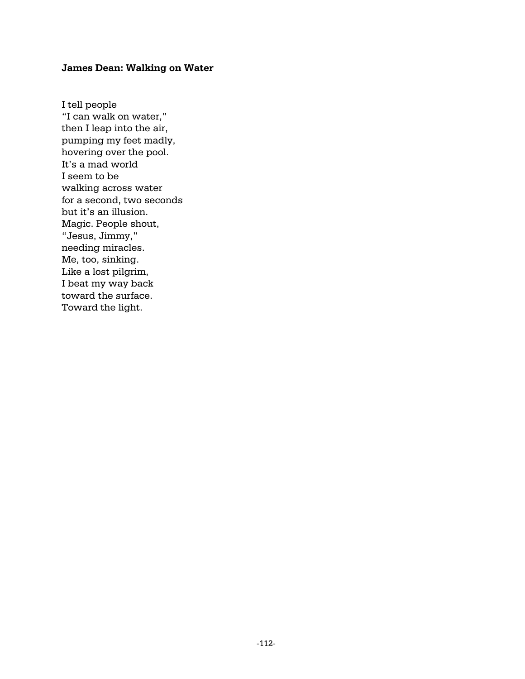#### **James Dean: Walking on Water**

I tell people "I can walk on water," then I leap into the air, pumping my feet madly, hovering over the pool. It's a mad world I seem to be walking across water for a second, two seconds but it's an illusion. Magic. People shout, "Jesus, Jimmy," needing miracles. Me, too, sinking. Like a lost pilgrim, I beat my way back toward the surface. Toward the light.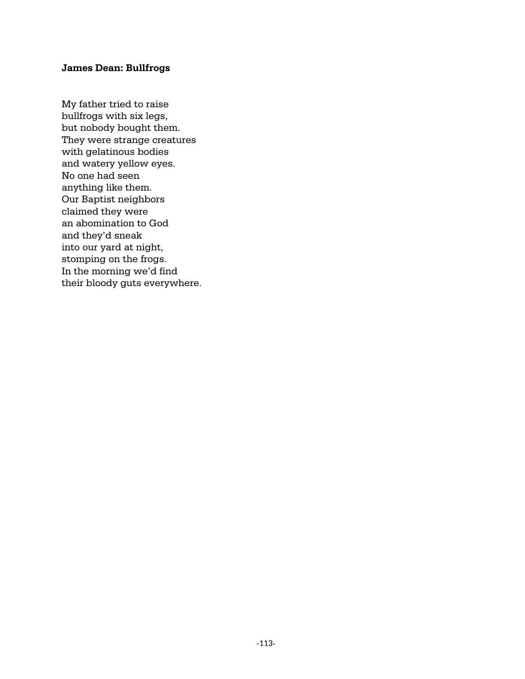#### **James Dean: Bullfrogs**

My father tried to raise bullfrogs with six legs, but nobody bought them. They were strange creatures with gelatinous bodies and watery yellow eyes. No one had seen anything like them. Our Baptist neighbors claimed they were an abomination to God and they'd sneak into our yard at night, stomping on the frogs. In the morning we'd find their bloody guts everywhere.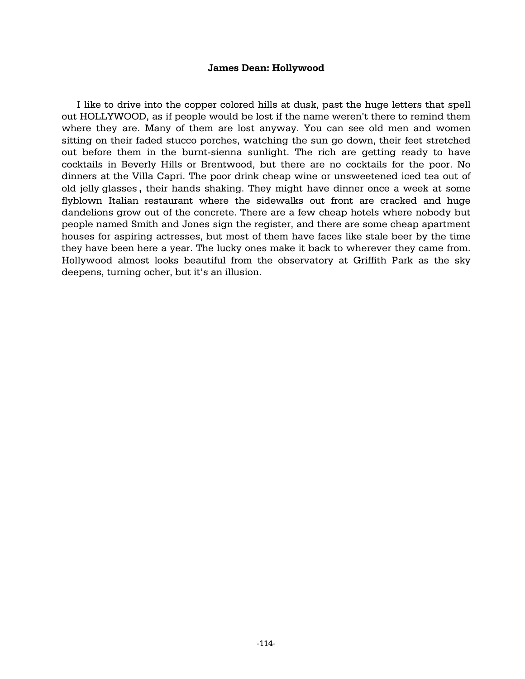#### **James Dean: Hollywood**

I like to drive into the copper colored hills at dusk, past the huge letters that spell out HOLLYWOOD, as if people would be lost if the name weren't there to remind them where they are. Many of them are lost anyway. You can see old men and women sitting on their faded stucco porches, watching the sun go down, their feet stretched out before them in the burnt-sienna sunlight. The rich are getting ready to have cocktails in Beverly Hills or Brentwood, but there are no cocktails for the poor. No dinners at the Villa Capri. The poor drink cheap wine or unsweetened iced tea out of old jelly glasses **,** their hands shaking. They might have dinner once a week at some flyblown Italian restaurant where the sidewalks out front are cracked and huge dandelions grow out of the concrete. There are a few cheap hotels where nobody but people named Smith and Jones sign the register, and there are some cheap apartment houses for aspiring actresses, but most of them have faces like stale beer by the time they have been here a year. The lucky ones make it back to wherever they came from. Hollywood almost looks beautiful from the observatory at Griffith Park as the sky deepens, turning ocher, but it's an illusion.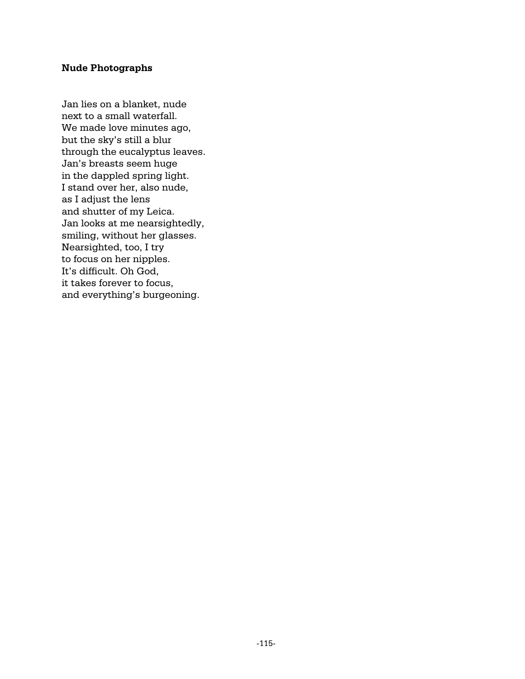#### **Nude Photographs**

Jan lies on a blanket, nude next to a small waterfall. We made love minutes ago, but the sky's still a blur through the eucalyptus leaves. Jan's breasts seem huge in the dappled spring light. I stand over her, also nude, as I adjust the lens and shutter of my Leica. Jan looks at me nearsightedly, smiling, without her glasses. Nearsighted, too, I try to focus on her nipples. It's difficult. Oh God, it takes forever to focus, and everything's burgeoning.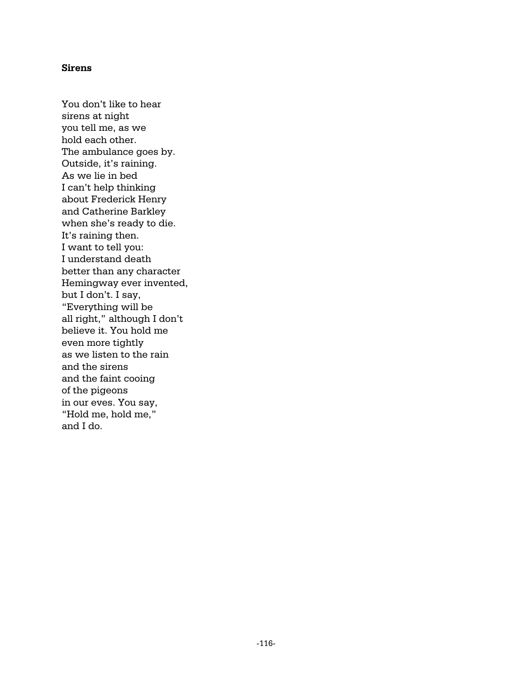#### **Sirens**

You don't like to hear sirens at night you tell me, as we hold each other. The ambulance goes by. Outside, it's raining. As we lie in bed I can't help thinking about Frederick Henry and Catherine Barkley when she's ready to die. It's raining then. I want to tell you: I understand death better than any character Hemingway ever invented, but I don't. I say, "Everything will be all right," although I don't believe it. You hold me even more tightly as we listen to the rain and the sirens and the faint cooing of the pigeons in our eves. You say, "Hold me, hold me," and I do.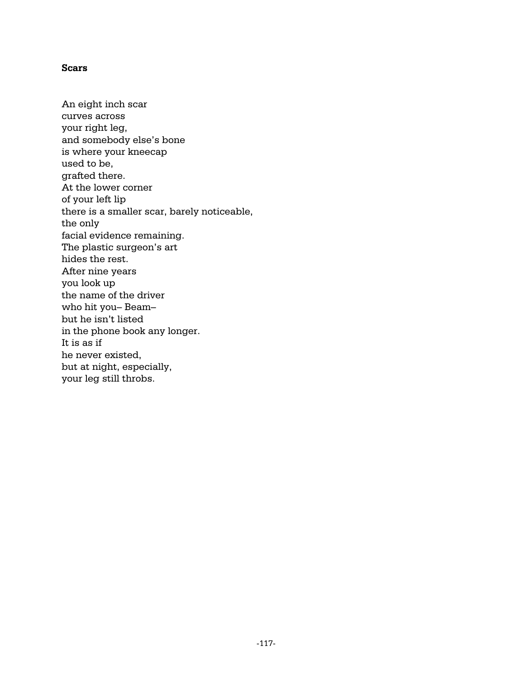#### **Scars**

An eight inch scar curves across your right leg, and somebody else's bone is where your kneecap used to be, grafted there. At the lower corner of your left lip there is a smaller scar, barely noticeable, the only facial evidence remaining. The plastic surgeon's art hides the rest. After nine years you look up the name of the driver who hit you– Beam– but he isn't listed in the phone book any longer. It is as if he never existed, but at night, especially, your leg still throbs.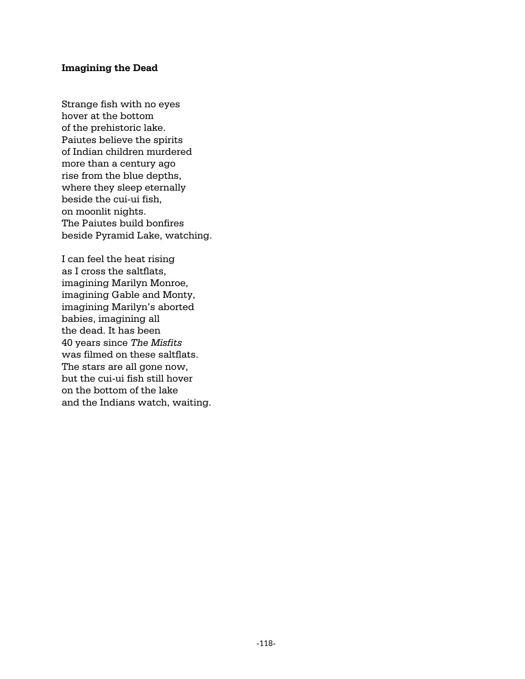#### **Imagining the Dead**

Strange fish with no eyes hover at the bottom of the prehistoric lake. Paiutes believe the spirits of Indian children murdered more than a century ago rise from the blue depths, where they sleep eternally beside the cui-ui fish, on moonlit nights. The Paiutes build bonfires beside Pyramid Lake, watching.

I can feel the heat rising as I cross the saltflats, imagining Marilyn Monroe, imagining Gable and Monty, imagining Marilyn's aborted babies, imagining all the dead. It has been 40 years since *The Misfits* was filmed on these saltflats. The stars are all gone now, but the cui-ui fish still hover on the bottom of the lake and the Indians watch, waiting.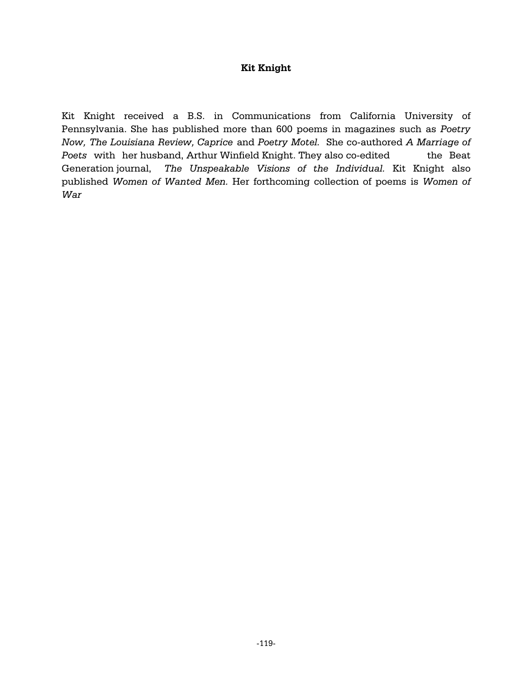## **Kit Knight**

Kit Knight received a B.S. in Communications from California University of Pennsylvania. She has published more than 600 poems in magazines such as *Poetry Now, The Louisiana Review, Caprice* and *Poetry Motel.* She co-authored *A Marriage of Poets* with her husband, Arthur Winfield Knight. They also co-edited the Beat Generation journal, *The Unspeakable Visions of the Individual.* Kit Knight also published *Women of Wanted Men.* Her forthcoming collection of poems is *Women of War*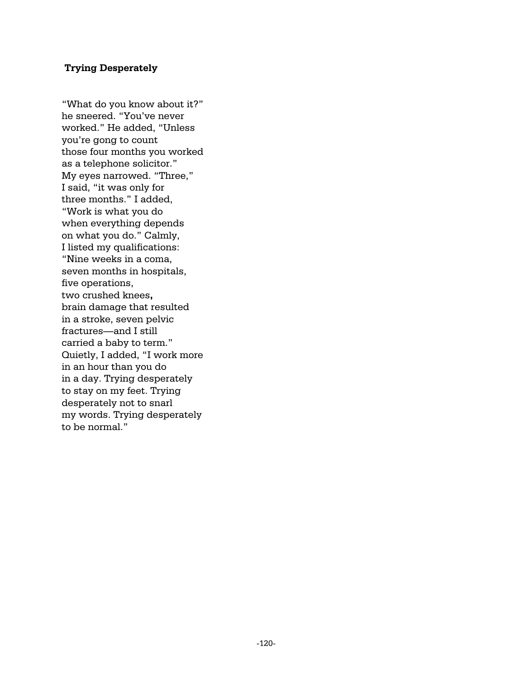## **Trying Desperately**

"What do you know about it?" he sneered. "You've never worked." He added, "Unless you're gong to count those four months you worked as a telephone solicitor." My eyes narrowed. "Three," I said, "it was only for three months." I added, "Work is what you do when everything depends on what you do." Calmly, I listed my qualifications: "Nine weeks in a coma, seven months in hospitals, five operations, two crushed knees**,** brain damage that resulted in a stroke, seven pelvic fractures—and I still carried a baby to term." Quietly, I added, "I work more in an hour than you do in a day. Trying desperately to stay on my feet. Trying desperately not to snarl my words. Trying desperately to be normal."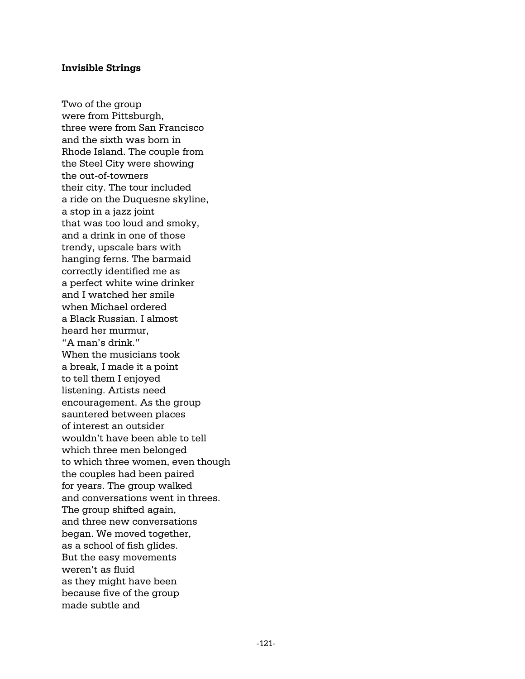#### **Invisible Strings**

Two of the group were from Pittsburgh, three were from San Francisco and the sixth was born in Rhode Island. The couple from the Steel City were showing the out-of-towners their city. The tour included a ride on the Duquesne skyline, a stop in a jazz joint that was too loud and smoky, and a drink in one of those trendy, upscale bars with hanging ferns. The barmaid correctly identified me as a perfect white wine drinker and I watched her smile when Michael ordered a Black Russian. I almost heard her murmur, "A man's drink." When the musicians took a break, I made it a point to tell them I enjoyed listening. Artists need encouragement. As the group sauntered between places of interest an outsider wouldn't have been able to tell which three men belonged to which three women, even though the couples had been paired for years. The group walked and conversations went in threes. The group shifted again, and three new conversations began. We moved together, as a school of fish glides. But the easy movements weren't as fluid as they might have been because five of the group made subtle and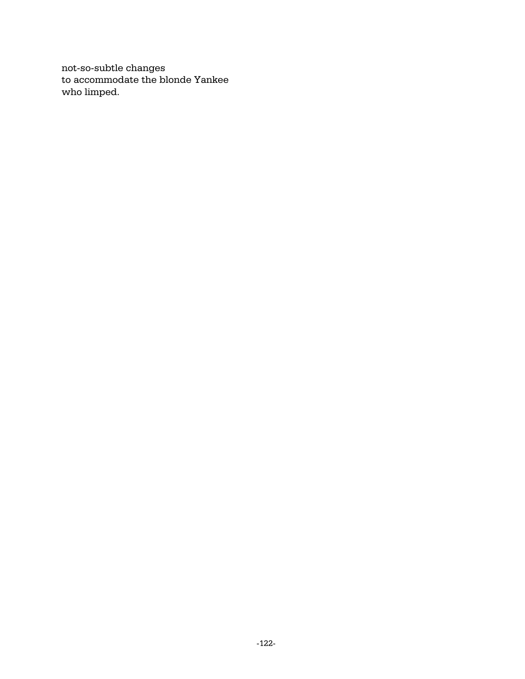not-so-subtle changes to accommodate the blonde Yankee who limped.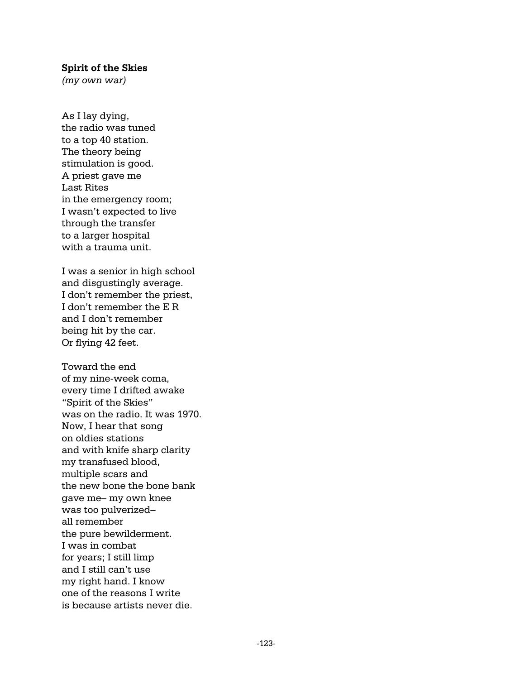#### **Spirit of the Skies**

*(my own war)*

As I lay dying, the radio was tuned to a top 40 station. The theory being stimulation is good. A priest gave me Last Rites in the emergency room; I wasn't expected to live through the transfer to a larger hospital with a trauma unit.

I was a senior in high school and disgustingly average. I don't remember the priest, I don't remember the E R and I don't remember being hit by the car. Or flying 42 feet.

Toward the end of my nine-week coma, every time I drifted awake "Spirit of the Skies" was on the radio. It was 1970. Now, I hear that song on oldies stations and with knife sharp clarity my transfused blood, multiple scars and the new bone the bone bank gave me– my own knee was too pulverized– all remember the pure bewilderment. I was in combat for years; I still limp and I still can't use my right hand. I know one of the reasons I write is because artists never die.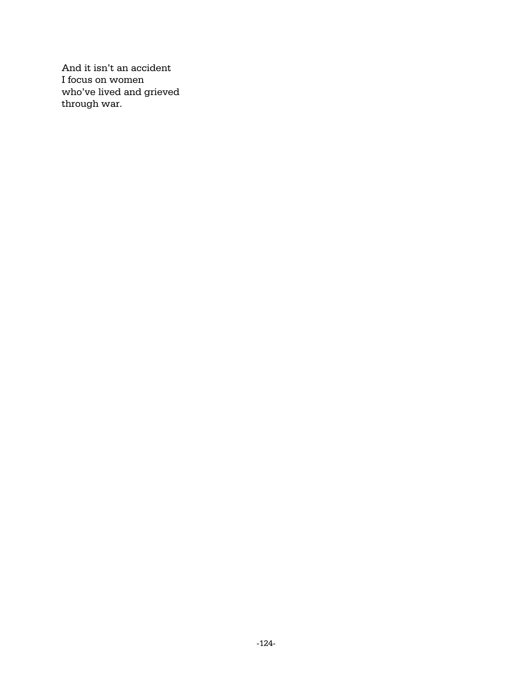And it isn't an accident I focus on women who've lived and grieved through war.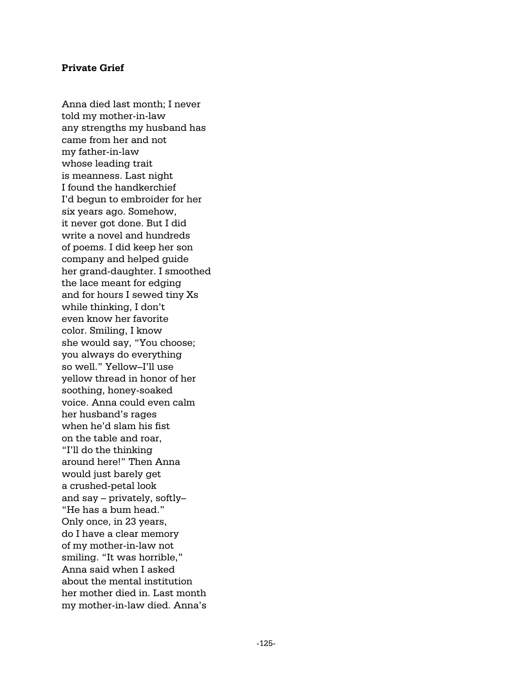#### **Private Grief**

Anna died last month; I never told my mother-in-law any strengths my husband has came from her and not my father-in-law whose leading trait is meanness. Last night I found the handkerchief I'd begun to embroider for her six years ago. Somehow, it never got done. But I did write a novel and hundreds of poems. I did keep her son company and helped guide her grand-daughter. I smoothed the lace meant for edging and for hours I sewed tiny Xs while thinking, I don't even know her favorite color. Smiling, I know she would say, "You choose; you always do everything so well." Yellow–I'll use yellow thread in honor of her soothing, honey-soaked voice. Anna could even calm her husband's rages when he'd slam his fist on the table and roar, "I'll do the thinking around here!" Then Anna would just barely get a crushed-petal look and say – privately, softly– "He has a bum head." Only once, in 23 years, do I have a clear memory of my mother-in-law not smiling. "It was horrible," Anna said when I asked about the mental institution her mother died in. Last month my mother-in-law died. Anna's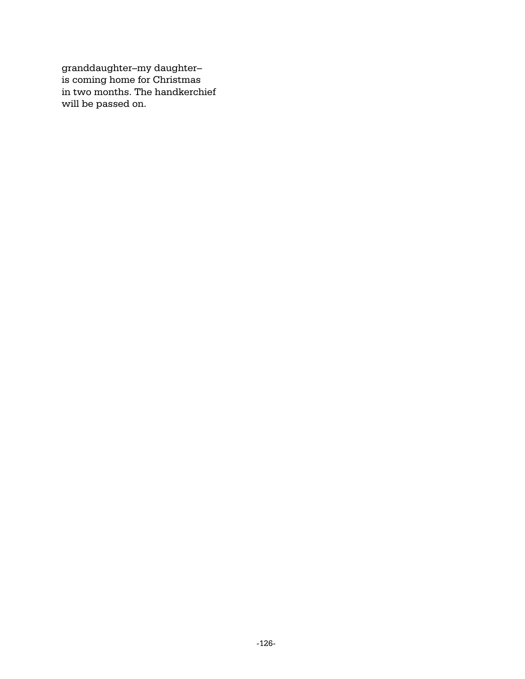granddaughter–my daughter– is coming home for Christmas in two months. The handkerchief will be passed on.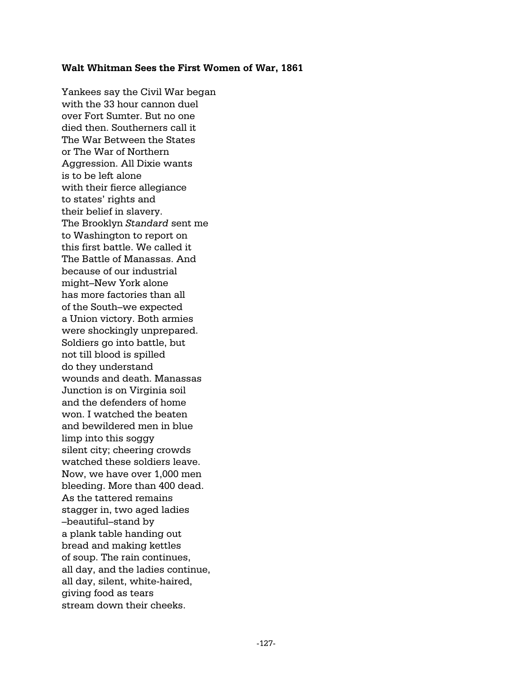#### **Walt Whitman Sees the First Women of War, 1861**

Yankees say the Civil War began with the 33 hour cannon duel over Fort Sumter. But no one died then. Southerners call it The War Between the States or The War of Northern Aggression. All Dixie wants is to be left alone with their fierce allegiance to states' rights and their belief in slavery. The Brooklyn *Standard* sent me to Washington to report on this first battle. We called it The Battle of Manassas. And because of our industrial might–New York alone has more factories than all of the South–we expected a Union victory. Both armies were shockingly unprepared. Soldiers go into battle, but not till blood is spilled do they understand wounds and death. Manassas Junction is on Virginia soil and the defenders of home won. I watched the beaten and bewildered men in blue limp into this soggy silent city; cheering crowds watched these soldiers leave. Now, we have over 1,000 men bleeding. More than 400 dead. As the tattered remains stagger in, two aged ladies –beautiful–stand by a plank table handing out bread and making kettles of soup. The rain continues, all day, and the ladies continue, all day, silent, white-haired, giving food as tears stream down their cheeks.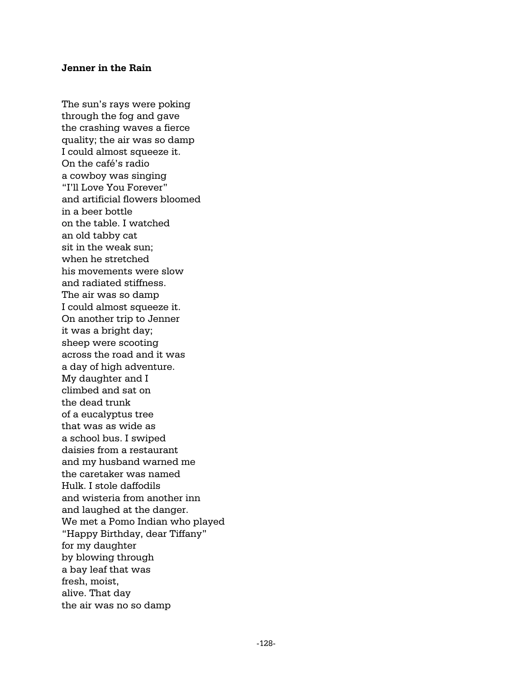#### **Jenner in the Rain**

The sun's rays were poking through the fog and gave the crashing waves a fierce quality; the air was so damp I could almost squeeze it. On the café's radio a cowboy was singing "I'll Love You Forever" and artificial flowers bloomed in a beer bottle on the table. I watched an old tabby cat sit in the weak sun; when he stretched his movements were slow and radiated stiffness. The air was so damp I could almost squeeze it. On another trip to Jenner it was a bright day; sheep were scooting across the road and it was a day of high adventure. My daughter and I climbed and sat on the dead trunk of a eucalyptus tree that was as wide as a school bus. I swiped daisies from a restaurant and my husband warned me the caretaker was named Hulk. I stole daffodils and wisteria from another inn and laughed at the danger. We met a Pomo Indian who played "Happy Birthday, dear Tiffany" for my daughter by blowing through a bay leaf that was fresh, moist, alive. That day the air was no so damp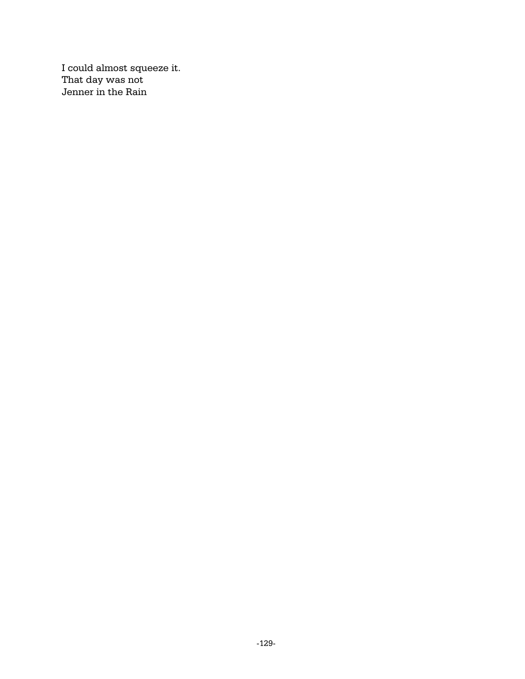I could almost squeeze it. That day was not Jenner in the Rain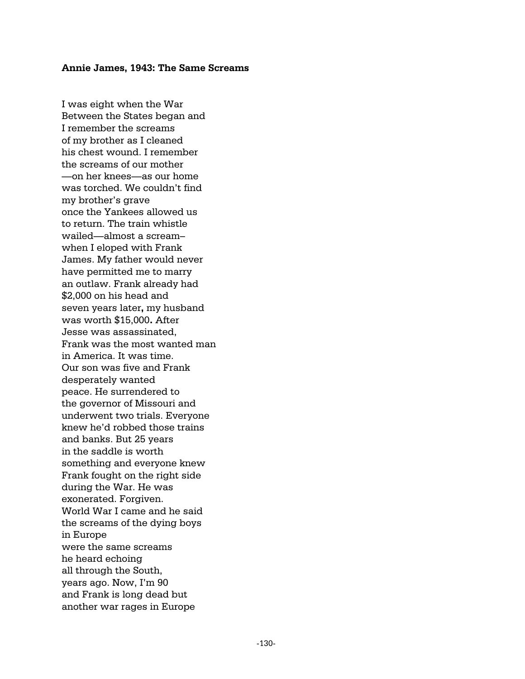#### **Annie James, 1943: The Same Screams**

I was eight when the War Between the States began and I remember the screams of my brother as I cleaned his chest wound. I remember the screams of our mother —on her knees—as our home was torched. We couldn't find my brother's grave once the Yankees allowed us to return. The train whistle wailed—almost a scream– when I eloped with Frank James. My father would never have permitted me to marry an outlaw. Frank already had \$2,000 on his head and seven years later**,** my husband was worth \$15,000**.** After Jesse was assassinated, Frank was the most wanted man in America. It was time. Our son was five and Frank desperately wanted peace. He surrendered to the governor of Missouri and underwent two trials. Everyone knew he'd robbed those trains and banks. But 25 years in the saddle is worth something and everyone knew Frank fought on the right side during the War. He was exonerated. Forgiven. World War I came and he said the screams of the dying boys in Europe were the same screams he heard echoing all through the South, years ago. Now, I'm 90 and Frank is long dead but another war rages in Europe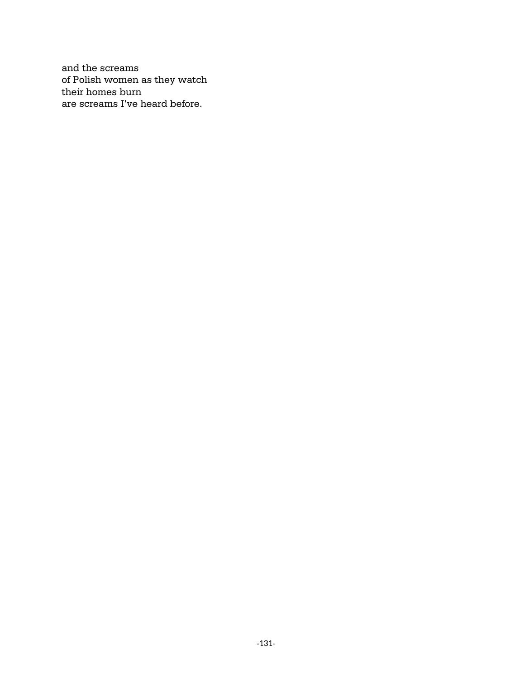and the screams of Polish women as they watch their homes burn are screams I've heard before.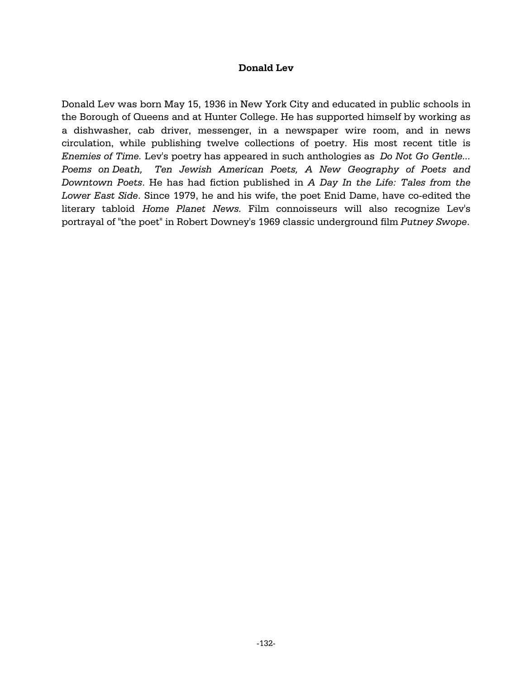## **Donald Lev**

Donald Lev was born May 15, 1936 in New York City and educated in public schools in the Borough of Queens and at Hunter College. He has supported himself by working as a dishwasher, cab driver, messenger, in a newspaper wire room, and in news circulation, while publishing twelve collections of poetry. His most recent title is *Enemies of Time.* Lev's poetry has appeared in such anthologies as *Do Not Go Gentle... Poems on Death, Ten Jewish American Poets, A New Geography of Poets and Downtown Poets*. He has had fiction published in *A Day In the Life: Tales from the Lower East Side*. Since 1979, he and his wife, the poet Enid Dame, have co-edited the literary tabloid *Home Planet News.* Film connoisseurs will also recognize Lev's portrayal of "the poet" in Robert Downey's 1969 classic underground film *Putney Swope*.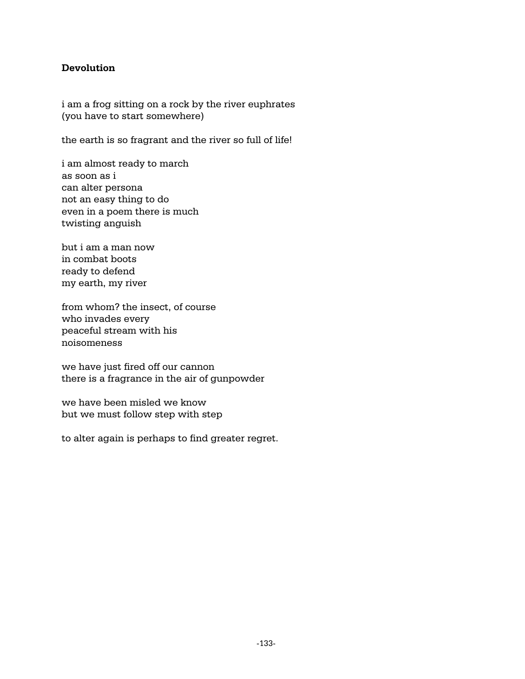## **Devolution**

i am a frog sitting on a rock by the river euphrates (you have to start somewhere)

the earth is so fragrant and the river so full of life!

i am almost ready to march as soon as i can alter persona not an easy thing to do even in a poem there is much twisting anguish

but i am a man now in combat boots ready to defend my earth, my river

from whom? the insect, of course who invades every peaceful stream with his noisomeness

we have just fired off our cannon there is a fragrance in the air of gunpowder

we have been misled we know but we must follow step with step

to alter again is perhaps to find greater regret.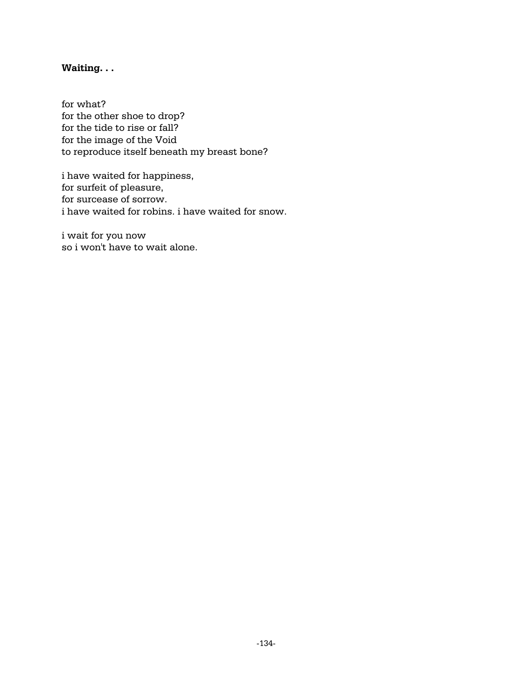# **Waiting. . .**

for what? for the other shoe to drop? for the tide to rise or fall? for the image of the Void to reproduce itself beneath my breast bone?

i have waited for happiness, for surfeit of pleasure, for surcease of sorrow. i have waited for robins. i have waited for snow.

i wait for you now so i won't have to wait alone.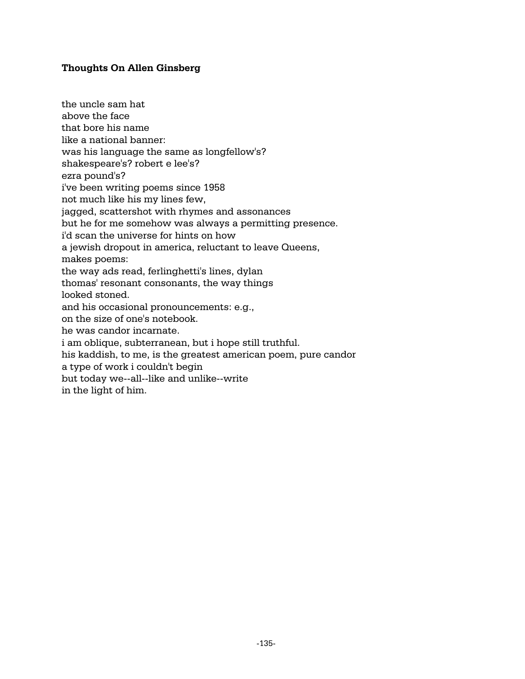## **Thoughts On Allen Ginsberg**

the uncle sam hat above the face that bore his name like a national banner: was his language the same as longfellow's? shakespeare's? robert e lee's? ezra pound's? i've been writing poems since 1958 not much like his my lines few, jagged, scattershot with rhymes and assonances but he for me somehow was always a permitting presence. i'd scan the universe for hints on how a jewish dropout in america, reluctant to leave Queens, makes poems: the way ads read, ferlinghetti's lines, dylan thomas' resonant consonants, the way things looked stoned. and his occasional pronouncements: e.g., on the size of one's notebook. he was candor incarnate. i am oblique, subterranean, but i hope still truthful. his kaddish, to me, is the greatest american poem, pure candor a type of work i couldn't begin but today we--all--like and unlike--write in the light of him.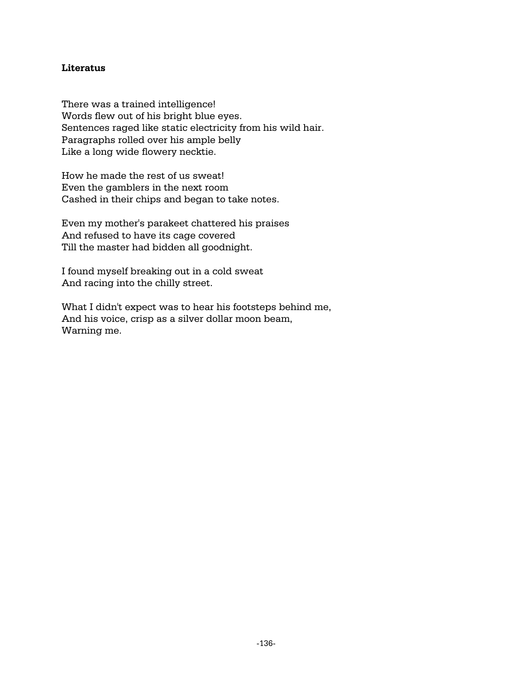## **Literatus**

There was a trained intelligence! Words flew out of his bright blue eyes. Sentences raged like static electricity from his wild hair. Paragraphs rolled over his ample belly Like a long wide flowery necktie.

How he made the rest of us sweat! Even the gamblers in the next room Cashed in their chips and began to take notes.

Even my mother's parakeet chattered his praises And refused to have its cage covered Till the master had bidden all goodnight.

I found myself breaking out in a cold sweat And racing into the chilly street.

What I didn't expect was to hear his footsteps behind me, And his voice, crisp as a silver dollar moon beam, Warning me.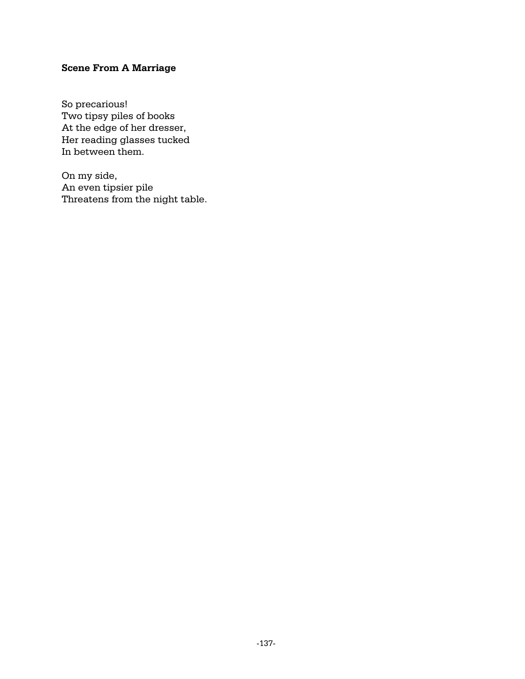# **Scene From A Marriage**

So precarious! Two tipsy piles of books At the edge of her dresser, Her reading glasses tucked In between them.

On my side, An even tipsier pile Threatens from the night table.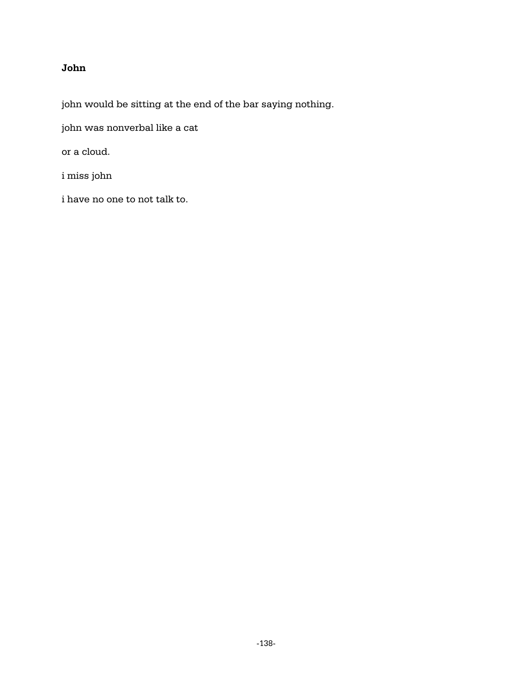# **John**

john would be sitting at the end of the bar saying nothing.

john was nonverbal like a cat

or a cloud.

i miss john

i have no one to not talk to.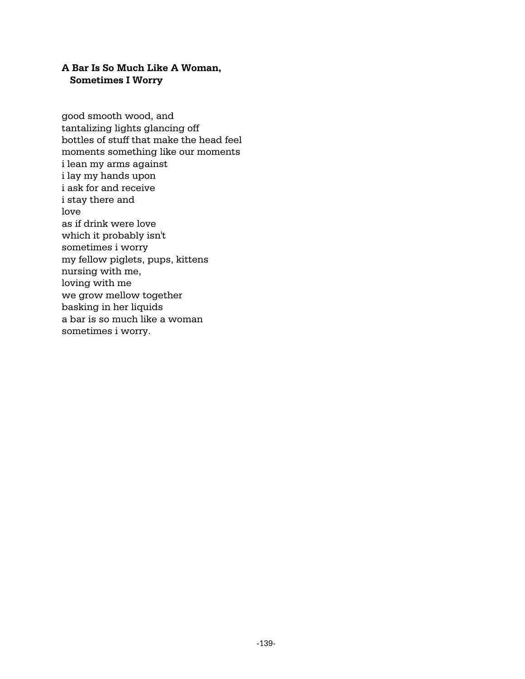## **A Bar Is So Much Like A Woman, Sometimes I Worry**

good smooth wood, and tantalizing lights glancing off bottles of stuff that make the head feel moments something like our moments i lean my arms against i lay my hands upon i ask for and receive i stay there and love as if drink were love which it probably isn't sometimes i worry my fellow piglets, pups, kittens nursing with me, loving with me we grow mellow together basking in her liquids a bar is so much like a woman sometimes i worry.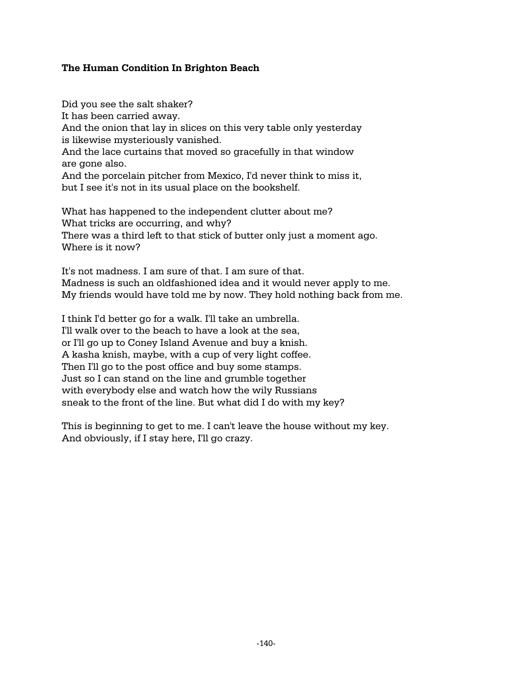## **The Human Condition In Brighton Beach**

Did you see the salt shaker? It has been carried away. And the onion that lay in slices on this very table only yesterday is likewise mysteriously vanished. And the lace curtains that moved so gracefully in that window are gone also. And the porcelain pitcher from Mexico, I'd never think to miss it, but I see it's not in its usual place on the bookshelf.

What has happened to the independent clutter about me? What tricks are occurring, and why? There was a third left to that stick of butter only just a moment ago. Where is it now?

It's not madness. I am sure of that. I am sure of that. Madness is such an oldfashioned idea and it would never apply to me. My friends would have told me by now. They hold nothing back from me.

I think I'd better go for a walk. I'll take an umbrella. I'll walk over to the beach to have a look at the sea, or I'll go up to Coney Island Avenue and buy a knish. A kasha knish, maybe, with a cup of very light coffee. Then I'll go to the post office and buy some stamps. Just so I can stand on the line and grumble together with everybody else and watch how the wily Russians sneak to the front of the line. But what did I do with my key?

This is beginning to get to me. I can't leave the house without my key. And obviously, if I stay here, I'll go crazy.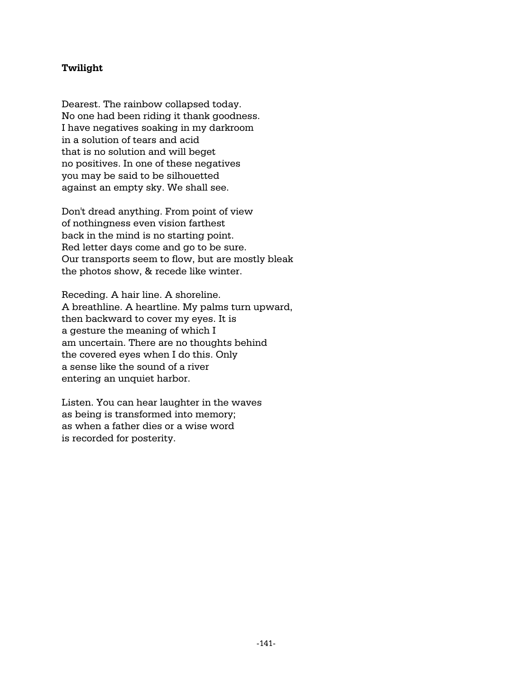#### **Twilight**

Dearest. The rainbow collapsed today. No one had been riding it thank goodness. I have negatives soaking in my darkroom in a solution of tears and acid that is no solution and will beget no positives. In one of these negatives you may be said to be silhouetted against an empty sky. We shall see.

Don't dread anything. From point of view of nothingness even vision farthest back in the mind is no starting point. Red letter days come and go to be sure. Our transports seem to flow, but are mostly bleak the photos show, & recede like winter.

Receding. A hair line. A shoreline. A breathline. A heartline. My palms turn upward, then backward to cover my eyes. It is a gesture the meaning of which I am uncertain. There are no thoughts behind the covered eyes when I do this. Only a sense like the sound of a river entering an unquiet harbor.

Listen. You can hear laughter in the waves as being is transformed into memory; as when a father dies or a wise word is recorded for posterity.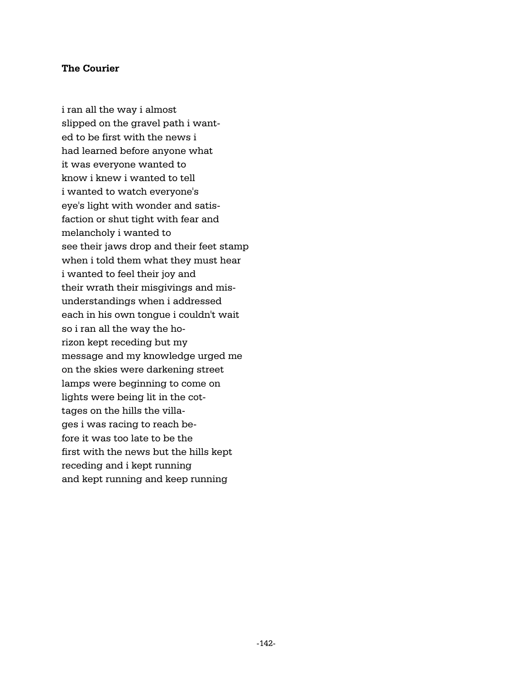## **The Courier**

i ran all the way i almost slipped on the gravel path i wanted to be first with the news i had learned before anyone what it was everyone wanted to know i knew i wanted to tell i wanted to watch everyone's eye's light with wonder and satisfaction or shut tight with fear and melancholy i wanted to see their jaws drop and their feet stamp when i told them what they must hear i wanted to feel their joy and their wrath their misgivings and misunderstandings when i addressed each in his own tongue i couldn't wait so i ran all the way the horizon kept receding but my message and my knowledge urged me on the skies were darkening street lamps were beginning to come on lights were being lit in the cottages on the hills the villages i was racing to reach before it was too late to be the first with the news but the hills kept receding and i kept running and kept running and keep running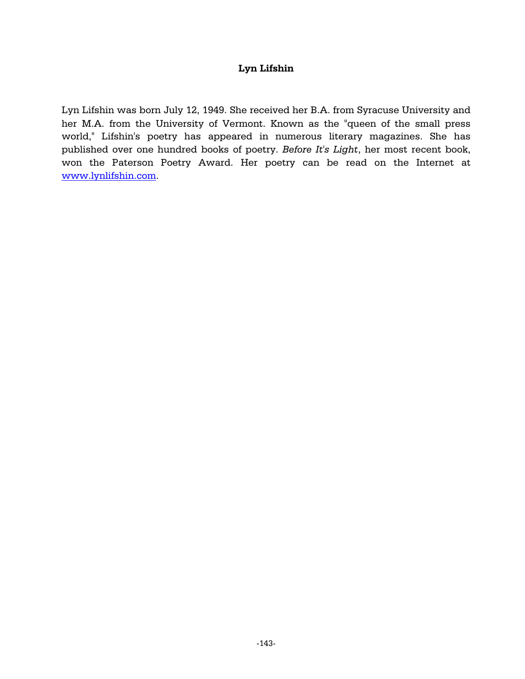## **Lyn Lifshin**

Lyn Lifshin was born July 12, 1949. She received her B.A. from Syracuse University and her M.A. from the University of Vermont. Known as the "queen of the small press world," Lifshin's poetry has appeared in numerous literary magazines. She has published over one hundred books of poetry. *Before It's Light*, her most recent book, won the Paterson Poetry Award. Her poetry can be read on the Internet at www.lynlifshin.com.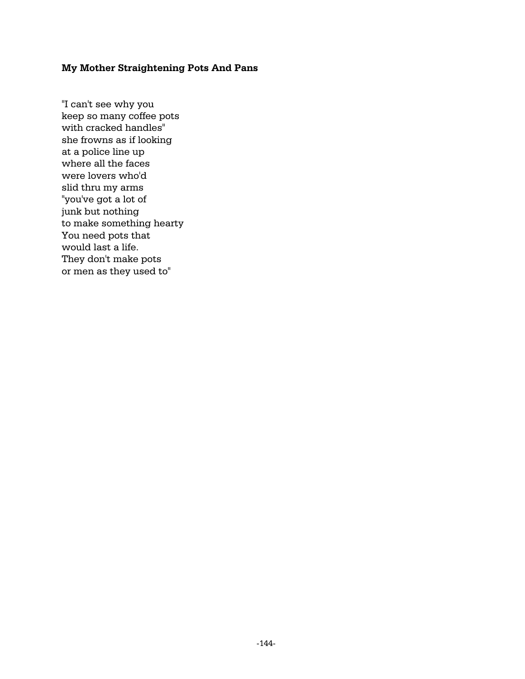# **My Mother Straightening Pots And Pans**

"I can't see why you keep so many coffee pots with cracked handles" she frowns as if looking at a police line up where all the faces were lovers who'd slid thru my arms "you've got a lot of junk but nothing to make something hearty You need pots that would last a life. They don't make pots or men as they used to"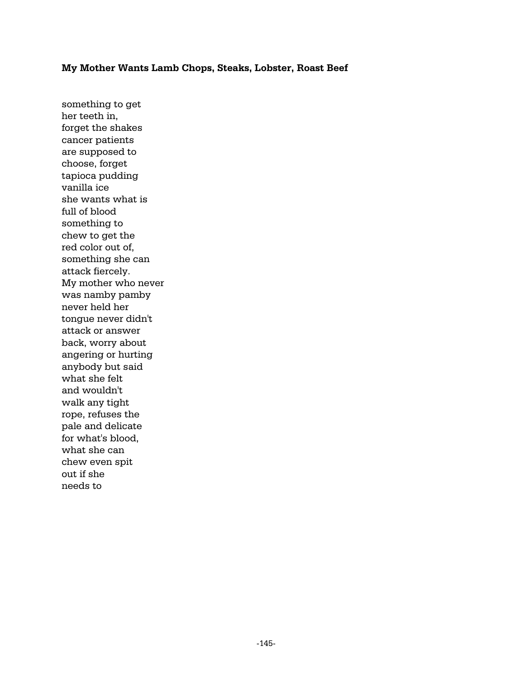#### **My Mother Wants Lamb Chops, Steaks, Lobster, Roast Beef**

something to get her teeth in, forget the shakes cancer patients are supposed to choose, forget tapioca pudding vanilla ice she wants what is full of blood something to chew to get the red color out of, something she can attack fiercely. My mother who never was namby pamby never held her tongue never didn't attack or answer back, worry about angering or hurting anybody but said what she felt and wouldn't walk any tight rope, refuses the pale and delicate for what's blood, what she can chew even spit out if she needs to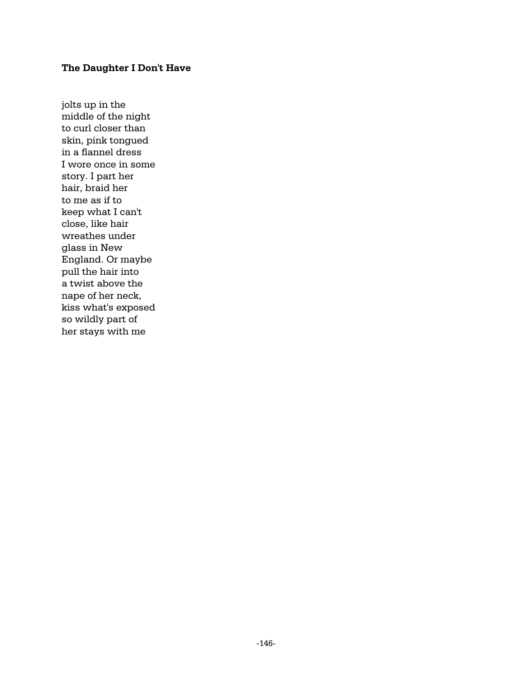### **The Daughter I Don't Have**

jolts up in the middle of the night to curl closer than skin, pink tongued in a flannel dress I wore once in some story. I part her hair, braid her to me as if to keep what I can't close, like hair wreathes under glass in New England. Or maybe pull the hair into a twist above the nape of her neck, kiss what's exposed so wildly part of her stays with me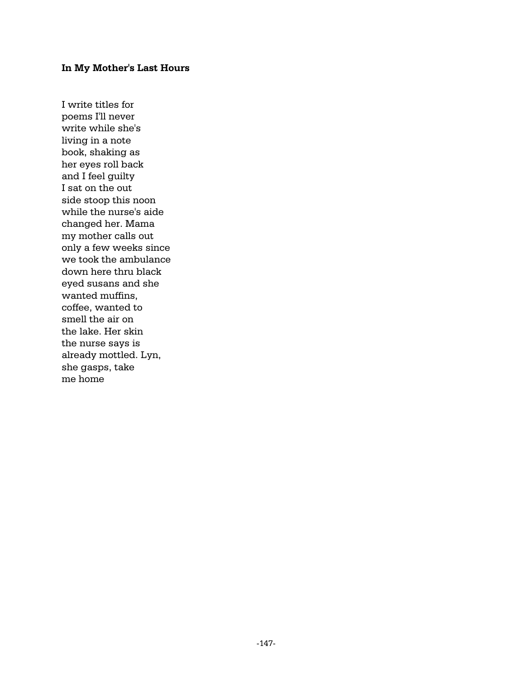#### **In My Mother's Last Hours**

I write titles for poems I'll never write while she's living in a note book, shaking as her eyes roll back and I feel guilty I sat on the out side stoop this noon while the nurse's aide changed her. Mama my mother calls out only a few weeks since we took the ambulance down here thru black eyed susans and she wanted muffins, coffee, wanted to smell the air on the lake. Her skin the nurse says is already mottled. Lyn, she gasps, take me home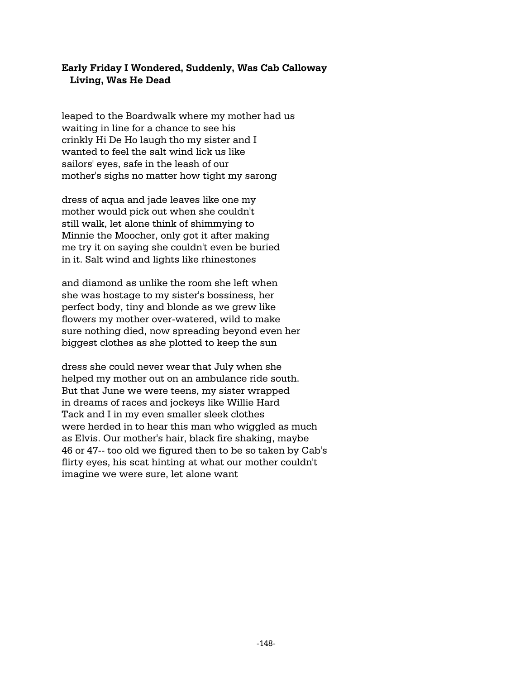### **Early Friday I Wondered, Suddenly, Was Cab Calloway Living, Was He Dead**

leaped to the Boardwalk where my mother had us waiting in line for a chance to see his crinkly Hi De Ho laugh tho my sister and I wanted to feel the salt wind lick us like sailors' eyes, safe in the leash of our mother's sighs no matter how tight my sarong

dress of aqua and jade leaves like one my mother would pick out when she couldn't still walk, let alone think of shimmying to Minnie the Moocher, only got it after making me try it on saying she couldn't even be buried in it. Salt wind and lights like rhinestones

and diamond as unlike the room she left when she was hostage to my sister's bossiness, her perfect body, tiny and blonde as we grew like flowers my mother over-watered, wild to make sure nothing died, now spreading beyond even her biggest clothes as she plotted to keep the sun

dress she could never wear that July when she helped my mother out on an ambulance ride south. But that June we were teens, my sister wrapped in dreams of races and jockeys like Willie Hard Tack and I in my even smaller sleek clothes were herded in to hear this man who wiggled as much as Elvis. Our mother's hair, black fire shaking, maybe 46 or 47-- too old we figured then to be so taken by Cab's flirty eyes, his scat hinting at what our mother couldn't imagine we were sure, let alone want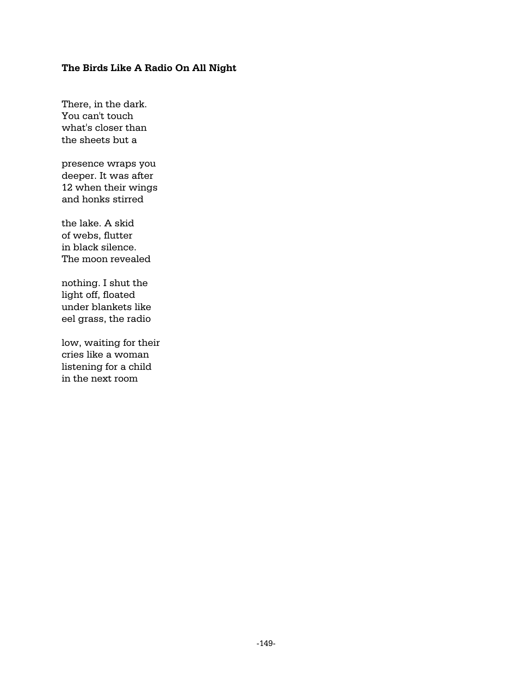### **The Birds Like A Radio On All Night**

There, in the dark. You can't touch what's closer than the sheets but a

presence wraps you deeper. It was after 12 when their wings and honks stirred

the lake. A skid of webs, flutter in black silence. The moon revealed

nothing. I shut the light off, floated under blankets like eel grass, the radio

low, waiting for their cries like a woman listening for a child in the next room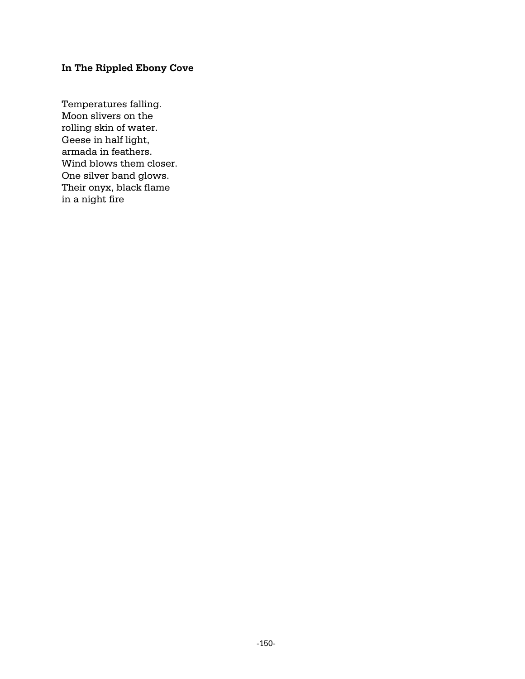### **In The Rippled Ebony Cove**

Temperatures falling. Moon slivers on the rolling skin of water. Geese in half light, armada in feathers. Wind blows them closer. One silver band glows. Their onyx, black flame in a night fire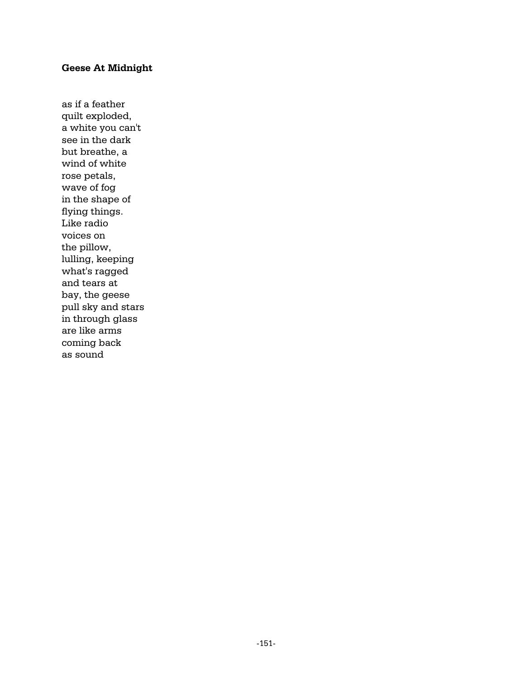### **Geese At Midnight**

as if a feather quilt exploded, a white you can't see in the dark but breathe, a wind of white rose petals, wave of fog in the shape of flying things. Like radio voices on the pillow, lulling, keeping what's ragged and tears at bay, the geese pull sky and stars in through glass are like arms coming back as sound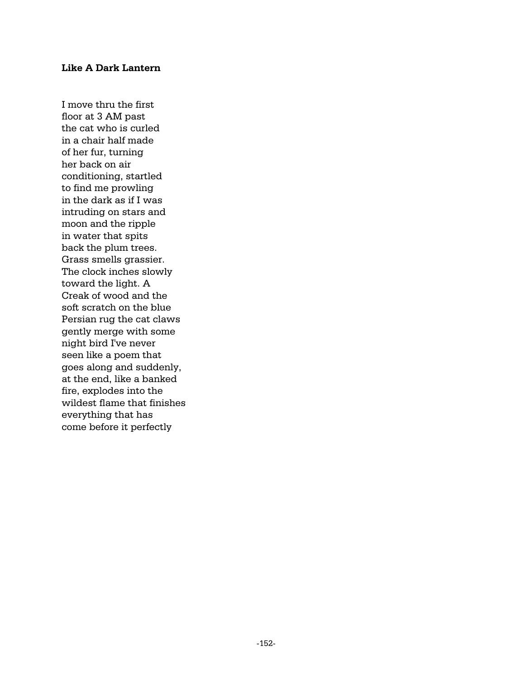### **Like A Dark Lantern**

I move thru the first floor at 3 AM past the cat who is curled in a chair half made of her fur, turning her back on air conditioning, startled to find me prowling in the dark as if I was intruding on stars and moon and the ripple in water that spits back the plum trees. Grass smells grassier. The clock inches slowly toward the light. A Creak of wood and the soft scratch on the blue Persian rug the cat claws gently merge with some night bird I've never seen like a poem that goes along and suddenly, at the end, like a banked fire, explodes into the wildest flame that finishes everything that has come before it perfectly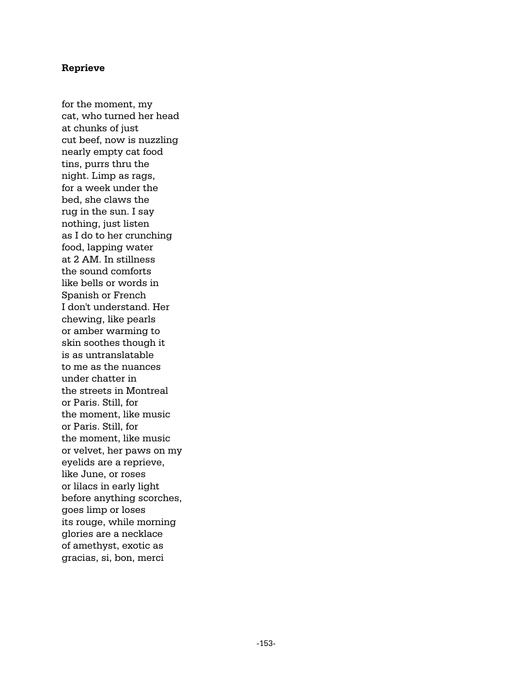#### **Reprieve**

for the moment, my cat, who turned her head at chunks of just cut beef, now is nuzzling nearly empty cat food tins, purrs thru the night. Limp as rags, for a week under the bed, she claws the rug in the sun. I say nothing, just listen as I do to her crunching food, lapping water at 2 AM. In stillness the sound comforts like bells or words in Spanish or French I don't understand. Her chewing, like pearls or amber warming to skin soothes though it is as untranslatable to me as the nuances under chatter in the streets in Montreal or Paris. Still, for the moment, like music or Paris. Still, for the moment, like music or velvet, her paws on my eyelids are a reprieve, like June, or roses or lilacs in early light before anything scorches, goes limp or loses its rouge, while morning glories are a necklace of amethyst, exotic as gracias, si, bon, merci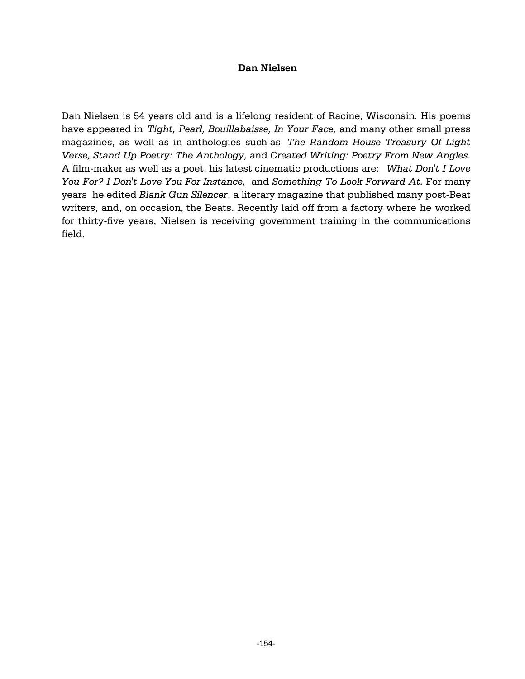#### **Dan Nielsen**

Dan Nielsen is 54 years old and is a lifelong resident of Racine, Wisconsin. His poems have appeared in *Tight, Pearl, Bouillabaisse, In Your Face,* and many other small press magazines, as well as in anthologies such as *The Random House Treasury Of Light Verse, Stand Up Poetry: The Anthology,* and *Created Writing: Poetry From New Angles.* A film-maker as well as a poet, his latest cinematic productions are: *What Don't I Love You For? I Don't Love You For Instance,* and *Something To Look Forward At.* For many years he edited *Blank Gun Silencer*, a literary magazine that published many post-Beat writers, and, on occasion, the Beats. Recently laid off from a factory where he worked for thirty-five years, Nielsen is receiving government training in the communications field.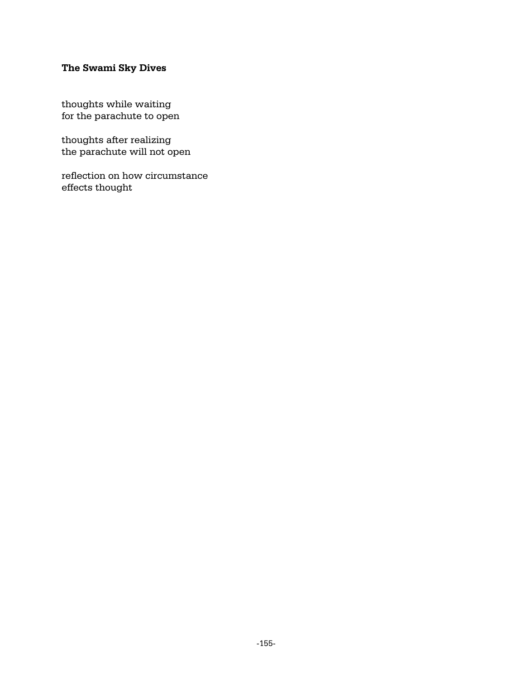### **The Swami Sky Dives**

thoughts while waiting for the parachute to open

thoughts after realizing the parachute will not open

reflection on how circumstance effects thought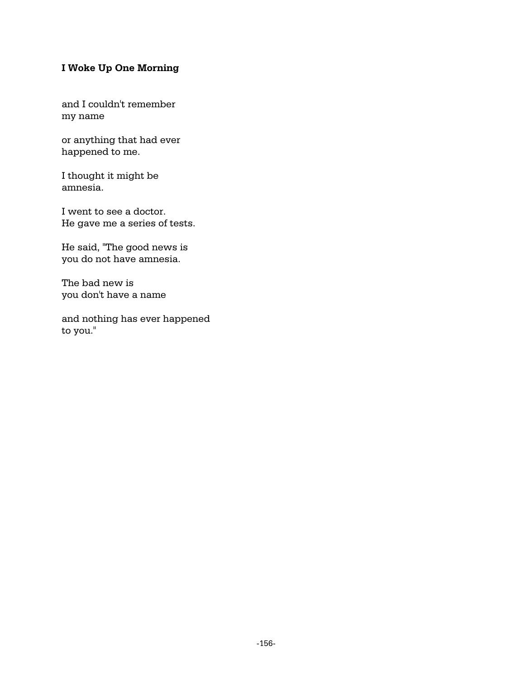### **I Woke Up One Morning**

and I couldn't remember my name

or anything that had ever happened to me.

I thought it might be amnesia.

I went to see a doctor. He gave me a series of tests.

He said, "The good news is you do not have amnesia.

The bad new is you don't have a name

and nothing has ever happened to you."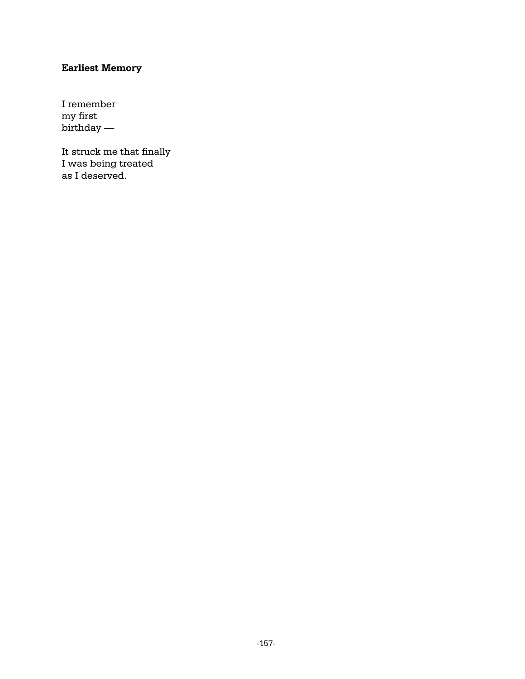# **Earliest Memory**

I remember my first birthday —

It struck me that finally I was being treated as I deserved.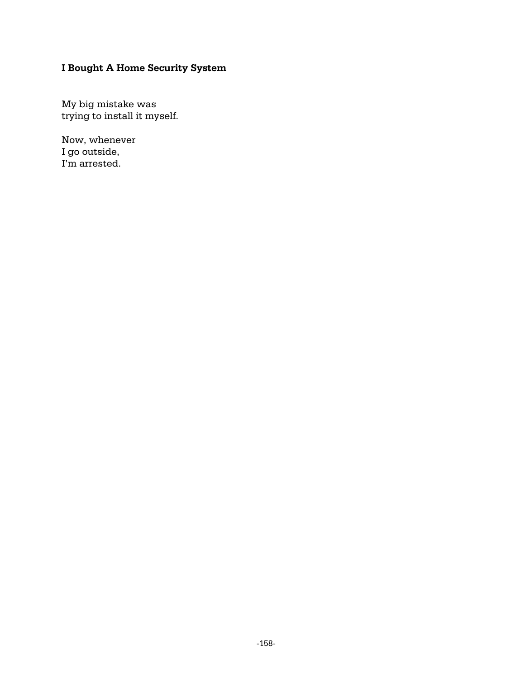# **I Bought A Home Security System**

My big mistake was trying to install it myself.

Now, whenever I go outside, I'm arrested.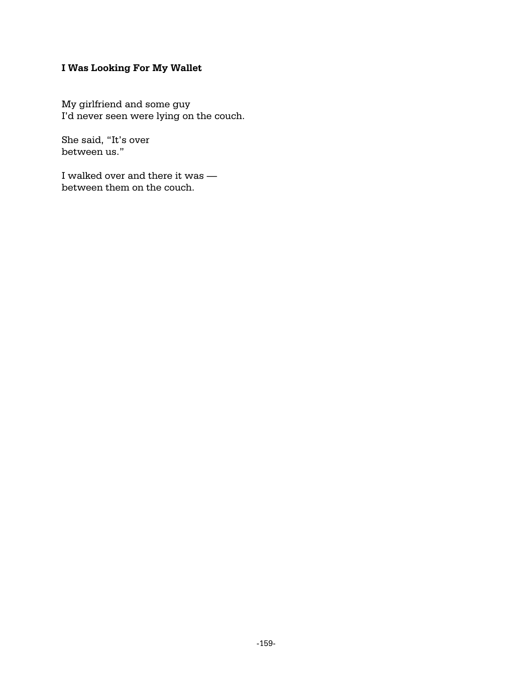### **I Was Looking For My Wallet**

My girlfriend and some guy I'd never seen were lying on the couch.

She said, "It's over between us."

I walked over and there it was between them on the couch.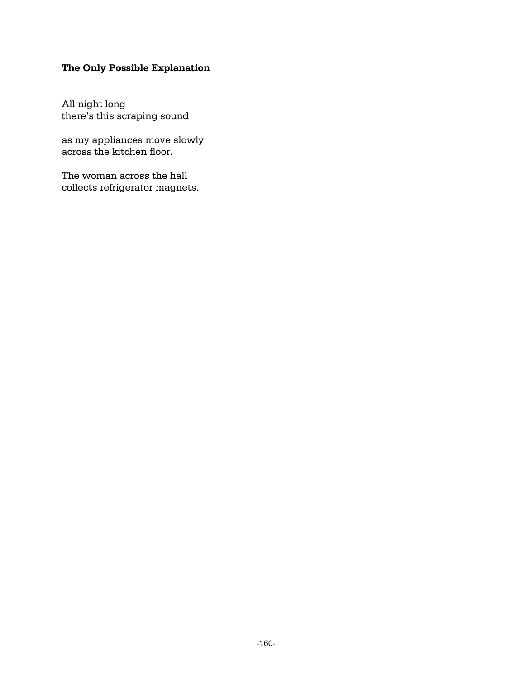### **The Only Possible Explanation**

All night long there's this scraping sound

as my appliances move slowly across the kitchen floor.

The woman across the hall collects refrigerator magnets.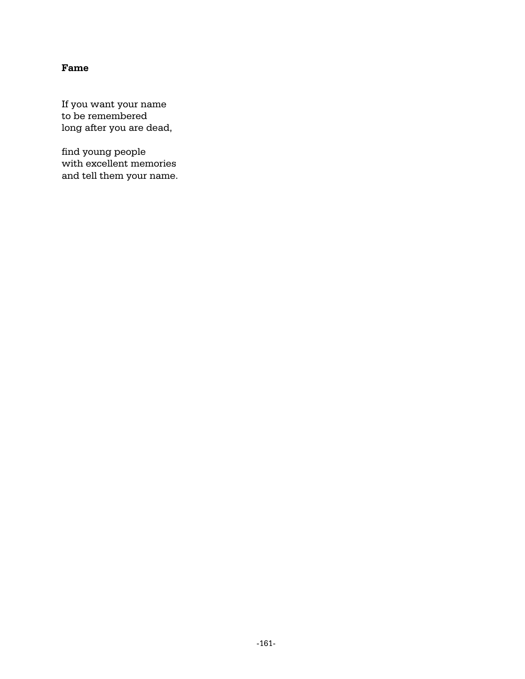### **Fame**

If you want your name to be remembered long after you are dead,

find young people with excellent memories and tell them your name.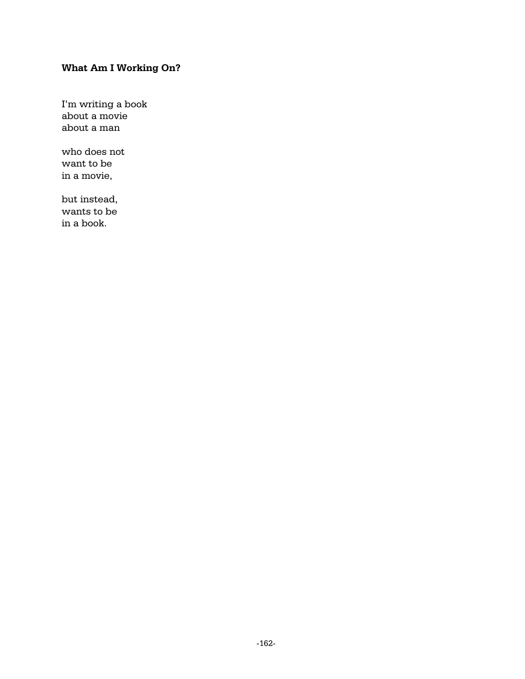## **What Am I Working On?**

I'm writing a book about a movie about a man

who does not want to be in a movie,

but instead, wants to be in a book.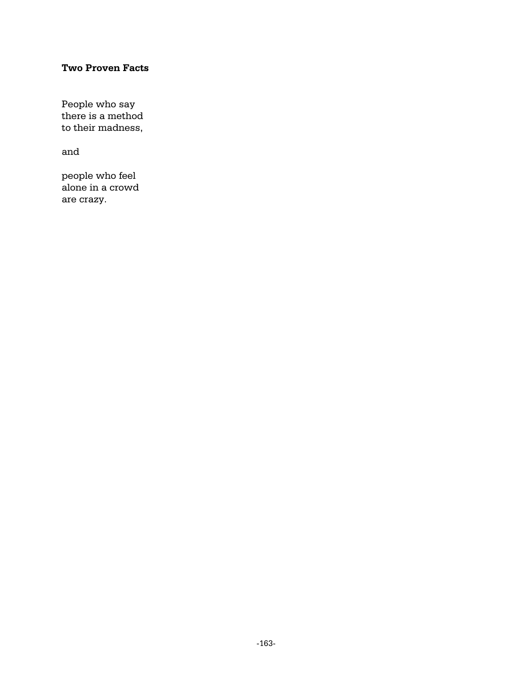### **Two Proven Facts**

People who say there is a method to their madness,

and

people who feel alone in a crowd are crazy.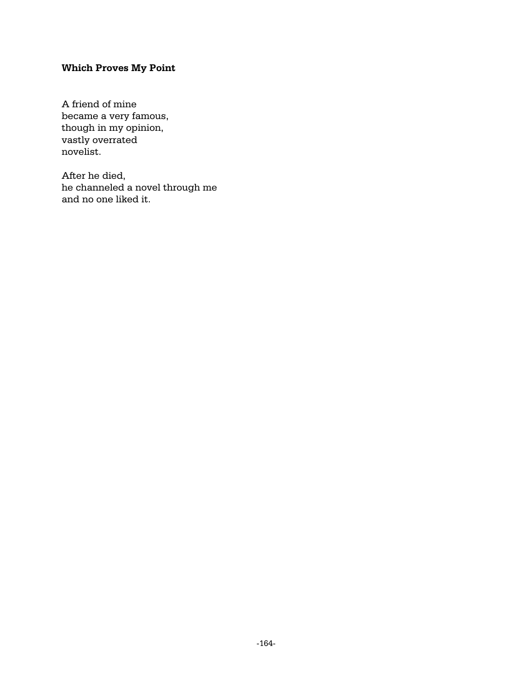### **Which Proves My Point**

A friend of mine became a very famous, though in my opinion, vastly overrated novelist.

After he died, he channeled a novel through me and no one liked it.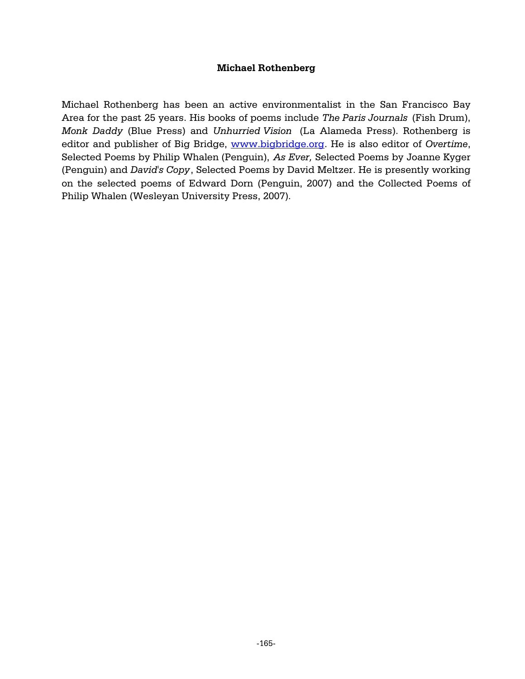#### **Michael Rothenberg**

Michael Rothenberg has been an active environmentalist in the San Francisco Bay Area for the past 25 years. His books of poems include *The Paris Journals* (Fish Drum), *Monk Daddy* (Blue Press) and *Unhurried Vision* (La Alameda Press). Rothenberg is editor and publisher of Big Bridge, www.bigbridge.org. He is also editor of *Overtime*, Selected Poems by Philip Whalen (Penguin), *As Ever,* Selected Poems by Joanne Kyger (Penguin) and *David's Copy*, Selected Poems by David Meltzer. He is presently working on the selected poems of Edward Dorn (Penguin, 2007) and the Collected Poems of Philip Whalen (Wesleyan University Press, 2007).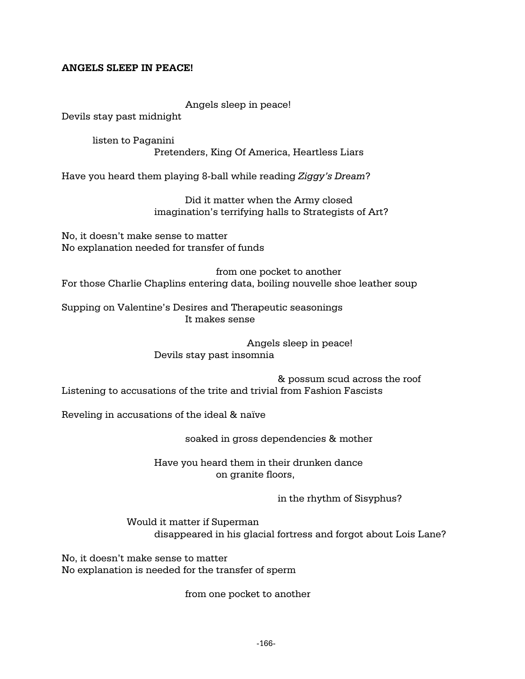#### **ANGELS SLEEP IN PEACE!**

Angels sleep in peace!

Devils stay past midnight

listen to Paganini Pretenders, King Of America, Heartless Liars

Have you heard them playing 8-ball while reading *Ziggy's Dream*?

Did it matter when the Army closed imagination's terrifying halls to Strategists of Art?

No, it doesn't make sense to matter No explanation needed for transfer of funds

from one pocket to another For those Charlie Chaplins entering data, boiling nouvelle shoe leather soup

Supping on Valentine's Desires and Therapeutic seasonings It makes sense

> Angels sleep in peace! Devils stay past insomnia

& possum scud across the roof Listening to accusations of the trite and trivial from Fashion Fascists

Reveling in accusations of the ideal & naïve

soaked in gross dependencies & mother

Have you heard them in their drunken dance on granite floors,

in the rhythm of Sisyphus?

 Would it matter if Superman disappeared in his glacial fortress and forgot about Lois Lane?

No, it doesn't make sense to matter No explanation is needed for the transfer of sperm

from one pocket to another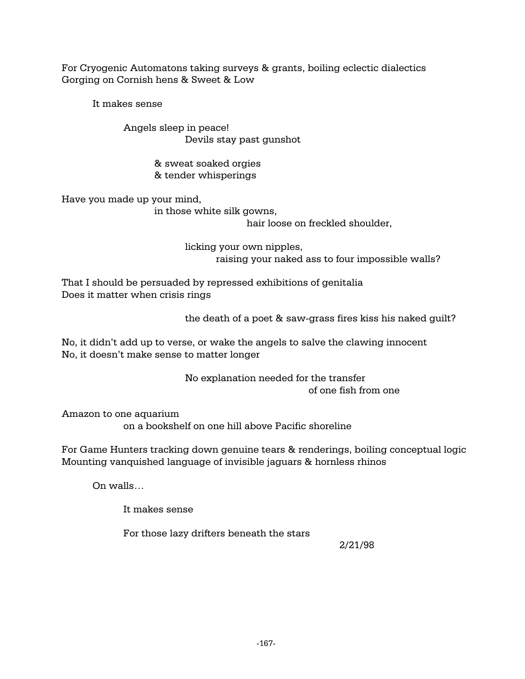For Cryogenic Automatons taking surveys & grants, boiling eclectic dialectics Gorging on Cornish hens & Sweet & Low

It makes sense

Angels sleep in peace! Devils stay past gunshot

> & sweat soaked orgies & tender whisperings

Have you made up your mind,

in those white silk gowns,

hair loose on freckled shoulder,

licking your own nipples, raising your naked ass to four impossible walls?

That I should be persuaded by repressed exhibitions of genitalia Does it matter when crisis rings

the death of a poet & saw-grass fires kiss his naked guilt?

No, it didn't add up to verse, or wake the angels to salve the clawing innocent No, it doesn't make sense to matter longer

> No explanation needed for the transfer of one fish from one

Amazon to one aquarium

on a bookshelf on one hill above Pacific shoreline

For Game Hunters tracking down genuine tears & renderings, boiling conceptual logic Mounting vanquished language of invisible jaguars & hornless rhinos

On walls…

It makes sense

For those lazy drifters beneath the stars

2/21/98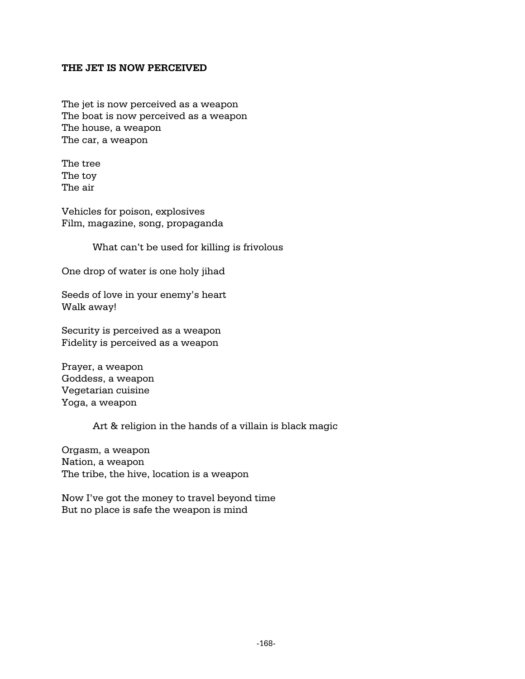#### **THE JET IS NOW PERCEIVED**

The jet is now perceived as a weapon The boat is now perceived as a weapon The house, a weapon The car, a weapon

The tree The toy The air

Vehicles for poison, explosives Film, magazine, song, propaganda

What can't be used for killing is frivolous

One drop of water is one holy jihad

Seeds of love in your enemy's heart Walk away!

Security is perceived as a weapon Fidelity is perceived as a weapon

Prayer, a weapon Goddess, a weapon Vegetarian cuisine Yoga, a weapon

Art & religion in the hands of a villain is black magic

Orgasm, a weapon Nation, a weapon The tribe, the hive, location is a weapon

Now I've got the money to travel beyond time But no place is safe the weapon is mind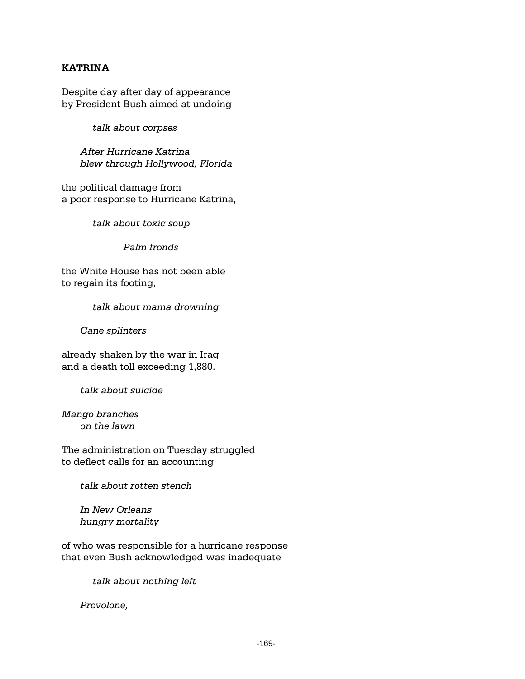### **KATRINA**

Despite day after day of appearance by President Bush aimed at undoing

*talk about corpses*

 *After Hurricane Katrina blew through Hollywood, Florida*

the political damage from a poor response to Hurricane Katrina,

*talk about toxic soup*

*Palm fronds*

the White House has not been able to regain its footing,

*talk about mama drowning*

 *Cane splinters*

already shaken by the war in Iraq and a death toll exceeding 1,880.

*talk about suicide*

*Mango branches on the lawn*

The administration on Tuesday struggled to deflect calls for an accounting

*talk about rotten stench*

 *In New Orleans hungry mortality* 

of who was responsible for a hurricane response that even Bush acknowledged was inadequate

*talk about nothing left*

 *Provolone,*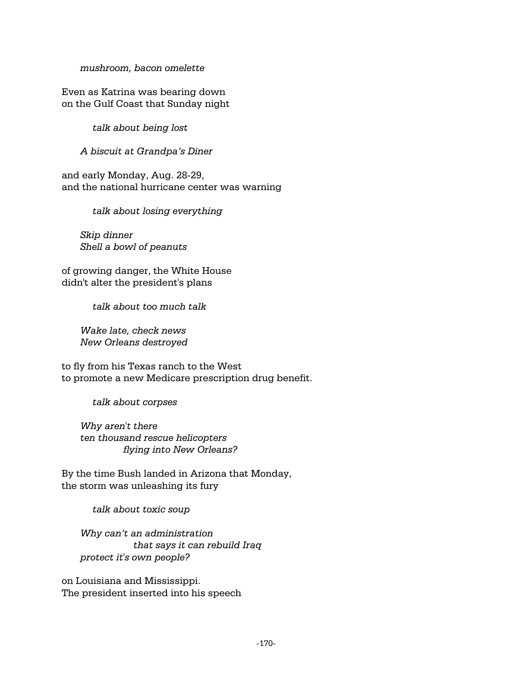*mushroom, bacon omelette*

Even as Katrina was bearing down on the Gulf Coast that Sunday night

*talk about being lost*

 *A biscuit at Grandpa's Diner*

and early Monday, Aug. 28-29, and the national hurricane center was warning

*talk about losing everything*

 *Skip dinner Shell a bowl of peanuts*

of growing danger, the White House didn't alter the president's plans

*talk about too much talk*

 *Wake late, check news New Orleans destroyed*

to fly from his Texas ranch to the West to promote a new Medicare prescription drug benefit.

*talk about corpses*

 *Why aren't there ten thousand rescue helicopters flying into New Orleans?*

By the time Bush landed in Arizona that Monday, the storm was unleashing its fury

*talk about toxic soup*

 *Why can't an administration that says it can rebuild Iraq protect it's own people?*

on Louisiana and Mississippi. The president inserted into his speech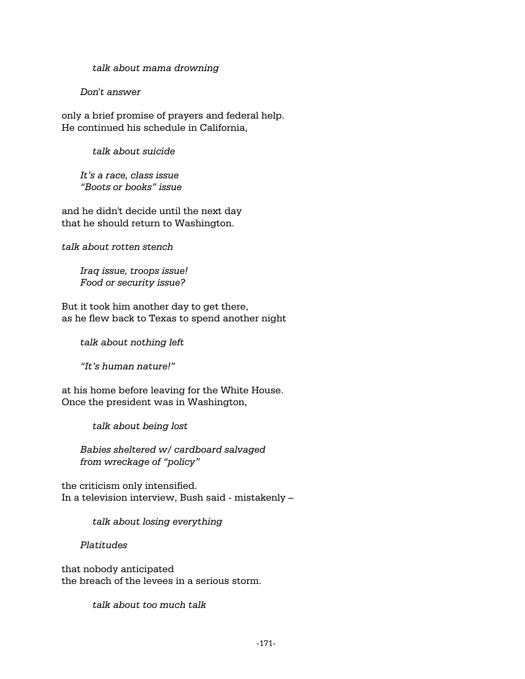*talk about mama drowning* 

 *Don't answer*

only a brief promise of prayers and federal help. He continued his schedule in California,

*talk about suicide*

 *It's a race, class issue "Boots or books" issue*

and he didn't decide until the next day that he should return to Washington.

*talk about rotten stench*

 *Iraq issue, troops issue! Food or security issue?*

But it took him another day to get there, as he flew back to Texas to spend another night

 *talk about nothing left*

 *"It's human nature!"*

at his home before leaving for the White House. Once the president was in Washington,

*talk about being lost*

 *Babies sheltered w/ cardboard salvaged from wreckage of "policy"*

the criticism only intensified. In a television interview, Bush said - mistakenly –

*talk about losing everything*

 *Platitudes*

that nobody anticipated the breach of the levees in a serious storm.

*talk about too much talk*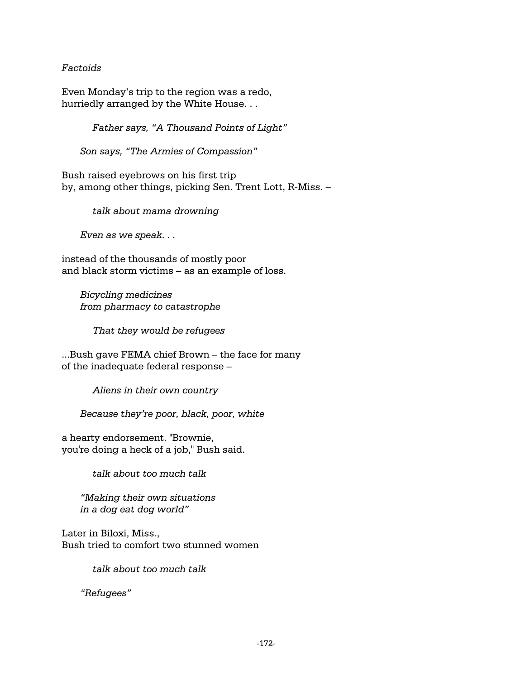### *Factoids*

Even Monday's trip to the region was a redo, hurriedly arranged by the White House. . .

 *Father says, "A Thousand Points of Light"*

 *Son says, "The Armies of Compassion"*

Bush raised eyebrows on his first trip by, among other things, picking Sen. Trent Lott, R-Miss. –

*talk about mama drowning*

 *Even as we speak. . .*

instead of the thousands of mostly poor and black storm victims – as an example of loss.

 *Bicycling medicines from pharmacy to catastrophe*

*That they would be refugees*

...Bush gave FEMA chief Brown – the face for many of the inadequate federal response –

 *Aliens in their own country*

 *Because they're poor, black, poor, white*

a hearty endorsement. "Brownie, you're doing a heck of a job," Bush said.

*talk about too much talk*

 *"Making their own situations in a dog eat dog world"*

Later in Biloxi, Miss., Bush tried to comfort two stunned women

*talk about too much talk*

 *"Refugees"*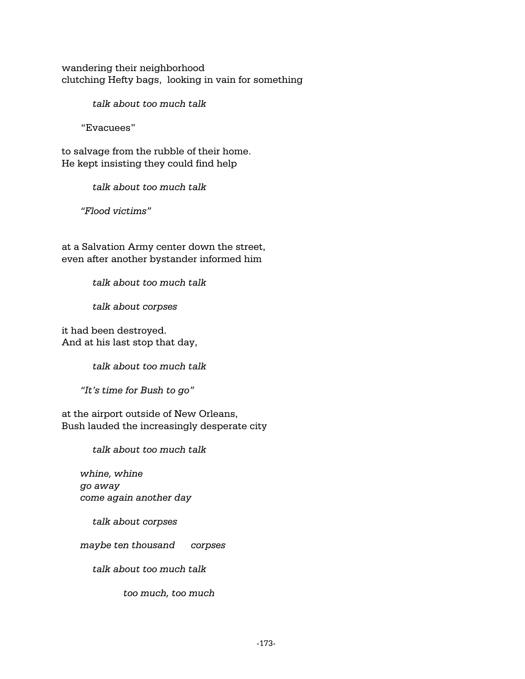wandering their neighborhood clutching Hefty bags, looking in vain for something

 *talk about too much talk*

"Evacuees"

to salvage from the rubble of their home. He kept insisting they could find help

*talk about too much talk*

 *"Flood victims"*

at a Salvation Army center down the street, even after another bystander informed him

*talk about too much talk*

*talk about corpses*

it had been destroyed. And at his last stop that day,

*talk about too much talk*

 *"It's time for Bush to go"*

at the airport outside of New Orleans, Bush lauded the increasingly desperate city

*talk about too much talk*

 *whine, whine go away come again another day*

*talk about corpses*

 *maybe ten thousand corpses*

*talk about too much talk*

*too much, too much*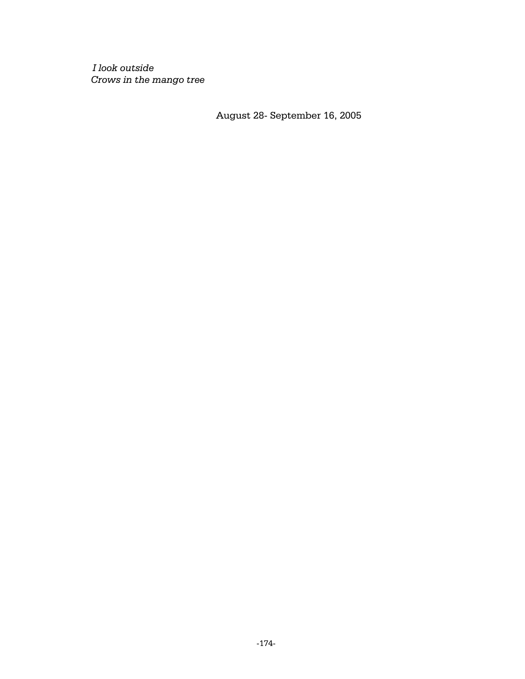*I look outside Crows in the mango tree*

August 28- September 16, 2005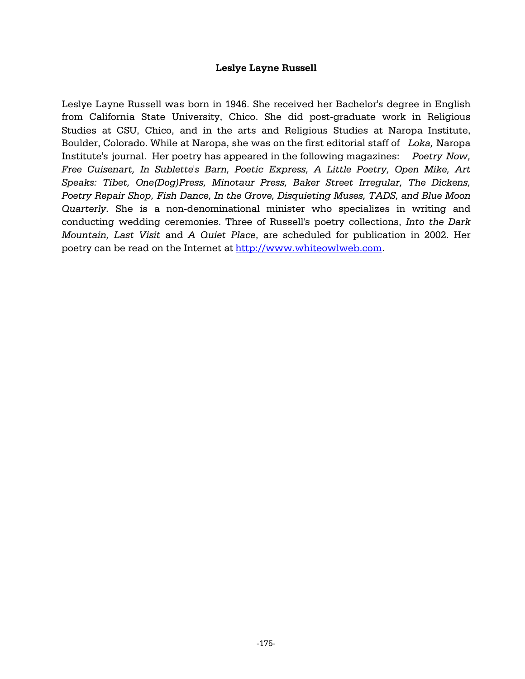#### **Leslye Layne Russell**

Leslye Layne Russell was born in 1946. She received her Bachelor's degree in English from California State University, Chico. She did post-graduate work in Religious Studies at CSU, Chico, and in the arts and Religious Studies at Naropa Institute, Boulder, Colorado. While at Naropa, she was on the first editorial staff of *Loka,* Naropa Institute's journal. Her poetry has appeared in the following magazines: *Poetry Now, Free Cuisenart, In Sublette's Barn, Poetic Express, A Little Poetry, Open Mike, Art Speaks: Tibet, One(Dog)Press, Minotaur Press, Baker Street Irregular, The Dickens, Poetry Repair Shop, Fish Dance, In the Grove, Disquieting Muses, TADS, and Blue Moon Quarterly.* She is a non-denominational minister who specializes in writing and conducting wedding ceremonies. Three of Russell's poetry collections, *Into the Dark Mountain, Last Visit* and *A Quiet Place*, are scheduled for publication in 2002. Her poetry can be read on the Internet at http://www.whiteowlweb.com.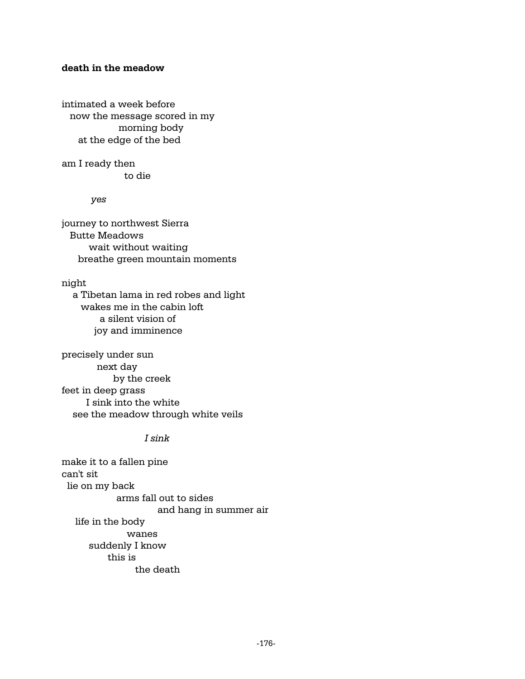### **death in the meadow**

intimated a week before now the message scored in my morning body at the edge of the bed

am I ready then to die

*yes*

journey to northwest Sierra Butte Meadows wait without waiting breathe green mountain moments

#### night

 a Tibetan lama in red robes and light wakes me in the cabin loft a silent vision of joy and imminence

precisely under sun next day by the creek feet in deep grass I sink into the white see the meadow through white veils

#### *I sink*

make it to a fallen pine can't sit lie on my back arms fall out to sides and hang in summer air life in the body wanes suddenly I know this is the death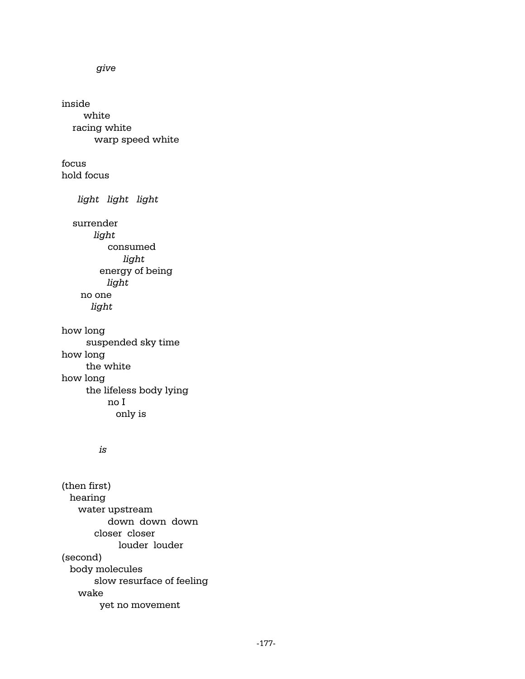inside white racing white warp speed white focus hold focus *light light light* surrender *light* consumed *light* energy of being *light* no one *light* how long suspended sky time how long the white how long the lifeless body lying no I only is *is* (then first) hearing water upstream down down down closer closer louder louder (second) body molecules slow resurface of feeling wake yet no movement

*give*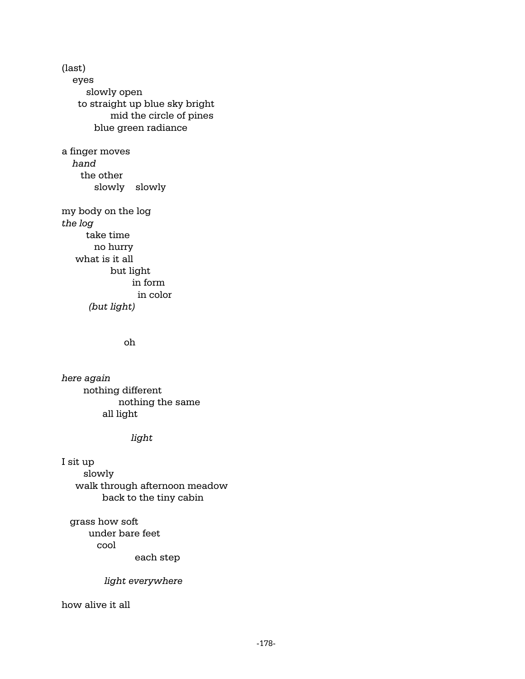(last) eyes slowly open to straight up blue sky bright mid the circle of pines blue green radiance a finger moves *hand* the other slowly slowly my body on the log *the log* take time no hurry what is it all but light in form in color *(but light)*

oh

*here again* nothing different nothing the same all light

*light*

I sit up slowly walk through afternoon meadow back to the tiny cabin

 grass how soft under bare feet cool

each step

*light everywhere*

how alive it all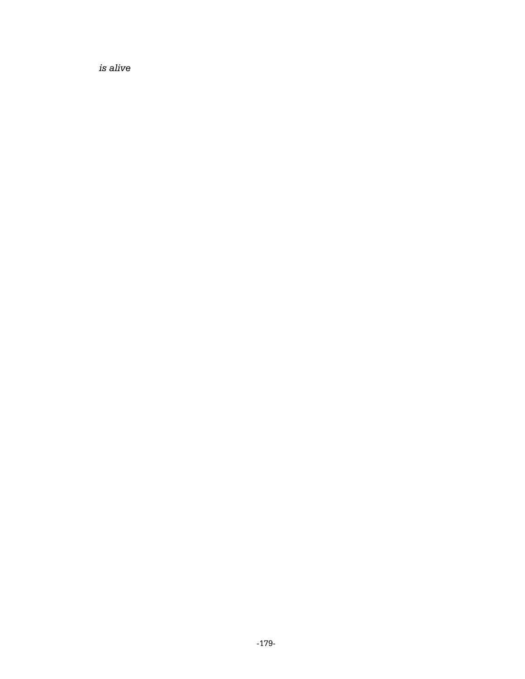*is alive*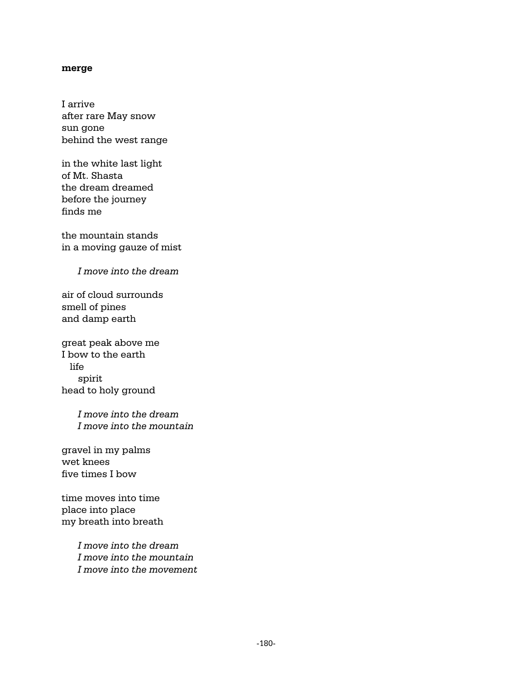#### **merge**

I arrive after rare May snow sun gone behind the west range

in the white last light of Mt. Shasta the dream dreamed before the journey finds me

the mountain stands in a moving gauze of mist

*I move into the dream*

air of cloud surrounds smell of pines and damp earth

great peak above me I bow to the earth life spirit head to holy ground

> *I move into the dream I move into the mountain*

gravel in my palms wet knees five times I bow

time moves into time place into place my breath into breath

> *I move into the dream I move into the mountain I move into the movement*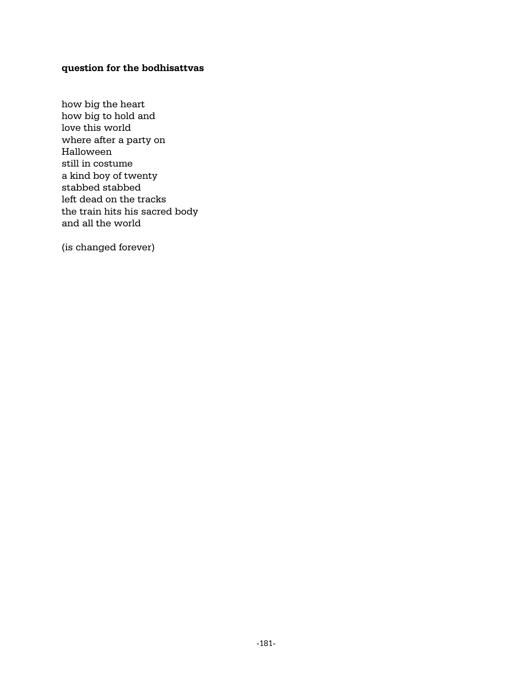# **question for the bodhisattvas**

how big the heart how big to hold and love this world where after a party on Halloween still in costume a kind boy of twenty stabbed stabbed left dead on the tracks the train hits his sacred body and all the world

(is changed forever)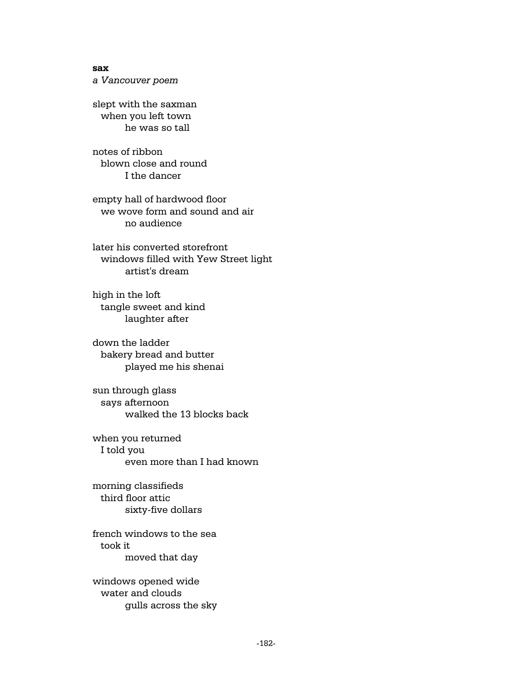#### **sax**

*a Vancouver poem*

slept with the saxman when you left town he was so tall

notes of ribbon blown close and round I the dancer

empty hall of hardwood floor we wove form and sound and air no audience

later his converted storefront windows filled with Yew Street light artist's dream

high in the loft tangle sweet and kind laughter after

down the ladder bakery bread and butter played me his shenai

sun through glass says afternoon walked the 13 blocks back

when you returned I told you even more than I had known

morning classifieds third floor attic sixty-five dollars

french windows to the sea took it moved that day

windows opened wide water and clouds gulls across the sky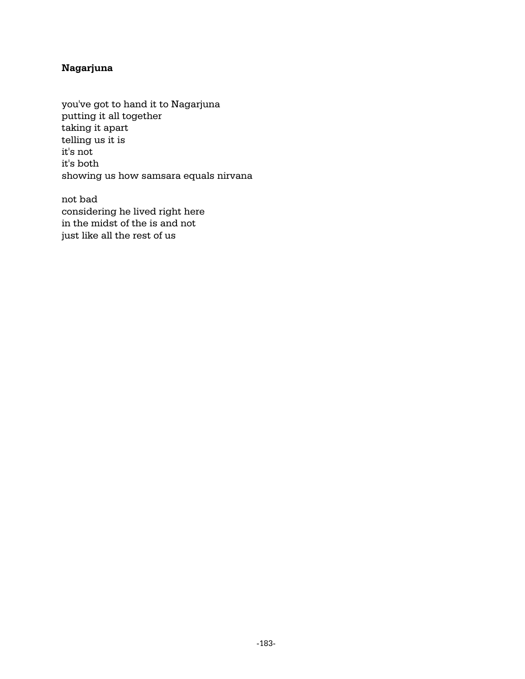# **Nagarjuna**

you've got to hand it to Nagarjuna putting it all together taking it apart telling us it is it's not it's both showing us how samsara equals nirvana

not bad considering he lived right here in the midst of the is and not just like all the rest of us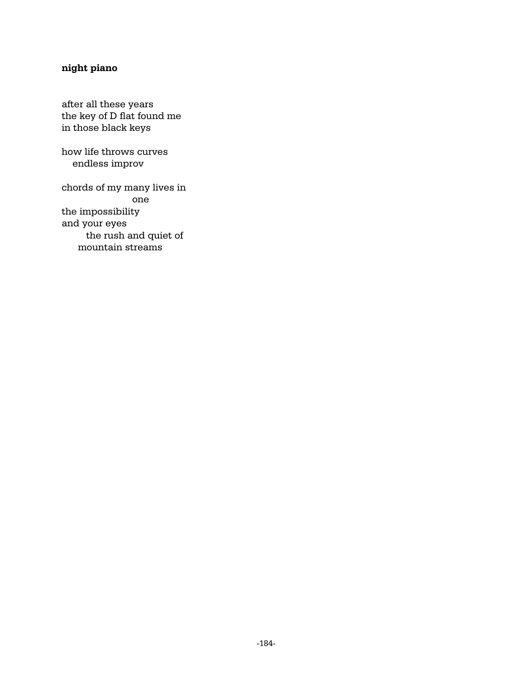# **night piano**

after all these years the key of D flat found me in those black keys

how life throws curves endless improv

chords of my many lives in one the impossibility and your eyes the rush and quiet of mountain streams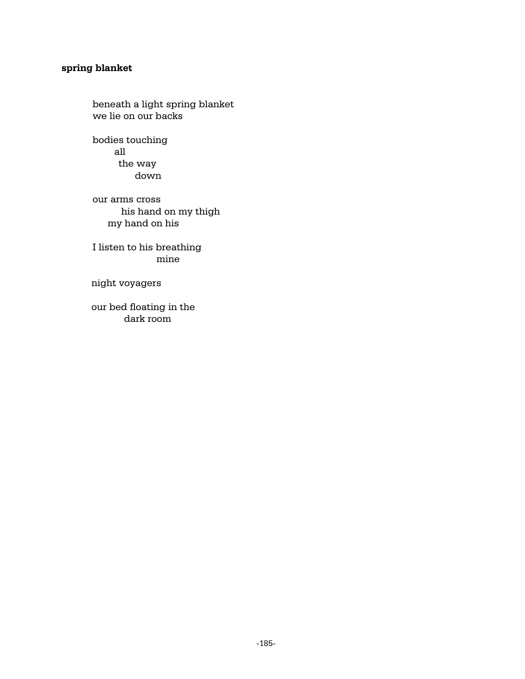# **spring blanket**

beneath a light spring blanket we lie on our backs

 bodies touching all the way down

 our arms cross his hand on my thigh my hand on his

 I listen to his breathing mine

night voyagers

 our bed floating in the dark room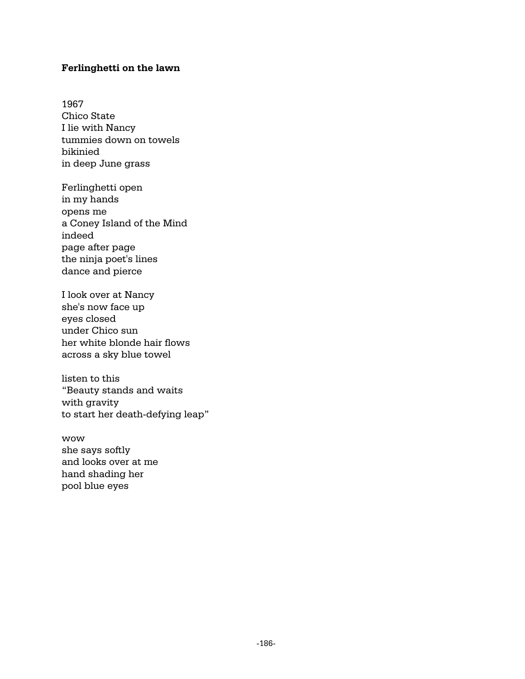#### **Ferlinghetti on the lawn**

1967 Chico State I lie with Nancy tummies down on towels bikinied in deep June grass

Ferlinghetti open in my hands opens me a Coney Island of the Mind indeed page after page the ninja poet's lines dance and pierce

I look over at Nancy she's now face up eyes closed under Chico sun her white blonde hair flows across a sky blue towel

listen to this "Beauty stands and waits with gravity to start her death-defying leap"

wow she says softly and looks over at me hand shading her pool blue eyes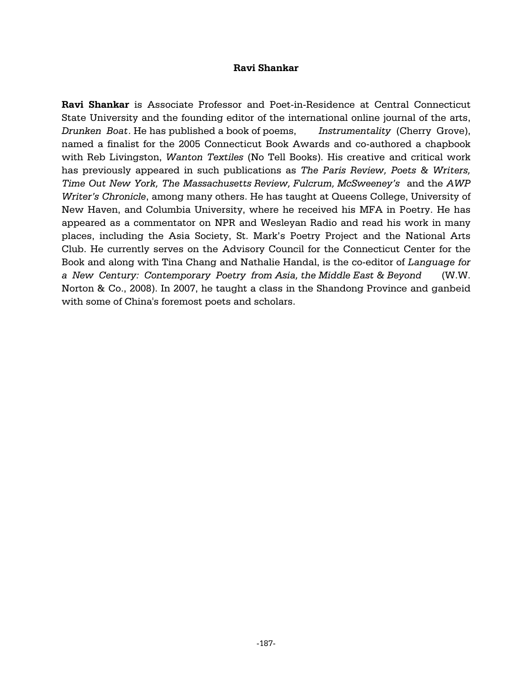#### **Ravi Shankar**

**Ravi Shankar** is Associate Professor and Poet-in-Residence at Central Connecticut State University and the founding editor of the international online journal of the arts, *Drunken Boat*. He has published a book of poems, *Instrumentality* (Cherry Grove), named a finalist for the 2005 Connecticut Book Awards and co-authored a chapbook with Reb Livingston, *Wanton Textiles* (No Tell Books). His creative and critical work has previously appeared in such publications as *The Paris Review, Poets & Writers, Time Out New York, The Massachusetts Review, Fulcrum, McSweeney's* and the *AWP Writer's Chronicle*, among many others. He has taught at Queens College, University of New Haven, and Columbia University, where he received his MFA in Poetry. He has appeared as a commentator on NPR and Wesleyan Radio and read his work in many places, including the Asia Society, St. Mark's Poetry Project and the National Arts Club. He currently serves on the Advisory Council for the Connecticut Center for the Book and along with Tina Chang and Nathalie Handal, is the co-editor of *Language for a New Century: Contemporary Poetry from Asia, the Middle East & Beyond* (W.W. Norton & Co., 2008). In 2007, he taught a class in the Shandong Province and ganbeid with some of China's foremost poets and scholars.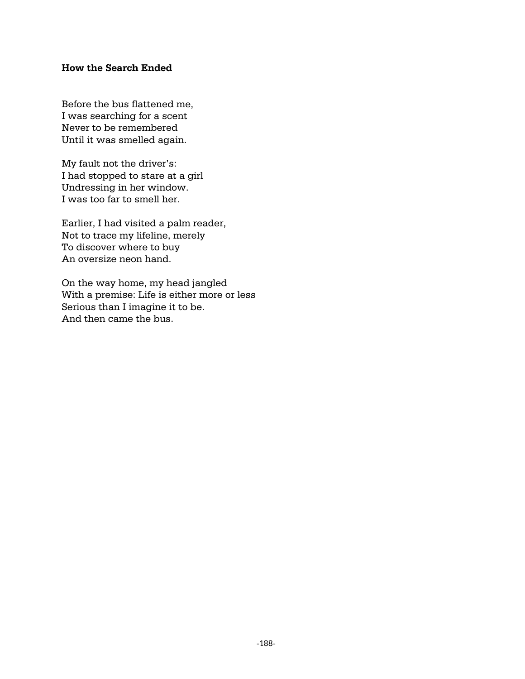### **How the Search Ended**

Before the bus flattened me, I was searching for a scent Never to be remembered Until it was smelled again.

My fault not the driver's: I had stopped to stare at a girl Undressing in her window. I was too far to smell her.

Earlier, I had visited a palm reader, Not to trace my lifeline, merely To discover where to buy An oversize neon hand.

On the way home, my head jangled With a premise: Life is either more or less Serious than I imagine it to be. And then came the bus.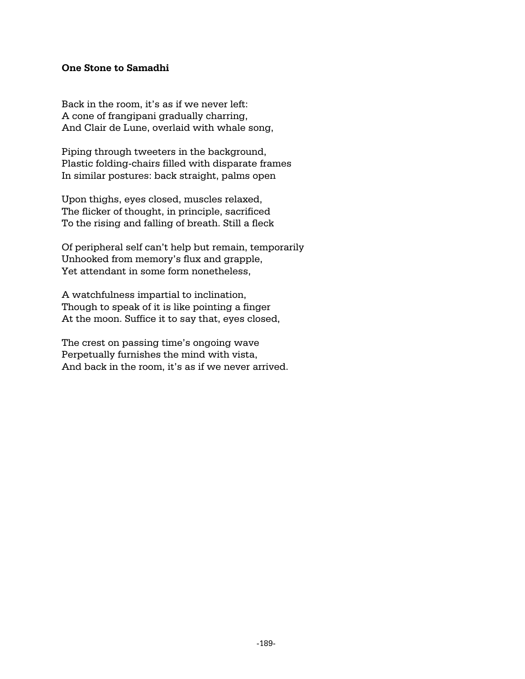#### **One Stone to Samadhi**

Back in the room, it's as if we never left: A cone of frangipani gradually charring, And Clair de Lune, overlaid with whale song,

Piping through tweeters in the background, Plastic folding-chairs filled with disparate frames In similar postures: back straight, palms open

Upon thighs, eyes closed, muscles relaxed, The flicker of thought, in principle, sacrificed To the rising and falling of breath. Still a fleck

Of peripheral self can't help but remain, temporarily Unhooked from memory's flux and grapple, Yet attendant in some form nonetheless,

A watchfulness impartial to inclination, Though to speak of it is like pointing a finger At the moon. Suffice it to say that, eyes closed,

The crest on passing time's ongoing wave Perpetually furnishes the mind with vista, And back in the room, it's as if we never arrived.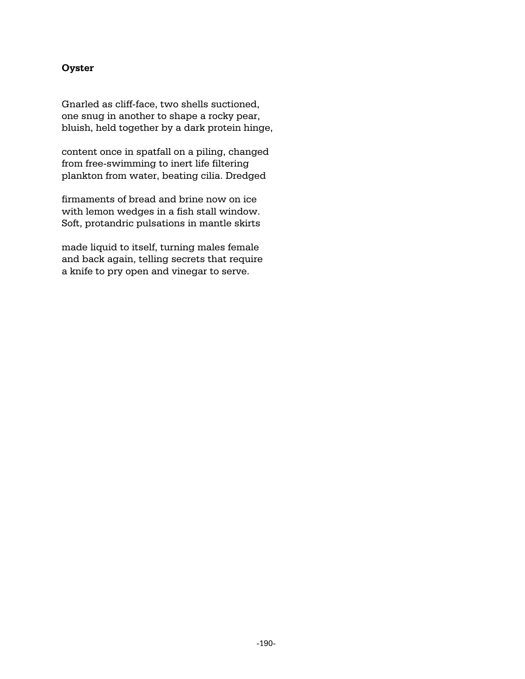### **Oyster**

Gnarled as cliff-face, two shells suctioned, one snug in another to shape a rocky pear, bluish, held together by a dark protein hinge,

content once in spatfall on a piling, changed from free-swimming to inert life filtering plankton from water, beating cilia. Dredged

firmaments of bread and brine now on ice with lemon wedges in a fish stall window. Soft, protandric pulsations in mantle skirts

made liquid to itself, turning males female and back again, telling secrets that require a knife to pry open and vinegar to serve.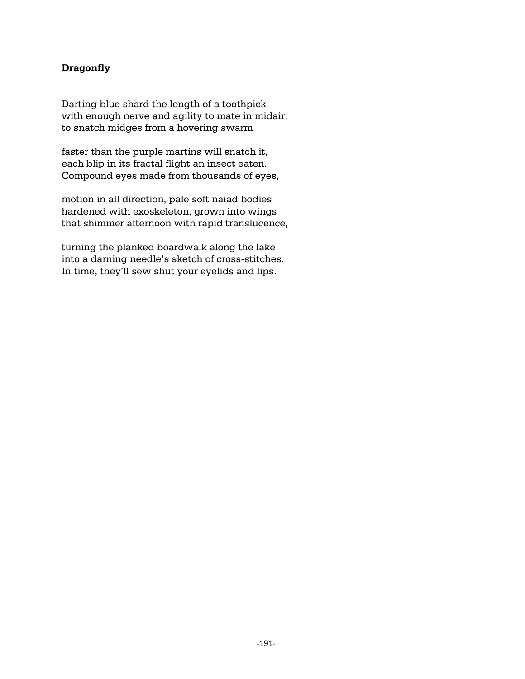## **Dragonfly**

Darting blue shard the length of a toothpick with enough nerve and agility to mate in midair, to snatch midges from a hovering swarm

faster than the purple martins will snatch it, each blip in its fractal flight an insect eaten. Compound eyes made from thousands of eyes,

motion in all direction, pale soft naiad bodies hardened with exoskeleton, grown into wings that shimmer afternoon with rapid translucence,

turning the planked boardwalk along the lake into a darning needle's sketch of cross-stitches. In time, they'll sew shut your eyelids and lips.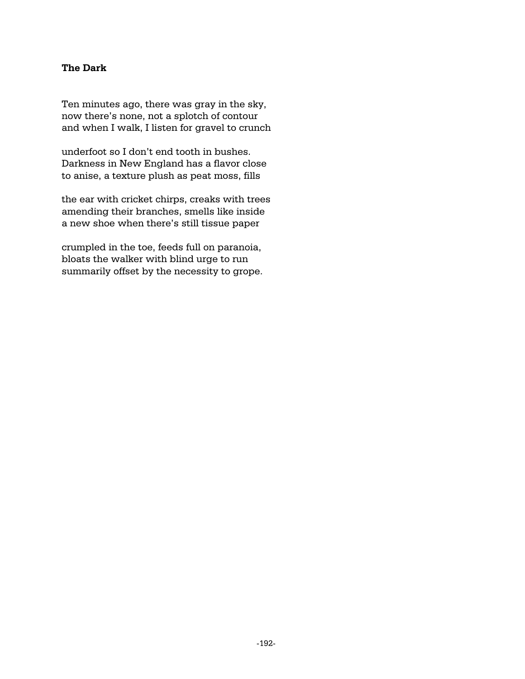## **The Dark**

Ten minutes ago, there was gray in the sky, now there's none, not a splotch of contour and when I walk, I listen for gravel to crunch

underfoot so I don't end tooth in bushes. Darkness in New England has a flavor close to anise, a texture plush as peat moss, fills

the ear with cricket chirps, creaks with trees amending their branches, smells like inside a new shoe when there's still tissue paper

crumpled in the toe, feeds full on paranoia, bloats the walker with blind urge to run summarily offset by the necessity to grope.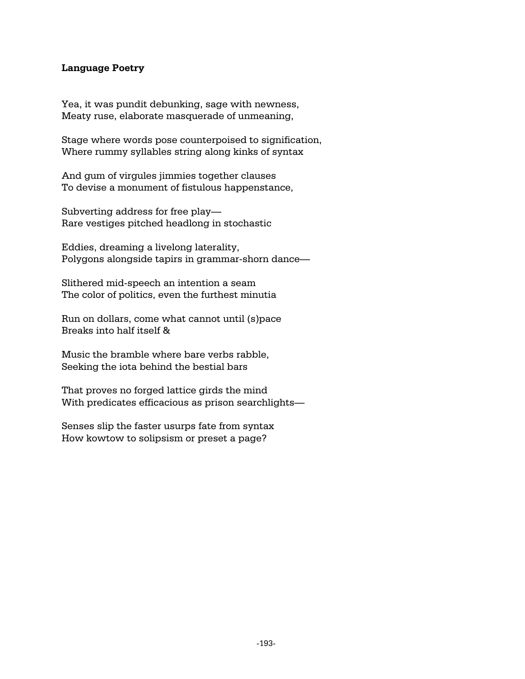### **Language Poetry**

Yea, it was pundit debunking, sage with newness, Meaty ruse, elaborate masquerade of unmeaning,

Stage where words pose counterpoised to signification, Where rummy syllables string along kinks of syntax

And gum of virgules jimmies together clauses To devise a monument of fistulous happenstance,

Subverting address for free play— Rare vestiges pitched headlong in stochastic

Eddies, dreaming a livelong laterality, Polygons alongside tapirs in grammar-shorn dance—

Slithered mid-speech an intention a seam The color of politics, even the furthest minutia

Run on dollars, come what cannot until (s)pace Breaks into half itself &

Music the bramble where bare verbs rabble, Seeking the iota behind the bestial bars

That proves no forged lattice girds the mind With predicates efficacious as prison searchlights—

Senses slip the faster usurps fate from syntax How kowtow to solipsism or preset a page?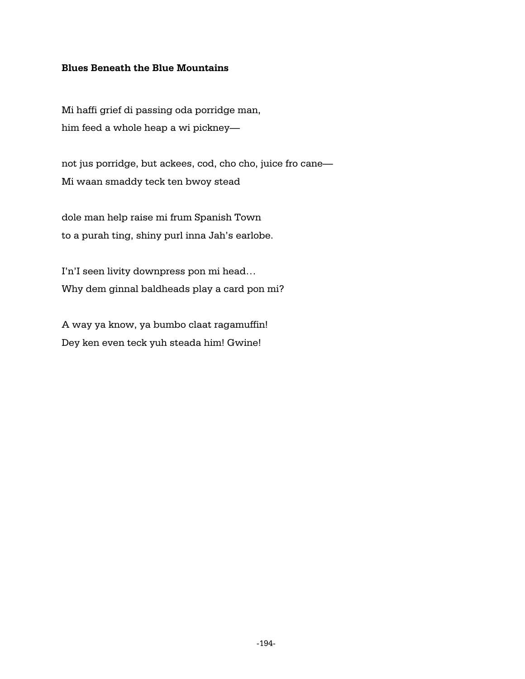## **Blues Beneath the Blue Mountains**

Mi haffi grief di passing oda porridge man, him feed a whole heap a wi pickney—

not jus porridge, but ackees, cod, cho cho, juice fro cane— Mi waan smaddy teck ten bwoy stead

dole man help raise mi frum Spanish Town to a purah ting, shiny purl inna Jah's earlobe.

I'n'I seen livity downpress pon mi head… Why dem ginnal baldheads play a card pon mi?

A way ya know, ya bumbo claat ragamuffin! Dey ken even teck yuh steada him! Gwine!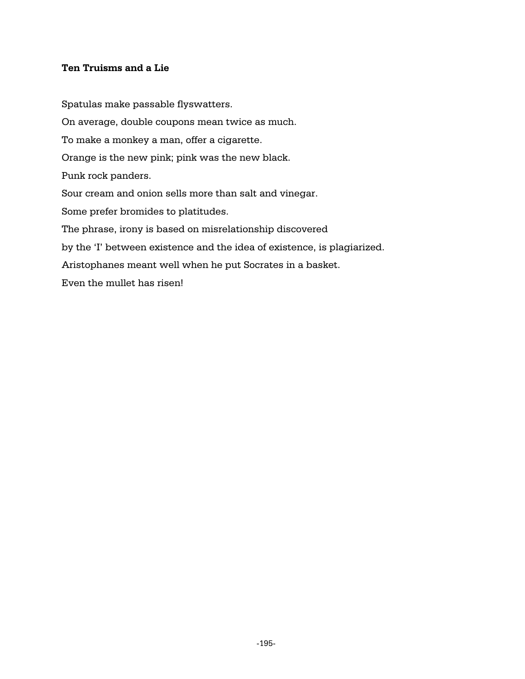## **Ten Truisms and a Lie**

Spatulas make passable flyswatters. On average, double coupons mean twice as much. To make a monkey a man, offer a cigarette. Orange is the new pink; pink was the new black. Punk rock panders. Sour cream and onion sells more than salt and vinegar. Some prefer bromides to platitudes. The phrase, irony is based on misrelationship discovered by the 'I' between existence and the idea of existence, is plagiarized. Aristophanes meant well when he put Socrates in a basket. Even the mullet has risen!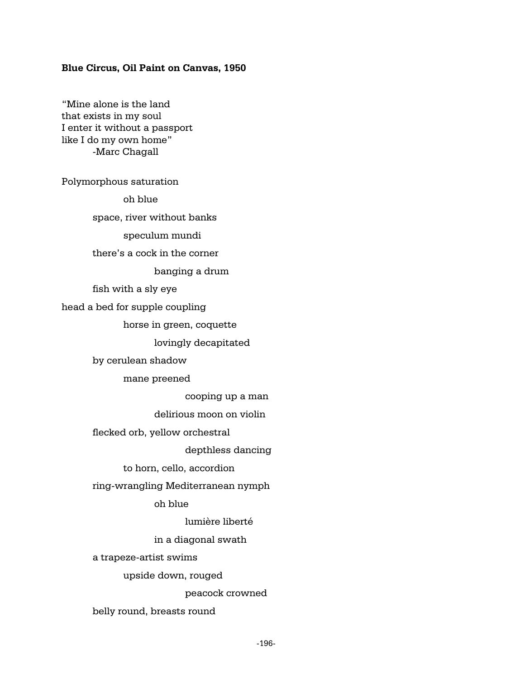#### **Blue Circus, Oil Paint on Canvas, 1950**

"Mine alone is the land that exists in my soul I enter it without a passport like I do my own home" -Marc Chagall

Polymorphous saturation oh blue space, river without banks speculum mundi there's a cock in the corner banging a drum fish with a sly eye head a bed for supple coupling horse in green, coquette lovingly decapitated by cerulean shadow mane preened cooping up a man delirious moon on violin flecked orb, yellow orchestral depthless dancing to horn, cello, accordion ring-wrangling Mediterranean nymph oh blue lumière liberté in a diagonal swath a trapeze-artist swims upside down, rouged peacock crowned belly round, breasts round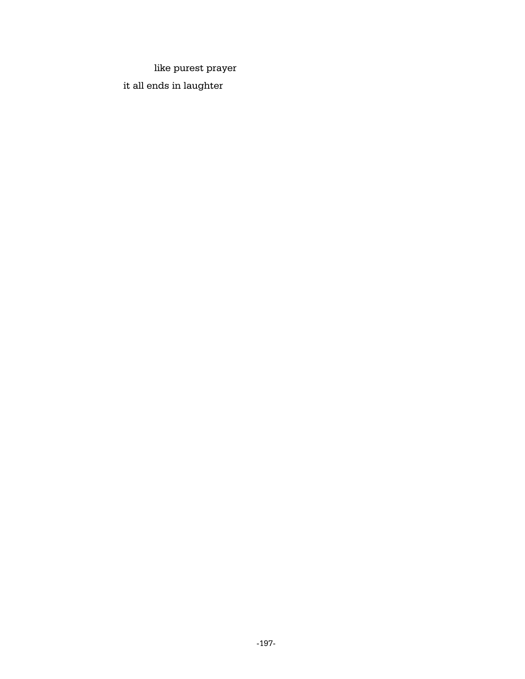like purest prayer

it all ends in laughter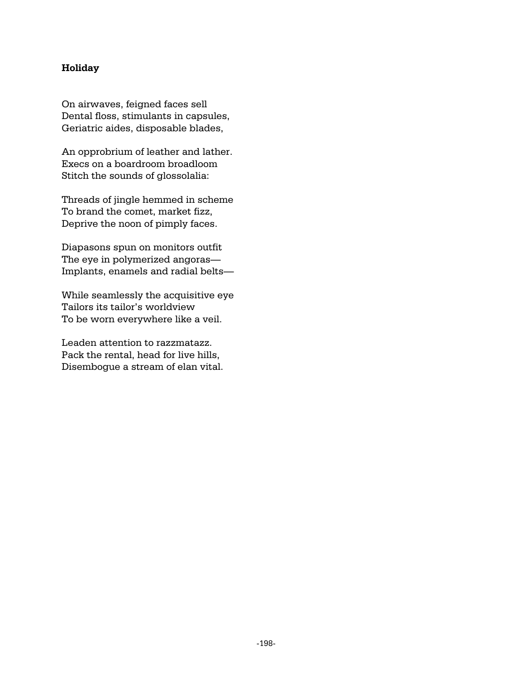### **Holiday**

On airwaves, feigned faces sell Dental floss, stimulants in capsules, Geriatric aides, disposable blades,

An opprobrium of leather and lather. Execs on a boardroom broadloom Stitch the sounds of glossolalia:

Threads of jingle hemmed in scheme To brand the comet, market fizz, Deprive the noon of pimply faces.

Diapasons spun on monitors outfit The eye in polymerized angoras— Implants, enamels and radial belts—

While seamlessly the acquisitive eye Tailors its tailor's worldview To be worn everywhere like a veil.

Leaden attention to razzmatazz. Pack the rental, head for live hills, Disembogue a stream of elan vital.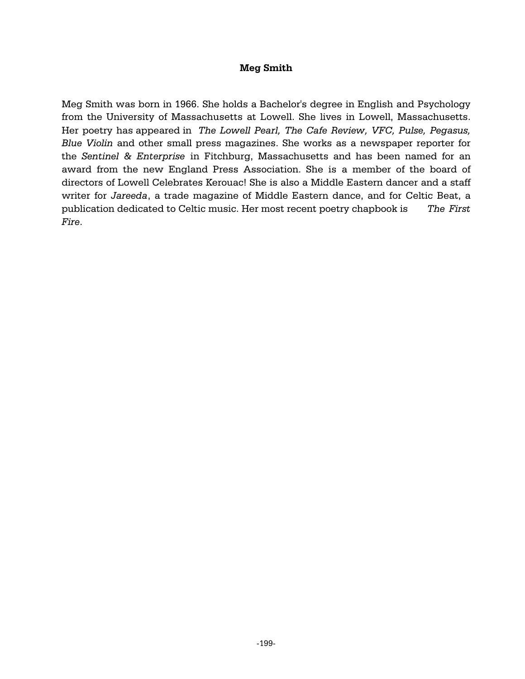#### **Meg Smith**

Meg Smith was born in 1966. She holds a Bachelor's degree in English and Psychology from the University of Massachusetts at Lowell. She lives in Lowell, Massachusetts. Her poetry has appeared in *The Lowell Pearl, The Cafe Review, VFC, Pulse, Pegasus, Blue Violin* and other small press magazines. She works as a newspaper reporter for the *Sentinel & Enterprise* in Fitchburg, Massachusetts and has been named for an award from the new England Press Association. She is a member of the board of directors of Lowell Celebrates Kerouac! She is also a Middle Eastern dancer and a staff writer for *Jareeda*, a trade magazine of Middle Eastern dance, and for Celtic Beat, a publication dedicated to Celtic music. Her most recent poetry chapbook is *The First Fire*.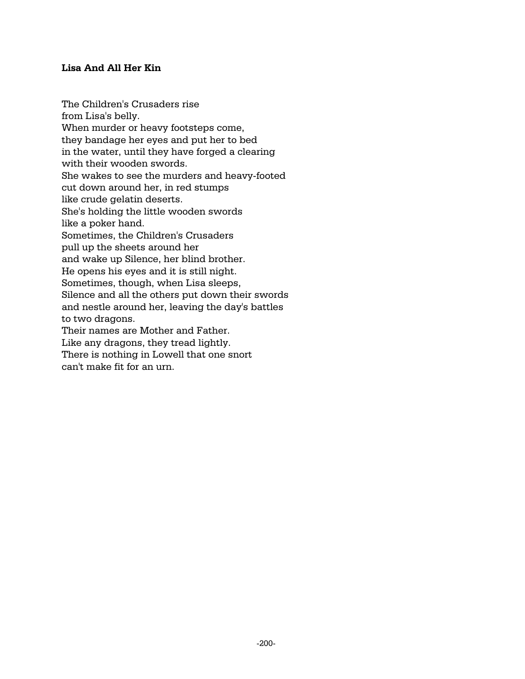### **Lisa And All Her Kin**

The Children's Crusaders rise from Lisa's belly. When murder or heavy footsteps come, they bandage her eyes and put her to bed in the water, until they have forged a clearing with their wooden swords. She wakes to see the murders and heavy-footed cut down around her, in red stumps like crude gelatin deserts. She's holding the little wooden swords like a poker hand. Sometimes, the Children's Crusaders pull up the sheets around her and wake up Silence, her blind brother. He opens his eyes and it is still night. Sometimes, though, when Lisa sleeps, Silence and all the others put down their swords and nestle around her, leaving the day's battles to two dragons. Their names are Mother and Father. Like any dragons, they tread lightly. There is nothing in Lowell that one snort

can't make fit for an urn.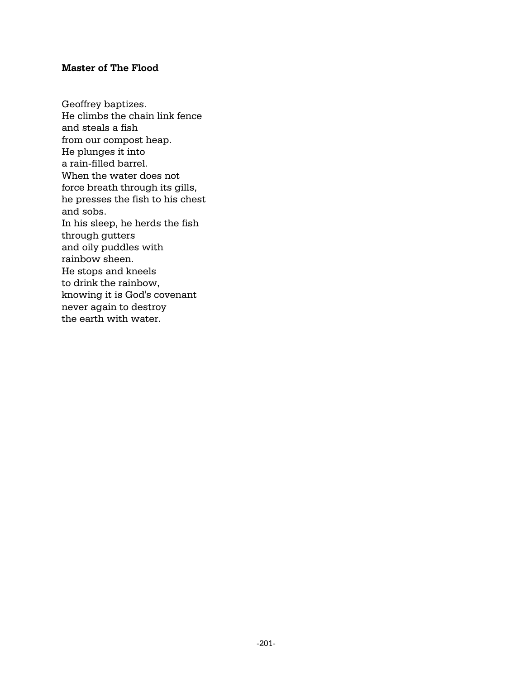### **Master of The Flood**

Geoffrey baptizes. He climbs the chain link fence and steals a fish from our compost heap. He plunges it into a rain-filled barrel. When the water does not force breath through its gills, he presses the fish to his chest and sobs. In his sleep, he herds the fish through gutters and oily puddles with rainbow sheen. He stops and kneels to drink the rainbow, knowing it is God's covenant never again to destroy the earth with water.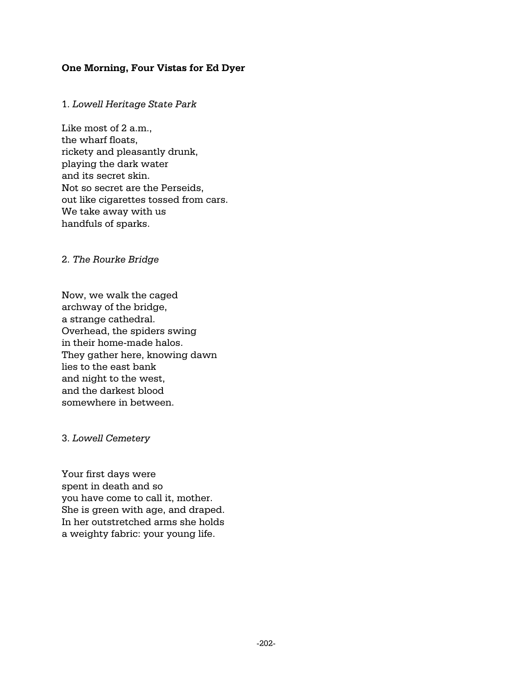### **One Morning, Four Vistas for Ed Dyer**

1. *Lowell Heritage State Park*

Like most of 2 a.m., the wharf floats, rickety and pleasantly drunk, playing the dark water and its secret skin. Not so secret are the Perseids, out like cigarettes tossed from cars. We take away with us handfuls of sparks.

2. *The Rourke Bridge*

Now, we walk the caged archway of the bridge, a strange cathedral. Overhead, the spiders swing in their home-made halos. They gather here, knowing dawn lies to the east bank and night to the west, and the darkest blood somewhere in between.

3. *Lowell Cemetery*

Your first days were spent in death and so you have come to call it, mother. She is green with age, and draped. In her outstretched arms she holds a weighty fabric: your young life.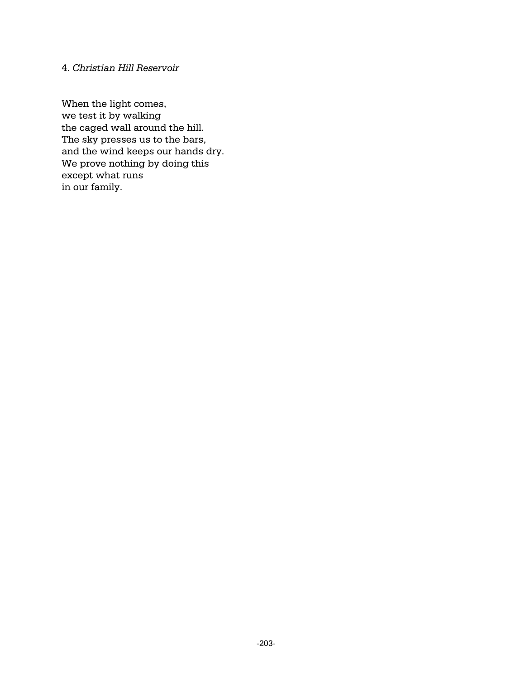### 4. *Christian Hill Reservoir*

When the light comes, we test it by walking the caged wall around the hill. The sky presses us to the bars, and the wind keeps our hands dry. We prove nothing by doing this except what runs in our family.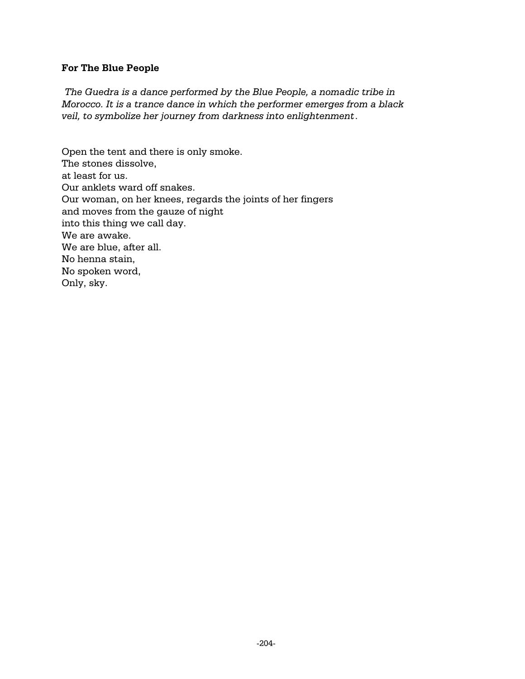#### **For The Blue People**

*The Guedra is a dance performed by the Blue People, a nomadic tribe in Morocco. It is a trance dance in which the performer emerges from a black veil, to symbolize her journey from darkness into enlightenment*.

Open the tent and there is only smoke. The stones dissolve, at least for us. Our anklets ward off snakes. Our woman, on her knees, regards the joints of her fingers and moves from the gauze of night into this thing we call day. We are awake. We are blue, after all. No henna stain, No spoken word, Only, sky.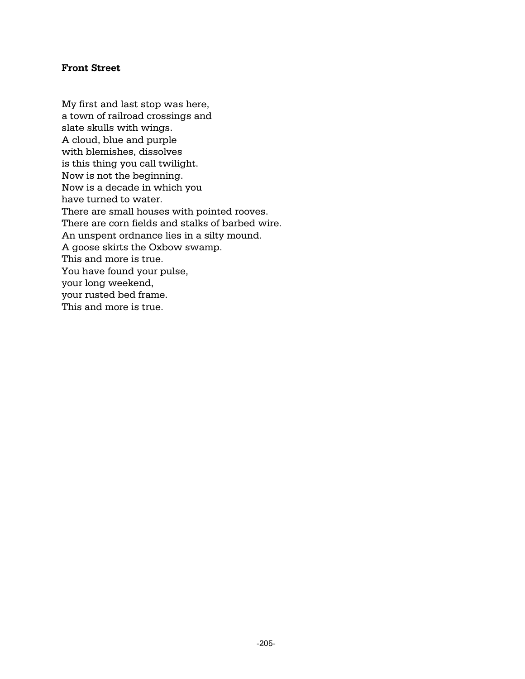## **Front Street**

My first and last stop was here, a town of railroad crossings and slate skulls with wings. A cloud, blue and purple with blemishes, dissolves is this thing you call twilight. Now is not the beginning. Now is a decade in which you have turned to water. There are small houses with pointed rooves. There are corn fields and stalks of barbed wire. An unspent ordnance lies in a silty mound. A goose skirts the Oxbow swamp. This and more is true. You have found your pulse, your long weekend, your rusted bed frame. This and more is true.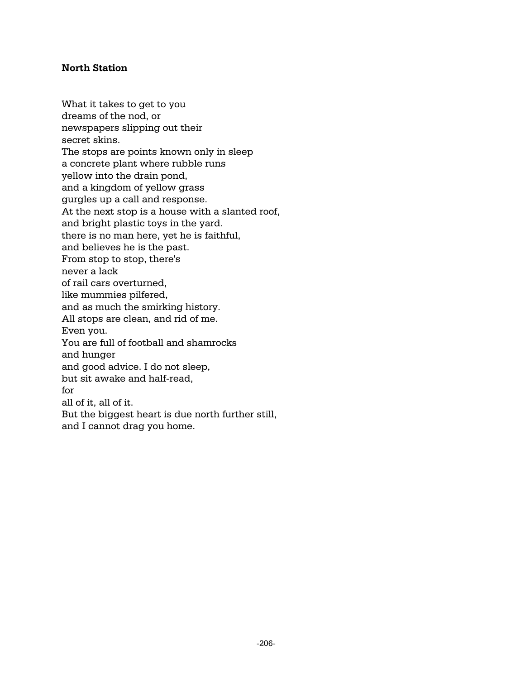### **North Station**

What it takes to get to you dreams of the nod, or newspapers slipping out their secret skins. The stops are points known only in sleep a concrete plant where rubble runs yellow into the drain pond, and a kingdom of yellow grass gurgles up a call and response. At the next stop is a house with a slanted roof, and bright plastic toys in the yard. there is no man here, yet he is faithful, and believes he is the past. From stop to stop, there's never a lack of rail cars overturned, like mummies pilfered, and as much the smirking history. All stops are clean, and rid of me. Even you. You are full of football and shamrocks and hunger and good advice. I do not sleep, but sit awake and half-read, for all of it, all of it. But the biggest heart is due north further still, and I cannot drag you home.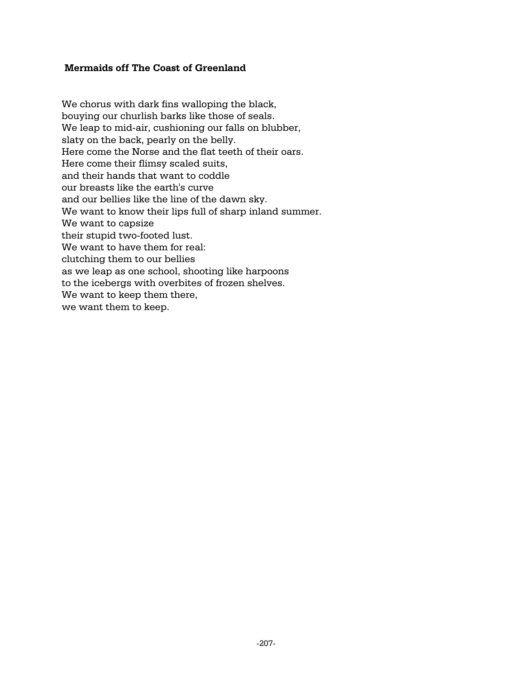## **Mermaids off The Coast of Greenland**

We chorus with dark fins walloping the black, bouying our churlish barks like those of seals. We leap to mid-air, cushioning our falls on blubber, slaty on the back, pearly on the belly. Here come the Norse and the flat teeth of their oars. Here come their flimsy scaled suits, and their hands that want to coddle our breasts like the earth's curve and our bellies like the line of the dawn sky. We want to know their lips full of sharp inland summer. We want to capsize their stupid two-footed lust. We want to have them for real: clutching them to our bellies as we leap as one school, shooting like harpoons to the icebergs with overbites of frozen shelves. We want to keep them there, we want them to keep.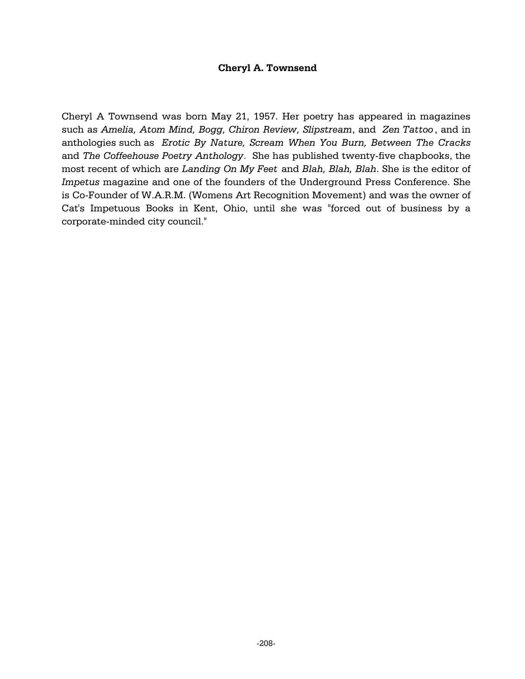### **Cheryl A. Townsend**

Cheryl A Townsend was born May 21, 1957. Her poetry has appeared in magazines such as *Amelia, Atom Mind, Bogg, Chiron Review, Slipstream*, and *Zen Tattoo* , and in anthologies such as *Erotic By Nature, Scream When You Burn, Between The Cracks* and *The Coffeehouse Poetry Anthology*. She has published twenty-five chapbooks, the most recent of which are *Landing On My Feet* and *Blah, Blah, Blah*. She is the editor of *Impetus* magazine and one of the founders of the Underground Press Conference. She is Co-Founder of W.A.R.M. (Womens Art Recognition Movement) and was the owner of Cat's Impetuous Books in Kent, Ohio, until she was "forced out of business by a corporate-minded city council."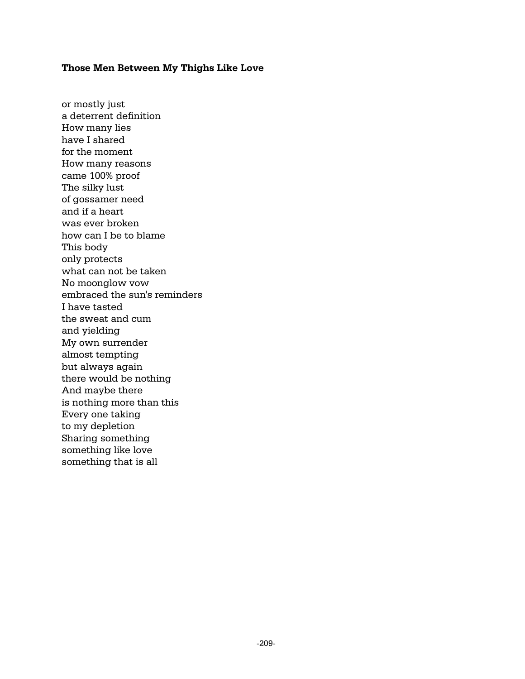#### **Those Men Between My Thighs Like Love**

or mostly just a deterrent definition How many lies have I shared for the moment How many reasons came 100% proof The silky lust of gossamer need and if a heart was ever broken how can I be to blame This body only protects what can not be taken No moonglow vow embraced the sun's reminders I have tasted the sweat and cum and yielding My own surrender almost tempting but always again there would be nothing And maybe there is nothing more than this Every one taking to my depletion Sharing something something like love something that is all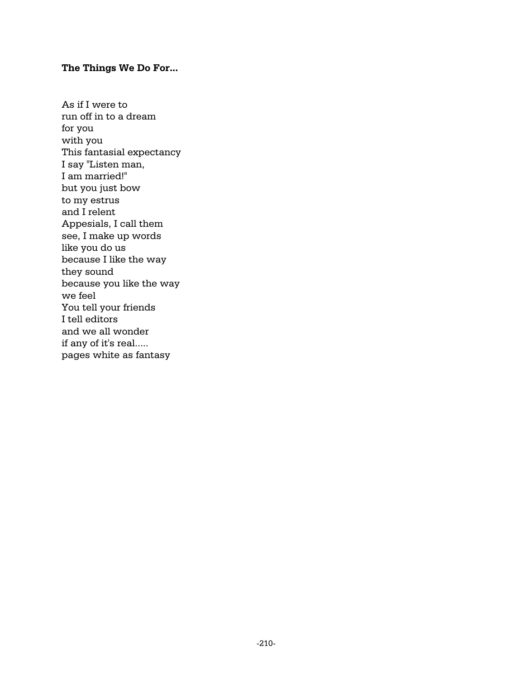#### **The Things We Do For...**

As if I were to run off in to a dream for you with you This fantasial expectancy I say "Listen man, I am married!" but you just bow to my estrus and I relent Appesials, I call them see, I make up words like you do us because I like the way they sound because you like the way we feel You tell your friends I tell editors and we all wonder if any of it's real..... pages white as fantasy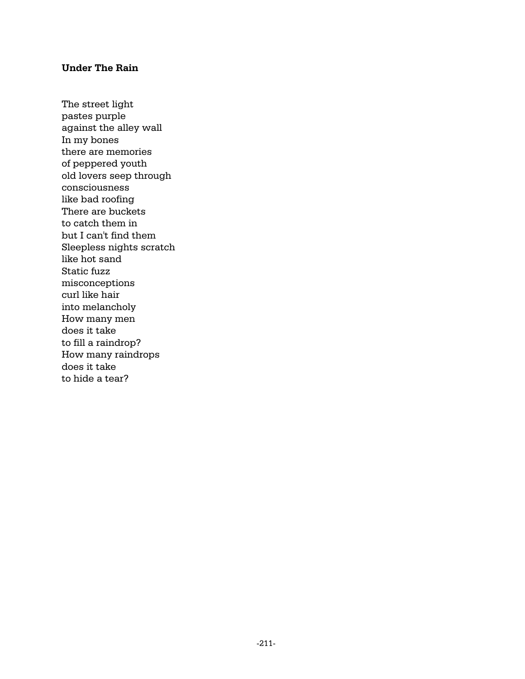### **Under The Rain**

The street light pastes purple against the alley wall In my bones there are memories of peppered youth old lovers seep through consciousness like bad roofing There are buckets to catch them in but I can't find them Sleepless nights scratch like hot sand Static fuzz misconceptions curl like hair into melancholy How many men does it take to fill a raindrop? How many raindrops does it take to hide a tear?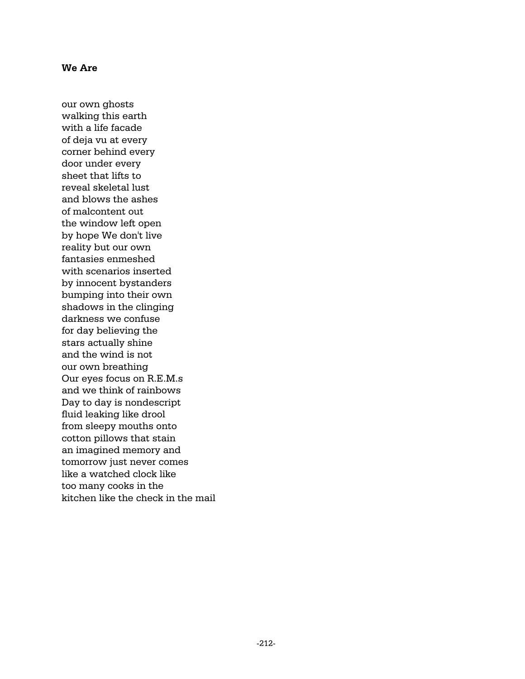#### **We Are**

our own ghosts walking this earth with a life facade of deja vu at every corner behind every door under every sheet that lifts to reveal skeletal lust and blows the ashes of malcontent out the window left open by hope We don't live reality but our own fantasies enmeshed with scenarios inserted by innocent bystanders bumping into their own shadows in the clinging darkness we confuse for day believing the stars actually shine and the wind is not our own breathing Our eyes focus on R.E.M.s and we think of rainbows Day to day is nondescript fluid leaking like drool from sleepy mouths onto cotton pillows that stain an imagined memory and tomorrow just never comes like a watched clock like too many cooks in the kitchen like the check in the mail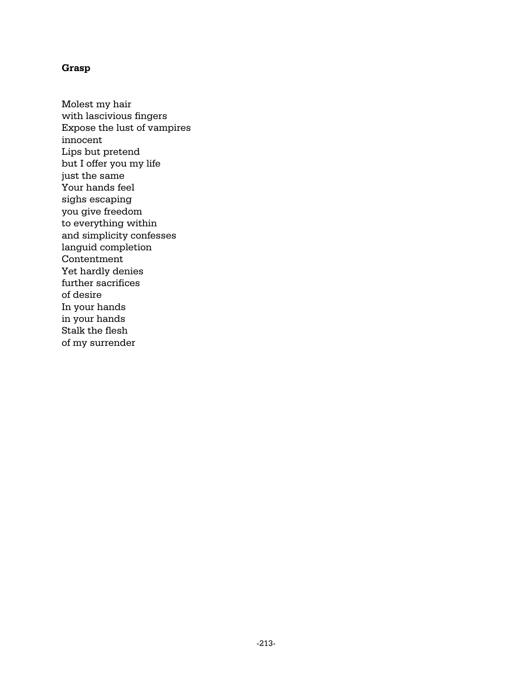## **Grasp**

Molest my hair with lascivious fingers Expose the lust of vampires innocent Lips but pretend but I offer you my life just the same Your hands feel sighs escaping you give freedom to everything within and simplicity confesses languid completion Contentment Yet hardly denies further sacrifices of desire In your hands in your hands Stalk the flesh of my surrender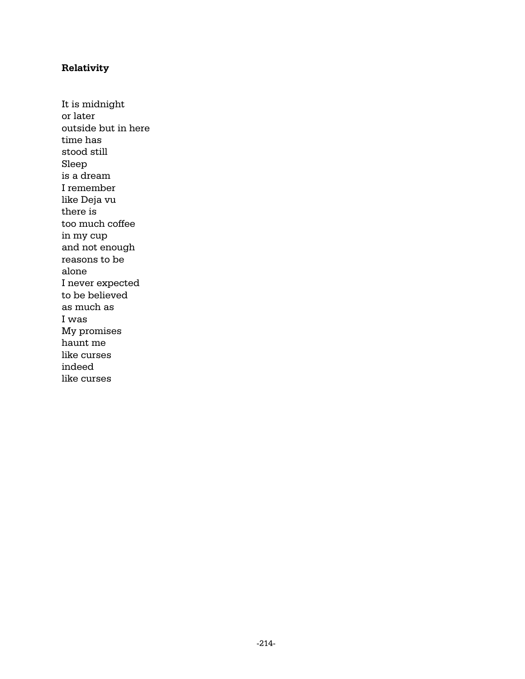# **Relativity**

It is midnight or later outside but in here time has stood still Sleep is a dream I remember like Deja vu there is too much coffee in my cup and not enough reasons to be alone I never expected to be believed as much as I was My promises haunt me like curses indeed like curses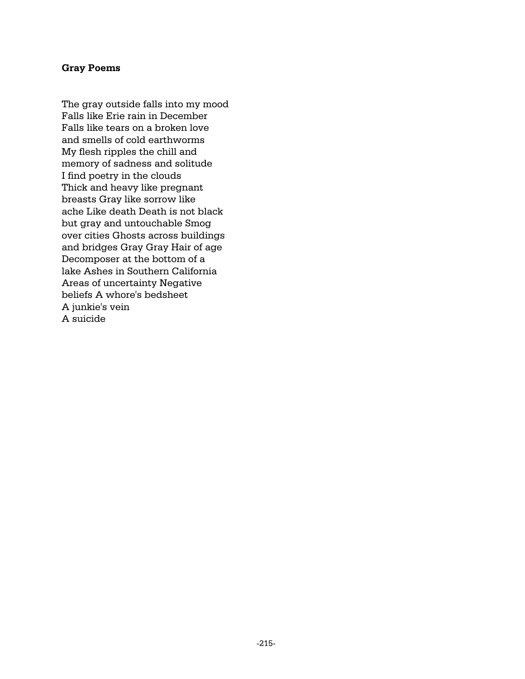#### **Gray Poems**

The gray outside falls into my mood Falls like Erie rain in December Falls like tears on a broken love and smells of cold earthworms My flesh ripples the chill and memory of sadness and solitude I find poetry in the clouds Thick and heavy like pregnant breasts Gray like sorrow like ache Like death Death is not black but gray and untouchable Smog over cities Ghosts across buildings and bridges Gray Gray Hair of age Decomposer at the bottom of a lake Ashes in Southern California Areas of uncertainty Negative beliefs A whore's bedsheet A junkie's vein A suicide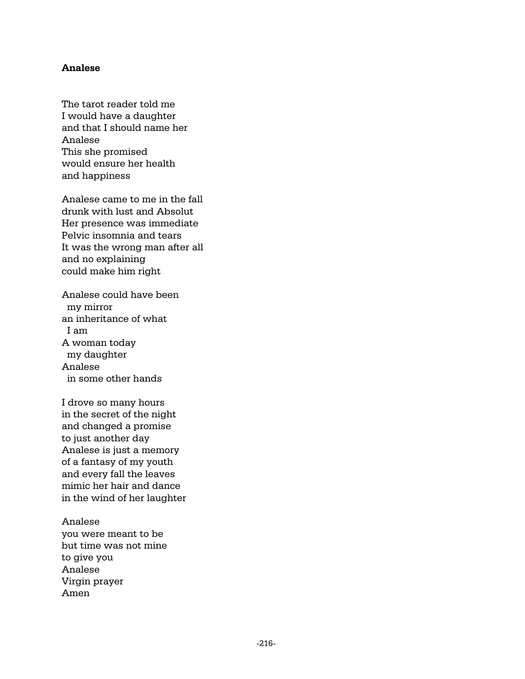#### **Analese**

The tarot reader told me I would have a daughter and that I should name her Analese This she promised would ensure her health and happiness

Analese came to me in the fall drunk with lust and Absolut Her presence was immediate Pelvic insomnia and tears It was the wrong man after all and no explaining could make him right

Analese could have been my mirror an inheritance of what I am A woman today my daughter Analese in some other hands

I drove so many hours in the secret of the night and changed a promise to just another day Analese is just a memory of a fantasy of my youth and every fall the leaves mimic her hair and dance in the wind of her laughter

Analese you were meant to be but time was not mine to give you Analese Virgin prayer Amen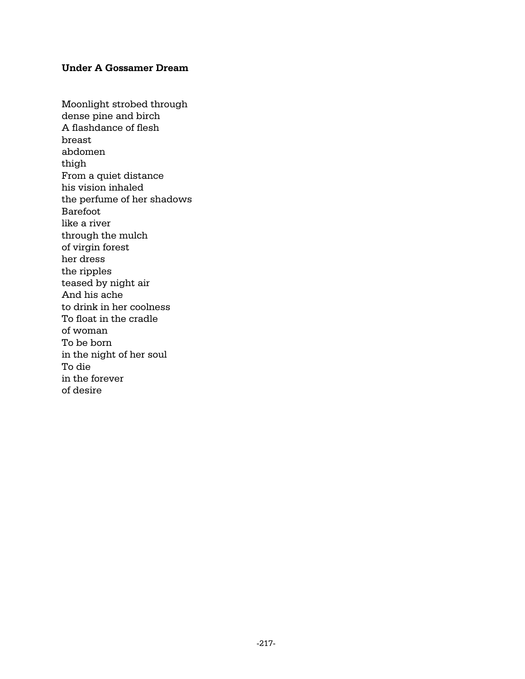# **Under A Gossamer Dream**

Moonlight strobed through dense pine and birch A flashdance of flesh breast abdomen thigh From a quiet distance his vision inhaled the perfume of her shadows Barefoot like a river through the mulch of virgin forest her dress the ripples teased by night air And his ache to drink in her coolness To float in the cradle of woman To be born in the night of her soul To die in the forever of desire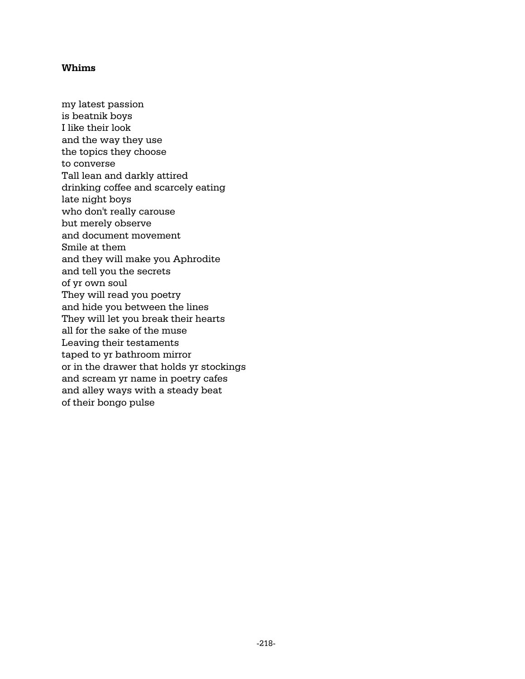## **Whims**

my latest passion is beatnik boys I like their look and the way they use the topics they choose to converse Tall lean and darkly attired drinking coffee and scarcely eating late night boys who don't really carouse but merely observe and document movement Smile at them and they will make you Aphrodite and tell you the secrets of yr own soul They will read you poetry and hide you between the lines They will let you break their hearts all for the sake of the muse Leaving their testaments taped to yr bathroom mirror or in the drawer that holds yr stockings and scream yr name in poetry cafes and alley ways with a steady beat of their bongo pulse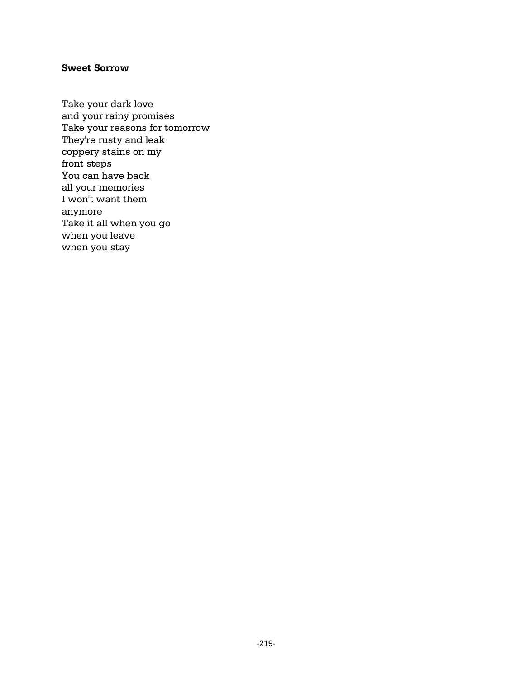## **Sweet Sorrow**

Take your dark love and your rainy promises Take your reasons for tomorrow They're rusty and leak coppery stains on my front steps You can have back all your memories I won't want them anymore Take it all when you go when you leave when you stay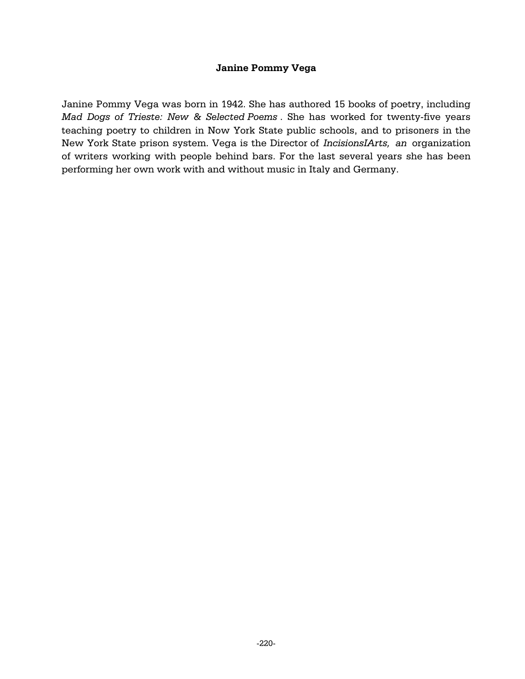### **Janine Pommy Vega**

Janine Pommy Vega was born in 1942. She has authored 15 books of poetry, including *Mad Dogs of Trieste: New & Selected Poems* . She has worked for twenty-five years teaching poetry to children in Now York State public schools, and to prisoners in the New York State prison system. Vega is the Director of *IncisionsIArts, an* organization of writers working with people behind bars. For the last several years she has been performing her own work with and without music in Italy and Germany.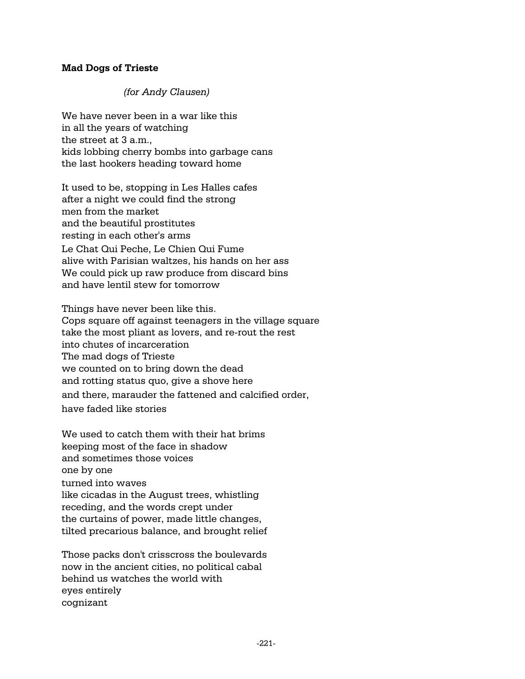## **Mad Dogs of Trieste**

## *(for Andy Clausen)*

We have never been in a war like this in all the years of watching the street at 3 a.m., kids lobbing cherry bombs into garbage cans the last hookers heading toward home

It used to be, stopping in Les Halles cafes after a night we could find the strong men from the market and the beautiful prostitutes resting in each other's arms Le Chat Qui Peche, Le Chien Qui Fume alive with Parisian waltzes, his hands on her ass We could pick up raw produce from discard bins and have lentil stew for tomorrow

Things have never been like this. Cops square off against teenagers in the village square take the most pliant as lovers, and re-rout the rest into chutes of incarceration The mad dogs of Trieste we counted on to bring down the dead and rotting status quo, give a shove here and there, marauder the fattened and calcified order, have faded like stories

We used to catch them with their hat brims keeping most of the face in shadow and sometimes those voices one by one turned into waves like cicadas in the August trees, whistling receding, and the words crept under the curtains of power, made little changes, tilted precarious balance, and brought relief

Those packs don't crisscross the boulevards now in the ancient cities, no political cabal behind us watches the world with eyes entirely cognizant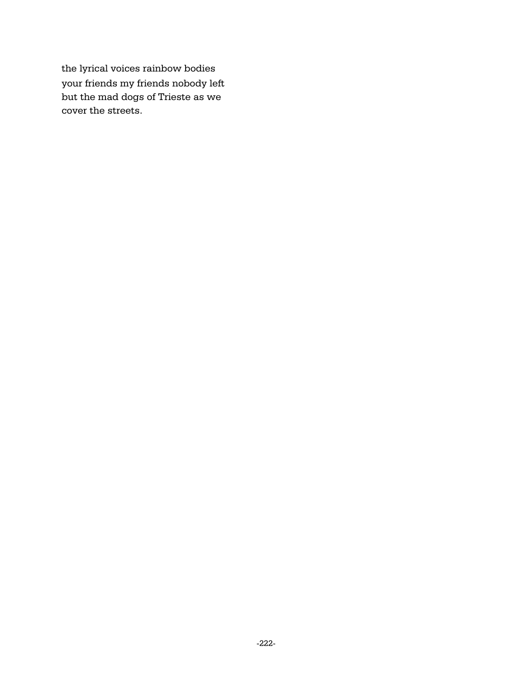the lyrical voices rainbow bodies your friends my friends nobody left but the mad dogs of Trieste as we cover the streets.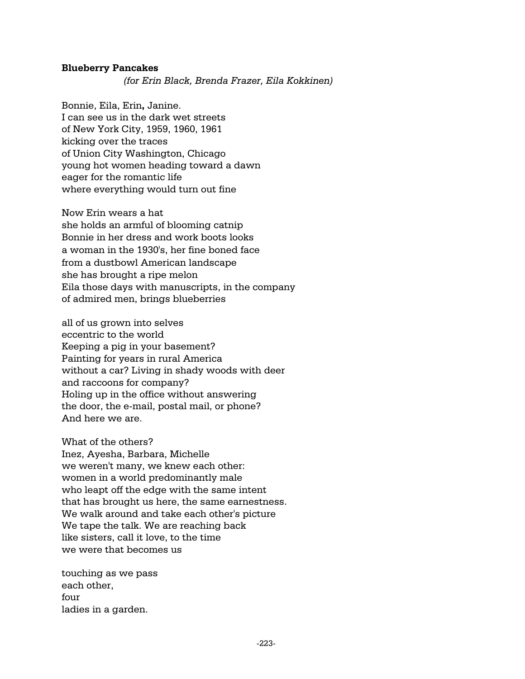#### **Blueberry Pancakes**

*(for Erin Black, Brenda Frazer, Eila Kokkinen)* 

Bonnie, Eila, Erin**,** Janine. I can see us in the dark wet streets of New York City, 1959, 1960, 1961 kicking over the traces of Union City Washington, Chicago young hot women heading toward a dawn eager for the romantic life where everything would turn out fine

Now Erin wears a hat she holds an armful of blooming catnip Bonnie in her dress and work boots looks a woman in the 1930's, her fine boned face from a dustbowl American landscape she has brought a ripe melon Eila those days with manuscripts, in the company of admired men, brings blueberries

all of us grown into selves eccentric to the world Keeping a pig in your basement? Painting for years in rural America without a car? Living in shady woods with deer and raccoons for company? Holing up in the office without answering the door, the e-mail, postal mail, or phone? And here we are.

What of the others? Inez, Ayesha, Barbara, Michelle we weren't many, we knew each other: women in a world predominantly male who leapt off the edge with the same intent that has brought us here, the same earnestness. We walk around and take each other's picture We tape the talk. We are reaching back like sisters, call it love, to the time we were that becomes us

touching as we pass each other, four ladies in a garden.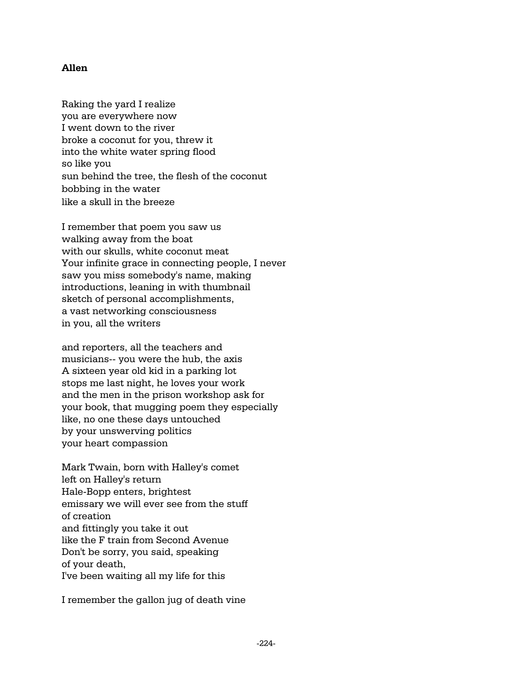## **Allen**

Raking the yard I realize you are everywhere now I went down to the river broke a coconut for you, threw it into the white water spring flood so like you sun behind the tree, the flesh of the coconut bobbing in the water like a skull in the breeze

I remember that poem you saw us walking away from the boat with our skulls, white coconut meat Your infinite grace in connecting people, I never saw you miss somebody's name, making introductions, leaning in with thumbnail sketch of personal accomplishments, a vast networking consciousness in you, all the writers

and reporters, all the teachers and musicians-- you were the hub, the axis A sixteen year old kid in a parking lot stops me last night, he loves your work and the men in the prison workshop ask for your book, that mugging poem they especially like, no one these days untouched by your unswerving politics your heart compassion

Mark Twain, born with Halley's comet left on Halley's return Hale-Bopp enters, brightest emissary we will ever see from the stuff of creation and fittingly you take it out like the F train from Second Avenue Don't be sorry, you said, speaking of your death, I've been waiting all my life for this

I remember the gallon jug of death vine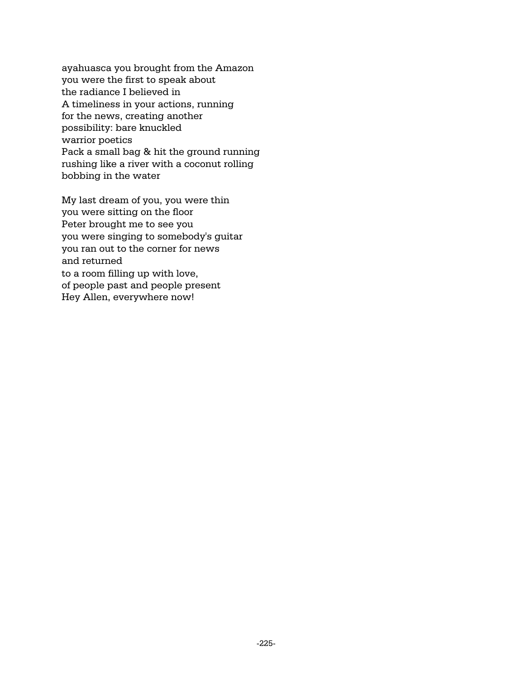ayahuasca you brought from the Amazon you were the first to speak about the radiance I believed in A timeliness in your actions, running for the news, creating another possibility: bare knuckled warrior poetics Pack a small bag & hit the ground running rushing like a river with a coconut rolling bobbing in the water

My last dream of you, you were thin you were sitting on the floor Peter brought me to see you you were singing to somebody's guitar you ran out to the corner for news and returned to a room filling up with love, of people past and people present Hey Allen, everywhere now!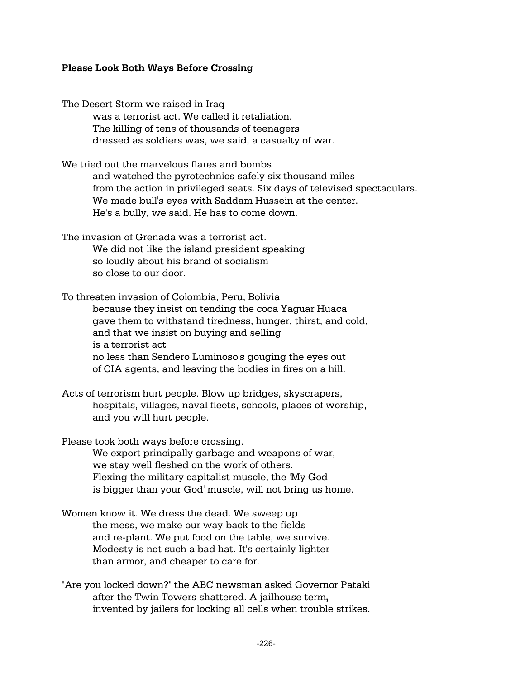### **Please Look Both Ways Before Crossing**

The Desert Storm we raised in Iraq was a terrorist act. We called it retaliation. The killing of tens of thousands of teenagers dressed as soldiers was, we said, a casualty of war.

We tried out the marvelous flares and bombs and watched the pyrotechnics safely six thousand miles from the action in privileged seats. Six days of televised spectaculars. We made bull's eyes with Saddam Hussein at the center. He's a bully, we said. He has to come down.

The invasion of Grenada was a terrorist act. We did not like the island president speaking so loudly about his brand of socialism so close to our door.

To threaten invasion of Colombia, Peru, Bolivia

because they insist on tending the coca Yaguar Huaca gave them to withstand tiredness, hunger, thirst, and cold, and that we insist on buying and selling is a terrorist act no less than Sendero Luminoso's gouging the eyes out of CIA agents, and leaving the bodies in fires on a hill.

Acts of terrorism hurt people. Blow up bridges, skyscrapers, hospitals, villages, naval fleets, schools, places of worship, and you will hurt people.

Please took both ways before crossing.

We export principally garbage and weapons of war, we stay well fleshed on the work of others. Flexing the military capitalist muscle, the 'My God is bigger than your God' muscle, will not bring us home.

- Women know it. We dress the dead. We sweep up the mess, we make our way back to the fields and re-plant. We put food on the table, we survive. Modesty is not such a bad hat. It's certainly lighter than armor, and cheaper to care for.
- "Are you locked down?" the ABC newsman asked Governor Pataki after the Twin Towers shattered. A jailhouse term**,**  invented by jailers for locking all cells when trouble strikes.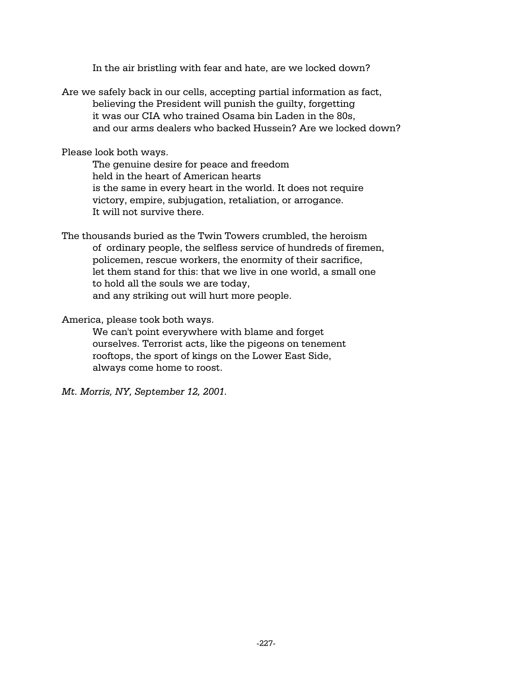In the air bristling with fear and hate, are we locked down?

Are we safely back in our cells, accepting partial information as fact, believing the President will punish the guilty, forgetting it was our CIA who trained Osama bin Laden in the 80s, and our arms dealers who backed Hussein? Are we locked down?

Please look both ways.

The genuine desire for peace and freedom held in the heart of American hearts is the same in every heart in the world. It does not require victory, empire, subjugation, retaliation, or arrogance. It will not survive there.

The thousands buried as the Twin Towers crumbled, the heroism of ordinary people, the selfless service of hundreds of firemen, policemen, rescue workers, the enormity of their sacrifice, let them stand for this: that we live in one world, a small one to hold all the souls we are today, and any striking out will hurt more people.

America, please took both ways.

We can't point everywhere with blame and forget ourselves. Terrorist acts, like the pigeons on tenement rooftops, the sport of kings on the Lower East Side, always come home to roost.

*Mt. Morris, NY, September 12, 2001.*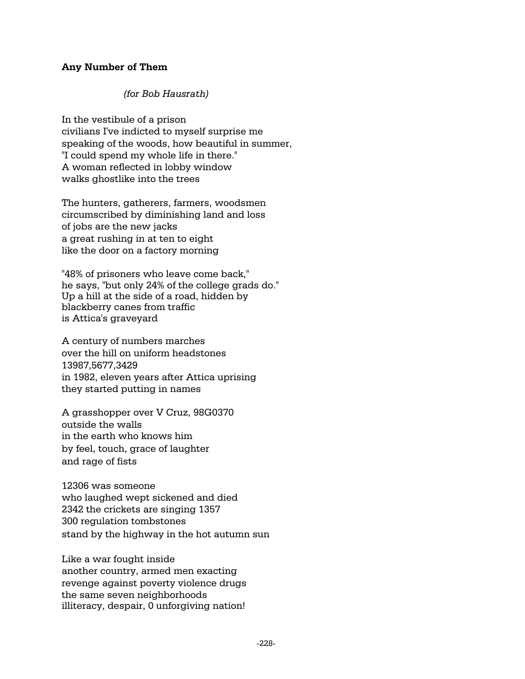### **Any Number of Them**

## *(for Bob Hausrath)*

In the vestibule of a prison civilians I've indicted to myself surprise me speaking of the woods, how beautiful in summer, "I could spend my whole life in there." A woman reflected in lobby window walks ghostlike into the trees

The hunters, gatherers, farmers, woodsmen circumscribed by diminishing land and loss of jobs are the new jacks a great rushing in at ten to eight like the door on a factory morning

"48% of prisoners who leave come back," he says, "but only 24% of the college grads do." Up a hill at the side of a road, hidden by blackberry canes from traffic is Attica's graveyard

A century of numbers marches over the hill on uniform headstones 13987,5677,3429 in 1982, eleven years after Attica uprising they started putting in names

A grasshopper over V Cruz, 98G0370 outside the walls in the earth who knows him by feel, touch, grace of laughter and rage of fists

12306 was someone who laughed wept sickened and died 2342 the crickets are singing 1357 300 regulation tombstones stand by the highway in the hot autumn sun

Like a war fought inside another country, armed men exacting revenge against poverty violence drugs the same seven neighborhoods illiteracy, despair, 0 unforgiving nation!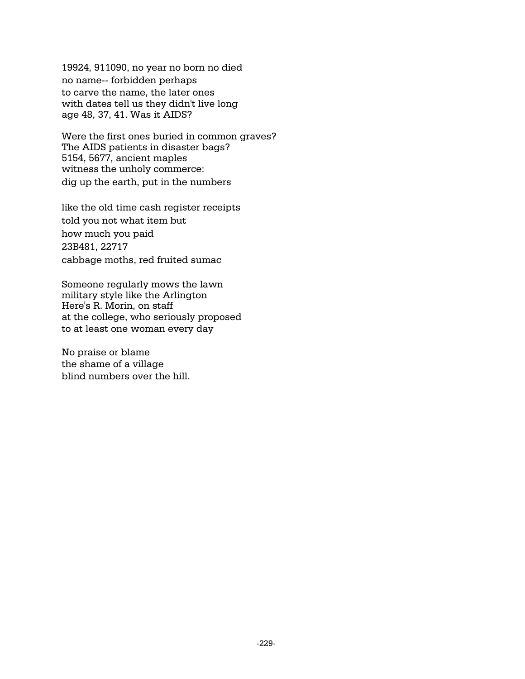19924, 911090, no year no born no died no name-- forbidden perhaps to carve the name, the later ones with dates tell us they didn't live long age 48, 37, 41. Was it AIDS?

Were the first ones buried in common graves? The AIDS patients in disaster bags? 5154, 5677, ancient maples witness the unholy commerce: dig up the earth, put in the numbers

like the old time cash register receipts told you not what item but how much you paid 23B481, 22717 cabbage moths, red fruited sumac

Someone regularly mows the lawn military style like the Arlington Here's R. Morin, on staff at the college, who seriously proposed to at least one woman every day

No praise or blame the shame of a village blind numbers over the hill.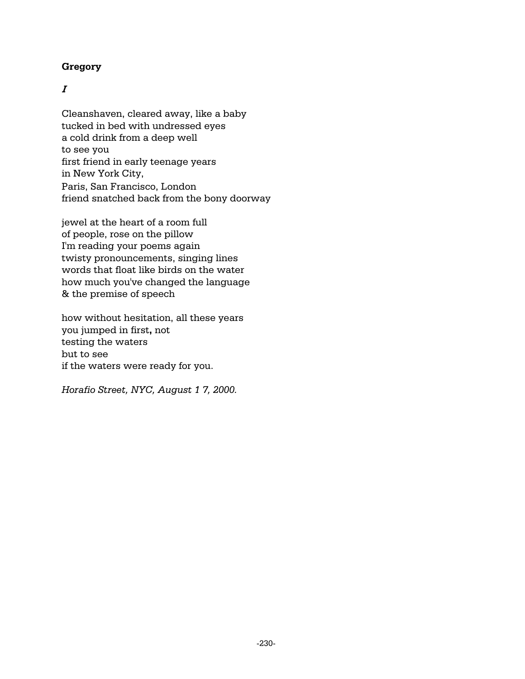# **Gregory**

# **I**

Cleanshaven, cleared away, like a baby tucked in bed with undressed eyes a cold drink from a deep well to see you first friend in early teenage years in New York City, Paris, San Francisco, London friend snatched back from the bony doorway

jewel at the heart of a room full of people, rose on the pillow I'm reading your poems again twisty pronouncements, singing lines words that float like birds on the water how much you've changed the language & the premise of speech

how without hesitation, all these years you jumped in first**,** not testing the waters but to see if the waters were ready for you.

*Horafio Street, NYC, August 1 7, 2000.*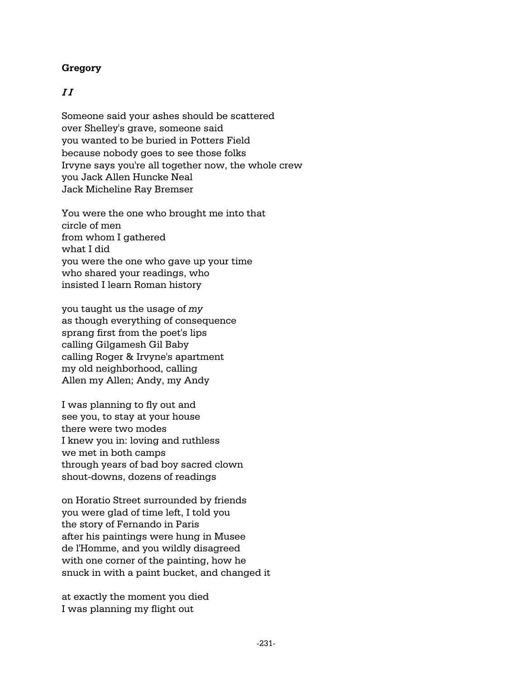# **Gregory**

## **I I**

Someone said your ashes should be scattered over Shelley's grave, someone said you wanted to be buried in Potters Field because nobody goes to see those folks Irvyne says you're all together now, the whole crew you Jack Allen Huncke Neal Jack Micheline Ray Bremser

You were the one who brought me into that circle of men from whom I gathered what I did you were the one who gave up your time who shared your readings, who insisted I learn Roman history

you taught us the usage of *my*  as though everything of consequence sprang first from the poet's lips calling Gilgamesh Gil Baby calling Roger & Irvyne's apartment my old neighborhood, calling Allen my Allen; Andy, my Andy

I was planning to fly out and see you, to stay at your house there were two modes I knew you in: loving and ruthless we met in both camps through years of bad boy sacred clown shout-downs, dozens of readings

on Horatio Street surrounded by friends you were glad of time left, I told you the story of Fernando in Paris after his paintings were hung in Musee de l'Homme, and you wildly disagreed with one corner of the painting, how he snuck in with a paint bucket, and changed it

at exactly the moment you died I was planning my flight out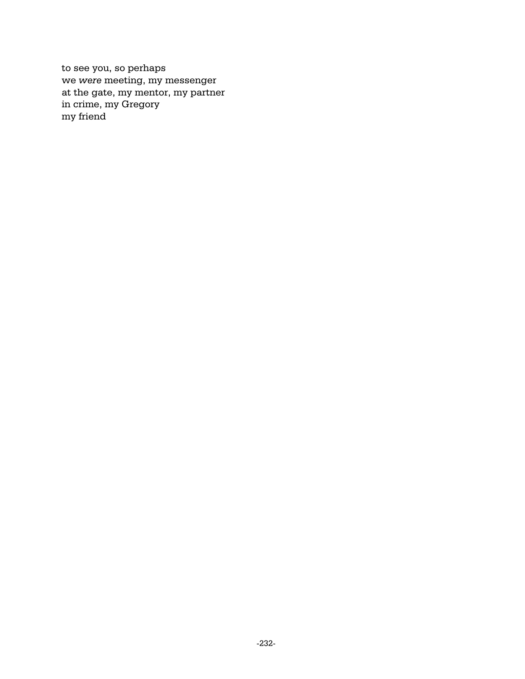to see you, so perhaps we *were* meeting, my messenger at the gate, my mentor, my partner in crime, my Gregory my friend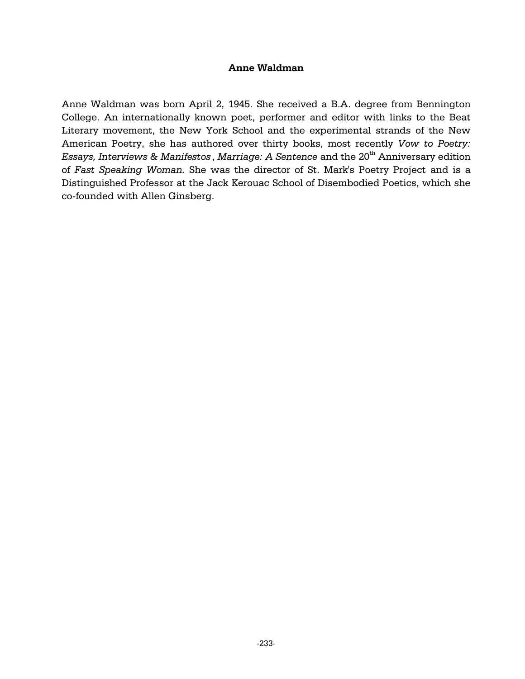### **Anne Waldman**

Anne Waldman was born April 2, 1945. She received a B.A. degree from Bennington College. An internationally known poet, performer and editor with links to the Beat Literary movement, the New York School and the experimental strands of the New American Poetry, she has authored over thirty books, most recently *Vow to Poetry: Essays, Interviews & Manifestos, Marriage: A Sentence and the 20<sup>th</sup> Anniversary edition* of *Fast Speaking Woman.* She was the director of St. Mark's Poetry Project and is a Distinguished Professor at the Jack Kerouac School of Disembodied Poetics, which she co-founded with Allen Ginsberg.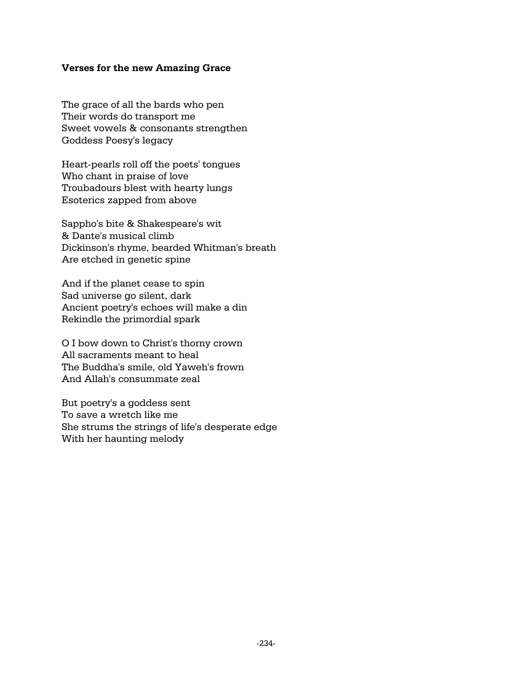### **Verses for the new Amazing Grace**

The grace of all the bards who pen Their words do transport me Sweet vowels & consonants strengthen Goddess Poesy's legacy

Heart-pearls roll off the poets' tongues Who chant in praise of love Troubadours blest with hearty lungs Esoterics zapped from above

Sappho's bite & Shakespeare's wit & Dante's musical climb Dickinson's rhyme, bearded Whitman's breath Are etched in genetic spine

And if the planet cease to spin Sad universe go silent, dark Ancient poetry's echoes will make a din Rekindle the primordial spark

O I bow down to Christ's thorny crown All sacraments meant to heal The Buddha's smile, old Yaweh's frown And Allah's consummate zeal

But poetry's a goddess sent To save a wretch like me She strums the strings of life's desperate edge With her haunting melody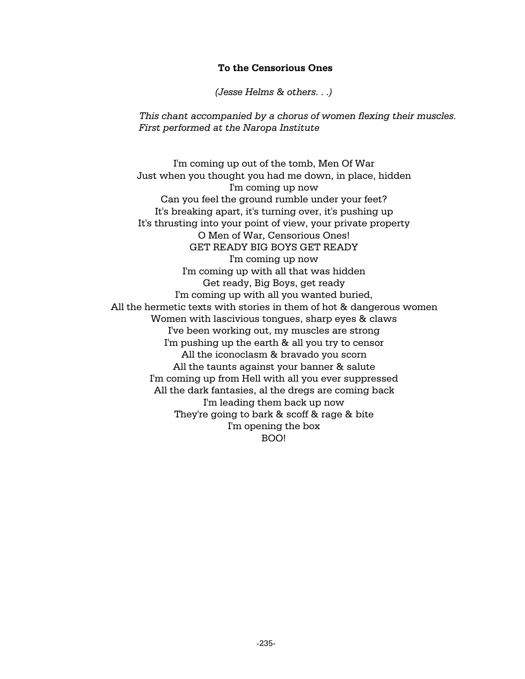#### **To the Censorious Ones**

*(Jesse Helms & others. . .)*

*This chant accompanied by a chorus of women flexing their muscles. First performed at the Naropa Institute*

I'm coming up out of the tomb, Men Of War Just when you thought you had me down, in place, hidden I'm coming up now Can you feel the ground rumble under your feet? It's breaking apart, it's turning over, it's pushing up It's thrusting into your point of view, your private property O Men of War, Censorious Ones! GET READY BIG BOYS GET READY I'm coming up now I'm coming up with all that was hidden Get ready, Big Boys, get ready I'm coming up with all you wanted buried, All the hermetic texts with stories in them of hot & dangerous women Women with lascivious tongues, sharp eyes & claws I've been working out, my muscles are strong I'm pushing up the earth & all you try to censor All the iconoclasm & bravado you scorn All the taunts against your banner & salute I'm coming up from Hell with all you ever suppressed All the dark fantasies, al the dregs are coming back I'm leading them back up now They're going to bark & scoff & rage & bite I'm opening the box BOO!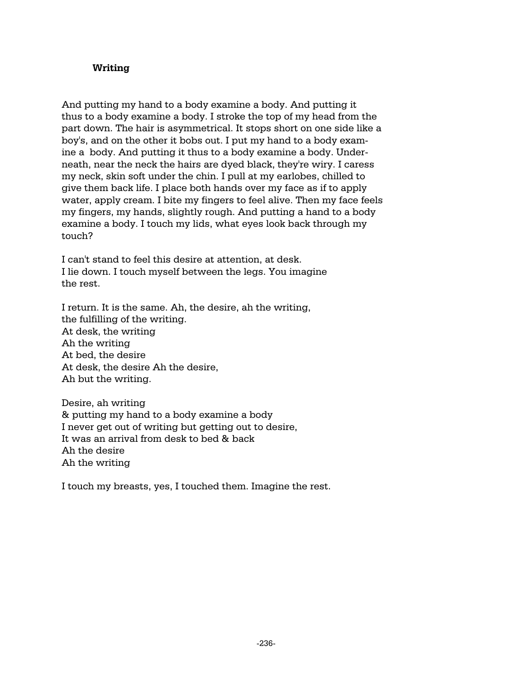### **Writing**

And putting my hand to a body examine a body. And putting it thus to a body examine a body. I stroke the top of my head from the part down. The hair is asymmetrical. It stops short on one side like a boy's, and on the other it bobs out. I put my hand to a body examine a body. And putting it thus to a body examine a body. Underneath, near the neck the hairs are dyed black, they're wiry. I caress my neck, skin soft under the chin. I pull at my earlobes, chilled to give them back life. I place both hands over my face as if to apply water, apply cream. I bite my fingers to feel alive. Then my face feels my fingers, my hands, slightly rough. And putting a hand to a body examine a body. I touch my lids, what eyes look back through my touch?

I can't stand to feel this desire at attention, at desk. I lie down. I touch myself between the legs. You imagine the rest.

I return. It is the same. Ah, the desire, ah the writing, the fulfilling of the writing. At desk, the writing Ah the writing At bed, the desire At desk, the desire Ah the desire, Ah but the writing.

Desire, ah writing & putting my hand to a body examine a body I never get out of writing but getting out to desire, It was an arrival from desk to bed & back Ah the desire Ah the writing

I touch my breasts, yes, I touched them. Imagine the rest.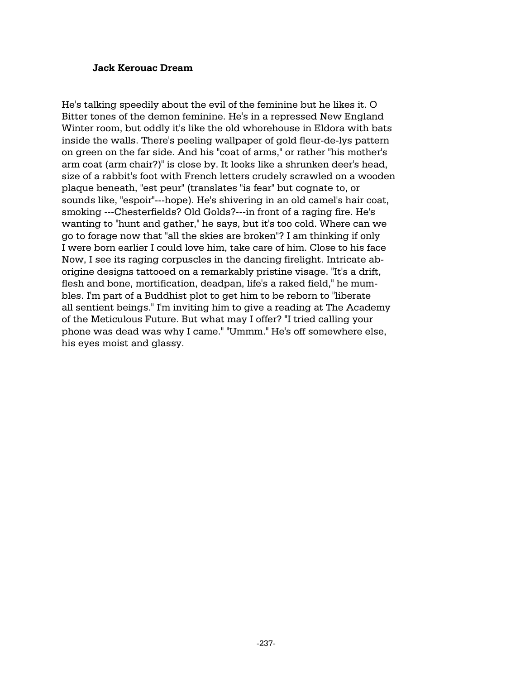#### **Jack Kerouac Dream**

He's talking speedily about the evil of the feminine but he likes it. O Bitter tones of the demon feminine. He's in a repressed New England Winter room, but oddly it's like the old whorehouse in Eldora with bats inside the walls. There's peeling wallpaper of gold fleur-de-lys pattern on green on the far side. And his "coat of arms," or rather "his mother's arm coat (arm chair?)" is close by. It looks like a shrunken deer's head, size of a rabbit's foot with French letters crudely scrawled on a wooden plaque beneath, "est peur" (translates "is fear" but cognate to, or sounds like, "espoir"---hope). He's shivering in an old camel's hair coat, smoking ---Chesterfields? Old Golds?---in front of a raging fire. He's wanting to "hunt and gather," he says, but it's too cold. Where can we go to forage now that "all the skies are broken"? I am thinking if only I were born earlier I could love him, take care of him. Close to his face Now, I see its raging corpuscles in the dancing firelight. Intricate aborigine designs tattooed on a remarkably pristine visage. "It's a drift, flesh and bone, mortification, deadpan, life's a raked field," he mumbles. I'm part of a Buddhist plot to get him to be reborn to "liberate all sentient beings." I'm inviting him to give a reading at The Academy of the Meticulous Future. But what may I offer? "I tried calling your phone was dead was why I came." "Ummm." He's off somewhere else, his eyes moist and glassy.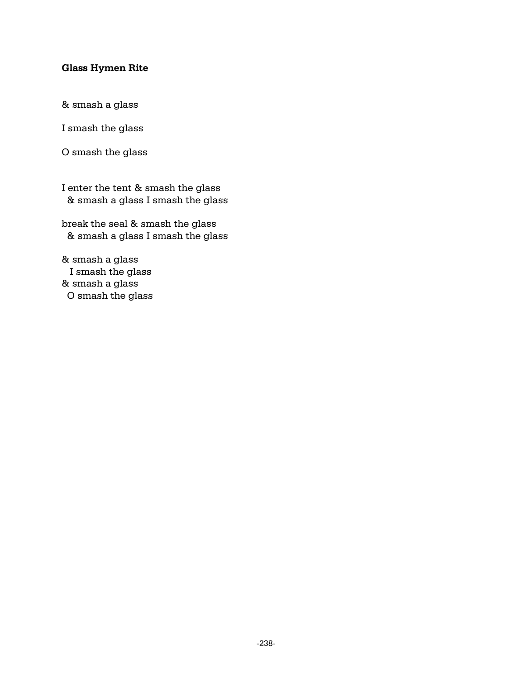# **Glass Hymen Rite**

& smash a glass

I smash the glass

O smash the glass

I enter the tent & smash the glass & smash a glass I smash the glass

break the seal & smash the glass & smash a glass I smash the glass

& smash a glass I smash the glass & smash a glass O smash the glass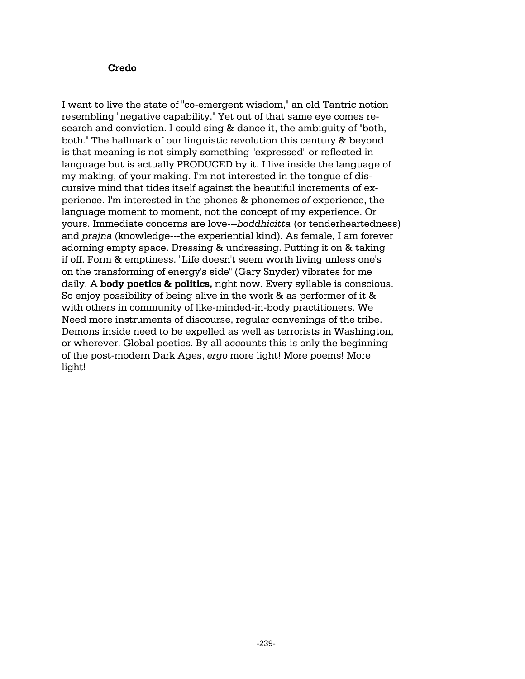#### **Credo**

I want to live the state of "co-emergent wisdom," an old Tantric notion resembling "negative capability." Yet out of that same eye comes research and conviction. I could sing & dance it, the ambiguity of "both, both." The hallmark of our linguistic revolution this century & beyond is that meaning is not simply something "expressed" or reflected in language but is actually PRODUCED by it. I live inside the language of my making, of your making. I'm not interested in the tongue of discursive mind that tides itself against the beautiful increments of experience. I'm interested in the phones & phonemes *of* experience, the language moment to moment, not the concept of my experience. Or yours. Immediate concerns are love---*boddhicitta* (or tenderheartedness) and *prajna* (knowledge---the experiential kind). As female, I am forever adorning empty space. Dressing & undressing. Putting it on & taking if off. Form & emptiness. "Life doesn't seem worth living unless one's on the transforming of energy's side" (Gary Snyder) vibrates for me daily. A **body poetics & politics,** right now. Every syllable is conscious. So enjoy possibility of being alive in the work & as performer of it & with others in community of like-minded-in-body practitioners. We Need more instruments of discourse, regular convenings of the tribe. Demons inside need to be expelled as well as terrorists in Washington, or wherever. Global poetics. By all accounts this is only the beginning of the post-modern Dark Ages, *ergo* more light! More poems! More light!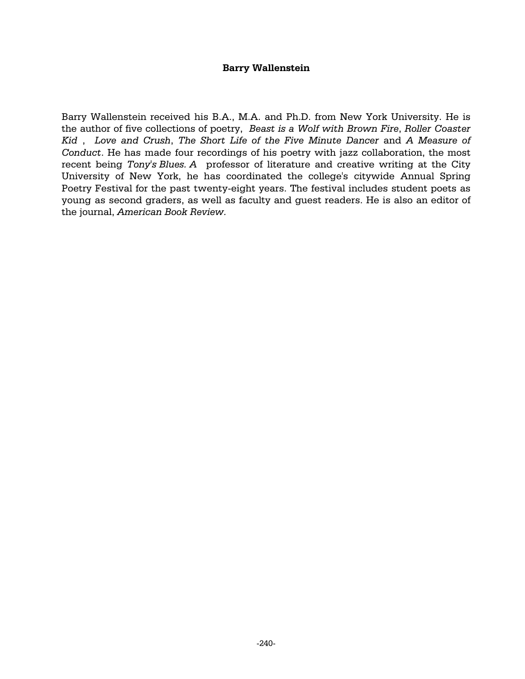### **Barry Wallenstein**

Barry Wallenstein received his B.A., M.A. and Ph.D. from New York University. He is the author of five collections of poetry, *Beast is a Wolf with Brown Fire*, *Roller Coaster Kid* , *Love and Crush*, *The Short Life of the Five Minute Dancer* and *A Measure of Conduct*. He has made four recordings of his poetry with jazz collaboration, the most recent being *Tony's Blues. A* professor of literature and creative writing at the City University of New York, he has coordinated the college's citywide Annual Spring Poetry Festival for the past twenty-eight years. The festival includes student poets as young as second graders, as well as faculty and guest readers. He is also an editor of the journal, *American Book Review.*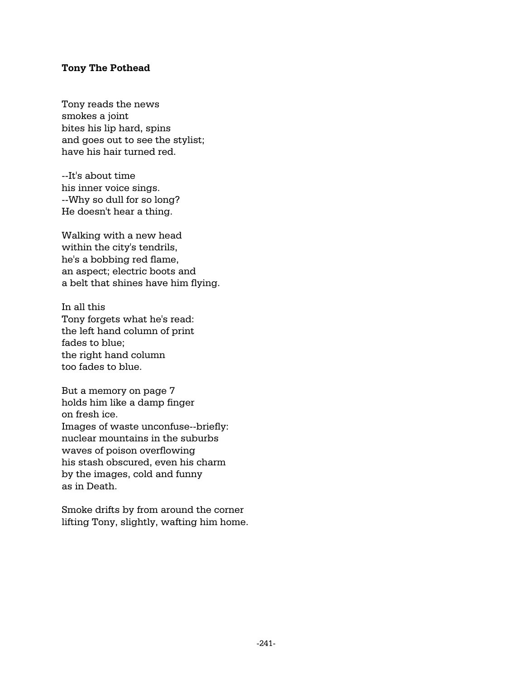### **Tony The Pothead**

Tony reads the news smokes a joint bites his lip hard, spins and goes out to see the stylist; have his hair turned red.

--It's about time his inner voice sings. --Why so dull for so long? He doesn't hear a thing.

Walking with a new head within the city's tendrils, he's a bobbing red flame, an aspect; electric boots and a belt that shines have him flying.

In all this Tony forgets what he's read: the left hand column of print fades to blue; the right hand column too fades to blue.

But a memory on page 7 holds him like a damp finger on fresh ice. Images of waste unconfuse--briefly: nuclear mountains in the suburbs waves of poison overflowing his stash obscured, even his charm by the images, cold and funny as in Death.

Smoke drifts by from around the corner lifting Tony, slightly, wafting him home.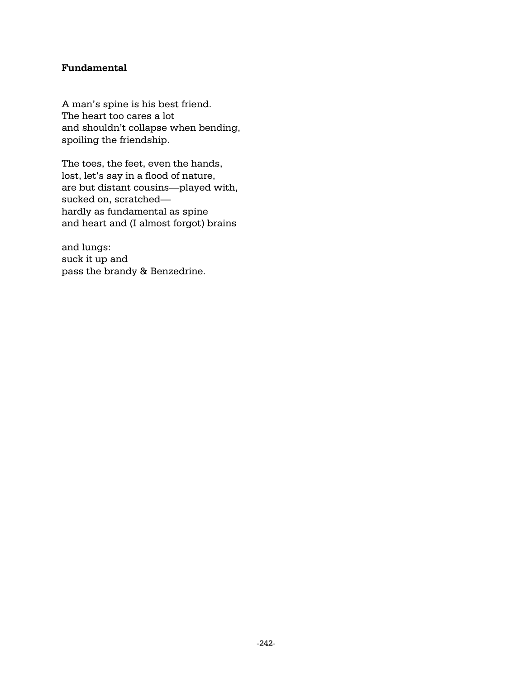# **Fundamental**

A man's spine is his best friend. The heart too cares a lot and shouldn't collapse when bending, spoiling the friendship.

The toes, the feet, even the hands, lost, let's say in a flood of nature, are but distant cousins—played with, sucked on, scratched hardly as fundamental as spine and heart and (I almost forgot) brains

and lungs: suck it up and pass the brandy & Benzedrine.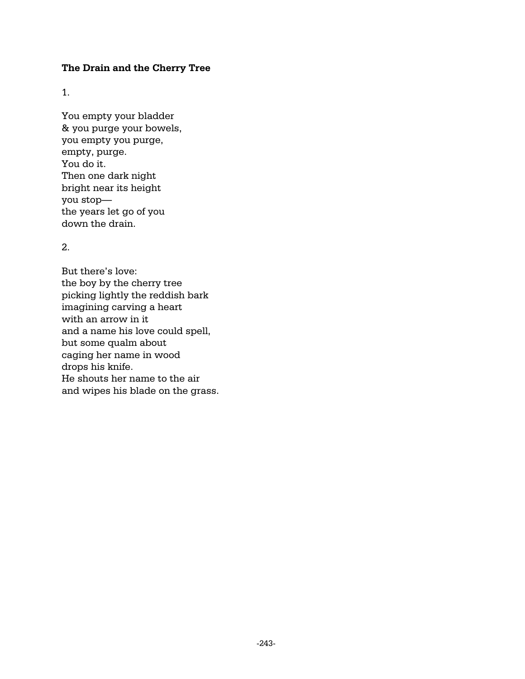# **The Drain and the Cherry Tree**

1.

You empty your bladder & you purge your bowels, you empty you purge, empty, purge. You do it. Then one dark night bright near its height you stop the years let go of you down the drain.

# 2.

But there's love: the boy by the cherry tree picking lightly the reddish bark imagining carving a heart with an arrow in it and a name his love could spell, but some qualm about caging her name in wood drops his knife. He shouts her name to the air and wipes his blade on the grass.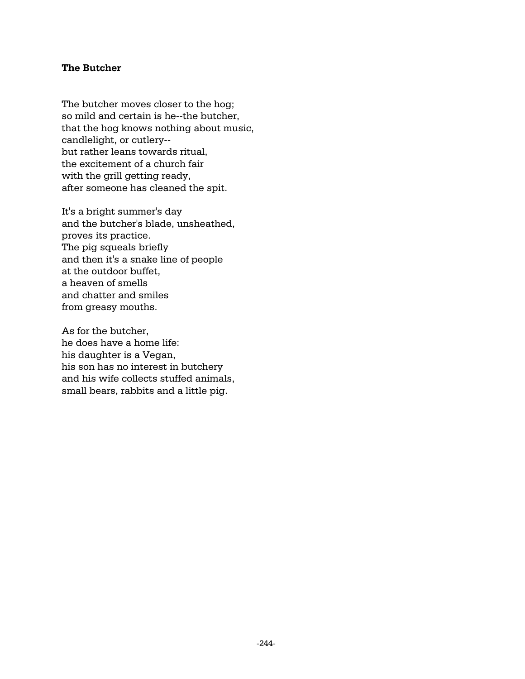## **The Butcher**

The butcher moves closer to the hog; so mild and certain is he--the butcher, that the hog knows nothing about music, candlelight, or cutlery- but rather leans towards ritual, the excitement of a church fair with the grill getting ready, after someone has cleaned the spit.

It's a bright summer's day and the butcher's blade, unsheathed, proves its practice. The pig squeals briefly and then it's a snake line of people at the outdoor buffet, a heaven of smells and chatter and smiles from greasy mouths.

As for the butcher, he does have a home life: his daughter is a Vegan, his son has no interest in butchery and his wife collects stuffed animals, small bears, rabbits and a little pig.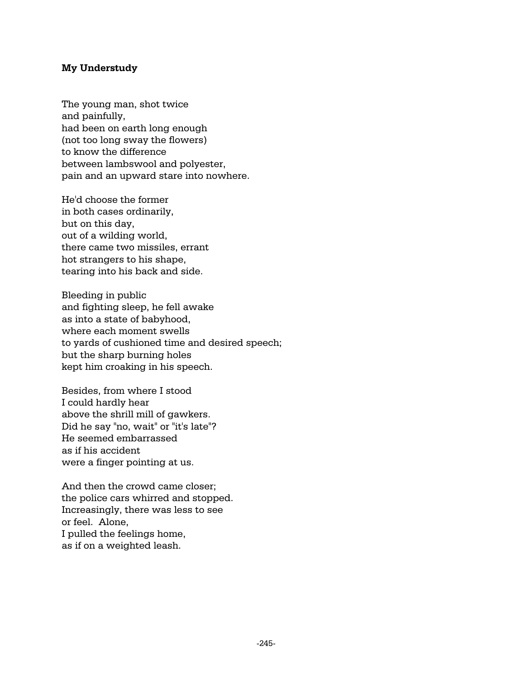## **My Understudy**

The young man, shot twice and painfully, had been on earth long enough (not too long sway the flowers) to know the difference between lambswool and polyester, pain and an upward stare into nowhere.

He'd choose the former in both cases ordinarily, but on this day, out of a wilding world, there came two missiles, errant hot strangers to his shape, tearing into his back and side.

Bleeding in public and fighting sleep, he fell awake as into a state of babyhood, where each moment swells to yards of cushioned time and desired speech; but the sharp burning holes kept him croaking in his speech.

Besides, from where I stood I could hardly hear above the shrill mill of gawkers. Did he say "no, wait" or "it's late"? He seemed embarrassed as if his accident were a finger pointing at us.

And then the crowd came closer; the police cars whirred and stopped. Increasingly, there was less to see or feel. Alone, I pulled the feelings home, as if on a weighted leash.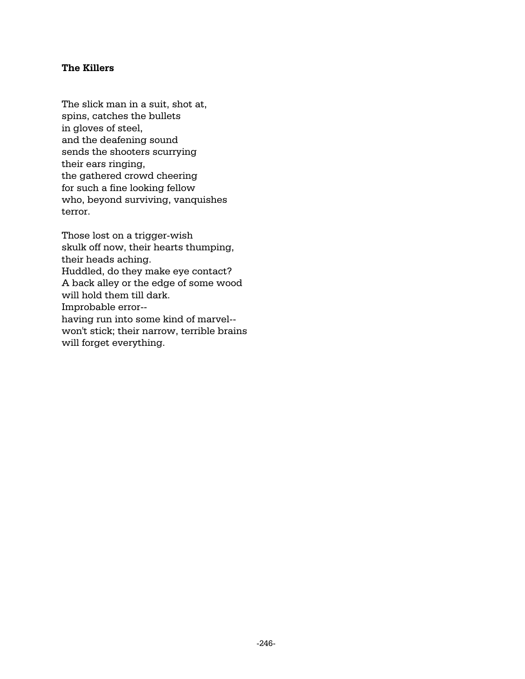# **The Killers**

The slick man in a suit, shot at, spins, catches the bullets in gloves of steel, and the deafening sound sends the shooters scurrying their ears ringing, the gathered crowd cheering for such a fine looking fellow who, beyond surviving, vanquishes terror.

Those lost on a trigger-wish skulk off now, their hearts thumping, their heads aching. Huddled, do they make eye contact? A back alley or the edge of some wood will hold them till dark. Improbable error- having run into some kind of marvel- won't stick; their narrow, terrible brains will forget everything.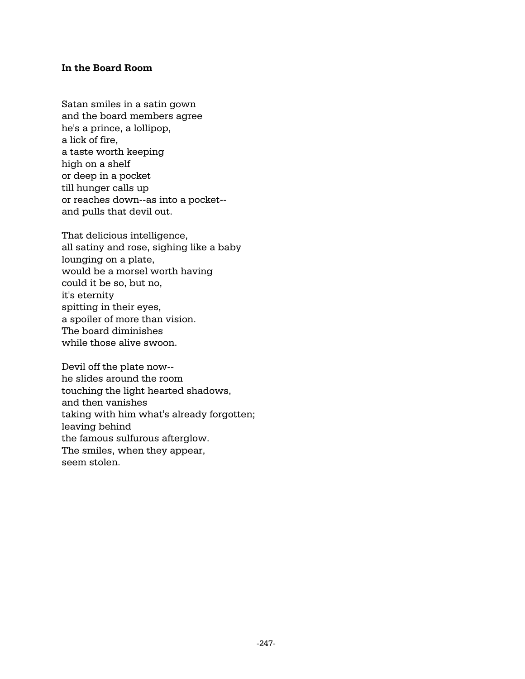### **In the Board Room**

Satan smiles in a satin gown and the board members agree he's a prince, a lollipop, a lick of fire, a taste worth keeping high on a shelf or deep in a pocket till hunger calls up or reaches down--as into a pocket- and pulls that devil out.

That delicious intelligence, all satiny and rose, sighing like a baby lounging on a plate, would be a morsel worth having could it be so, but no, it's eternity spitting in their eyes, a spoiler of more than vision. The board diminishes while those alive swoon.

Devil off the plate now- he slides around the room touching the light hearted shadows, and then vanishes taking with him what's already forgotten; leaving behind the famous sulfurous afterglow. The smiles, when they appear, seem stolen.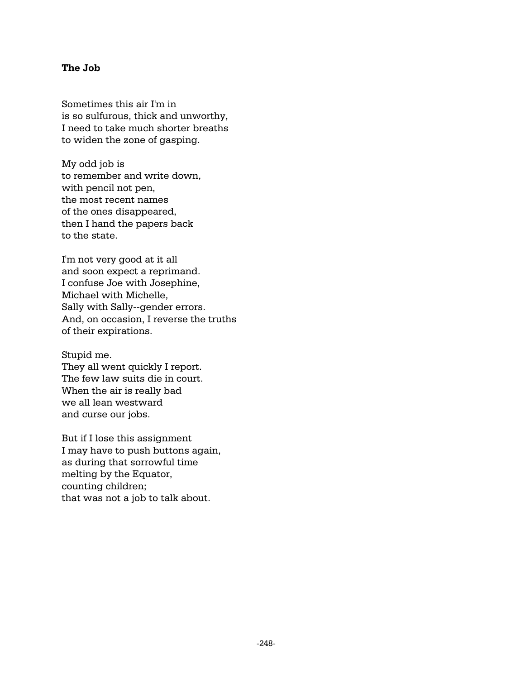# **The Job**

Sometimes this air I'm in is so sulfurous, thick and unworthy, I need to take much shorter breaths to widen the zone of gasping.

My odd job is to remember and write down, with pencil not pen, the most recent names of the ones disappeared, then I hand the papers back to the state.

I'm not very good at it all and soon expect a reprimand. I confuse Joe with Josephine, Michael with Michelle, Sally with Sally--gender errors. And, on occasion, I reverse the truths of their expirations.

Stupid me. They all went quickly I report. The few law suits die in court. When the air is really bad we all lean westward and curse our jobs.

But if I lose this assignment I may have to push buttons again, as during that sorrowful time melting by the Equator, counting children; that was not a job to talk about.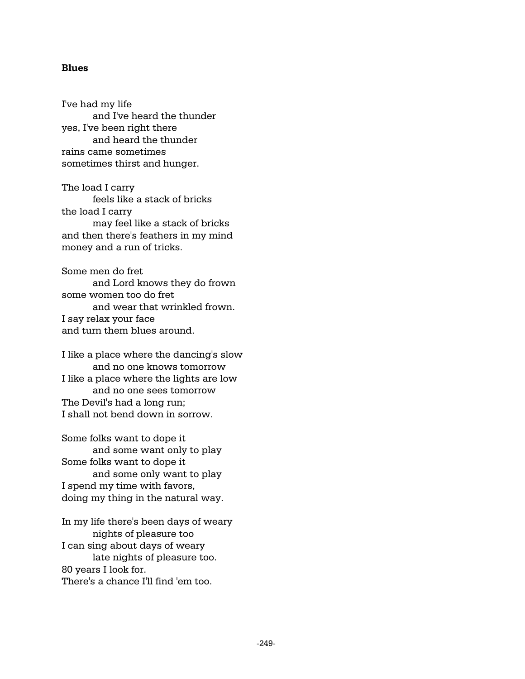#### **Blues**

I've had my life and I've heard the thunder yes, I've been right there and heard the thunder rains came sometimes sometimes thirst and hunger.

The load I carry feels like a stack of bricks the load I carry may feel like a stack of bricks and then there's feathers in my mind money and a run of tricks.

Some men do fret and Lord knows they do frown some women too do fret and wear that wrinkled frown. I say relax your face and turn them blues around.

I like a place where the dancing's slow and no one knows tomorrow I like a place where the lights are low and no one sees tomorrow The Devil's had a long run; I shall not bend down in sorrow.

Some folks want to dope it and some want only to play Some folks want to dope it and some only want to play I spend my time with favors, doing my thing in the natural way.

In my life there's been days of weary nights of pleasure too I can sing about days of weary late nights of pleasure too. 80 years I look for. There's a chance I'll find 'em too.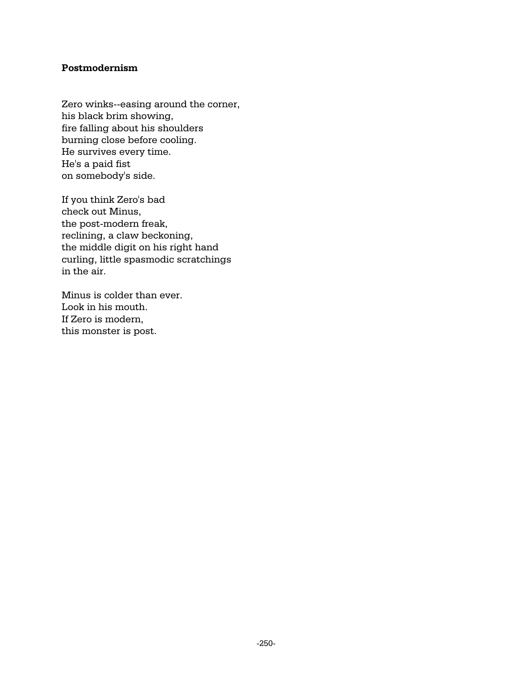# **Postmodernism**

Zero winks--easing around the corner, his black brim showing, fire falling about his shoulders burning close before cooling. He survives every time. He's a paid fist on somebody's side.

If you think Zero's bad check out Minus, the post-modern freak, reclining, a claw beckoning, the middle digit on his right hand curling, little spasmodic scratchings in the air.

Minus is colder than ever. Look in his mouth. If Zero is modern, this monster is post.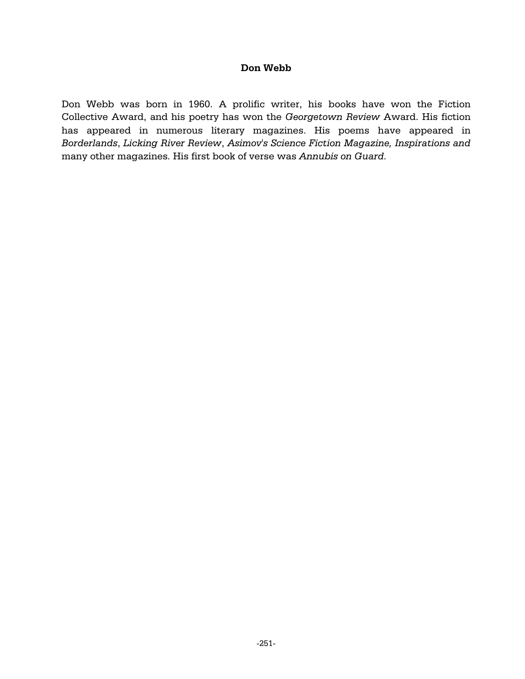## **Don Webb**

Don Webb was born in 1960. A prolific writer, his books have won the Fiction Collective Award, and his poetry has won the *Georgetown Review* Award. His fiction has appeared in numerous literary magazines. His poems have appeared in *Borderlands*, *Licking River Review*, *Asimov's Science Fiction Magazine, Inspirations and* many other magazines*.* His first book of verse was *Annubis on Guard.*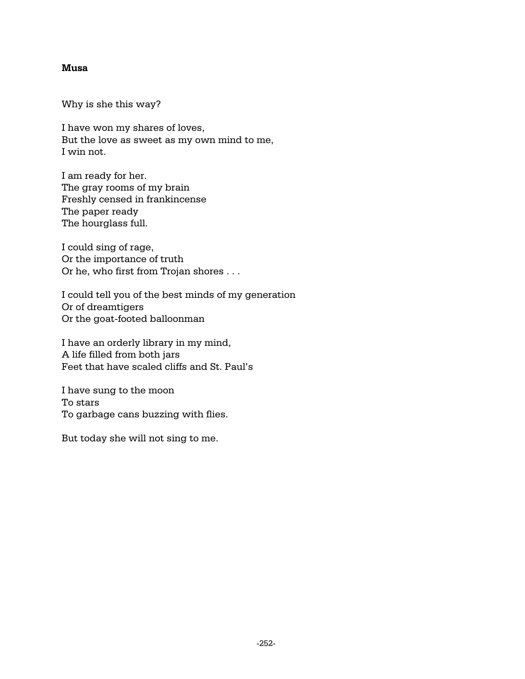### **Musa**

Why is she this way?

I have won my shares of loves, But the love as sweet as my own mind to me, I win not.

I am ready for her. The gray rooms of my brain Freshly censed in frankincense The paper ready The hourglass full.

I could sing of rage, Or the importance of truth Or he, who first from Trojan shores . . .

I could tell you of the best minds of my generation Or of dreamtigers Or the goat-footed balloonman

I have an orderly library in my mind, A life filled from both jars Feet that have scaled cliffs and St. Paul's

I have sung to the moon To stars To garbage cans buzzing with flies.

But today she will not sing to me.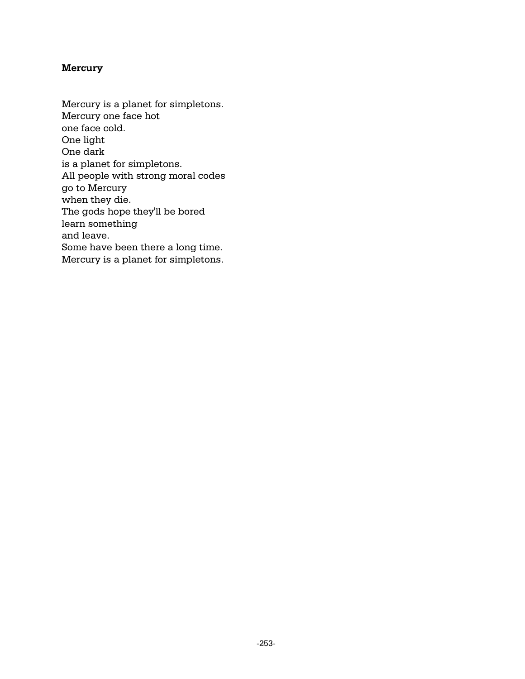# **Mercury**

Mercury is a planet for simpletons. Mercury one face hot one face cold. One light One dark is a planet for simpletons. All people with strong moral codes go to Mercury when they die. The gods hope they'll be bored learn something and leave. Some have been there a long time. Mercury is a planet for simpletons.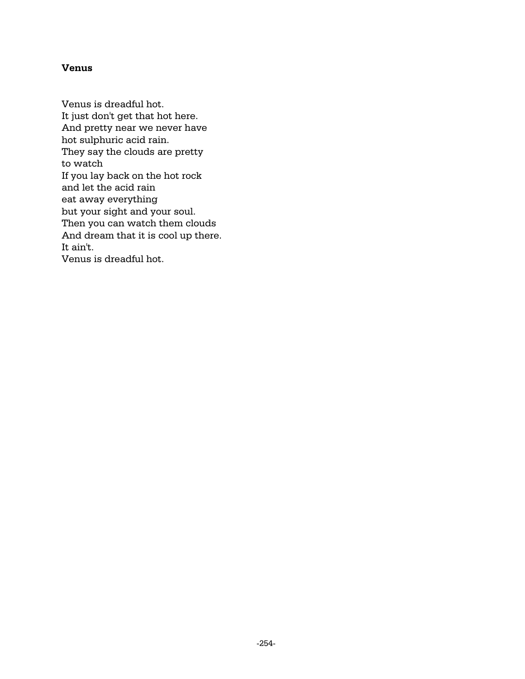## **Venus**

Venus is dreadful hot. It just don't get that hot here. And pretty near we never have hot sulphuric acid rain. They say the clouds are pretty to watch If you lay back on the hot rock and let the acid rain eat away everything but your sight and your soul. Then you can watch them clouds And dream that it is cool up there. It ain't. Venus is dreadful hot.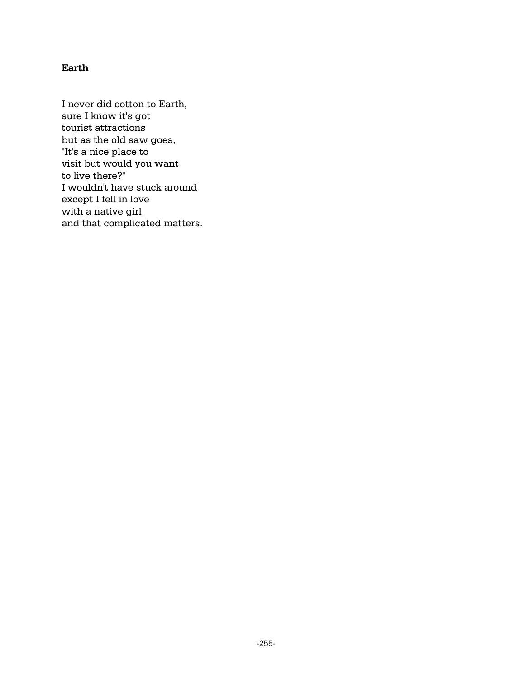# **Earth**

I never did cotton to Earth, sure I know it's got tourist attractions but as the old saw goes, "It's a nice place to visit but would you want to live there?" I wouldn't have stuck around except I fell in love with a native girl and that complicated matters.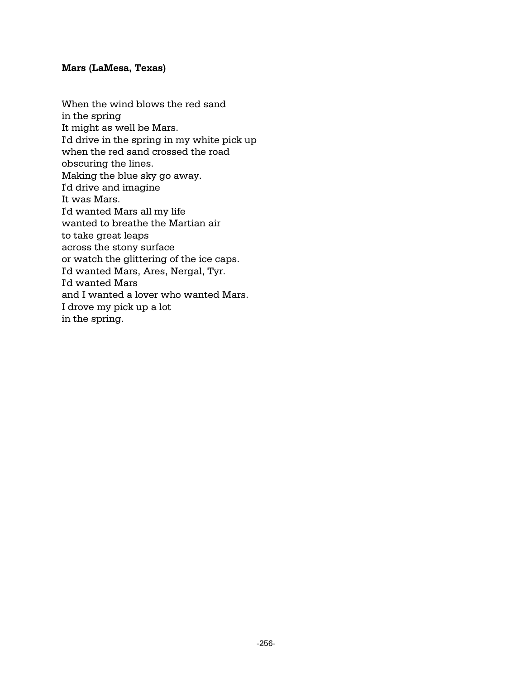### **Mars (LaMesa, Texas)**

When the wind blows the red sand in the spring It might as well be Mars. I'd drive in the spring in my white pick up when the red sand crossed the road obscuring the lines. Making the blue sky go away. I'd drive and imagine It was Mars. I'd wanted Mars all my life wanted to breathe the Martian air to take great leaps across the stony surface or watch the glittering of the ice caps. I'd wanted Mars, Ares, Nergal, Tyr. I'd wanted Mars and I wanted a lover who wanted Mars. I drove my pick up a lot in the spring.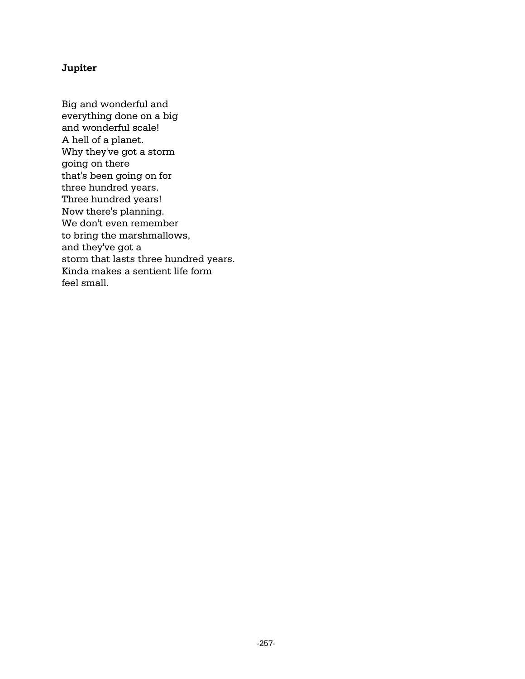# **Jupiter**

Big and wonderful and everything done on a big and wonderful scale! A hell of a planet. Why they've got a storm going on there that's been going on for three hundred years. Three hundred years! Now there's planning. We don't even remember to bring the marshmallows, and they've got a storm that lasts three hundred years. Kinda makes a sentient life form feel small.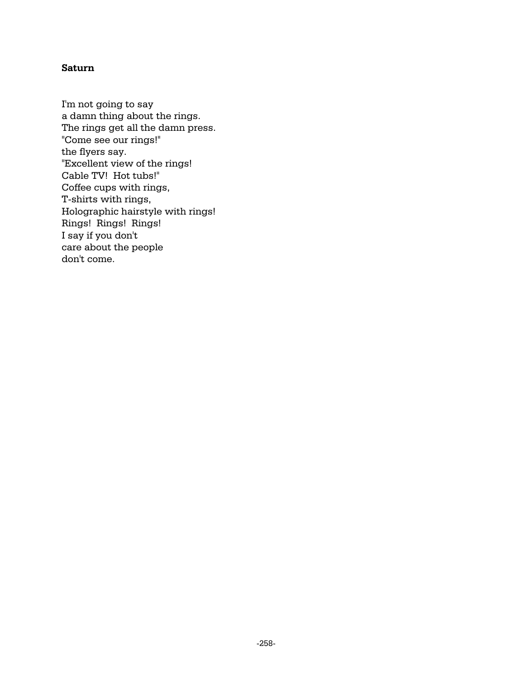# **Saturn**

I'm not going to say a damn thing about the rings. The rings get all the damn press. "Come see our rings!" the flyers say. "Excellent view of the rings! Cable TV! Hot tubs!" Coffee cups with rings, T-shirts with rings, Holographic hairstyle with rings! Rings! Rings! Rings! I say if you don't care about the people don't come.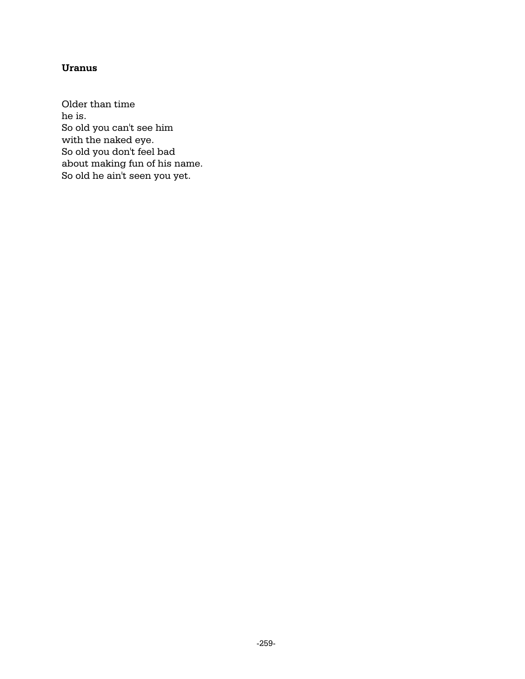# **Uranus**

Older than time he is. So old you can't see him with the naked eye. So old you don't feel bad about making fun of his name. So old he ain't seen you yet.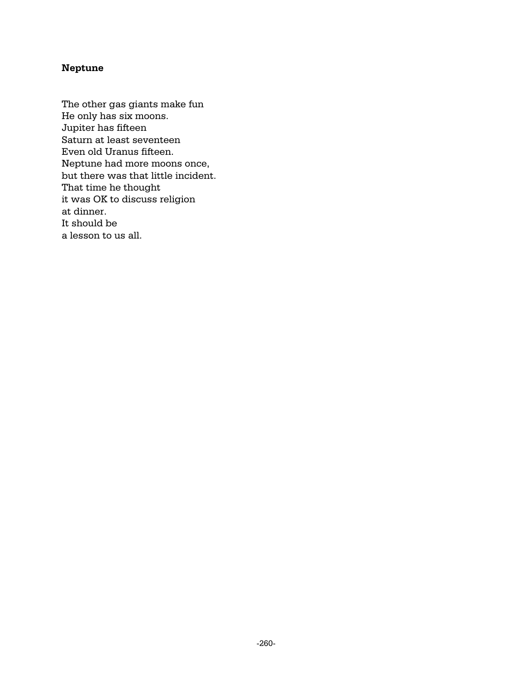# **Neptune**

The other gas giants make fun He only has six moons. Jupiter has fifteen Saturn at least seventeen Even old Uranus fifteen. Neptune had more moons once, but there was that little incident. That time he thought it was OK to discuss religion at dinner. It should be a lesson to us all.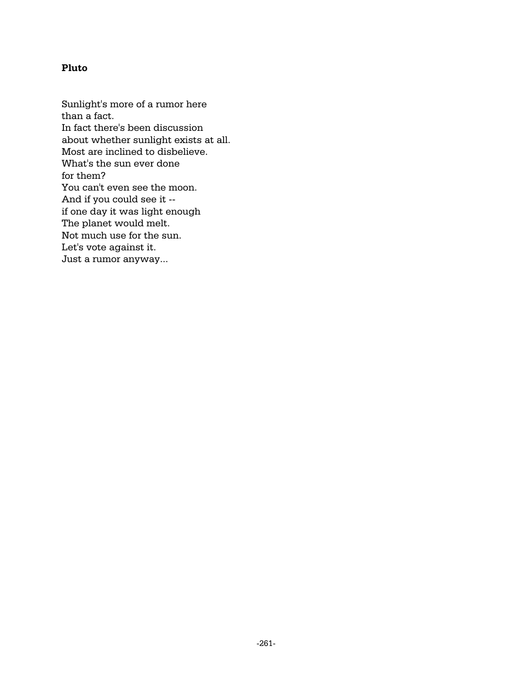# **Pluto**

Sunlight's more of a rumor here than a fact. In fact there's been discussion about whether sunlight exists at all. Most are inclined to disbelieve. What's the sun ever done for them? You can't even see the moon. And if you could see it - if one day it was light enough The planet would melt. Not much use for the sun. Let's vote against it. Just a rumor anyway...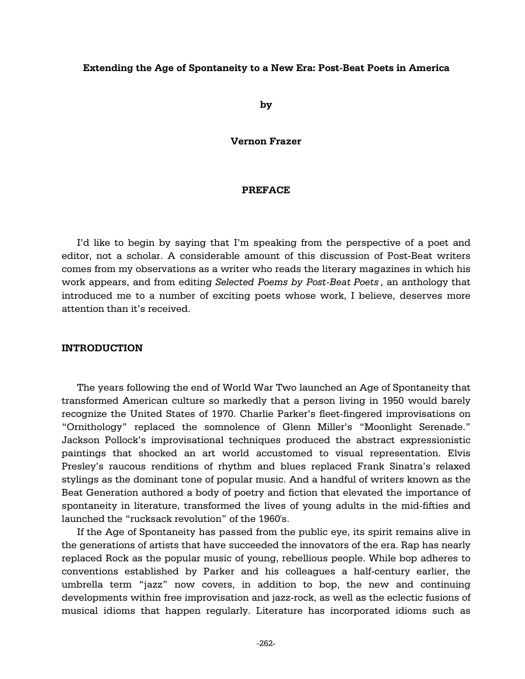#### **Extending the Age of Spontaneity to a New Era: Post-Beat Poets in America**

**by**

### **Vernon Frazer**

#### **PREFACE**

I'd like to begin by saying that I'm speaking from the perspective of a poet and editor, not a scholar. A considerable amount of this discussion of Post-Beat writers comes from my observations as a writer who reads the literary magazines in which his work appears, and from editing *Selected Poems by Post-Beat Poets* , an anthology that introduced me to a number of exciting poets whose work, I believe, deserves more attention than it's received.

#### **INTRODUCTION**

The years following the end of World War Two launched an Age of Spontaneity that transformed American culture so markedly that a person living in 1950 would barely recognize the United States of 1970. Charlie Parker's fleet-fingered improvisations on "Ornithology" replaced the somnolence of Glenn Miller's "Moonlight Serenade." Jackson Pollock's improvisational techniques produced the abstract expressionistic paintings that shocked an art world accustomed to visual representation. Elvis Presley's raucous renditions of rhythm and blues replaced Frank Sinatra's relaxed stylings as the dominant tone of popular music. And a handful of writers known as the Beat Generation authored a body of poetry and fiction that elevated the importance of spontaneity in literature, transformed the lives of young adults in the mid-fifties and launched the "rucksack revolution" of the 1960's.

If the Age of Spontaneity has passed from the public eye, its spirit remains alive in the generations of artists that have succeeded the innovators of the era. Rap has nearly replaced Rock as the popular music of young, rebellious people. While bop adheres to conventions established by Parker and his colleagues a half-century earlier, the umbrella term "jazz" now covers, in addition to bop, the new and continuing developments within free improvisation and jazz-rock, as well as the eclectic fusions of musical idioms that happen regularly. Literature has incorporated idioms such as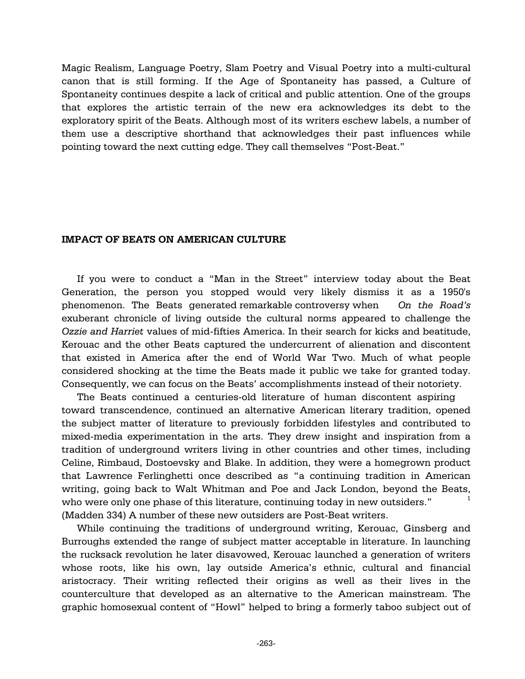Magic Realism, Language Poetry, Slam Poetry and Visual Poetry into a multi-cultural canon that is still forming. If the Age of Spontaneity has passed, a Culture of Spontaneity continues despite a lack of critical and public attention. One of the groups that explores the artistic terrain of the new era acknowledges its debt to the exploratory spirit of the Beats. Although most of its writers eschew labels, a number of them use a descriptive shorthand that acknowledges their past influences while pointing toward the next cutting edge. They call themselves "Post-Beat."

#### **IMPACT OF BEATS ON AMERICAN CULTURE**

If you were to conduct a "Man in the Street" interview today about the Beat Generation, the person you stopped would very likely dismiss it as a 1950's phenomenon. The Beats generated remarkable controversy when *On the Road's* exuberant chronicle of living outside the cultural norms appeared to challenge the *Ozzie and Harriet* values of mid-fifties America. In their search for kicks and beatitude, Kerouac and the other Beats captured the undercurrent of alienation and discontent that existed in America after the end of World War Two. Much of what people considered shocking at the time the Beats made it public we take for granted today. Consequently, we can focus on the Beats' accomplishments instead of their notoriety.

The Beats continued a centuries-old literature of human discontent aspiring toward transcendence, continued an alternative American literary tradition, opened the subject matter of literature to previously forbidden lifestyles and contributed to mixed-media experimentation in the arts. They drew insight and inspiration from a tradition of underground writers living in other countries and other times, including Celine, Rimbaud, Dostoevsky and Blake. In addition, they were a homegrown product that Lawrence Ferlinghetti once described as "a continuing tradition in American writing, going back to Walt Whitman and Poe and Jack London, beyond the Beats, who were only one phase of this literature, continuing today in new outsiders." (Madden 334) A number of these new outsiders are Post-Beat writers.

While continuing the traditions of underground writing, Kerouac, Ginsberg and Burroughs extended the range of subject matter acceptable in literature. In launching the rucksack revolution he later disavowed, Kerouac launched a generation of writers whose roots, like his own, lay outside America's ethnic, cultural and financial aristocracy. Their writing reflected their origins as well as their lives in the counterculture that developed as an alternative to the American mainstream. The graphic homosexual content of "Howl" helped to bring a formerly taboo subject out of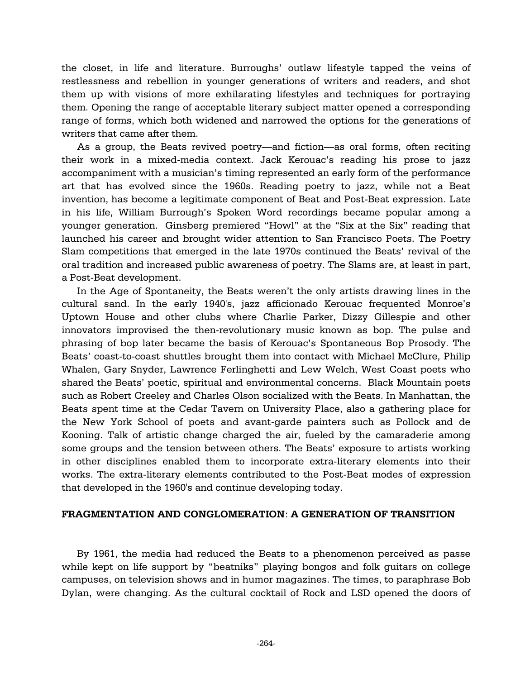the closet, in life and literature. Burroughs' outlaw lifestyle tapped the veins of restlessness and rebellion in younger generations of writers and readers, and shot them up with visions of more exhilarating lifestyles and techniques for portraying them. Opening the range of acceptable literary subject matter opened a corresponding range of forms, which both widened and narrowed the options for the generations of writers that came after them.

As a group, the Beats revived poetry—and fiction—as oral forms, often reciting their work in a mixed-media context. Jack Kerouac's reading his prose to jazz accompaniment with a musician's timing represented an early form of the performance art that has evolved since the 1960s. Reading poetry to jazz, while not a Beat invention, has become a legitimate component of Beat and Post-Beat expression. Late in his life, William Burrough's Spoken Word recordings became popular among a younger generation. Ginsberg premiered "Howl" at the "Six at the Six" reading that launched his career and brought wider attention to San Francisco Poets. The Poetry Slam competitions that emerged in the late 1970s continued the Beats' revival of the oral tradition and increased public awareness of poetry. The Slams are, at least in part, a Post-Beat development.

In the Age of Spontaneity, the Beats weren't the only artists drawing lines in the cultural sand. In the early 1940's, jazz afficionado Kerouac frequented Monroe's Uptown House and other clubs where Charlie Parker, Dizzy Gillespie and other innovators improvised the then-revolutionary music known as bop. The pulse and phrasing of bop later became the basis of Kerouac's Spontaneous Bop Prosody. The Beats' coast-to-coast shuttles brought them into contact with Michael McClure, Philip Whalen, Gary Snyder, Lawrence Ferlinghetti and Lew Welch, West Coast poets who shared the Beats' poetic, spiritual and environmental concerns. Black Mountain poets such as Robert Creeley and Charles Olson socialized with the Beats. In Manhattan, the Beats spent time at the Cedar Tavern on University Place, also a gathering place for the New York School of poets and avant-garde painters such as Pollock and de Kooning. Talk of artistic change charged the air, fueled by the camaraderie among some groups and the tension between others. The Beats' exposure to artists working in other disciplines enabled them to incorporate extra-literary elements into their works. The extra-literary elements contributed to the Post-Beat modes of expression that developed in the 1960's and continue developing today.

### **FRAGMENTATION AND CONGLOMERATION**: **A GENERATION OF TRANSITION**

By 1961, the media had reduced the Beats to a phenomenon perceived as passe while kept on life support by "beatniks" playing bongos and folk guitars on college campuses, on television shows and in humor magazines. The times, to paraphrase Bob Dylan, were changing. As the cultural cocktail of Rock and LSD opened the doors of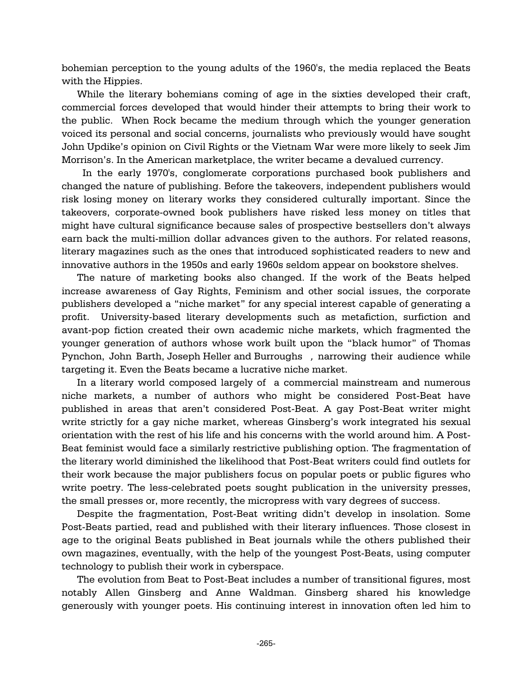bohemian perception to the young adults of the 1960's, the media replaced the Beats with the Hippies.

While the literary bohemians coming of age in the sixties developed their craft, commercial forces developed that would hinder their attempts to bring their work to the public. When Rock became the medium through which the younger generation voiced its personal and social concerns, journalists who previously would have sought John Updike's opinion on Civil Rights or the Vietnam War were more likely to seek Jim Morrison's. In the American marketplace, the writer became a devalued currency.

 In the early 1970's, conglomerate corporations purchased book publishers and changed the nature of publishing. Before the takeovers, independent publishers would risk losing money on literary works they considered culturally important. Since the takeovers, corporate-owned book publishers have risked less money on titles that might have cultural significance because sales of prospective bestsellers don't always earn back the multi-million dollar advances given to the authors. For related reasons, literary magazines such as the ones that introduced sophisticated readers to new and innovative authors in the 1950s and early 1960s seldom appear on bookstore shelves.

The nature of marketing books also changed. If the work of the Beats helped increase awareness of Gay Rights, Feminism and other social issues, the corporate publishers developed a "niche market" for any special interest capable of generating a profit. University-based literary developments such as metafiction, surfiction and avant-pop fiction created their own academic niche markets, which fragmented the younger generation of authors whose work built upon the "black humor" of Thomas Pynchon, John Barth, Joseph Heller and Burroughs *,* narrowing their audience while targeting it. Even the Beats became a lucrative niche market.

In a literary world composed largely of a commercial mainstream and numerous niche markets, a number of authors who might be considered Post-Beat have published in areas that aren't considered Post-Beat. A gay Post-Beat writer might write strictly for a gay niche market, whereas Ginsberg's work integrated his sexual orientation with the rest of his life and his concerns with the world around him. A Post-Beat feminist would face a similarly restrictive publishing option. The fragmentation of the literary world diminished the likelihood that Post-Beat writers could find outlets for their work because the major publishers focus on popular poets or public figures who write poetry. The less-celebrated poets sought publication in the university presses, the small presses or, more recently, the micropress with vary degrees of success.

Despite the fragmentation, Post-Beat writing didn't develop in insolation. Some Post-Beats partied, read and published with their literary influences. Those closest in age to the original Beats published in Beat journals while the others published their own magazines, eventually, with the help of the youngest Post-Beats, using computer technology to publish their work in cyberspace.

The evolution from Beat to Post-Beat includes a number of transitional figures, most notably Allen Ginsberg and Anne Waldman. Ginsberg shared his knowledge generously with younger poets. His continuing interest in innovation often led him to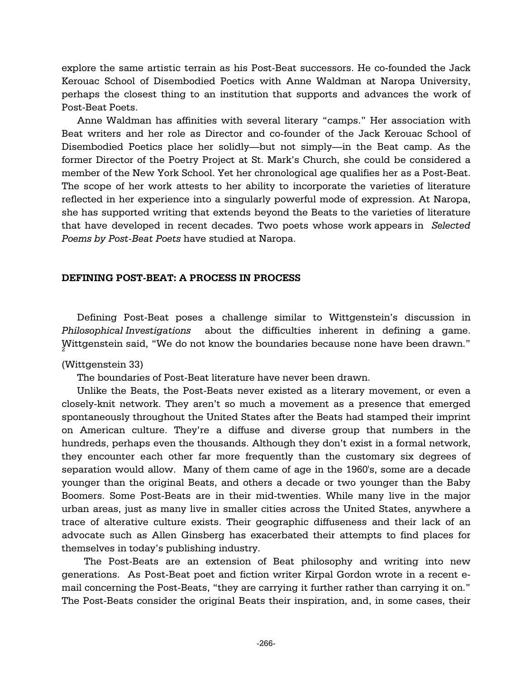explore the same artistic terrain as his Post-Beat successors. He co-founded the Jack Kerouac School of Disembodied Poetics with Anne Waldman at Naropa University, perhaps the closest thing to an institution that supports and advances the work of Post-Beat Poets.

Anne Waldman has affinities with several literary "camps." Her association with Beat writers and her role as Director and co-founder of the Jack Kerouac School of Disembodied Poetics place her solidly—but not simply—in the Beat camp. As the former Director of the Poetry Project at St. Mark's Church, she could be considered a member of the New York School. Yet her chronological age qualifies her as a Post-Beat. The scope of her work attests to her ability to incorporate the varieties of literature reflected in her experience into a singularly powerful mode of expression. At Naropa, she has supported writing that extends beyond the Beats to the varieties of literature that have developed in recent decades. Two poets whose work appears in *Selected Poems by Post-Beat Poets* have studied at Naropa.

### **DEFINING POST-BEAT: A PROCESS IN PROCESS**

Defining Post-Beat poses a challenge similar to Wittgenstein's discussion in *Philosophical Investigations* about the difficulties inherent in defining a game. Wittgenstein said, "We do not know the boundaries because none have been drawn."  $\,$ 

### (Wittgenstein 33)

The boundaries of Post-Beat literature have never been drawn.

Unlike the Beats, the Post-Beats never existed as a literary movement, or even a closely-knit network. They aren't so much a movement as a presence that emerged spontaneously throughout the United States after the Beats had stamped their imprint on American culture. They're a diffuse and diverse group that numbers in the hundreds, perhaps even the thousands. Although they don't exist in a formal network, they encounter each other far more frequently than the customary six degrees of separation would allow. Many of them came of age in the 1960's, some are a decade younger than the original Beats, and others a decade or two younger than the Baby Boomers. Some Post-Beats are in their mid-twenties. While many live in the major urban areas, just as many live in smaller cities across the United States, anywhere a trace of alterative culture exists. Their geographic diffuseness and their lack of an advocate such as Allen Ginsberg has exacerbated their attempts to find places for themselves in today's publishing industry.

 The Post-Beats are an extension of Beat philosophy and writing into new generations. As Post-Beat poet and fiction writer Kirpal Gordon wrote in a recent email concerning the Post-Beats, "they are carrying it further rather than carrying it on." The Post-Beats consider the original Beats their inspiration, and, in some cases, their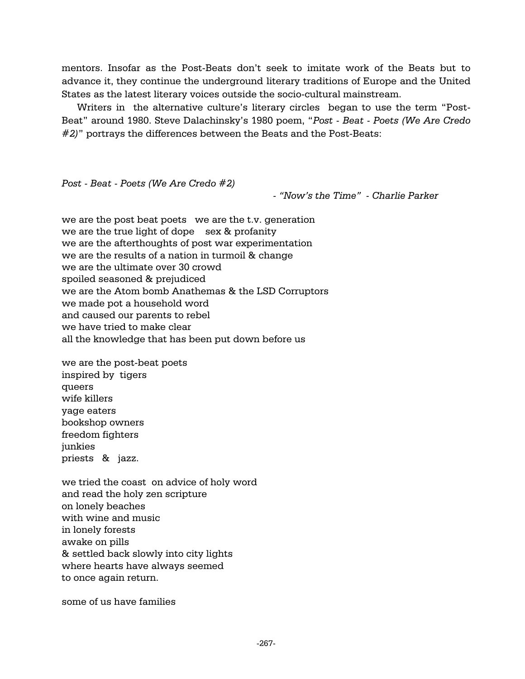mentors. Insofar as the Post-Beats don't seek to imitate work of the Beats but to advance it, they continue the underground literary traditions of Europe and the United States as the latest literary voices outside the socio-cultural mainstream.

Writers in the alternative culture's literary circles began to use the term "Post-Beat" around 1980. Steve Dalachinsky's 1980 poem, "*Post - Beat - Poets (We Are Credo #2)*" portrays the differences between the Beats and the Post-Beats:

*Post - Beat - Poets (We Are Credo #2)*

*- "Now's the Time" - Charlie Parker*

we are the post beat poets we are the t.v. generation we are the true light of dope sex & profanity we are the afterthoughts of post war experimentation we are the results of a nation in turmoil & change we are the ultimate over 30 crowd spoiled seasoned & prejudiced we are the Atom bomb Anathemas & the LSD Corruptors we made pot a household word and caused our parents to rebel we have tried to make clear all the knowledge that has been put down before us

we are the post-beat poets inspired by tigers queers wife killers yage eaters bookshop owners freedom fighters junkies priests & jazz.

we tried the coast on advice of holy word and read the holy zen scripture on lonely beaches with wine and music in lonely forests awake on pills & settled back slowly into city lights where hearts have always seemed to once again return.

some of us have families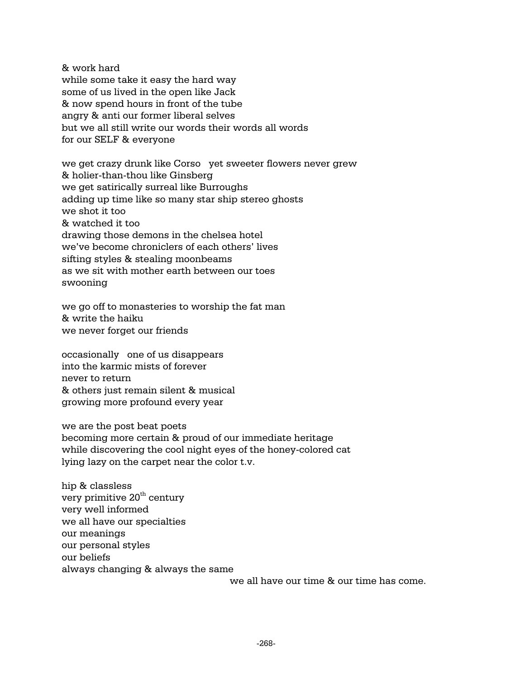& work hard while some take it easy the hard way some of us lived in the open like Jack & now spend hours in front of the tube angry & anti our former liberal selves but we all still write our words their words all words for our SELF & everyone

we get crazy drunk like Corso yet sweeter flowers never grew & holier-than-thou like Ginsberg we get satirically surreal like Burroughs adding up time like so many star ship stereo ghosts we shot it too & watched it too drawing those demons in the chelsea hotel we've become chroniclers of each others' lives sifting styles & stealing moonbeams as we sit with mother earth between our toes swooning

we go off to monasteries to worship the fat man & write the haiku we never forget our friends

occasionally one of us disappears into the karmic mists of forever never to return & others just remain silent & musical growing more profound every year

we are the post beat poets becoming more certain & proud of our immediate heritage while discovering the cool night eyes of the honey-colored cat lying lazy on the carpet near the color t.v.

hip & classless very primitive  $20<sup>th</sup>$  century very well informed we all have our specialties our meanings our personal styles our beliefs always changing & always the same

we all have our time & our time has come.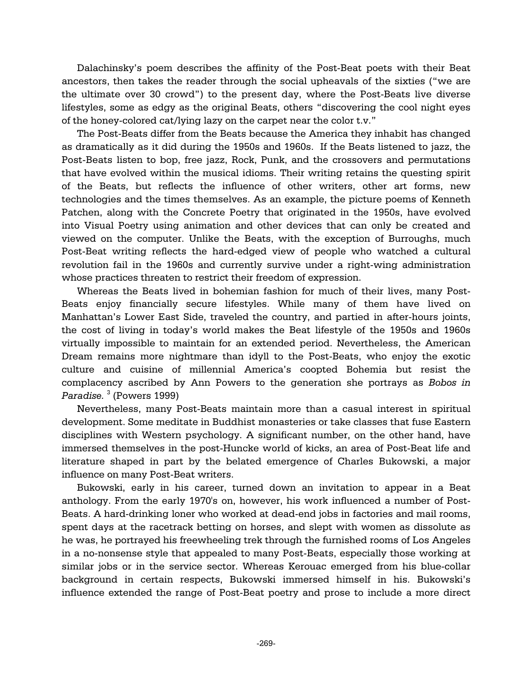Dalachinsky's poem describes the affinity of the Post-Beat poets with their Beat ancestors, then takes the reader through the social upheavals of the sixties ("we are the ultimate over 30 crowd") to the present day, where the Post-Beats live diverse lifestyles, some as edgy as the original Beats, others "discovering the cool night eyes of the honey-colored cat/lying lazy on the carpet near the color t.v."

The Post-Beats differ from the Beats because the America they inhabit has changed as dramatically as it did during the 1950s and 1960s. If the Beats listened to jazz, the Post-Beats listen to bop, free jazz, Rock, Punk, and the crossovers and permutations that have evolved within the musical idioms. Their writing retains the questing spirit of the Beats, but reflects the influence of other writers, other art forms, new technologies and the times themselves. As an example, the picture poems of Kenneth Patchen, along with the Concrete Poetry that originated in the 1950s, have evolved into Visual Poetry using animation and other devices that can only be created and viewed on the computer. Unlike the Beats, with the exception of Burroughs, much Post-Beat writing reflects the hard-edged view of people who watched a cultural revolution fail in the 1960s and currently survive under a right-wing administration whose practices threaten to restrict their freedom of expression.

Whereas the Beats lived in bohemian fashion for much of their lives, many Post-Beats enjoy financially secure lifestyles. While many of them have lived on Manhattan's Lower East Side, traveled the country, and partied in after-hours joints, the cost of living in today's world makes the Beat lifestyle of the 1950s and 1960s virtually impossible to maintain for an extended period. Nevertheless, the American Dream remains more nightmare than idyll to the Post-Beats, who enjoy the exotic culture and cuisine of millennial America's coopted Bohemia but resist the complacency ascribed by Ann Powers to the generation she portrays as *Bobos in Paradise.* <sup>3</sup> (Powers 1999)

Nevertheless, many Post-Beats maintain more than a casual interest in spiritual development. Some meditate in Buddhist monasteries or take classes that fuse Eastern disciplines with Western psychology. A significant number, on the other hand, have immersed themselves in the post-Huncke world of kicks, an area of Post-Beat life and literature shaped in part by the belated emergence of Charles Bukowski, a major influence on many Post-Beat writers.

Bukowski, early in his career, turned down an invitation to appear in a Beat anthology. From the early 1970's on, however, his work influenced a number of Post-Beats. A hard-drinking loner who worked at dead-end jobs in factories and mail rooms, spent days at the racetrack betting on horses, and slept with women as dissolute as he was, he portrayed his freewheeling trek through the furnished rooms of Los Angeles in a no-nonsense style that appealed to many Post-Beats, especially those working at similar jobs or in the service sector. Whereas Kerouac emerged from his blue-collar background in certain respects, Bukowski immersed himself in his. Bukowski's influence extended the range of Post-Beat poetry and prose to include a more direct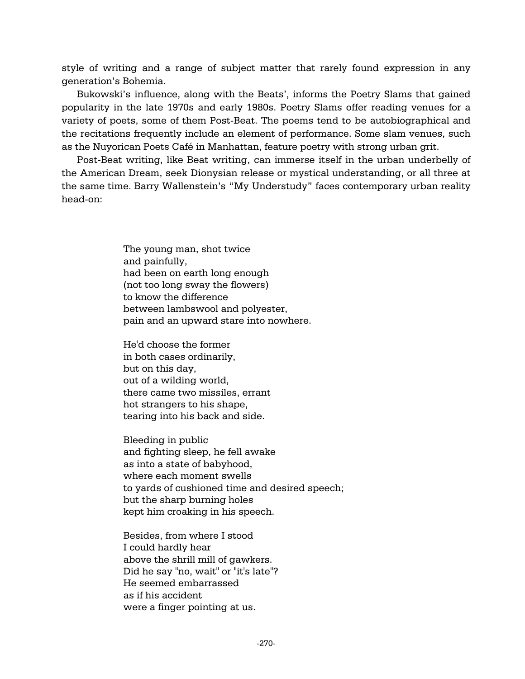style of writing and a range of subject matter that rarely found expression in any generation's Bohemia.

Bukowski's influence, along with the Beats', informs the Poetry Slams that gained popularity in the late 1970s and early 1980s. Poetry Slams offer reading venues for a variety of poets, some of them Post-Beat. The poems tend to be autobiographical and the recitations frequently include an element of performance. Some slam venues, such as the Nuyorican Poets Café in Manhattan, feature poetry with strong urban grit.

Post-Beat writing, like Beat writing, can immerse itself in the urban underbelly of the American Dream, seek Dionysian release or mystical understanding, or all three at the same time. Barry Wallenstein's "My Understudy" faces contemporary urban reality head-on:

> The young man, shot twice and painfully, had been on earth long enough (not too long sway the flowers) to know the difference between lambswool and polyester, pain and an upward stare into nowhere.

He'd choose the former in both cases ordinarily, but on this day, out of a wilding world, there came two missiles, errant hot strangers to his shape, tearing into his back and side.

Bleeding in public and fighting sleep, he fell awake as into a state of babyhood, where each moment swells to yards of cushioned time and desired speech; but the sharp burning holes kept him croaking in his speech.

Besides, from where I stood I could hardly hear above the shrill mill of gawkers. Did he say "no, wait" or "it's late"? He seemed embarrassed as if his accident were a finger pointing at us.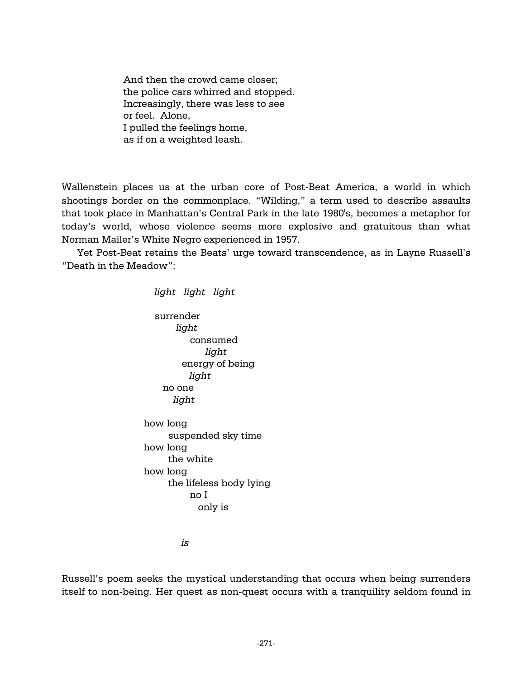And then the crowd came closer; the police cars whirred and stopped. Increasingly, there was less to see or feel. Alone, I pulled the feelings home, as if on a weighted leash.

Wallenstein places us at the urban core of Post-Beat America, a world in which shootings border on the commonplace. "Wilding," a term used to describe assaults that took place in Manhattan's Central Park in the late 1980's, becomes a metaphor for today's world, whose violence seems more explosive and gratuitous than what Norman Mailer's White Negro experienced in 1957.

Yet Post-Beat retains the Beats' urge toward transcendence, as in Layne Russell's "Death in the Meadow":

> *light light light* surrender *light* consumed *light* energy of being *light* no one *light* how long suspended sky time how long the white how long the lifeless body lying no I only is

> > *is*

Russell's poem seeks the mystical understanding that occurs when being surrenders itself to non-being. Her quest as non-quest occurs with a tranquility seldom found in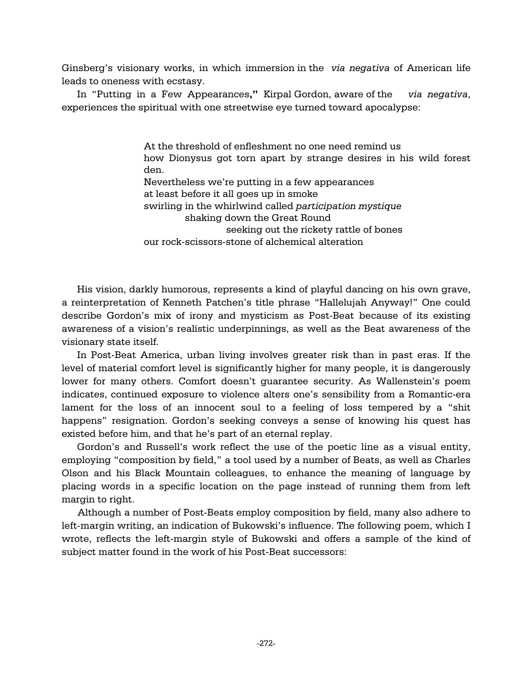Ginsberg's visionary works, in which immersion in the *via negativa* of American life leads to oneness with ecstasy.

In "Putting in a Few Appearances**,"** Kirpal Gordon, aware of the *via negativa*, experiences the spiritual with one streetwise eye turned toward apocalypse:

> At the threshold of enfleshment no one need remind us how Dionysus got torn apart by strange desires in his wild forest den. Nevertheless we're putting in a few appearances at least before it all goes up in smoke swirling in the whirlwind called *participation mystique* shaking down the Great Round seeking out the rickety rattle of bones our rock-scissors-stone of alchemical alteration

His vision, darkly humorous, represents a kind of playful dancing on his own grave, a reinterpretation of Kenneth Patchen's title phrase "Hallelujah Anyway!" One could describe Gordon's mix of irony and mysticism as Post-Beat because of its existing awareness of a vision's realistic underpinnings, as well as the Beat awareness of the visionary state itself.

In Post-Beat America, urban living involves greater risk than in past eras. If the level of material comfort level is significantly higher for many people, it is dangerously lower for many others. Comfort doesn't guarantee security. As Wallenstein's poem indicates, continued exposure to violence alters one's sensibility from a Romantic-era lament for the loss of an innocent soul to a feeling of loss tempered by a "shit happens" resignation. Gordon's seeking conveys a sense of knowing his quest has existed before him, and that he's part of an eternal replay.

Gordon's and Russell's work reflect the use of the poetic line as a visual entity, employing "composition by field," a tool used by a number of Beats, as well as Charles Olson and his Black Mountain colleagues, to enhance the meaning of language by placing words in a specific location on the page instead of running them from left margin to right.

 Although a number of Post-Beats employ composition by field, many also adhere to left-margin writing, an indication of Bukowski's influence. The following poem, which I wrote, reflects the left-margin style of Bukowski and offers a sample of the kind of subject matter found in the work of his Post-Beat successors: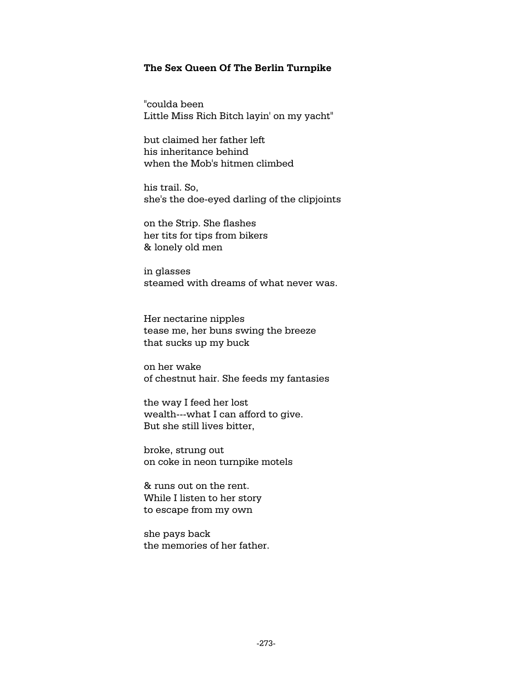### **The Sex Queen Of The Berlin Turnpike**

"coulda been Little Miss Rich Bitch layin' on my yacht"

but claimed her father left his inheritance behind when the Mob's hitmen climbed

his trail. So, she's the doe-eyed darling of the clipjoints

on the Strip. She flashes her tits for tips from bikers & lonely old men

in glasses steamed with dreams of what never was.

Her nectarine nipples tease me, her buns swing the breeze that sucks up my buck

on her wake of chestnut hair. She feeds my fantasies

the way I feed her lost wealth---what I can afford to give. But she still lives bitter,

broke, strung out on coke in neon turnpike motels

& runs out on the rent. While I listen to her story to escape from my own

she pays back the memories of her father.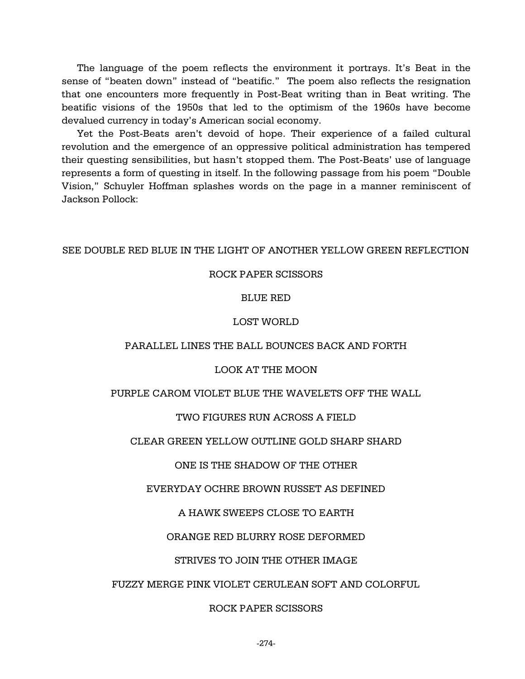The language of the poem reflects the environment it portrays. It's Beat in the sense of "beaten down" instead of "beatific." The poem also reflects the resignation that one encounters more frequently in Post-Beat writing than in Beat writing. The beatific visions of the 1950s that led to the optimism of the 1960s have become devalued currency in today's American social economy.

Yet the Post-Beats aren't devoid of hope. Their experience of a failed cultural revolution and the emergence of an oppressive political administration has tempered their questing sensibilities, but hasn't stopped them. The Post-Beats' use of language represents a form of questing in itself. In the following passage from his poem "Double Vision," Schuyler Hoffman splashes words on the page in a manner reminiscent of Jackson Pollock:

### SEE DOUBLE RED BLUE IN THE LIGHT OF ANOTHER YELLOW GREEN REFLECTION

#### ROCK PAPER SCISSORS

### BLUE RED

#### LOST WORLD

### PARALLEL LINES THE BALL BOUNCES BACK AND FORTH

#### LOOK AT THE MOON

### PURPLE CAROM VIOLET BLUE THE WAVELETS OFF THE WALL

### TWO FIGURES RUN ACROSS A FIELD

#### CLEAR GREEN YELLOW OUTLINE GOLD SHARP SHARD

ONE IS THE SHADOW OF THE OTHER

EVERYDAY OCHRE BROWN RUSSET AS DEFINED

### A HAWK SWEEPS CLOSE TO EARTH

### ORANGE RED BLURRY ROSE DEFORMED

#### STRIVES TO JOIN THE OTHER IMAGE

#### FUZZY MERGE PINK VIOLET CERULEAN SOFT AND COLORFUL

### ROCK PAPER SCISSORS

-274-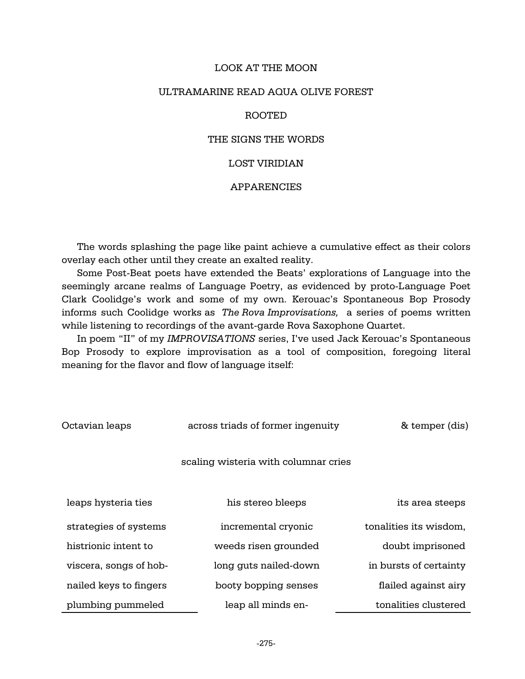### LOOK AT THE MOON

### ULTRAMARINE READ AQUA OLIVE FOREST

#### ROOTED

### THE SIGNS THE WORDS

#### LOST VIRIDIAN

#### APPARENCIES

The words splashing the page like paint achieve a cumulative effect as their colors overlay each other until they create an exalted reality.

Some Post-Beat poets have extended the Beats' explorations of Language into the seemingly arcane realms of Language Poetry, as evidenced by proto-Language Poet Clark Coolidge's work and some of my own. Kerouac's Spontaneous Bop Prosody informs such Coolidge works as *The Rova Improvisations,* a series of poems written while listening to recordings of the avant-garde Rova Saxophone Quartet.

In poem "II" of my *IMPROVISATIONS* series, I've used Jack Kerouac's Spontaneous Bop Prosody to explore improvisation as a tool of composition, foregoing literal meaning for the flavor and flow of language itself:

| Octavian leaps         | across triads of former ingenuity    | & temper (dis)         |
|------------------------|--------------------------------------|------------------------|
|                        | scaling wisteria with columnar cries |                        |
| leaps hysteria ties    | his stereo bleeps                    | its area steeps        |
| strategies of systems  | incremental cryonic                  | tonalities its wisdom, |
| histrionic intent to   | weeds risen grounded                 | doubt imprisoned       |
| viscera, songs of hob- | long guts nailed-down                | in bursts of certainty |
| nailed keys to fingers | booty bopping senses                 | flailed against airy   |
| plumbing pummeled      | leap all minds en-                   | tonalities clustered   |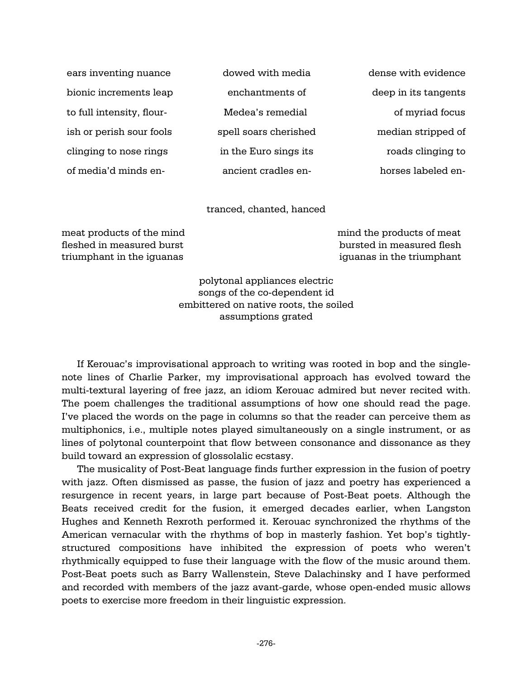| ears inventing nuance     | dowed with media      | dense with evidence  |
|---------------------------|-----------------------|----------------------|
| bionic increments leap    | enchantments of       | deep in its tangents |
| to full intensity, flour- | Medea's remedial      | of myriad focus      |
| ish or perish sour fools  | spell soars cherished | median stripped of   |
| clinging to nose rings    | in the Euro sings its | roads clinging to    |
| of media'd minds en-      | ancient cradles en-   | horses labeled en-   |
|                           |                       |                      |

tranced, chanted, hanced

meat products of the mind mind mind the products of meat fleshed in measured burst bursted in measured flesh triumphant in the iguanas iguanas in the triumphant

polytonal appliances electric songs of the co-dependent id embittered on native roots, the soiled assumptions grated

If Kerouac's improvisational approach to writing was rooted in bop and the singlenote lines of Charlie Parker, my improvisational approach has evolved toward the multi-textural layering of free jazz, an idiom Kerouac admired but never recited with. The poem challenges the traditional assumptions of how one should read the page. I've placed the words on the page in columns so that the reader can perceive them as multiphonics, i.e., multiple notes played simultaneously on a single instrument, or as lines of polytonal counterpoint that flow between consonance and dissonance as they build toward an expression of glossolalic ecstasy.

The musicality of Post-Beat language finds further expression in the fusion of poetry with jazz. Often dismissed as passe, the fusion of jazz and poetry has experienced a resurgence in recent years, in large part because of Post-Beat poets. Although the Beats received credit for the fusion, it emerged decades earlier, when Langston Hughes and Kenneth Rexroth performed it. Kerouac synchronized the rhythms of the American vernacular with the rhythms of bop in masterly fashion. Yet bop's tightlystructured compositions have inhibited the expression of poets who weren't rhythmically equipped to fuse their language with the flow of the music around them. Post-Beat poets such as Barry Wallenstein, Steve Dalachinsky and I have performed and recorded with members of the jazz avant-garde, whose open-ended music allows poets to exercise more freedom in their linguistic expression.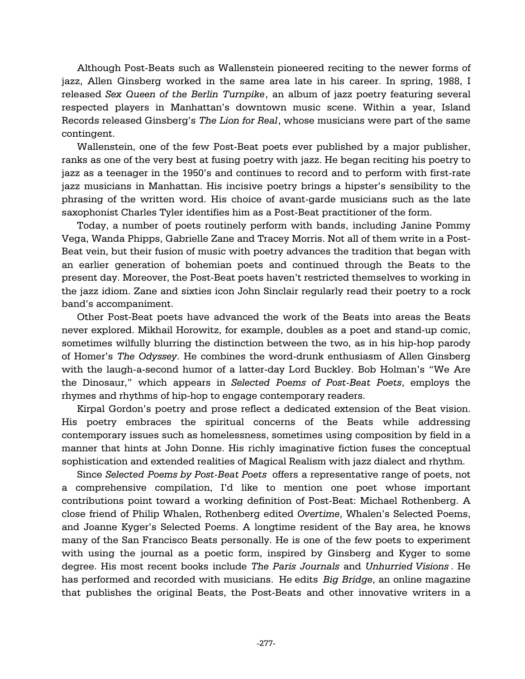Although Post-Beats such as Wallenstein pioneered reciting to the newer forms of jazz, Allen Ginsberg worked in the same area late in his career. In spring, 1988, I released *Sex Queen of the Berlin Turnpike*, an album of jazz poetry featuring several respected players in Manhattan's downtown music scene. Within a year, Island Records released Ginsberg's *The Lion for Real*, whose musicians were part of the same contingent.

Wallenstein, one of the few Post-Beat poets ever published by a major publisher, ranks as one of the very best at fusing poetry with jazz. He began reciting his poetry to jazz as a teenager in the 1950's and continues to record and to perform with first-rate jazz musicians in Manhattan. His incisive poetry brings a hipster's sensibility to the phrasing of the written word. His choice of avant-garde musicians such as the late saxophonist Charles Tyler identifies him as a Post-Beat practitioner of the form.

Today, a number of poets routinely perform with bands, including Janine Pommy Vega, Wanda Phipps, Gabrielle Zane and Tracey Morris. Not all of them write in a Post-Beat vein, but their fusion of music with poetry advances the tradition that began with an earlier generation of bohemian poets and continued through the Beats to the present day. Moreover, the Post-Beat poets haven't restricted themselves to working in the jazz idiom. Zane and sixties icon John Sinclair regularly read their poetry to a rock band's accompaniment.

Other Post-Beat poets have advanced the work of the Beats into areas the Beats never explored. Mikhail Horowitz, for example, doubles as a poet and stand-up comic, sometimes wilfully blurring the distinction between the two, as in his hip-hop parody of Homer's *The Odyssey.* He combines the word-drunk enthusiasm of Allen Ginsberg with the laugh-a-second humor of a latter-day Lord Buckley. Bob Holman's "We Are the Dinosaur," which appears in *Selected Poems of Post-Beat Poets*, employs the rhymes and rhythms of hip-hop to engage contemporary readers.

Kirpal Gordon's poetry and prose reflect a dedicated extension of the Beat vision. His poetry embraces the spiritual concerns of the Beats while addressing contemporary issues such as homelessness, sometimes using composition by field in a manner that hints at John Donne. His richly imaginative fiction fuses the conceptual sophistication and extended realities of Magical Realism with jazz dialect and rhythm.

Since *Selected Poems by Post-Beat Poets* offers a representative range of poets, not a comprehensive compilation, I'd like to mention one poet whose important contributions point toward a working definition of Post-Beat: Michael Rothenberg. A close friend of Philip Whalen, Rothenberg edited *Overtime*, Whalen's Selected Poems, and Joanne Kyger's Selected Poems. A longtime resident of the Bay area, he knows many of the San Francisco Beats personally. He is one of the few poets to experiment with using the journal as a poetic form, inspired by Ginsberg and Kyger to some degree. His most recent books include *The Paris Journals* and *Unhurried Visions* . He has performed and recorded with musicians. He edits *Big Bridge*, an online magazine that publishes the original Beats, the Post-Beats and other innovative writers in a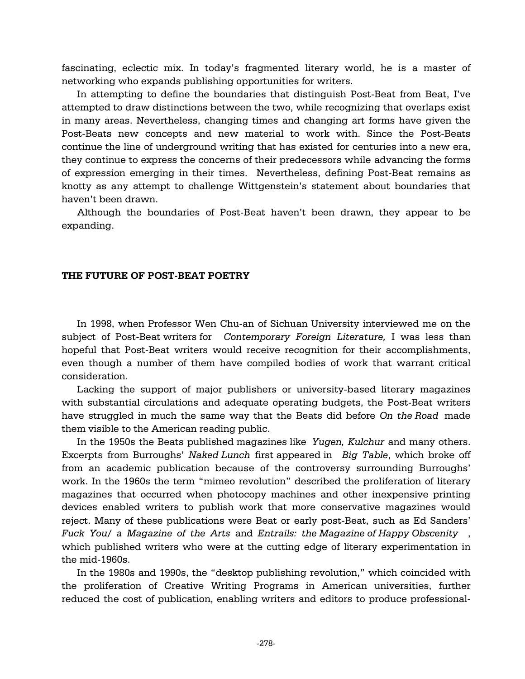fascinating, eclectic mix. In today's fragmented literary world, he is a master of networking who expands publishing opportunities for writers.

In attempting to define the boundaries that distinguish Post-Beat from Beat, I've attempted to draw distinctions between the two, while recognizing that overlaps exist in many areas. Nevertheless, changing times and changing art forms have given the Post-Beats new concepts and new material to work with. Since the Post-Beats continue the line of underground writing that has existed for centuries into a new era, they continue to express the concerns of their predecessors while advancing the forms of expression emerging in their times. Nevertheless, defining Post-Beat remains as knotty as any attempt to challenge Wittgenstein's statement about boundaries that haven't been drawn.

Although the boundaries of Post-Beat haven't been drawn, they appear to be expanding.

#### **THE FUTURE OF POST-BEAT POETRY**

In 1998, when Professor Wen Chu-an of Sichuan University interviewed me on the subject of Post-Beat writers for *Contemporary Foreign Literature,* I was less than hopeful that Post-Beat writers would receive recognition for their accomplishments, even though a number of them have compiled bodies of work that warrant critical consideration.

Lacking the support of major publishers or university-based literary magazines with substantial circulations and adequate operating budgets, the Post-Beat writers have struggled in much the same way that the Beats did before *On the Road* made them visible to the American reading public.

In the 1950s the Beats published magazines like *Yugen, Kulchur* and many others. Excerpts from Burroughs' *Naked Lunch* first appeared in *Big Table*, which broke off from an academic publication because of the controversy surrounding Burroughs' work. In the 1960s the term "mimeo revolution" described the proliferation of literary magazines that occurred when photocopy machines and other inexpensive printing devices enabled writers to publish work that more conservative magazines would reject. Many of these publications were Beat or early post-Beat, such as Ed Sanders' *Fuck You/ a Magazine of the Arts* and *Entrails: the Magazine of Happy Obscenity* , which published writers who were at the cutting edge of literary experimentation in the mid-1960s.

In the 1980s and 1990s, the "desktop publishing revolution," which coincided with the proliferation of Creative Writing Programs in American universities, further reduced the cost of publication, enabling writers and editors to produce professional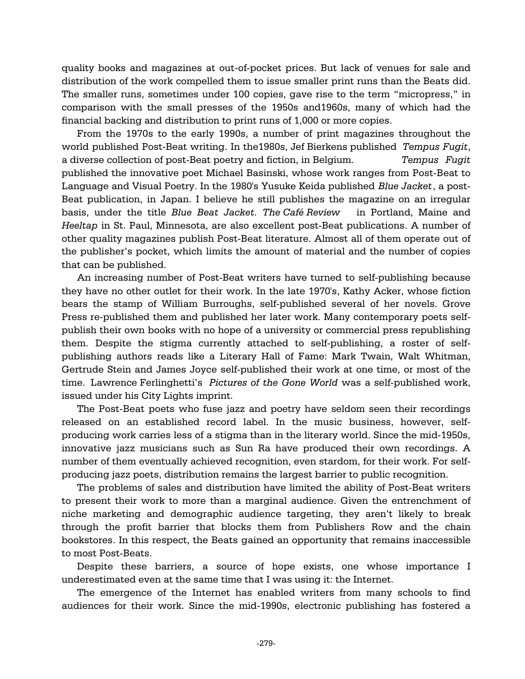quality books and magazines at out-of-pocket prices. But lack of venues for sale and distribution of the work compelled them to issue smaller print runs than the Beats did. The smaller runs, sometimes under 100 copies, gave rise to the term "micropress," in comparison with the small presses of the 1950s and1960s, many of which had the financial backing and distribution to print runs of 1,000 or more copies.

From the 1970s to the early 1990s, a number of print magazines throughout the world published Post-Beat writing. In the1980s, Jef Bierkens published *Tempus Fugit*, a diverse collection of post-Beat poetry and fiction, in Belgium. *Tempus Fugit* published the innovative poet Michael Basinski, whose work ranges from Post-Beat to Language and Visual Poetry. In the 1980's Yusuke Keida published *Blue Jacket*, a post-Beat publication, in Japan. I believe he still publishes the magazine on an irregular basis, under the title *Blue Beat Jacket. The Café Review* in Portland, Maine and *Heeltap* in St. Paul, Minnesota, are also excellent post-Beat publications. A number of other quality magazines publish Post-Beat literature. Almost all of them operate out of the publisher's pocket, which limits the amount of material and the number of copies that can be published.

An increasing number of Post-Beat writers have turned to self-publishing because they have no other outlet for their work. In the late 1970's, Kathy Acker, whose fiction bears the stamp of William Burroughs, self-published several of her novels. Grove Press re-published them and published her later work. Many contemporary poets selfpublish their own books with no hope of a university or commercial press republishing them. Despite the stigma currently attached to self-publishing, a roster of selfpublishing authors reads like a Literary Hall of Fame: Mark Twain, Walt Whitman, Gertrude Stein and James Joyce self-published their work at one time, or most of the time. Lawrence Ferlinghetti's *Pictures of the Gone World* was a self-published work, issued under his City Lights imprint.

The Post-Beat poets who fuse jazz and poetry have seldom seen their recordings released on an established record label. In the music business, however, selfproducing work carries less of a stigma than in the literary world. Since the mid-1950s, innovative jazz musicians such as Sun Ra have produced their own recordings. A number of them eventually achieved recognition, even stardom, for their work. For selfproducing jazz poets, distribution remains the largest barrier to public recognition.

The problems of sales and distribution have limited the ability of Post-Beat writers to present their work to more than a marginal audience. Given the entrenchment of niche marketing and demographic audience targeting, they aren't likely to break through the profit barrier that blocks them from Publishers Row and the chain bookstores. In this respect, the Beats gained an opportunity that remains inaccessible to most Post-Beats.

Despite these barriers, a source of hope exists, one whose importance I underestimated even at the same time that I was using it: the Internet.

The emergence of the Internet has enabled writers from many schools to find audiences for their work. Since the mid-1990s, electronic publishing has fostered a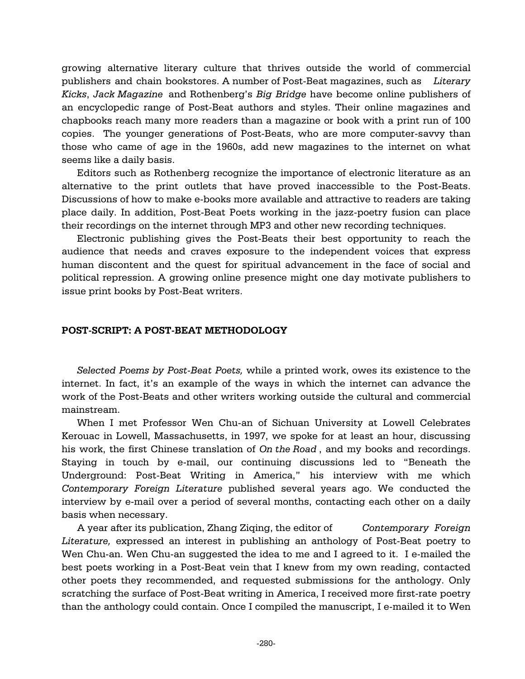growing alternative literary culture that thrives outside the world of commercial publishers and chain bookstores. A number of Post-Beat magazines, such as *Literary Kicks*, *Jack Magazine* and Rothenberg's *Big Bridge* have become online publishers of an encyclopedic range of Post-Beat authors and styles. Their online magazines and chapbooks reach many more readers than a magazine or book with a print run of 100 copies. The younger generations of Post-Beats, who are more computer-savvy than those who came of age in the 1960s, add new magazines to the internet on what seems like a daily basis.

Editors such as Rothenberg recognize the importance of electronic literature as an alternative to the print outlets that have proved inaccessible to the Post-Beats. Discussions of how to make e-books more available and attractive to readers are taking place daily. In addition, Post-Beat Poets working in the jazz-poetry fusion can place their recordings on the internet through MP3 and other new recording techniques.

Electronic publishing gives the Post-Beats their best opportunity to reach the audience that needs and craves exposure to the independent voices that express human discontent and the quest for spiritual advancement in the face of social and political repression. A growing online presence might one day motivate publishers to issue print books by Post-Beat writers.

### **POST-SCRIPT: A POST-BEAT METHODOLOGY**

*Selected Poems by Post-Beat Poets,* while a printed work, owes its existence to the internet. In fact, it's an example of the ways in which the internet can advance the work of the Post-Beats and other writers working outside the cultural and commercial mainstream.

When I met Professor Wen Chu-an of Sichuan University at Lowell Celebrates Kerouac in Lowell, Massachusetts, in 1997, we spoke for at least an hour, discussing his work, the first Chinese translation of *On the Road* , and my books and recordings. Staying in touch by e-mail, our continuing discussions led to "Beneath the Underground: Post-Beat Writing in America," his interview with me which *Contemporary Foreign Literature* published several years ago. We conducted the interview by e-mail over a period of several months, contacting each other on a daily basis when necessary.

A year after its publication, Zhang Ziqing, the editor of *Contemporary Foreign Literature,* expressed an interest in publishing an anthology of Post-Beat poetry to Wen Chu-an. Wen Chu-an suggested the idea to me and I agreed to it. I e-mailed the best poets working in a Post-Beat vein that I knew from my own reading, contacted other poets they recommended, and requested submissions for the anthology. Only scratching the surface of Post-Beat writing in America, I received more first-rate poetry than the anthology could contain. Once I compiled the manuscript, I e-mailed it to Wen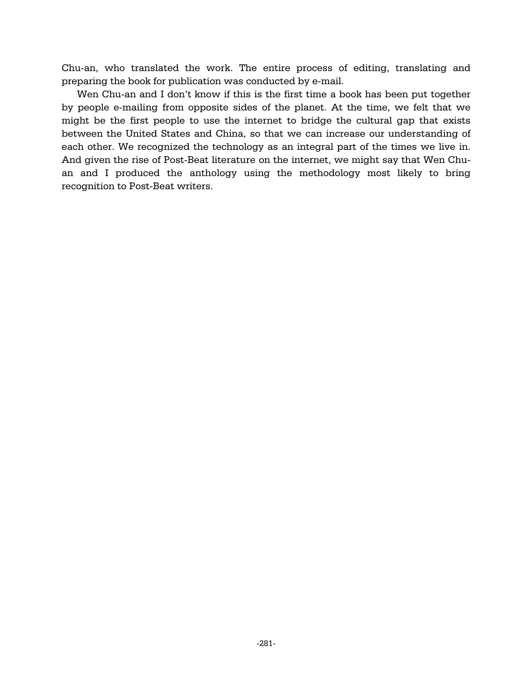Chu-an, who translated the work. The entire process of editing, translating and preparing the book for publication was conducted by e-mail.

Wen Chu-an and I don't know if this is the first time a book has been put together by people e-mailing from opposite sides of the planet. At the time, we felt that we might be the first people to use the internet to bridge the cultural gap that exists between the United States and China, so that we can increase our understanding of each other. We recognized the technology as an integral part of the times we live in. And given the rise of Post-Beat literature on the internet, we might say that Wen Chuan and I produced the anthology using the methodology most likely to bring recognition to Post-Beat writers.